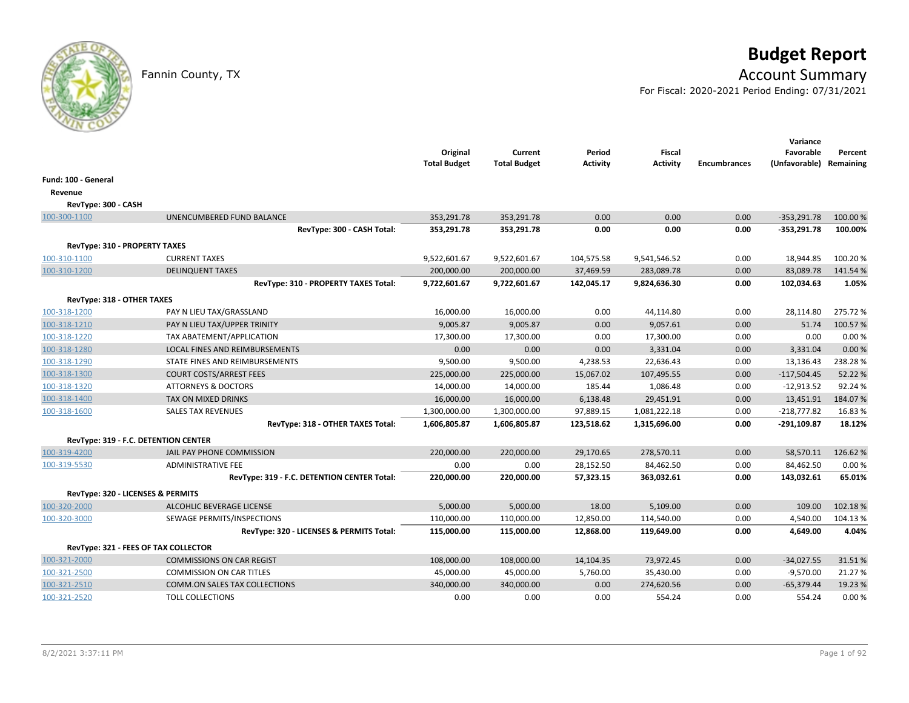# **Budget Report**

## Fannin County, TX **Account Summary**

For Fiscal: 2020-2021 Period Ending: 07/31/2021

|                                      |                                             | Original<br><b>Total Budget</b> | Current<br><b>Total Budget</b> | Period<br>Activity | <b>Fiscal</b><br><b>Activity</b> | <b>Encumbrances</b> | Variance<br>Favorable<br>(Unfavorable) | Percent<br>Remaining |
|--------------------------------------|---------------------------------------------|---------------------------------|--------------------------------|--------------------|----------------------------------|---------------------|----------------------------------------|----------------------|
| Fund: 100 - General                  |                                             |                                 |                                |                    |                                  |                     |                                        |                      |
| Revenue                              |                                             |                                 |                                |                    |                                  |                     |                                        |                      |
| RevType: 300 - CASH                  |                                             |                                 |                                |                    |                                  |                     |                                        |                      |
| 100-300-1100                         | UNENCUMBERED FUND BALANCE                   | 353,291.78                      | 353,291.78                     | 0.00               | 0.00                             | 0.00                | $-353,291.78$                          | 100.00 %             |
|                                      | RevType: 300 - CASH Total:                  | 353,291.78                      | 353,291.78                     | 0.00               | 0.00                             | 0.00                | $-353,291.78$                          | 100.00%              |
| <b>RevType: 310 - PROPERTY TAXES</b> |                                             |                                 |                                |                    |                                  |                     |                                        |                      |
| 100-310-1100                         | <b>CURRENT TAXES</b>                        | 9,522,601.67                    | 9,522,601.67                   | 104,575.58         | 9,541,546.52                     | 0.00                | 18,944.85                              | 100.20%              |
| 100-310-1200                         | <b>DELINQUENT TAXES</b>                     | 200,000.00                      | 200,000.00                     | 37,469.59          | 283,089.78                       | 0.00                | 83,089.78                              | 141.54%              |
|                                      | RevType: 310 - PROPERTY TAXES Total:        | 9,722,601.67                    | 9,722,601.67                   | 142,045.17         | 9,824,636.30                     | 0.00                | 102,034.63                             | 1.05%                |
| RevType: 318 - OTHER TAXES           |                                             |                                 |                                |                    |                                  |                     |                                        |                      |
| 100-318-1200                         | PAY N LIEU TAX/GRASSLAND                    | 16,000.00                       | 16,000.00                      | 0.00               | 44,114.80                        | 0.00                | 28,114.80                              | 275.72%              |
| 100-318-1210                         | PAY N LIEU TAX/UPPER TRINITY                | 9,005.87                        | 9,005.87                       | 0.00               | 9,057.61                         | 0.00                | 51.74                                  | 100.57%              |
| 100-318-1220                         | TAX ABATEMENT/APPLICATION                   | 17,300.00                       | 17,300.00                      | 0.00               | 17,300.00                        | 0.00                | 0.00                                   | 0.00%                |
| 100-318-1280                         | LOCAL FINES AND REIMBURSEMENTS              | 0.00                            | 0.00                           | 0.00               | 3,331.04                         | 0.00                | 3,331.04                               | 0.00%                |
| 100-318-1290                         | STATE FINES AND REIMBURSEMENTS              | 9,500.00                        | 9,500.00                       | 4,238.53           | 22,636.43                        | 0.00                | 13,136.43                              | 238.28%              |
| 100-318-1300                         | <b>COURT COSTS/ARREST FEES</b>              | 225,000.00                      | 225,000.00                     | 15,067.02          | 107,495.55                       | 0.00                | $-117,504.45$                          | 52.22%               |
| 100-318-1320                         | <b>ATTORNEYS &amp; DOCTORS</b>              | 14,000.00                       | 14,000.00                      | 185.44             | 1,086.48                         | 0.00                | $-12,913.52$                           | 92.24%               |
| 100-318-1400                         | TAX ON MIXED DRINKS                         | 16,000.00                       | 16,000.00                      | 6,138.48           | 29,451.91                        | 0.00                | 13,451.91                              | 184.07%              |
| 100-318-1600                         | <b>SALES TAX REVENUES</b>                   | 1,300,000.00                    | 1,300,000.00                   | 97,889.15          | 1,081,222.18                     | 0.00                | $-218,777.82$                          | 16.83%               |
|                                      | RevType: 318 - OTHER TAXES Total:           | 1,606,805.87                    | 1,606,805.87                   | 123,518.62         | 1,315,696.00                     | 0.00                | $-291,109.87$                          | 18.12%               |
| RevType: 319 - F.C. DETENTION CENTER |                                             |                                 |                                |                    |                                  |                     |                                        |                      |
| 100-319-4200                         | JAIL PAY PHONE COMMISSION                   | 220,000.00                      | 220,000.00                     | 29,170.65          | 278,570.11                       | 0.00                | 58,570.11                              | 126.62%              |
| 100-319-5530                         | <b>ADMINISTRATIVE FEE</b>                   | 0.00                            | 0.00                           | 28,152.50          | 84,462.50                        | 0.00                | 84,462.50                              | 0.00%                |
|                                      | RevType: 319 - F.C. DETENTION CENTER Total: | 220,000.00                      | 220,000.00                     | 57,323.15          | 363,032.61                       | 0.00                | 143,032.61                             | 65.01%               |
| RevType: 320 - LICENSES & PERMITS    |                                             |                                 |                                |                    |                                  |                     |                                        |                      |
| 100-320-2000                         | <b>ALCOHLIC BEVERAGE LICENSE</b>            | 5,000.00                        | 5,000.00                       | 18.00              | 5,109.00                         | 0.00                | 109.00                                 | 102.18%              |
| 100-320-3000                         | SEWAGE PERMITS/INSPECTIONS                  | 110,000.00                      | 110,000.00                     | 12,850.00          | 114,540.00                       | 0.00                | 4,540.00                               | 104.13%              |
|                                      | RevType: 320 - LICENSES & PERMITS Total:    | 115,000.00                      | 115,000.00                     | 12,868.00          | 119,649.00                       | 0.00                | 4,649.00                               | 4.04%                |
| RevType: 321 - FEES OF TAX COLLECTOR |                                             |                                 |                                |                    |                                  |                     |                                        |                      |
| 100-321-2000                         | <b>COMMISSIONS ON CAR REGIST</b>            | 108,000.00                      | 108,000.00                     | 14,104.35          | 73,972.45                        | 0.00                | $-34,027.55$                           | 31.51%               |
| 100-321-2500                         | <b>COMMISSION ON CAR TITLES</b>             | 45,000.00                       | 45,000.00                      | 5,760.00           | 35,430.00                        | 0.00                | $-9,570.00$                            | 21.27%               |
| 100-321-2510                         | <b>COMM.ON SALES TAX COLLECTIONS</b>        | 340,000.00                      | 340,000.00                     | 0.00               | 274,620.56                       | 0.00                | $-65,379.44$                           | 19.23 %              |
| 100-321-2520                         | <b>TOLL COLLECTIONS</b>                     | 0.00                            | 0.00                           | 0.00               | 554.24                           | 0.00                | 554.24                                 | 0.00%                |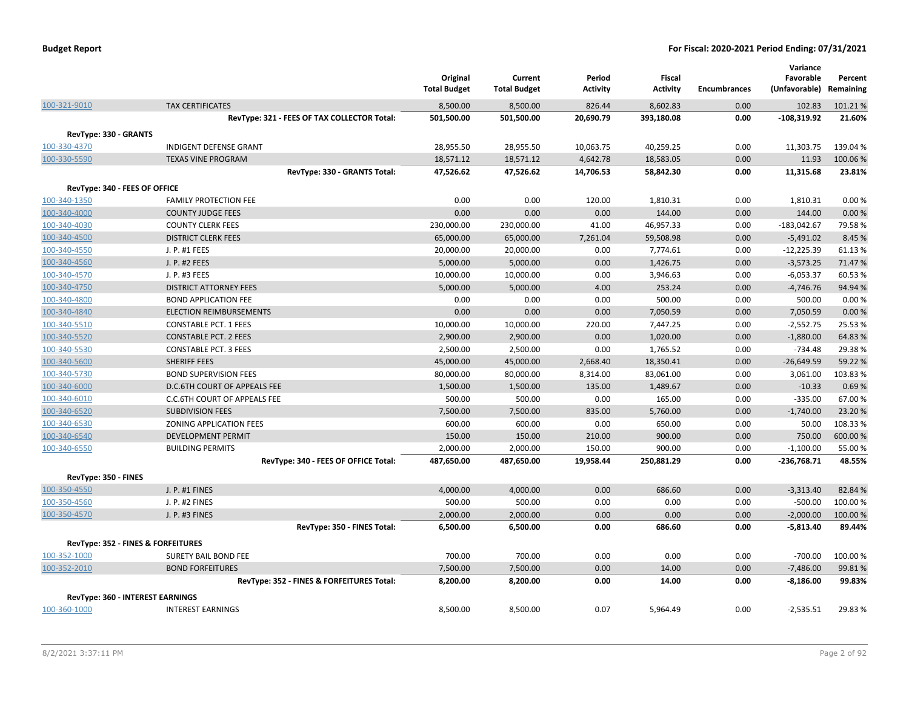|                               |                                             | Original<br><b>Total Budget</b> | Current<br><b>Total Budget</b> | Period<br><b>Activity</b> | <b>Fiscal</b><br><b>Activity</b> | <b>Encumbrances</b> | Variance<br>Favorable<br>(Unfavorable) | Percent<br>Remaining |
|-------------------------------|---------------------------------------------|---------------------------------|--------------------------------|---------------------------|----------------------------------|---------------------|----------------------------------------|----------------------|
| 100-321-9010                  | <b>TAX CERTIFICATES</b>                     | 8,500.00                        | 8,500.00                       | 826.44                    | 8,602.83                         | 0.00                | 102.83                                 | 101.21%              |
|                               | RevType: 321 - FEES OF TAX COLLECTOR Total: | 501,500.00                      | 501,500.00                     | 20,690.79                 | 393,180.08                       | 0.00                | $-108,319.92$                          | 21.60%               |
| RevType: 330 - GRANTS         |                                             |                                 |                                |                           |                                  |                     |                                        |                      |
| 100-330-4370                  | INDIGENT DEFENSE GRANT                      | 28,955.50                       | 28,955.50                      | 10,063.75                 | 40,259.25                        | 0.00                | 11,303.75                              | 139.04%              |
| 100-330-5590                  | <b>TEXAS VINE PROGRAM</b>                   | 18,571.12                       | 18,571.12                      | 4,642.78                  | 18,583.05                        | 0.00                | 11.93                                  | 100.06%              |
|                               | RevType: 330 - GRANTS Total:                | 47,526.62                       | 47,526.62                      | 14,706.53                 | 58,842.30                        | 0.00                | 11,315.68                              | 23.81%               |
| RevType: 340 - FEES OF OFFICE |                                             |                                 |                                |                           |                                  |                     |                                        |                      |
| 100-340-1350                  | <b>FAMILY PROTECTION FEE</b>                | 0.00                            | 0.00                           | 120.00                    | 1,810.31                         | 0.00                | 1,810.31                               | 0.00%                |
| 100-340-4000                  | <b>COUNTY JUDGE FEES</b>                    | 0.00                            | 0.00                           | 0.00                      | 144.00                           | 0.00                | 144.00                                 | 0.00%                |
| 100-340-4030                  | <b>COUNTY CLERK FEES</b>                    | 230,000.00                      | 230,000.00                     | 41.00                     | 46,957.33                        | 0.00                | $-183,042.67$                          | 79.58%               |
| 100-340-4500                  | <b>DISTRICT CLERK FEES</b>                  | 65,000.00                       | 65,000.00                      | 7,261.04                  | 59,508.98                        | 0.00                | $-5,491.02$                            | 8.45 %               |
| 100-340-4550                  | J. P. #1 FEES                               | 20,000.00                       | 20,000.00                      | 0.00                      | 7,774.61                         | 0.00                | $-12,225.39$                           | 61.13%               |
| 100-340-4560                  | J. P. #2 FEES                               | 5,000.00                        | 5,000.00                       | 0.00                      | 1,426.75                         | 0.00                | $-3,573.25$                            | 71.47%               |
| 100-340-4570                  | J. P. #3 FEES                               | 10,000.00                       | 10,000.00                      | 0.00                      | 3,946.63                         | 0.00                | $-6,053.37$                            | 60.53 %              |
| 100-340-4750                  | <b>DISTRICT ATTORNEY FEES</b>               | 5,000.00                        | 5,000.00                       | 4.00                      | 253.24                           | 0.00                | $-4,746.76$                            | 94.94 %              |
| 100-340-4800                  | <b>BOND APPLICATION FEE</b>                 | 0.00                            | 0.00                           | 0.00                      | 500.00                           | 0.00                | 500.00                                 | 0.00%                |
| 100-340-4840                  | <b>ELECTION REIMBURSEMENTS</b>              | 0.00                            | 0.00                           | 0.00                      | 7,050.59                         | 0.00                | 7,050.59                               | 0.00%                |
| 100-340-5510                  | <b>CONSTABLE PCT. 1 FEES</b>                | 10,000.00                       | 10,000.00                      | 220.00                    | 7,447.25                         | 0.00                | $-2,552.75$                            | 25.53%               |
| 100-340-5520                  | <b>CONSTABLE PCT. 2 FEES</b>                | 2,900.00                        | 2,900.00                       | 0.00                      | 1,020.00                         | 0.00                | $-1,880.00$                            | 64.83%               |
| 100-340-5530                  | <b>CONSTABLE PCT. 3 FEES</b>                | 2,500.00                        | 2,500.00                       | 0.00                      | 1,765.52                         | 0.00                | $-734.48$                              | 29.38%               |
| 100-340-5600                  | <b>SHERIFF FEES</b>                         | 45,000.00                       | 45,000.00                      | 2,668.40                  | 18,350.41                        | 0.00                | $-26,649.59$                           | 59.22 %              |
| 100-340-5730                  | <b>BOND SUPERVISION FEES</b>                | 80,000.00                       | 80,000.00                      | 8,314.00                  | 83,061.00                        | 0.00                | 3,061.00                               | 103.83%              |
| 100-340-6000                  | D.C.6TH COURT OF APPEALS FEE                | 1,500.00                        | 1,500.00                       | 135.00                    | 1,489.67                         | 0.00                | $-10.33$                               | 0.69%                |
| 100-340-6010                  | <b>C.C.6TH COURT OF APPEALS FEE</b>         | 500.00                          | 500.00                         | 0.00                      | 165.00                           | 0.00                | $-335.00$                              | 67.00%               |
| 100-340-6520                  | <b>SUBDIVISION FEES</b>                     | 7,500.00                        | 7,500.00                       | 835.00                    | 5,760.00                         | 0.00                | $-1,740.00$                            | 23.20%               |
| 100-340-6530                  | ZONING APPLICATION FEES                     | 600.00                          | 600.00                         | 0.00                      | 650.00                           | 0.00                | 50.00                                  | 108.33%              |
| 100-340-6540                  | <b>DEVELOPMENT PERMIT</b>                   | 150.00                          | 150.00                         | 210.00                    | 900.00                           | 0.00                | 750.00                                 | 600.00%              |
| 100-340-6550                  | <b>BUILDING PERMITS</b>                     | 2,000.00                        | 2,000.00                       | 150.00                    | 900.00                           | 0.00                | $-1,100.00$                            | 55.00 %              |
|                               | RevType: 340 - FEES OF OFFICE Total:        | 487,650.00                      | 487,650.00                     | 19,958.44                 | 250,881.29                       | 0.00                | $-236,768.71$                          | 48.55%               |
| RevType: 350 - FINES          |                                             |                                 |                                |                           |                                  |                     |                                        |                      |
| 100-350-4550                  | J. P. #1 FINES                              | 4,000.00                        | 4,000.00                       | 0.00                      | 686.60                           | 0.00                | $-3,313.40$                            | 82.84%               |
| 100-350-4560                  | J. P. #2 FINES                              | 500.00                          | 500.00                         | 0.00                      | 0.00                             | 0.00                | $-500.00$                              | 100.00%              |
| 100-350-4570                  | J. P. #3 FINES                              | 2,000.00                        | 2,000.00                       | 0.00                      | 0.00                             | 0.00                | $-2,000.00$                            | 100.00%              |
|                               | RevType: 350 - FINES Total:                 | 6,500.00                        | 6,500.00                       | 0.00                      | 686.60                           | 0.00                | $-5,813.40$                            | 89.44%               |
|                               |                                             |                                 |                                |                           |                                  |                     |                                        |                      |
|                               | RevType: 352 - FINES & FORFEITURES          |                                 |                                |                           |                                  |                     |                                        |                      |
| 100-352-1000                  | SURETY BAIL BOND FEE                        | 700.00                          | 700.00                         | 0.00                      | 0.00                             | 0.00                | $-700.00$                              | 100.00%              |
| 100-352-2010                  | <b>BOND FORFEITURES</b>                     | 7,500.00                        | 7,500.00                       | 0.00                      | 14.00                            | 0.00                | $-7,486.00$                            | 99.81%               |
|                               | RevType: 352 - FINES & FORFEITURES Total:   | 8,200.00                        | 8,200.00                       | 0.00                      | 14.00                            | 0.00                | $-8,186.00$                            | 99.83%               |
|                               | RevType: 360 - INTEREST EARNINGS            |                                 |                                |                           |                                  |                     |                                        |                      |
| 100-360-1000                  | <b>INTEREST EARNINGS</b>                    | 8,500.00                        | 8,500.00                       | 0.07                      | 5,964.49                         | 0.00                | $-2,535.51$                            | 29.83%               |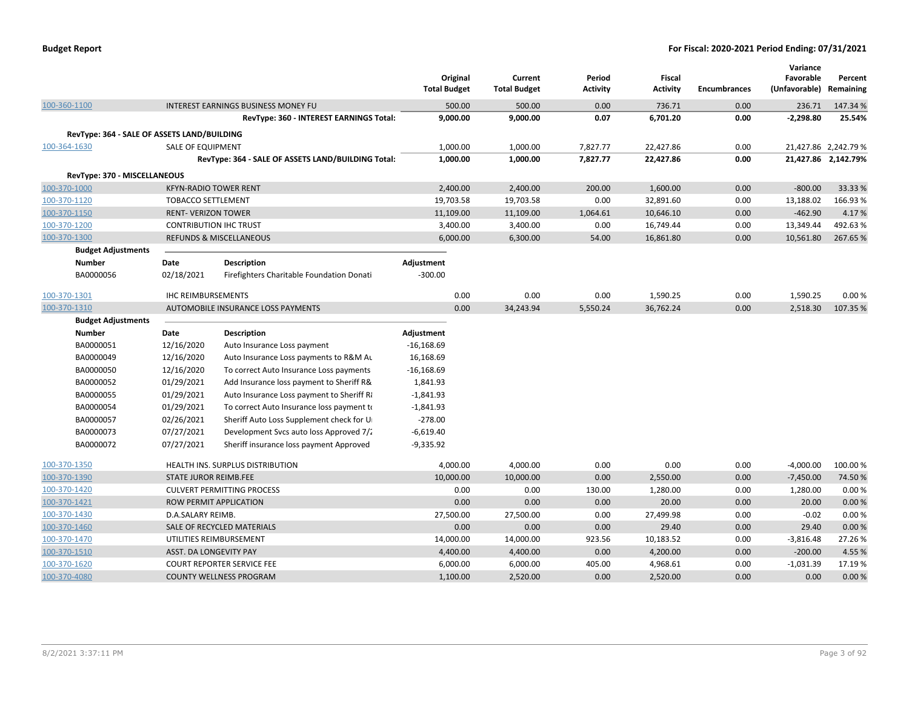| <b>Budget Report</b> |  |
|----------------------|--|
|----------------------|--|

|              |                                             |                               |                                                    | Original            | Current             | Period          | <b>Fiscal</b>   |                     | Variance<br>Favorable | Percent              |
|--------------|---------------------------------------------|-------------------------------|----------------------------------------------------|---------------------|---------------------|-----------------|-----------------|---------------------|-----------------------|----------------------|
|              |                                             |                               |                                                    | <b>Total Budget</b> | <b>Total Budget</b> | <b>Activity</b> | <b>Activity</b> | <b>Encumbrances</b> | (Unfavorable)         | Remaining            |
| 100-360-1100 |                                             |                               | INTEREST EARNINGS BUSINESS MONEY FU                | 500.00              | 500.00              | 0.00            | 736.71          | 0.00                | 236.71                | 147.34 %             |
|              |                                             |                               | RevType: 360 - INTEREST EARNINGS Total:            | 9,000.00            | 9,000.00            | 0.07            | 6,701.20        | 0.00                | $-2,298.80$           | 25.54%               |
|              | RevType: 364 - SALE OF ASSETS LAND/BUILDING |                               |                                                    |                     |                     |                 |                 |                     |                       |                      |
| 100-364-1630 |                                             | SALE OF EQUIPMENT             |                                                    | 1,000.00            | 1,000.00            | 7,827.77        | 22,427.86       | 0.00                |                       | 21,427.86 2,242.79 % |
|              |                                             |                               | RevType: 364 - SALE OF ASSETS LAND/BUILDING Total: | 1,000.00            | 1,000.00            | 7,827.77        | 22,427.86       | 0.00                |                       | 21,427.86 2,142.79%  |
|              | RevType: 370 - MISCELLANEOUS                |                               |                                                    |                     |                     |                 |                 |                     |                       |                      |
| 100-370-1000 |                                             | <b>KFYN-RADIO TOWER RENT</b>  |                                                    | 2,400.00            | 2,400.00            | 200.00          | 1,600.00        | 0.00                | $-800.00$             | 33.33 %              |
| 100-370-1120 |                                             | <b>TOBACCO SETTLEMENT</b>     |                                                    | 19,703.58           | 19,703.58           | 0.00            | 32,891.60       | 0.00                | 13,188.02             | 166.93%              |
| 100-370-1150 |                                             | <b>RENT- VERIZON TOWER</b>    |                                                    | 11,109.00           | 11,109.00           | 1,064.61        | 10,646.10       | 0.00                | $-462.90$             | 4.17%                |
| 100-370-1200 |                                             | <b>CONTRIBUTION IHC TRUST</b> |                                                    | 3,400.00            | 3,400.00            | 0.00            | 16,749.44       | 0.00                | 13,349.44             | 492.63%              |
| 100-370-1300 |                                             |                               | <b>REFUNDS &amp; MISCELLANEOUS</b>                 | 6,000.00            | 6,300.00            | 54.00           | 16,861.80       | 0.00                | 10,561.80             | 267.65%              |
|              | <b>Budget Adjustments</b>                   |                               |                                                    |                     |                     |                 |                 |                     |                       |                      |
|              | <b>Number</b>                               | Date                          | <b>Description</b>                                 | Adjustment          |                     |                 |                 |                     |                       |                      |
|              | BA0000056                                   | 02/18/2021                    | Firefighters Charitable Foundation Donati          | $-300.00$           |                     |                 |                 |                     |                       |                      |
| 100-370-1301 |                                             | <b>IHC REIMBURSEMENTS</b>     |                                                    | 0.00                | 0.00                | 0.00            | 1,590.25        | 0.00                | 1,590.25              | 0.00%                |
| 100-370-1310 |                                             |                               | AUTOMOBILE INSURANCE LOSS PAYMENTS                 | 0.00                | 34,243.94           | 5,550.24        | 36,762.24       | 0.00                | 2,518.30              | 107.35 %             |
|              | <b>Budget Adjustments</b>                   |                               |                                                    |                     |                     |                 |                 |                     |                       |                      |
|              | <b>Number</b>                               | Date                          | Description                                        | Adjustment          |                     |                 |                 |                     |                       |                      |
|              | BA0000051                                   | 12/16/2020                    | Auto Insurance Loss payment                        | $-16,168.69$        |                     |                 |                 |                     |                       |                      |
|              | BA0000049                                   | 12/16/2020                    | Auto Insurance Loss payments to R&M Au             | 16,168.69           |                     |                 |                 |                     |                       |                      |
|              | BA0000050                                   | 12/16/2020                    | To correct Auto Insurance Loss payments            | $-16,168.69$        |                     |                 |                 |                     |                       |                      |
|              | BA0000052                                   | 01/29/2021                    | Add Insurance loss payment to Sheriff R&           | 1,841.93            |                     |                 |                 |                     |                       |                      |
|              | BA0000055                                   | 01/29/2021                    | Auto Insurance Loss payment to Sheriff Ri          | $-1,841.93$         |                     |                 |                 |                     |                       |                      |
|              | BA0000054                                   | 01/29/2021                    | To correct Auto Insurance loss payment to          | $-1,841.93$         |                     |                 |                 |                     |                       |                      |
|              | BA0000057                                   | 02/26/2021                    | Sheriff Auto Loss Supplement check for U           | $-278.00$           |                     |                 |                 |                     |                       |                      |
|              | BA0000073                                   | 07/27/2021                    | Development Svcs auto loss Approved 7/2            | $-6,619.40$         |                     |                 |                 |                     |                       |                      |
|              | BA0000072                                   | 07/27/2021                    | Sheriff insurance loss payment Approved            | $-9,335.92$         |                     |                 |                 |                     |                       |                      |
| 100-370-1350 |                                             |                               | <b>HEALTH INS. SURPLUS DISTRIBUTION</b>            | 4,000.00            | 4,000.00            | 0.00            | 0.00            | 0.00                | $-4,000.00$           | 100.00%              |
| 100-370-1390 |                                             | <b>STATE JUROR REIMB.FEE</b>  |                                                    | 10,000.00           | 10,000.00           | 0.00            | 2,550.00        | 0.00                | $-7,450.00$           | 74.50%               |
| 100-370-1420 |                                             |                               | <b>CULVERT PERMITTING PROCESS</b>                  | 0.00                | 0.00                | 130.00          | 1,280.00        | 0.00                | 1,280.00              | 0.00%                |
| 100-370-1421 |                                             |                               | ROW PERMIT APPLICATION                             | 0.00                | 0.00                | 0.00            | 20.00           | 0.00                | 20.00                 | 0.00%                |
| 100-370-1430 |                                             | D.A.SALARY REIMB.             |                                                    | 27,500.00           | 27,500.00           | 0.00            | 27,499.98       | 0.00                | $-0.02$               | 0.00%                |
| 100-370-1460 |                                             |                               | SALE OF RECYCLED MATERIALS                         | 0.00                | 0.00                | 0.00            | 29.40           | 0.00                | 29.40                 | 0.00%                |
| 100-370-1470 |                                             |                               | UTILITIES REIMBURSEMENT                            | 14,000.00           | 14,000.00           | 923.56          | 10,183.52       | 0.00                | $-3,816.48$           | 27.26%               |
| 100-370-1510 |                                             | ASST. DA LONGEVITY PAY        |                                                    | 4,400.00            | 4,400.00            | 0.00            | 4,200.00        | 0.00                | $-200.00$             | 4.55 %               |
| 100-370-1620 |                                             |                               | <b>COURT REPORTER SERVICE FEE</b>                  | 6,000.00            | 6,000.00            | 405.00          | 4,968.61        | 0.00                | $-1,031.39$           | 17.19%               |
| 100-370-4080 |                                             |                               | <b>COUNTY WELLNESS PROGRAM</b>                     | 1,100.00            | 2,520.00            | 0.00            | 2,520.00        | 0.00                | 0.00                  | 0.00%                |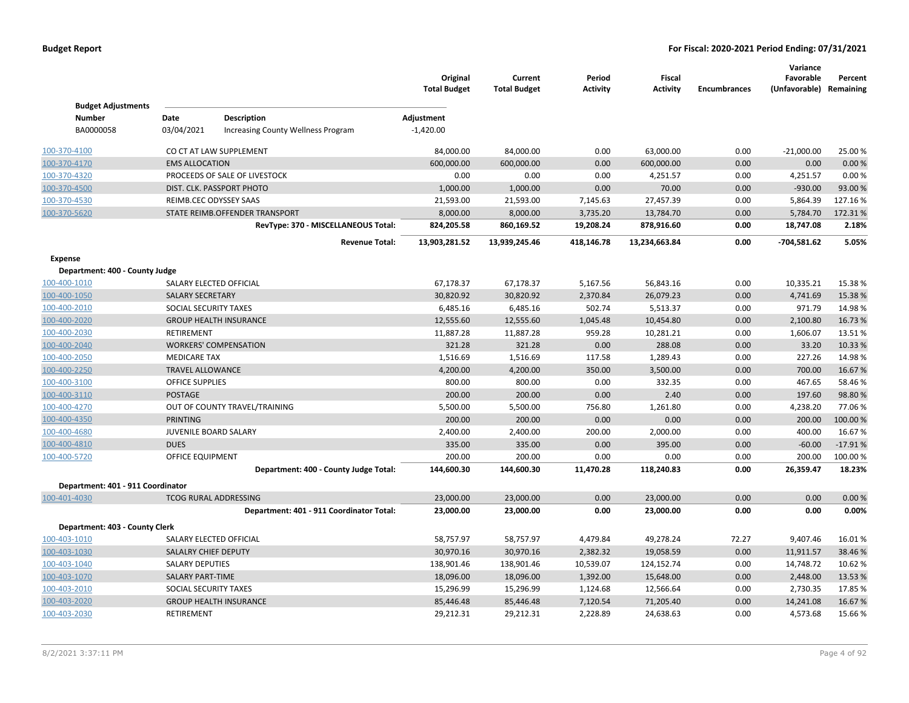|                                   |                              |                                                          | Original<br><b>Total Budget</b> | Current<br><b>Total Budget</b> | Period<br><b>Activity</b> | <b>Fiscal</b><br><b>Activity</b> | <b>Encumbrances</b> | Variance<br>Favorable<br>(Unfavorable) Remaining | Percent   |
|-----------------------------------|------------------------------|----------------------------------------------------------|---------------------------------|--------------------------------|---------------------------|----------------------------------|---------------------|--------------------------------------------------|-----------|
| <b>Budget Adjustments</b>         |                              |                                                          |                                 |                                |                           |                                  |                     |                                                  |           |
| <b>Number</b><br>BA0000058        | Date<br>03/04/2021           | <b>Description</b><br>Increasing County Wellness Program | Adjustment<br>$-1,420.00$       |                                |                           |                                  |                     |                                                  |           |
|                                   |                              |                                                          |                                 |                                |                           |                                  |                     |                                                  |           |
| 100-370-4100                      |                              | CO CT AT LAW SUPPLEMENT                                  | 84,000.00                       | 84,000.00                      | 0.00                      | 63,000.00                        | 0.00                | $-21,000.00$                                     | 25.00 %   |
| 100-370-4170                      | <b>EMS ALLOCATION</b>        |                                                          | 600,000.00                      | 600,000.00                     | 0.00                      | 600,000.00                       | 0.00                | 0.00                                             | 0.00%     |
| 100-370-4320                      |                              | PROCEEDS OF SALE OF LIVESTOCK                            | 0.00                            | 0.00                           | 0.00                      | 4,251.57                         | 0.00                | 4,251.57                                         | 0.00%     |
| 100-370-4500                      |                              | DIST. CLK. PASSPORT PHOTO                                | 1,000.00                        | 1,000.00                       | 0.00                      | 70.00                            | 0.00                | $-930.00$                                        | 93.00 %   |
| 100-370-4530                      | REIMB.CEC ODYSSEY SAAS       |                                                          | 21,593.00                       | 21,593.00                      | 7,145.63                  | 27,457.39                        | 0.00                | 5,864.39                                         | 127.16%   |
| 100-370-5620                      |                              | STATE REIMB.OFFENDER TRANSPORT                           | 8,000.00                        | 8,000.00                       | 3,735.20                  | 13,784.70                        | 0.00                | 5,784.70                                         | 172.31%   |
|                                   |                              | RevType: 370 - MISCELLANEOUS Total:                      | 824,205.58                      | 860,169.52                     | 19,208.24                 | 878,916.60                       | 0.00                | 18,747.08                                        | 2.18%     |
|                                   |                              | <b>Revenue Total:</b>                                    | 13,903,281.52                   | 13,939,245.46                  | 418,146.78                | 13,234,663.84                    | 0.00                | -704,581.62                                      | 5.05%     |
| <b>Expense</b>                    |                              |                                                          |                                 |                                |                           |                                  |                     |                                                  |           |
| Department: 400 - County Judge    |                              |                                                          |                                 |                                |                           |                                  |                     |                                                  |           |
| 100-400-1010                      | SALARY ELECTED OFFICIAL      |                                                          | 67,178.37                       | 67,178.37                      | 5,167.56                  | 56,843.16                        | 0.00                | 10,335.21                                        | 15.38%    |
| 100-400-1050                      | <b>SALARY SECRETARY</b>      |                                                          | 30,820.92                       | 30,820.92                      | 2,370.84                  | 26,079.23                        | 0.00                | 4,741.69                                         | 15.38 %   |
| 100-400-2010                      | SOCIAL SECURITY TAXES        |                                                          | 6,485.16                        | 6,485.16                       | 502.74                    | 5,513.37                         | 0.00                | 971.79                                           | 14.98%    |
| 100-400-2020                      |                              | <b>GROUP HEALTH INSURANCE</b>                            | 12,555.60                       | 12,555.60                      | 1,045.48                  | 10,454.80                        | 0.00                | 2,100.80                                         | 16.73%    |
| 100-400-2030                      | RETIREMENT                   |                                                          | 11,887.28                       | 11,887.28                      | 959.28                    | 10,281.21                        | 0.00                | 1,606.07                                         | 13.51%    |
| 100-400-2040                      |                              | <b>WORKERS' COMPENSATION</b>                             | 321.28                          | 321.28                         | 0.00                      | 288.08                           | 0.00                | 33.20                                            | 10.33 %   |
| 100-400-2050                      | <b>MEDICARE TAX</b>          |                                                          | 1,516.69                        | 1,516.69                       | 117.58                    | 1,289.43                         | 0.00                | 227.26                                           | 14.98%    |
| 100-400-2250                      | <b>TRAVEL ALLOWANCE</b>      |                                                          | 4,200.00                        | 4,200.00                       | 350.00                    | 3,500.00                         | 0.00                | 700.00                                           | 16.67%    |
| 100-400-3100                      | <b>OFFICE SUPPLIES</b>       |                                                          | 800.00                          | 800.00                         | 0.00                      | 332.35                           | 0.00                | 467.65                                           | 58.46%    |
| 100-400-3110                      | <b>POSTAGE</b>               |                                                          | 200.00                          | 200.00                         | 0.00                      | 2.40                             | 0.00                | 197.60                                           | 98.80%    |
| 100-400-4270                      |                              | OUT OF COUNTY TRAVEL/TRAINING                            | 5,500.00                        | 5,500.00                       | 756.80                    | 1,261.80                         | 0.00                | 4,238.20                                         | 77.06%    |
| 100-400-4350                      | <b>PRINTING</b>              |                                                          | 200.00                          | 200.00                         | 0.00                      | 0.00                             | 0.00                | 200.00                                           | 100.00%   |
| 100-400-4680                      | JUVENILE BOARD SALARY        |                                                          | 2,400.00                        | 2,400.00                       | 200.00                    | 2,000.00                         | 0.00                | 400.00                                           | 16.67%    |
| 100-400-4810                      | <b>DUES</b>                  |                                                          | 335.00                          | 335.00                         | 0.00                      | 395.00                           | 0.00                | $-60.00$                                         | $-17.91%$ |
| 100-400-5720                      | OFFICE EQUIPMENT             |                                                          | 200.00                          | 200.00                         | 0.00                      | 0.00                             | 0.00                | 200.00                                           | 100.00%   |
|                                   |                              | Department: 400 - County Judge Total:                    | 144,600.30                      | 144,600.30                     | 11,470.28                 | 118,240.83                       | 0.00                | 26,359.47                                        | 18.23%    |
| Department: 401 - 911 Coordinator |                              |                                                          |                                 |                                |                           |                                  |                     |                                                  |           |
| 100-401-4030                      | <b>TCOG RURAL ADDRESSING</b> |                                                          | 23,000.00                       | 23,000.00                      | 0.00                      | 23,000.00                        | 0.00                | 0.00                                             | 0.00%     |
|                                   |                              | Department: 401 - 911 Coordinator Total:                 | 23,000.00                       | 23,000.00                      | 0.00                      | 23,000.00                        | 0.00                | 0.00                                             | 0.00%     |
| Department: 403 - County Clerk    |                              |                                                          |                                 |                                |                           |                                  |                     |                                                  |           |
| 100-403-1010                      | SALARY ELECTED OFFICIAL      |                                                          | 58,757.97                       | 58,757.97                      | 4,479.84                  | 49,278.24                        | 72.27               | 9,407.46                                         | 16.01%    |
| 100-403-1030                      | SALALRY CHIEF DEPUTY         |                                                          | 30,970.16                       | 30,970.16                      | 2,382.32                  | 19,058.59                        | 0.00                | 11,911.57                                        | 38.46%    |
| 100-403-1040                      | <b>SALARY DEPUTIES</b>       |                                                          | 138,901.46                      | 138,901.46                     | 10,539.07                 | 124,152.74                       | 0.00                | 14,748.72                                        | 10.62%    |
| 100-403-1070                      | <b>SALARY PART-TIME</b>      |                                                          | 18,096.00                       | 18,096.00                      | 1,392.00                  | 15,648.00                        | 0.00                | 2,448.00                                         | 13.53 %   |
| 100-403-2010                      | SOCIAL SECURITY TAXES        |                                                          | 15,296.99                       | 15,296.99                      | 1,124.68                  | 12,566.64                        | 0.00                | 2,730.35                                         | 17.85%    |
| 100-403-2020                      |                              | <b>GROUP HEALTH INSURANCE</b>                            | 85,446.48                       | 85,446.48                      | 7,120.54                  | 71,205.40                        | 0.00                | 14,241.08                                        | 16.67%    |
| 100-403-2030                      | <b>RETIREMENT</b>            |                                                          | 29,212.31                       | 29,212.31                      | 2,228.89                  | 24,638.63                        | 0.00                | 4,573.68                                         | 15.66%    |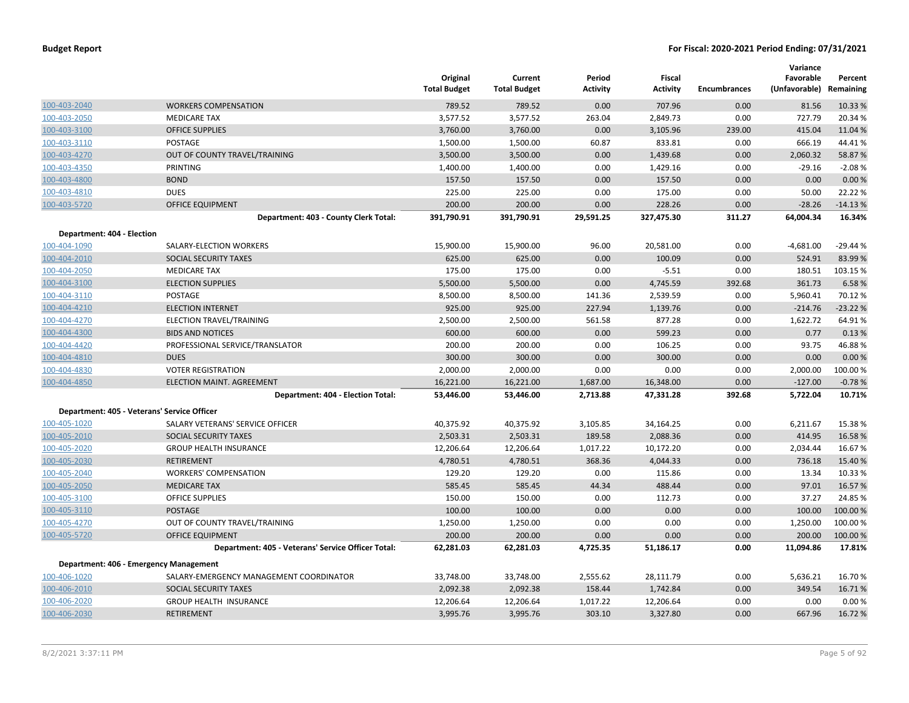|                            |                                                    | Original<br><b>Total Budget</b> | Current<br><b>Total Budget</b> | Period<br><b>Activity</b> | Fiscal<br><b>Activity</b> | <b>Encumbrances</b> | Variance<br>Favorable<br>(Unfavorable) Remaining | Percent   |
|----------------------------|----------------------------------------------------|---------------------------------|--------------------------------|---------------------------|---------------------------|---------------------|--------------------------------------------------|-----------|
| 100-403-2040               | <b>WORKERS COMPENSATION</b>                        | 789.52                          | 789.52                         | 0.00                      | 707.96                    | 0.00                | 81.56                                            | 10.33 %   |
| 100-403-2050               | <b>MEDICARE TAX</b>                                | 3,577.52                        | 3,577.52                       | 263.04                    | 2,849.73                  | 0.00                | 727.79                                           | 20.34 %   |
| 100-403-3100               | <b>OFFICE SUPPLIES</b>                             | 3,760.00                        | 3,760.00                       | 0.00                      | 3,105.96                  | 239.00              | 415.04                                           | 11.04 %   |
| 100-403-3110               | POSTAGE                                            | 1,500.00                        | 1,500.00                       | 60.87                     | 833.81                    | 0.00                | 666.19                                           | 44.41%    |
| 100-403-4270               | OUT OF COUNTY TRAVEL/TRAINING                      | 3,500.00                        | 3,500.00                       | 0.00                      | 1,439.68                  | 0.00                | 2,060.32                                         | 58.87%    |
| 100-403-4350               | PRINTING                                           | 1,400.00                        | 1,400.00                       | 0.00                      | 1,429.16                  | 0.00                | $-29.16$                                         | $-2.08%$  |
| 100-403-4800               | <b>BOND</b>                                        | 157.50                          | 157.50                         | 0.00                      | 157.50                    | 0.00                | 0.00                                             | 0.00%     |
| 100-403-4810               | <b>DUES</b>                                        | 225.00                          | 225.00                         | 0.00                      | 175.00                    | 0.00                | 50.00                                            | 22.22 %   |
| 100-403-5720               | <b>OFFICE EQUIPMENT</b>                            | 200.00                          | 200.00                         | 0.00                      | 228.26                    | 0.00                | $-28.26$                                         | $-14.13%$ |
|                            | Department: 403 - County Clerk Total:              | 391,790.91                      | 391,790.91                     | 29,591.25                 | 327,475.30                | 311.27              | 64,004.34                                        | 16.34%    |
| Department: 404 - Election |                                                    |                                 |                                |                           |                           |                     |                                                  |           |
| 100-404-1090               | SALARY-ELECTION WORKERS                            | 15,900.00                       | 15,900.00                      | 96.00                     | 20,581.00                 | 0.00                | $-4,681.00$                                      | $-29.44%$ |
| 100-404-2010               | SOCIAL SECURITY TAXES                              | 625.00                          | 625.00                         | 0.00                      | 100.09                    | 0.00                | 524.91                                           | 83.99 %   |
| 100-404-2050               | <b>MEDICARE TAX</b>                                | 175.00                          | 175.00                         | 0.00                      | $-5.51$                   | 0.00                | 180.51                                           | 103.15 %  |
| 100-404-3100               | <b>ELECTION SUPPLIES</b>                           | 5,500.00                        | 5,500.00                       | 0.00                      | 4,745.59                  | 392.68              | 361.73                                           | 6.58%     |
| 100-404-3110               | <b>POSTAGE</b>                                     | 8,500.00                        | 8,500.00                       | 141.36                    | 2,539.59                  | 0.00                | 5,960.41                                         | 70.12%    |
| 100-404-4210               | <b>ELECTION INTERNET</b>                           | 925.00                          | 925.00                         | 227.94                    | 1,139.76                  | 0.00                | $-214.76$                                        | $-23.22%$ |
| 100-404-4270               | ELECTION TRAVEL/TRAINING                           | 2,500.00                        | 2,500.00                       | 561.58                    | 877.28                    | 0.00                | 1,622.72                                         | 64.91%    |
| 100-404-4300               | <b>BIDS AND NOTICES</b>                            | 600.00                          | 600.00                         | 0.00                      | 599.23                    | 0.00                | 0.77                                             | 0.13%     |
| 100-404-4420               | PROFESSIONAL SERVICE/TRANSLATOR                    | 200.00                          | 200.00                         | 0.00                      | 106.25                    | 0.00                | 93.75                                            | 46.88%    |
| 100-404-4810               | <b>DUES</b>                                        | 300.00                          | 300.00                         | 0.00                      | 300.00                    | 0.00                | 0.00                                             | 0.00 %    |
| 100-404-4830               | <b>VOTER REGISTRATION</b>                          | 2,000.00                        | 2,000.00                       | 0.00                      | 0.00                      | 0.00                | 2,000.00                                         | 100.00%   |
| 100-404-4850               | ELECTION MAINT. AGREEMENT                          | 16,221.00                       | 16,221.00                      | 1,687.00                  | 16,348.00                 | 0.00                | $-127.00$                                        | $-0.78%$  |
|                            | Department: 404 - Election Total:                  | 53,446.00                       | 53,446.00                      | 2,713.88                  | 47,331.28                 | 392.68              | 5,722.04                                         | 10.71%    |
|                            | Department: 405 - Veterans' Service Officer        |                                 |                                |                           |                           |                     |                                                  |           |
| 100-405-1020               | SALARY VETERANS' SERVICE OFFICER                   | 40,375.92                       | 40,375.92                      | 3,105.85                  | 34,164.25                 | 0.00                | 6,211.67                                         | 15.38%    |
| 100-405-2010               | SOCIAL SECURITY TAXES                              | 2,503.31                        | 2,503.31                       | 189.58                    | 2,088.36                  | 0.00                | 414.95                                           | 16.58%    |
| 100-405-2020               | <b>GROUP HEALTH INSURANCE</b>                      | 12,206.64                       | 12,206.64                      | 1,017.22                  | 10,172.20                 | 0.00                | 2,034.44                                         | 16.67%    |
| 100-405-2030               | <b>RETIREMENT</b>                                  | 4,780.51                        | 4,780.51                       | 368.36                    | 4,044.33                  | 0.00                | 736.18                                           | 15.40 %   |
| 100-405-2040               | <b>WORKERS' COMPENSATION</b>                       | 129.20                          | 129.20                         | 0.00                      | 115.86                    | 0.00                | 13.34                                            | 10.33 %   |
| 100-405-2050               | <b>MEDICARE TAX</b>                                | 585.45                          | 585.45                         | 44.34                     | 488.44                    | 0.00                | 97.01                                            | 16.57%    |
| 100-405-3100               | <b>OFFICE SUPPLIES</b>                             | 150.00                          | 150.00                         | 0.00                      | 112.73                    | 0.00                | 37.27                                            | 24.85 %   |
| 100-405-3110               | <b>POSTAGE</b>                                     | 100.00                          | 100.00                         | 0.00                      | 0.00                      | 0.00                | 100.00                                           | 100.00 %  |
| 100-405-4270               | OUT OF COUNTY TRAVEL/TRAINING                      | 1,250.00                        | 1,250.00                       | 0.00                      | 0.00                      | 0.00                | 1,250.00                                         | 100.00%   |
| 100-405-5720               | <b>OFFICE EQUIPMENT</b>                            | 200.00                          | 200.00                         | 0.00                      | 0.00                      | 0.00                | 200.00                                           | 100.00 %  |
|                            | Department: 405 - Veterans' Service Officer Total: | 62,281.03                       | 62,281.03                      | 4,725.35                  | 51,186.17                 | 0.00                | 11,094.86                                        | 17.81%    |
|                            | Department: 406 - Emergency Management             |                                 |                                |                           |                           |                     |                                                  |           |
| 100-406-1020               | SALARY-EMERGENCY MANAGEMENT COORDINATOR            | 33,748.00                       | 33,748.00                      | 2,555.62                  | 28,111.79                 | 0.00                | 5,636.21                                         | 16.70%    |
| 100-406-2010               | SOCIAL SECURITY TAXES                              | 2,092.38                        | 2,092.38                       | 158.44                    | 1,742.84                  | 0.00                | 349.54                                           | 16.71%    |
| 100-406-2020               | <b>GROUP HEALTH INSURANCE</b>                      | 12,206.64                       | 12,206.64                      | 1,017.22                  | 12,206.64                 | 0.00                | 0.00                                             | 0.00%     |
| 100-406-2030               | <b>RETIREMENT</b>                                  | 3,995.76                        | 3,995.76                       | 303.10                    | 3,327.80                  | 0.00                | 667.96                                           | 16.72%    |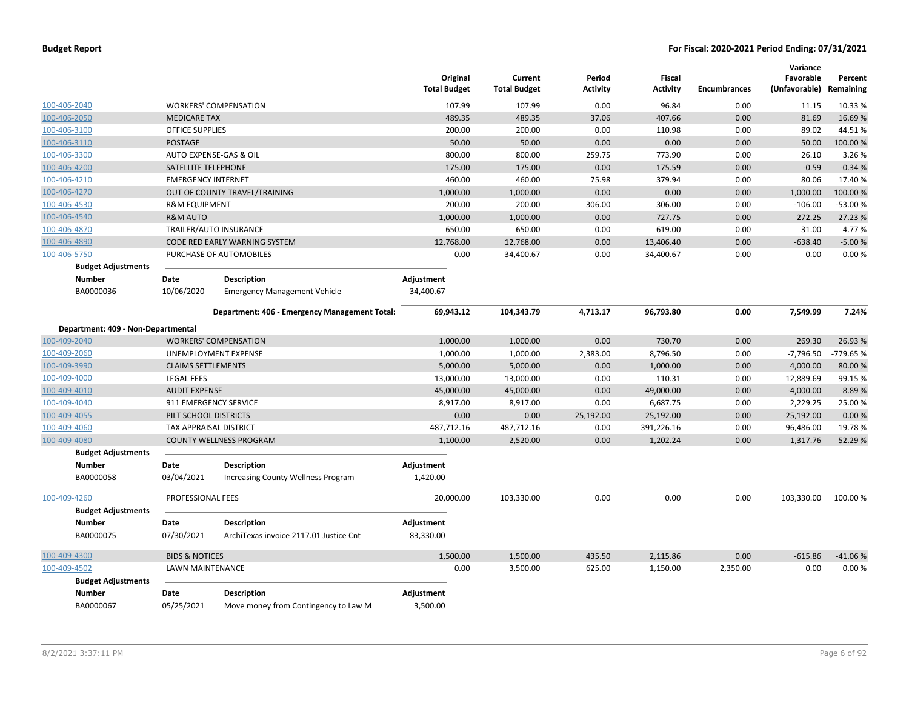|                                    |                           |                                               | Original<br><b>Total Budget</b> | Current<br><b>Total Budget</b> | Period<br><b>Activity</b> | <b>Fiscal</b><br><b>Activity</b> | Encumbrances | Variance<br>Favorable<br>(Unfavorable) Remaining | Percent   |
|------------------------------------|---------------------------|-----------------------------------------------|---------------------------------|--------------------------------|---------------------------|----------------------------------|--------------|--------------------------------------------------|-----------|
| 100-406-2040                       |                           | <b>WORKERS' COMPENSATION</b>                  | 107.99                          | 107.99                         | 0.00                      | 96.84                            | 0.00         | 11.15                                            | 10.33 %   |
| 100-406-2050                       | <b>MEDICARE TAX</b>       |                                               | 489.35                          | 489.35                         | 37.06                     | 407.66                           | 0.00         | 81.69                                            | 16.69%    |
| 100-406-3100                       | <b>OFFICE SUPPLIES</b>    |                                               | 200.00                          | 200.00                         | 0.00                      | 110.98                           | 0.00         | 89.02                                            | 44.51%    |
| 100-406-3110                       | <b>POSTAGE</b>            |                                               | 50.00                           | 50.00                          | 0.00                      | 0.00                             | 0.00         | 50.00                                            | 100.00%   |
| 100-406-3300                       |                           | AUTO EXPENSE-GAS & OIL                        | 800.00                          | 800.00                         | 259.75                    | 773.90                           | 0.00         | 26.10                                            | 3.26 %    |
| 100-406-4200                       | SATELLITE TELEPHONE       |                                               | 175.00                          | 175.00                         | 0.00                      | 175.59                           | 0.00         | $-0.59$                                          | $-0.34%$  |
| 100-406-4210                       | <b>EMERGENCY INTERNET</b> |                                               | 460.00                          | 460.00                         | 75.98                     | 379.94                           | 0.00         | 80.06                                            | 17.40%    |
| 100-406-4270                       |                           | OUT OF COUNTY TRAVEL/TRAINING                 | 1,000.00                        | 1,000.00                       | 0.00                      | 0.00                             | 0.00         | 1,000.00                                         | 100.00%   |
| 100-406-4530                       | <b>R&amp;M EQUIPMENT</b>  |                                               | 200.00                          | 200.00                         | 306.00                    | 306.00                           | 0.00         | $-106.00$                                        | $-53.00%$ |
| 100-406-4540                       | <b>R&amp;M AUTO</b>       |                                               | 1,000.00                        | 1,000.00                       | 0.00                      | 727.75                           | 0.00         | 272.25                                           | 27.23 %   |
| 100-406-4870                       |                           | TRAILER/AUTO INSURANCE                        | 650.00                          | 650.00                         | 0.00                      | 619.00                           | 0.00         | 31.00                                            | 4.77%     |
| 100-406-4890                       |                           | CODE RED EARLY WARNING SYSTEM                 | 12,768.00                       | 12,768.00                      | 0.00                      | 13,406.40                        | 0.00         | $-638.40$                                        | $-5.00%$  |
| 100-406-5750                       |                           | PURCHASE OF AUTOMOBILES                       | 0.00                            | 34,400.67                      | 0.00                      | 34,400.67                        | 0.00         | 0.00                                             | 0.00%     |
| <b>Budget Adjustments</b>          |                           |                                               |                                 |                                |                           |                                  |              |                                                  |           |
| <b>Number</b>                      | Date                      | <b>Description</b>                            | Adjustment                      |                                |                           |                                  |              |                                                  |           |
| BA0000036                          | 10/06/2020                | <b>Emergency Management Vehicle</b>           | 34,400.67                       |                                |                           |                                  |              |                                                  |           |
|                                    |                           | Department: 406 - Emergency Management Total: | 69,943.12                       | 104,343.79                     | 4,713.17                  | 96,793.80                        | 0.00         | 7,549.99                                         | 7.24%     |
| Department: 409 - Non-Departmental |                           |                                               |                                 |                                |                           |                                  |              |                                                  |           |
| 100-409-2040                       |                           | <b>WORKERS' COMPENSATION</b>                  | 1,000.00                        | 1,000.00                       | 0.00                      | 730.70                           | 0.00         | 269.30                                           | 26.93 %   |
| 100-409-2060                       |                           | UNEMPLOYMENT EXPENSE                          | 1,000.00                        | 1,000.00                       | 2,383.00                  | 8,796.50                         | 0.00         | $-7,796.50$                                      | -779.65 % |
| 100-409-3990                       | <b>CLAIMS SETTLEMENTS</b> |                                               | 5,000.00                        | 5,000.00                       | 0.00                      | 1,000.00                         | 0.00         | 4,000.00                                         | 80.00%    |
| 100-409-4000                       | <b>LEGAL FEES</b>         |                                               | 13,000.00                       | 13,000.00                      | 0.00                      | 110.31                           | 0.00         | 12,889.69                                        | 99.15 %   |
| 100-409-4010                       | <b>AUDIT EXPENSE</b>      |                                               | 45,000.00                       | 45,000.00                      | 0.00                      | 49,000.00                        | 0.00         | $-4,000.00$                                      | $-8.89%$  |
| 100-409-4040                       | 911 EMERGENCY SERVICE     |                                               | 8,917.00                        | 8,917.00                       | 0.00                      | 6,687.75                         | 0.00         | 2,229.25                                         | 25.00 %   |
| 100-409-4055                       | PILT SCHOOL DISTRICTS     |                                               | 0.00                            | 0.00                           | 25,192.00                 | 25,192.00                        | 0.00         | $-25,192.00$                                     | 0.00%     |
| 100-409-4060                       | TAX APPRAISAL DISTRICT    |                                               | 487,712.16                      | 487,712.16                     | 0.00                      | 391,226.16                       | 0.00         | 96,486.00                                        | 19.78%    |
| 100-409-4080                       |                           | <b>COUNTY WELLNESS PROGRAM</b>                | 1,100.00                        | 2,520.00                       | 0.00                      | 1,202.24                         | 0.00         | 1,317.76                                         | 52.29 %   |
| <b>Budget Adjustments</b>          |                           |                                               |                                 |                                |                           |                                  |              |                                                  |           |
| <b>Number</b>                      | Date                      | <b>Description</b>                            | Adjustment                      |                                |                           |                                  |              |                                                  |           |
| BA0000058                          | 03/04/2021                | <b>Increasing County Wellness Program</b>     | 1,420.00                        |                                |                           |                                  |              |                                                  |           |
| 100-409-4260                       | PROFESSIONAL FEES         |                                               | 20,000.00                       | 103,330.00                     | 0.00                      | 0.00                             | 0.00         | 103,330.00                                       | 100.00%   |
| <b>Budget Adjustments</b>          |                           |                                               |                                 |                                |                           |                                  |              |                                                  |           |
| <b>Number</b>                      | Date                      | <b>Description</b>                            | Adjustment                      |                                |                           |                                  |              |                                                  |           |
| BA0000075                          | 07/30/2021                | ArchiTexas invoice 2117.01 Justice Cnt        | 83,330.00                       |                                |                           |                                  |              |                                                  |           |
| 100-409-4300                       | <b>BIDS &amp; NOTICES</b> |                                               | 1,500.00                        | 1,500.00                       | 435.50                    | 2,115.86                         | 0.00         | $-615.86$                                        | $-41.06%$ |
| 100-409-4502                       | LAWN MAINTENANCE          |                                               | 0.00                            | 3,500.00                       | 625.00                    | 1,150.00                         | 2,350.00     | 0.00                                             | 0.00%     |
| <b>Budget Adjustments</b>          |                           |                                               |                                 |                                |                           |                                  |              |                                                  |           |
| <b>Number</b>                      | Date                      | Description                                   | Adjustment                      |                                |                           |                                  |              |                                                  |           |
| BA0000067                          | 05/25/2021                | Move money from Contingency to Law M          | 3,500.00                        |                                |                           |                                  |              |                                                  |           |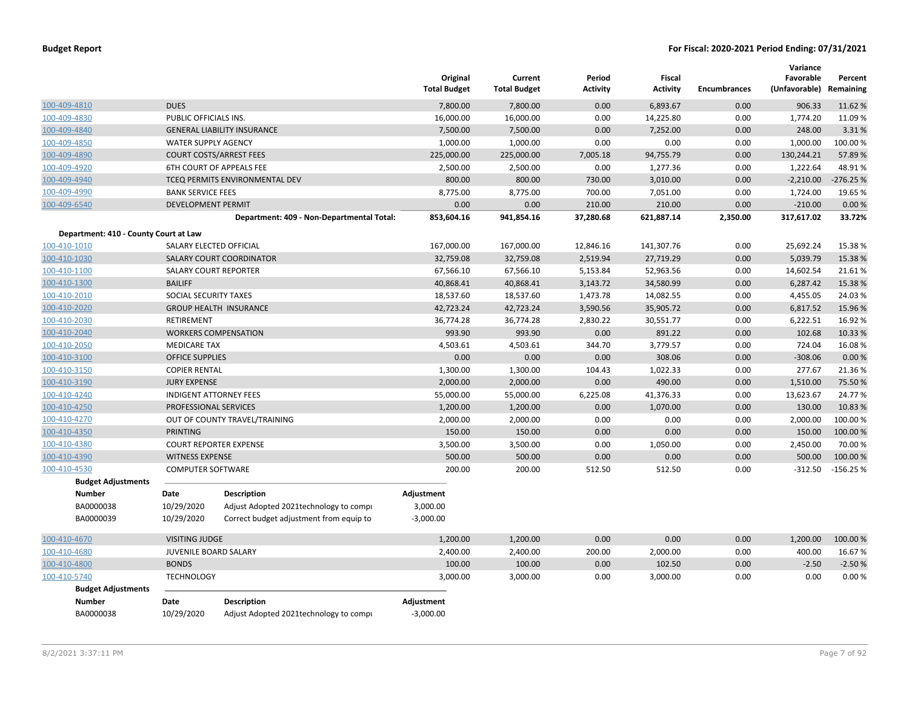|                                       |                            |                                                                                    | Original<br><b>Total Budget</b> | Current<br><b>Total Budget</b> | Period<br><b>Activity</b> | Fiscal<br><b>Activity</b> | <b>Encumbrances</b> | Variance<br>Favorable<br>(Unfavorable) | Percent<br>Remaining |
|---------------------------------------|----------------------------|------------------------------------------------------------------------------------|---------------------------------|--------------------------------|---------------------------|---------------------------|---------------------|----------------------------------------|----------------------|
| 100-409-4810                          | <b>DUES</b>                |                                                                                    | 7,800.00                        | 7,800.00                       | 0.00                      | 6.893.67                  | 0.00                | 906.33                                 | 11.62%               |
| 100-409-4830                          | PUBLIC OFFICIALS INS.      |                                                                                    | 16,000.00                       | 16,000.00                      | 0.00                      | 14,225.80                 | 0.00                | 1,774.20                               | 11.09%               |
| 100-409-4840                          |                            | <b>GENERAL LIABILITY INSURANCE</b>                                                 | 7,500.00                        | 7,500.00                       | 0.00                      | 7,252.00                  | 0.00                | 248.00                                 | 3.31%                |
| 100-409-4850                          | <b>WATER SUPPLY AGENCY</b> |                                                                                    | 1,000.00                        | 1,000.00                       | 0.00                      | 0.00                      | 0.00                | 1,000.00                               | 100.00%              |
| 100-409-4890                          |                            | <b>COURT COSTS/ARREST FEES</b>                                                     | 225,000.00                      | 225,000.00                     | 7,005.18                  | 94,755.79                 | 0.00                | 130,244.21                             | 57.89%               |
| 100-409-4920                          |                            | <b>6TH COURT OF APPEALS FEE</b>                                                    | 2,500.00                        | 2,500.00                       | 0.00                      | 1,277.36                  | 0.00                | 1,222.64                               | 48.91%               |
| 100-409-4940                          |                            | TCEQ PERMITS ENVIRONMENTAL DEV                                                     | 800.00                          | 800.00                         | 730.00                    | 3,010.00                  | 0.00                | $-2,210.00$                            | $-276.25%$           |
| 100-409-4990                          | <b>BANK SERVICE FEES</b>   |                                                                                    | 8,775.00                        | 8,775.00                       | 700.00                    | 7,051.00                  | 0.00                | 1,724.00                               | 19.65 %              |
| 100-409-6540                          | <b>DEVELOPMENT PERMIT</b>  |                                                                                    | 0.00                            | 0.00                           | 210.00                    | 210.00                    | 0.00                | $-210.00$                              | 0.00%                |
|                                       |                            | Department: 409 - Non-Departmental Total:                                          | 853,604.16                      | 941,854.16                     | 37,280.68                 | 621,887.14                | 2,350.00            | 317,617.02                             | 33.72%               |
| Department: 410 - County Court at Law |                            |                                                                                    |                                 |                                |                           |                           |                     |                                        |                      |
| 100-410-1010                          |                            | SALARY ELECTED OFFICIAL                                                            | 167,000.00                      | 167,000.00                     | 12,846.16                 | 141,307.76                | 0.00                | 25,692.24                              | 15.38%               |
| 100-410-1030                          |                            | SALARY COURT COORDINATOR                                                           | 32,759.08                       | 32,759.08                      | 2,519.94                  | 27,719.29                 | 0.00                | 5,039.79                               | 15.38 %              |
| 100-410-1100                          |                            | <b>SALARY COURT REPORTER</b>                                                       | 67,566.10                       | 67,566.10                      | 5,153.84                  | 52,963.56                 | 0.00                | 14,602.54                              | 21.61%               |
| 100-410-1300                          | <b>BAILIFF</b>             |                                                                                    | 40,868.41                       | 40,868.41                      | 3,143.72                  | 34,580.99                 | 0.00                | 6,287.42                               | 15.38 %              |
| 100-410-2010                          | SOCIAL SECURITY TAXES      |                                                                                    | 18,537.60                       | 18,537.60                      | 1,473.78                  | 14,082.55                 | 0.00                | 4,455.05                               | 24.03%               |
| 100-410-2020                          |                            | <b>GROUP HEALTH INSURANCE</b>                                                      | 42,723.24                       | 42,723.24                      | 3,590.56                  | 35,905.72                 | 0.00                | 6,817.52                               | 15.96 %              |
| 100-410-2030                          | RETIREMENT                 |                                                                                    | 36,774.28                       | 36,774.28                      | 2,830.22                  | 30,551.77                 | 0.00                | 6,222.51                               | 16.92%               |
| 100-410-2040                          |                            | <b>WORKERS COMPENSATION</b>                                                        | 993.90                          | 993.90                         | 0.00                      | 891.22                    | 0.00                | 102.68                                 | 10.33 %              |
| 100-410-2050                          | <b>MEDICARE TAX</b>        |                                                                                    | 4,503.61                        | 4,503.61                       | 344.70                    | 3,779.57                  | 0.00                | 724.04                                 | 16.08%               |
| 100-410-3100                          | <b>OFFICE SUPPLIES</b>     |                                                                                    | 0.00                            | 0.00                           | 0.00                      | 308.06                    | 0.00                | $-308.06$                              | 0.00%                |
| 100-410-3150                          | <b>COPIER RENTAL</b>       |                                                                                    | 1,300.00                        | 1,300.00                       | 104.43                    | 1,022.33                  | 0.00                | 277.67                                 | 21.36%               |
| 100-410-3190                          | <b>JURY EXPENSE</b>        |                                                                                    | 2,000.00                        | 2,000.00                       | 0.00                      | 490.00                    | 0.00                | 1,510.00                               | 75.50 %              |
| 100-410-4240                          |                            | <b>INDIGENT ATTORNEY FEES</b>                                                      | 55,000.00                       | 55,000.00                      | 6,225.08                  | 41,376.33                 | 0.00                | 13,623.67                              | 24.77%               |
| 100-410-4250                          | PROFESSIONAL SERVICES      |                                                                                    | 1,200.00                        | 1,200.00                       | 0.00                      | 1,070.00                  | 0.00                | 130.00                                 | 10.83 %              |
| 100-410-4270                          |                            | OUT OF COUNTY TRAVEL/TRAINING                                                      | 2,000.00                        | 2,000.00                       | 0.00                      | 0.00                      | 0.00                | 2,000.00                               | 100.00%              |
| 100-410-4350                          | <b>PRINTING</b>            |                                                                                    | 150.00                          | 150.00                         | 0.00                      | 0.00                      | 0.00                | 150.00                                 | 100.00 %             |
| 100-410-4380                          |                            | <b>COURT REPORTER EXPENSE</b>                                                      | 3,500.00                        | 3,500.00                       | 0.00                      | 1,050.00                  | 0.00                | 2,450.00                               | 70.00%               |
| 100-410-4390                          | <b>WITNESS EXPENSE</b>     |                                                                                    | 500.00                          | 500.00                         | 0.00                      | 0.00                      | 0.00                | 500.00                                 | 100.00%              |
| 100-410-4530                          | <b>COMPUTER SOFTWARE</b>   |                                                                                    | 200.00                          | 200.00                         | 512.50                    | 512.50                    | 0.00                | $-312.50$                              | $-156.25%$           |
| <b>Budget Adjustments</b>             |                            |                                                                                    |                                 |                                |                           |                           |                     |                                        |                      |
| <b>Number</b>                         | Date                       | <b>Description</b>                                                                 | Adjustment                      |                                |                           |                           |                     |                                        |                      |
| BA0000038<br>BA0000039                | 10/29/2020<br>10/29/2020   | Adjust Adopted 2021 technology to compi<br>Correct budget adjustment from equip to | 3,000.00<br>$-3,000.00$         |                                |                           |                           |                     |                                        |                      |
| 100-410-4670                          | <b>VISITING JUDGE</b>      |                                                                                    | 1,200.00                        | 1,200.00                       | 0.00                      | 0.00                      | 0.00                | 1,200.00                               | 100.00%              |
| 100-410-4680                          | JUVENILE BOARD SALARY      |                                                                                    | 2,400.00                        | 2,400.00                       | 200.00                    | 2,000.00                  | 0.00                | 400.00                                 | 16.67%               |
| 100-410-4800                          | <b>BONDS</b>               |                                                                                    | 100.00                          | 100.00                         | 0.00                      | 102.50                    | 0.00                | $-2.50$                                | $-2.50%$             |
| 100-410-5740                          | <b>TECHNOLOGY</b>          |                                                                                    | 3,000.00                        | 3,000.00                       | 0.00                      | 3,000.00                  | 0.00                | 0.00                                   | 0.00%                |
| <b>Budget Adjustments</b>             |                            |                                                                                    |                                 |                                |                           |                           |                     |                                        |                      |
| <b>Number</b>                         | Date                       | <b>Description</b>                                                                 | Adjustment                      |                                |                           |                           |                     |                                        |                      |
| BA0000038                             | 10/29/2020                 | Adjust Adopted 2021technology to compi                                             | $-3,000.00$                     |                                |                           |                           |                     |                                        |                      |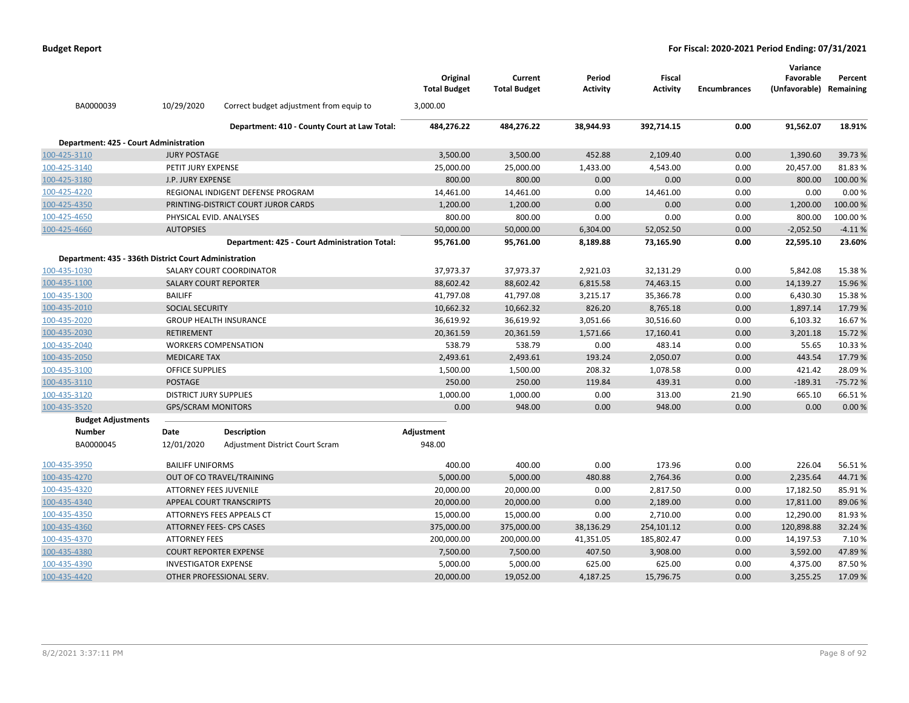|                                                       |                               |                                               | Original<br><b>Total Budget</b> | Current<br><b>Total Budget</b> | Period<br>Activity | <b>Fiscal</b><br>Activity | <b>Encumbrances</b> | Variance<br>Favorable<br>(Unfavorable) Remaining | Percent   |
|-------------------------------------------------------|-------------------------------|-----------------------------------------------|---------------------------------|--------------------------------|--------------------|---------------------------|---------------------|--------------------------------------------------|-----------|
| BA0000039                                             | 10/29/2020                    | Correct budget adjustment from equip to       | 3,000.00                        |                                |                    |                           |                     |                                                  |           |
|                                                       |                               | Department: 410 - County Court at Law Total:  | 484,276.22                      | 484,276.22                     | 38,944.93          | 392,714.15                | 0.00                | 91,562.07                                        | 18.91%    |
| Department: 425 - Court Administration                |                               |                                               |                                 |                                |                    |                           |                     |                                                  |           |
| 100-425-3110                                          | <b>JURY POSTAGE</b>           |                                               | 3,500.00                        | 3,500.00                       | 452.88             | 2,109.40                  | 0.00                | 1,390.60                                         | 39.73 %   |
| 100-425-3140                                          | PETIT JURY EXPENSE            |                                               | 25,000.00                       | 25,000.00                      | 1,433.00           | 4,543.00                  | 0.00                | 20,457.00                                        | 81.83%    |
| 100-425-3180                                          | J.P. JURY EXPENSE             |                                               | 800.00                          | 800.00                         | 0.00               | 0.00                      | 0.00                | 800.00                                           | 100.00%   |
| 100-425-4220                                          |                               | REGIONAL INDIGENT DEFENSE PROGRAM             | 14,461.00                       | 14,461.00                      | 0.00               | 14,461.00                 | 0.00                | 0.00                                             | 0.00%     |
| 100-425-4350                                          |                               | PRINTING-DISTRICT COURT JUROR CARDS           | 1,200.00                        | 1,200.00                       | 0.00               | 0.00                      | 0.00                | 1,200.00                                         | 100.00 %  |
| 100-425-4650                                          | PHYSICAL EVID. ANALYSES       |                                               | 800.00                          | 800.00                         | 0.00               | 0.00                      | 0.00                | 800.00                                           | 100.00%   |
| 100-425-4660                                          | <b>AUTOPSIES</b>              |                                               | 50,000.00                       | 50,000.00                      | 6,304.00           | 52,052.50                 | 0.00                | $-2,052.50$                                      | $-4.11%$  |
|                                                       |                               | Department: 425 - Court Administration Total: | 95,761.00                       | 95,761.00                      | 8,189.88           | 73,165.90                 | 0.00                | 22,595.10                                        | 23.60%    |
| Department: 435 - 336th District Court Administration |                               |                                               |                                 |                                |                    |                           |                     |                                                  |           |
| 100-435-1030                                          |                               | SALARY COURT COORDINATOR                      | 37,973.37                       | 37,973.37                      | 2,921.03           | 32,131.29                 | 0.00                | 5,842.08                                         | 15.38%    |
| 100-435-1100                                          | <b>SALARY COURT REPORTER</b>  |                                               | 88,602.42                       | 88,602.42                      | 6,815.58           | 74,463.15                 | 0.00                | 14,139.27                                        | 15.96%    |
| 100-435-1300                                          | <b>BAILIFF</b>                |                                               | 41,797.08                       | 41,797.08                      | 3,215.17           | 35,366.78                 | 0.00                | 6,430.30                                         | 15.38%    |
| 100-435-2010                                          | SOCIAL SECURITY               |                                               | 10,662.32                       | 10,662.32                      | 826.20             | 8,765.18                  | 0.00                | 1,897.14                                         | 17.79 %   |
| 100-435-2020                                          |                               | <b>GROUP HEALTH INSURANCE</b>                 | 36,619.92                       | 36,619.92                      | 3,051.66           | 30,516.60                 | 0.00                | 6,103.32                                         | 16.67%    |
| 100-435-2030                                          | <b>RETIREMENT</b>             |                                               | 20,361.59                       | 20,361.59                      | 1,571.66           | 17,160.41                 | 0.00                | 3,201.18                                         | 15.72 %   |
| 100-435-2040                                          |                               | <b>WORKERS COMPENSATION</b>                   | 538.79                          | 538.79                         | 0.00               | 483.14                    | 0.00                | 55.65                                            | 10.33%    |
| 100-435-2050                                          | <b>MEDICARE TAX</b>           |                                               | 2,493.61                        | 2,493.61                       | 193.24             | 2,050.07                  | 0.00                | 443.54                                           | 17.79 %   |
| 100-435-3100                                          | <b>OFFICE SUPPLIES</b>        |                                               | 1,500.00                        | 1,500.00                       | 208.32             | 1,078.58                  | 0.00                | 421.42                                           | 28.09%    |
| 100-435-3110                                          | <b>POSTAGE</b>                |                                               | 250.00                          | 250.00                         | 119.84             | 439.31                    | 0.00                | $-189.31$                                        | $-75.72%$ |
| 100-435-3120                                          | <b>DISTRICT JURY SUPPLIES</b> |                                               | 1,000.00                        | 1,000.00                       | 0.00               | 313.00                    | 21.90               | 665.10                                           | 66.51%    |
| 100-435-3520                                          | <b>GPS/SCRAM MONITORS</b>     |                                               | 0.00                            | 948.00                         | 0.00               | 948.00                    | 0.00                | 0.00                                             | 0.00%     |
| <b>Budget Adjustments</b>                             |                               |                                               |                                 |                                |                    |                           |                     |                                                  |           |
| Number                                                | Date                          | <b>Description</b>                            | Adjustment                      |                                |                    |                           |                     |                                                  |           |
| BA0000045                                             | 12/01/2020                    | Adjustment District Court Scram               | 948.00                          |                                |                    |                           |                     |                                                  |           |
| 100-435-3950                                          | <b>BAILIFF UNIFORMS</b>       |                                               | 400.00                          | 400.00                         | 0.00               | 173.96                    | 0.00                | 226.04                                           | 56.51%    |
| 100-435-4270                                          |                               | OUT OF CO TRAVEL/TRAINING                     | 5,000.00                        | 5,000.00                       | 480.88             | 2,764.36                  | 0.00                | 2,235.64                                         | 44.71%    |
| 100-435-4320                                          | <b>ATTORNEY FEES JUVENILE</b> |                                               | 20,000.00                       | 20,000.00                      | 0.00               | 2,817.50                  | 0.00                | 17,182.50                                        | 85.91%    |
| 100-435-4340                                          |                               | <b>APPEAL COURT TRANSCRIPTS</b>               | 20,000.00                       | 20,000.00                      | 0.00               | 2,189.00                  | 0.00                | 17,811.00                                        | 89.06%    |
| 100-435-4350                                          |                               | ATTORNEYS FEES APPEALS CT                     | 15,000.00                       | 15,000.00                      | 0.00               | 2,710.00                  | 0.00                | 12,290.00                                        | 81.93%    |
| 100-435-4360                                          |                               | <b>ATTORNEY FEES- CPS CASES</b>               | 375,000.00                      | 375,000.00                     | 38,136.29          | 254,101.12                | 0.00                | 120,898.88                                       | 32.24 %   |
| 100-435-4370                                          | <b>ATTORNEY FEES</b>          |                                               | 200,000.00                      | 200,000.00                     | 41,351.05          | 185,802.47                | 0.00                | 14,197.53                                        | 7.10%     |
| 100-435-4380                                          |                               | <b>COURT REPORTER EXPENSE</b>                 | 7,500.00                        | 7,500.00                       | 407.50             | 3,908.00                  | 0.00                | 3,592.00                                         | 47.89%    |
| 100-435-4390                                          | <b>INVESTIGATOR EXPENSE</b>   |                                               | 5,000.00                        | 5,000.00                       | 625.00             | 625.00                    | 0.00                | 4,375.00                                         | 87.50%    |
| 100-435-4420                                          |                               | OTHER PROFESSIONAL SERV.                      | 20,000.00                       | 19,052.00                      | 4,187.25           | 15,796.75                 | 0.00                | 3,255.25                                         | 17.09%    |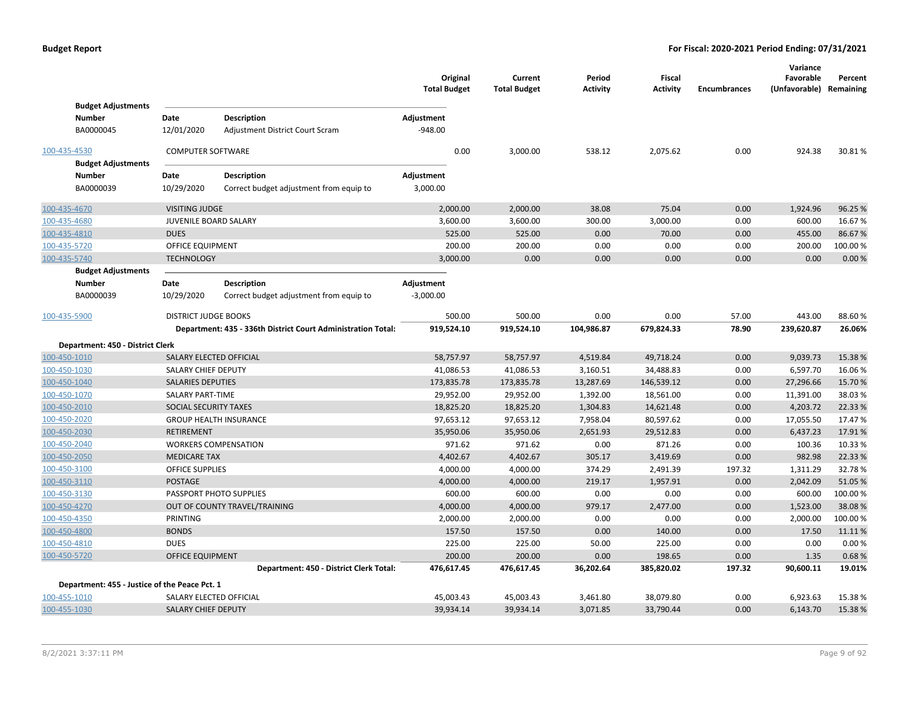|              |                                               |                             |                                                              | Original<br><b>Total Budget</b> |        | Current<br><b>Total Budget</b> | Period<br><b>Activity</b> | <b>Fiscal</b><br><b>Activity</b> | <b>Encumbrances</b> | Variance<br>Favorable<br>(Unfavorable) Remaining | Percent  |
|--------------|-----------------------------------------------|-----------------------------|--------------------------------------------------------------|---------------------------------|--------|--------------------------------|---------------------------|----------------------------------|---------------------|--------------------------------------------------|----------|
|              | <b>Budget Adjustments</b>                     |                             |                                                              |                                 |        |                                |                           |                                  |                     |                                                  |          |
|              | <b>Number</b>                                 | Date                        | <b>Description</b>                                           | Adjustment                      |        |                                |                           |                                  |                     |                                                  |          |
|              | BA0000045                                     | 12/01/2020                  | Adjustment District Court Scram                              | $-948.00$                       |        |                                |                           |                                  |                     |                                                  |          |
| 100-435-4530 |                                               | <b>COMPUTER SOFTWARE</b>    |                                                              |                                 | 0.00   | 3,000.00                       | 538.12                    | 2,075.62                         | 0.00                | 924.38                                           | 30.81%   |
|              | <b>Budget Adjustments</b>                     |                             |                                                              |                                 |        |                                |                           |                                  |                     |                                                  |          |
|              | Number                                        | Date                        | <b>Description</b>                                           | Adjustment                      |        |                                |                           |                                  |                     |                                                  |          |
|              | BA0000039                                     | 10/29/2020                  | Correct budget adjustment from equip to                      | 3,000.00                        |        |                                |                           |                                  |                     |                                                  |          |
| 100-435-4670 |                                               | <b>VISITING JUDGE</b>       |                                                              | 2,000.00                        |        | 2,000.00                       | 38.08                     | 75.04                            | 0.00                | 1,924.96                                         | 96.25 %  |
| 100-435-4680 |                                               | JUVENILE BOARD SALARY       |                                                              | 3,600.00                        |        | 3,600.00                       | 300.00                    | 3,000.00                         | 0.00                | 600.00                                           | 16.67%   |
| 100-435-4810 |                                               | <b>DUES</b>                 |                                                              |                                 | 525.00 | 525.00                         | 0.00                      | 70.00                            | 0.00                | 455.00                                           | 86.67%   |
| 100-435-5720 |                                               | OFFICE EQUIPMENT            |                                                              |                                 | 200.00 | 200.00                         | 0.00                      | 0.00                             | 0.00                | 200.00                                           | 100.00 % |
| 100-435-5740 |                                               | <b>TECHNOLOGY</b>           |                                                              | 3,000.00                        |        | 0.00                           | 0.00                      | 0.00                             | 0.00                | 0.00                                             | 0.00%    |
|              | <b>Budget Adjustments</b>                     |                             |                                                              |                                 |        |                                |                           |                                  |                     |                                                  |          |
|              | <b>Number</b>                                 | Date                        | <b>Description</b>                                           | Adjustment                      |        |                                |                           |                                  |                     |                                                  |          |
|              | BA0000039                                     | 10/29/2020                  | Correct budget adjustment from equip to                      | $-3,000.00$                     |        |                                |                           |                                  |                     |                                                  |          |
| 100-435-5900 |                                               | <b>DISTRICT JUDGE BOOKS</b> |                                                              |                                 | 500.00 | 500.00                         | 0.00                      | 0.00                             | 57.00               | 443.00                                           | 88.60%   |
|              |                                               |                             | Department: 435 - 336th District Court Administration Total: | 919,524.10                      |        | 919,524.10                     | 104,986.87                | 679,824.33                       | 78.90               | 239,620.87                                       | 26.06%   |
|              | Department: 450 - District Clerk              |                             |                                                              |                                 |        |                                |                           |                                  |                     |                                                  |          |
| 100-450-1010 |                                               |                             | SALARY ELECTED OFFICIAL                                      | 58,757.97                       |        | 58,757.97                      | 4,519.84                  | 49,718.24                        | 0.00                | 9,039.73                                         | 15.38 %  |
| 100-450-1030 |                                               | SALARY CHIEF DEPUTY         |                                                              | 41,086.53                       |        | 41,086.53                      | 3,160.51                  | 34,488.83                        | 0.00                | 6,597.70                                         | 16.06%   |
| 100-450-1040 |                                               | <b>SALARIES DEPUTIES</b>    |                                                              | 173,835.78                      |        | 173,835.78                     | 13,287.69                 | 146,539.12                       | 0.00                | 27,296.66                                        | 15.70 %  |
| 100-450-1070 |                                               | SALARY PART-TIME            |                                                              | 29,952.00                       |        | 29,952.00                      | 1,392.00                  | 18,561.00                        | 0.00                | 11,391.00                                        | 38.03%   |
| 100-450-2010 |                                               | SOCIAL SECURITY TAXES       |                                                              | 18,825.20                       |        | 18,825.20                      | 1,304.83                  | 14,621.48                        | 0.00                | 4,203.72                                         | 22.33%   |
| 100-450-2020 |                                               |                             | <b>GROUP HEALTH INSURANCE</b>                                | 97,653.12                       |        | 97,653.12                      | 7,958.04                  | 80,597.62                        | 0.00                | 17,055.50                                        | 17.47%   |
| 100-450-2030 |                                               | <b>RETIREMENT</b>           |                                                              | 35,950.06                       |        | 35,950.06                      | 2,651.93                  | 29,512.83                        | 0.00                | 6,437.23                                         | 17.91%   |
| 100-450-2040 |                                               |                             | <b>WORKERS COMPENSATION</b>                                  |                                 | 971.62 | 971.62                         | 0.00                      | 871.26                           | 0.00                | 100.36                                           | 10.33 %  |
| 100-450-2050 |                                               | <b>MEDICARE TAX</b>         |                                                              | 4,402.67                        |        | 4,402.67                       | 305.17                    | 3,419.69                         | 0.00                | 982.98                                           | 22.33%   |
| 100-450-3100 |                                               | <b>OFFICE SUPPLIES</b>      |                                                              | 4,000.00                        |        | 4,000.00                       | 374.29                    | 2,491.39                         | 197.32              | 1,311.29                                         | 32.78%   |
| 100-450-3110 |                                               | <b>POSTAGE</b>              |                                                              | 4,000.00                        |        | 4,000.00                       | 219.17                    | 1,957.91                         | 0.00                | 2,042.09                                         | 51.05 %  |
| 100-450-3130 |                                               |                             | PASSPORT PHOTO SUPPLIES                                      |                                 | 600.00 | 600.00                         | 0.00                      | 0.00                             | 0.00                | 600.00                                           | 100.00 % |
| 100-450-4270 |                                               |                             | OUT OF COUNTY TRAVEL/TRAINING                                | 4,000.00                        |        | 4,000.00                       | 979.17                    | 2,477.00                         | 0.00                | 1,523.00                                         | 38.08%   |
| 100-450-4350 |                                               | PRINTING                    |                                                              | 2,000.00                        |        | 2,000.00                       | 0.00                      | 0.00                             | 0.00                | 2,000.00                                         | 100.00%  |
| 100-450-4800 |                                               | <b>BONDS</b>                |                                                              |                                 | 157.50 | 157.50                         | 0.00                      | 140.00                           | 0.00                | 17.50                                            | 11.11%   |
| 100-450-4810 |                                               | <b>DUES</b>                 |                                                              |                                 | 225.00 | 225.00                         | 50.00                     | 225.00                           | 0.00                | 0.00                                             | 0.00%    |
| 100-450-5720 |                                               | OFFICE EQUIPMENT            |                                                              |                                 | 200.00 | 200.00                         | 0.00                      | 198.65                           | 0.00                | 1.35                                             | 0.68%    |
|              |                                               |                             | Department: 450 - District Clerk Total:                      | 476,617.45                      |        | 476,617.45                     | 36,202.64                 | 385,820.02                       | 197.32              | 90,600.11                                        | 19.01%   |
|              | Department: 455 - Justice of the Peace Pct. 1 |                             |                                                              |                                 |        |                                |                           |                                  |                     |                                                  |          |
| 100-455-1010 |                                               | SALARY ELECTED OFFICIAL     |                                                              | 45,003.43                       |        | 45,003.43                      | 3,461.80                  | 38,079.80                        | 0.00                | 6,923.63                                         | 15.38%   |
| 100-455-1030 |                                               | SALARY CHIEF DEPUTY         |                                                              | 39,934.14                       |        | 39,934.14                      | 3,071.85                  | 33,790.44                        | 0.00                | 6,143.70                                         | 15.38%   |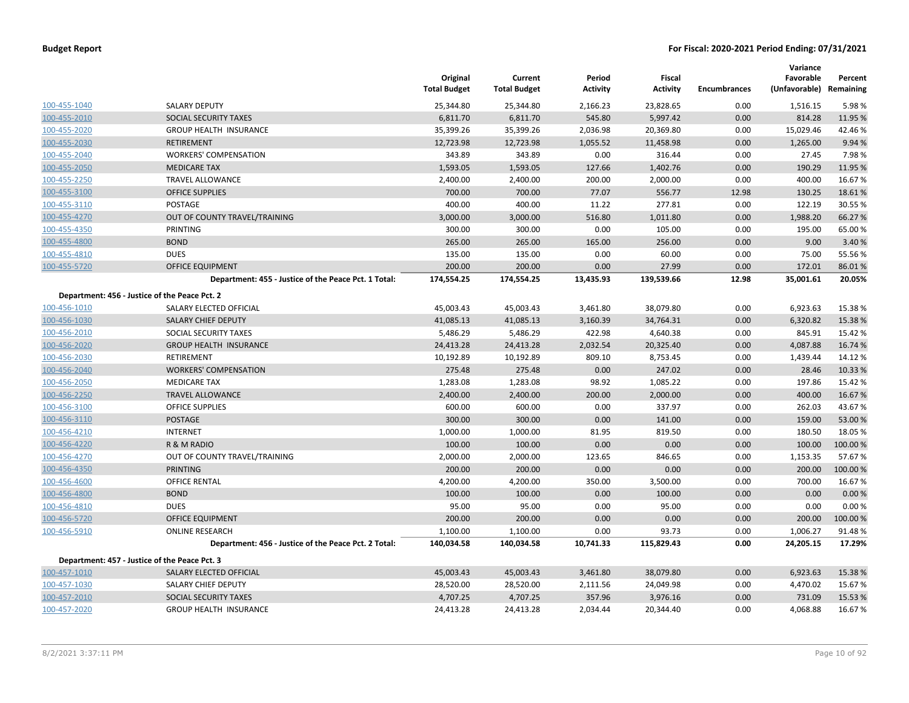|              |                                                      | Original<br><b>Total Budget</b> | Current<br><b>Total Budget</b> | Period<br><b>Activity</b> | Fiscal<br><b>Activity</b> | <b>Encumbrances</b> | Variance<br>Favorable<br>(Unfavorable) Remaining | Percent |
|--------------|------------------------------------------------------|---------------------------------|--------------------------------|---------------------------|---------------------------|---------------------|--------------------------------------------------|---------|
| 100-455-1040 | <b>SALARY DEPUTY</b>                                 | 25,344.80                       | 25,344.80                      | 2,166.23                  | 23,828.65                 | 0.00                | 1,516.15                                         | 5.98%   |
| 100-455-2010 | SOCIAL SECURITY TAXES                                | 6,811.70                        | 6,811.70                       | 545.80                    | 5,997.42                  | 0.00                | 814.28                                           | 11.95 % |
| 100-455-2020 | <b>GROUP HEALTH INSURANCE</b>                        | 35,399.26                       | 35,399.26                      | 2,036.98                  | 20,369.80                 | 0.00                | 15,029.46                                        | 42.46%  |
| 100-455-2030 | <b>RETIREMENT</b>                                    | 12,723.98                       | 12,723.98                      | 1,055.52                  | 11,458.98                 | 0.00                | 1,265.00                                         | 9.94%   |
| 100-455-2040 | <b>WORKERS' COMPENSATION</b>                         | 343.89                          | 343.89                         | 0.00                      | 316.44                    | 0.00                | 27.45                                            | 7.98%   |
| 100-455-2050 | <b>MEDICARE TAX</b>                                  | 1,593.05                        | 1,593.05                       | 127.66                    | 1,402.76                  | 0.00                | 190.29                                           | 11.95 % |
| 100-455-2250 | <b>TRAVEL ALLOWANCE</b>                              | 2,400.00                        | 2,400.00                       | 200.00                    | 2,000.00                  | 0.00                | 400.00                                           | 16.67%  |
| 100-455-3100 | <b>OFFICE SUPPLIES</b>                               | 700.00                          | 700.00                         | 77.07                     | 556.77                    | 12.98               | 130.25                                           | 18.61%  |
| 100-455-3110 | POSTAGE                                              | 400.00                          | 400.00                         | 11.22                     | 277.81                    | 0.00                | 122.19                                           | 30.55 % |
| 100-455-4270 | OUT OF COUNTY TRAVEL/TRAINING                        | 3,000.00                        | 3,000.00                       | 516.80                    | 1,011.80                  | 0.00                | 1,988.20                                         | 66.27 % |
| 100-455-4350 | PRINTING                                             | 300.00                          | 300.00                         | 0.00                      | 105.00                    | 0.00                | 195.00                                           | 65.00 % |
| 100-455-4800 | <b>BOND</b>                                          | 265.00                          | 265.00                         | 165.00                    | 256.00                    | 0.00                | 9.00                                             | 3.40 %  |
| 100-455-4810 | <b>DUES</b>                                          | 135.00                          | 135.00                         | 0.00                      | 60.00                     | 0.00                | 75.00                                            | 55.56 % |
| 100-455-5720 | <b>OFFICE EQUIPMENT</b>                              | 200.00                          | 200.00                         | 0.00                      | 27.99                     | 0.00                | 172.01                                           | 86.01%  |
|              | Department: 455 - Justice of the Peace Pct. 1 Total: | 174,554.25                      | 174,554.25                     | 13,435.93                 | 139,539.66                | 12.98               | 35,001.61                                        | 20.05%  |
|              | Department: 456 - Justice of the Peace Pct. 2        |                                 |                                |                           |                           |                     |                                                  |         |
| 100-456-1010 | SALARY ELECTED OFFICIAL                              | 45,003.43                       | 45,003.43                      | 3,461.80                  | 38,079.80                 | 0.00                | 6,923.63                                         | 15.38%  |
| 100-456-1030 | SALARY CHIEF DEPUTY                                  | 41,085.13                       | 41,085.13                      | 3,160.39                  | 34,764.31                 | 0.00                | 6,320.82                                         | 15.38 % |
| 100-456-2010 | SOCIAL SECURITY TAXES                                | 5,486.29                        | 5,486.29                       | 422.98                    | 4,640.38                  | 0.00                | 845.91                                           | 15.42 % |
| 100-456-2020 | <b>GROUP HEALTH INSURANCE</b>                        | 24,413.28                       | 24,413.28                      | 2,032.54                  | 20,325.40                 | 0.00                | 4,087.88                                         | 16.74 % |
| 100-456-2030 | <b>RETIREMENT</b>                                    | 10,192.89                       | 10,192.89                      | 809.10                    | 8,753.45                  | 0.00                | 1,439.44                                         | 14.12 % |
| 100-456-2040 | <b>WORKERS' COMPENSATION</b>                         | 275.48                          | 275.48                         | 0.00                      | 247.02                    | 0.00                | 28.46                                            | 10.33 % |
| 100-456-2050 | <b>MEDICARE TAX</b>                                  | 1,283.08                        | 1,283.08                       | 98.92                     | 1,085.22                  | 0.00                | 197.86                                           | 15.42 % |
| 100-456-2250 | <b>TRAVEL ALLOWANCE</b>                              | 2,400.00                        | 2,400.00                       | 200.00                    | 2,000.00                  | 0.00                | 400.00                                           | 16.67%  |
| 100-456-3100 | <b>OFFICE SUPPLIES</b>                               | 600.00                          | 600.00                         | 0.00                      | 337.97                    | 0.00                | 262.03                                           | 43.67%  |
| 100-456-3110 | <b>POSTAGE</b>                                       | 300.00                          | 300.00                         | 0.00                      | 141.00                    | 0.00                | 159.00                                           | 53.00 % |
| 100-456-4210 | <b>INTERNET</b>                                      | 1,000.00                        | 1,000.00                       | 81.95                     | 819.50                    | 0.00                | 180.50                                           | 18.05 % |
| 100-456-4220 | R & M RADIO                                          | 100.00                          | 100.00                         | 0.00                      | 0.00                      | 0.00                | 100.00                                           | 100.00% |
| 100-456-4270 | OUT OF COUNTY TRAVEL/TRAINING                        | 2,000.00                        | 2,000.00                       | 123.65                    | 846.65                    | 0.00                | 1,153.35                                         | 57.67%  |
| 100-456-4350 | <b>PRINTING</b>                                      | 200.00                          | 200.00                         | 0.00                      | 0.00                      | 0.00                | 200.00                                           | 100.00% |
| 100-456-4600 | <b>OFFICE RENTAL</b>                                 | 4,200.00                        | 4,200.00                       | 350.00                    | 3,500.00                  | 0.00                | 700.00                                           | 16.67%  |
| 100-456-4800 | <b>BOND</b>                                          | 100.00                          | 100.00                         | 0.00                      | 100.00                    | 0.00                | 0.00                                             | 0.00%   |
| 100-456-4810 | <b>DUES</b>                                          | 95.00                           | 95.00                          | 0.00                      | 95.00                     | 0.00                | 0.00                                             | 0.00%   |
| 100-456-5720 | <b>OFFICE EQUIPMENT</b>                              | 200.00                          | 200.00                         | 0.00                      | 0.00                      | 0.00                | 200.00                                           | 100.00% |
| 100-456-5910 | <b>ONLINE RESEARCH</b>                               | 1,100.00                        | 1,100.00                       | 0.00                      | 93.73                     | 0.00                | 1,006.27                                         | 91.48%  |
|              | Department: 456 - Justice of the Peace Pct. 2 Total: | 140,034.58                      | 140,034.58                     | 10,741.33                 | 115,829.43                | 0.00                | 24,205.15                                        | 17.29%  |
|              | Department: 457 - Justice of the Peace Pct. 3        |                                 |                                |                           |                           |                     |                                                  |         |
| 100-457-1010 | SALARY ELECTED OFFICIAL                              | 45,003.43                       | 45,003.43                      | 3,461.80                  | 38,079.80                 | 0.00                | 6,923.63                                         | 15.38%  |
| 100-457-1030 | SALARY CHIEF DEPUTY                                  | 28,520.00                       | 28,520.00                      | 2,111.56                  | 24,049.98                 | 0.00                | 4,470.02                                         | 15.67%  |
| 100-457-2010 | SOCIAL SECURITY TAXES                                | 4,707.25                        | 4,707.25                       | 357.96                    | 3,976.16                  | 0.00                | 731.09                                           | 15.53 % |
| 100-457-2020 | <b>GROUP HEALTH INSURANCE</b>                        | 24,413.28                       | 24,413.28                      | 2,034.44                  | 20,344.40                 | 0.00                | 4,068.88                                         | 16.67%  |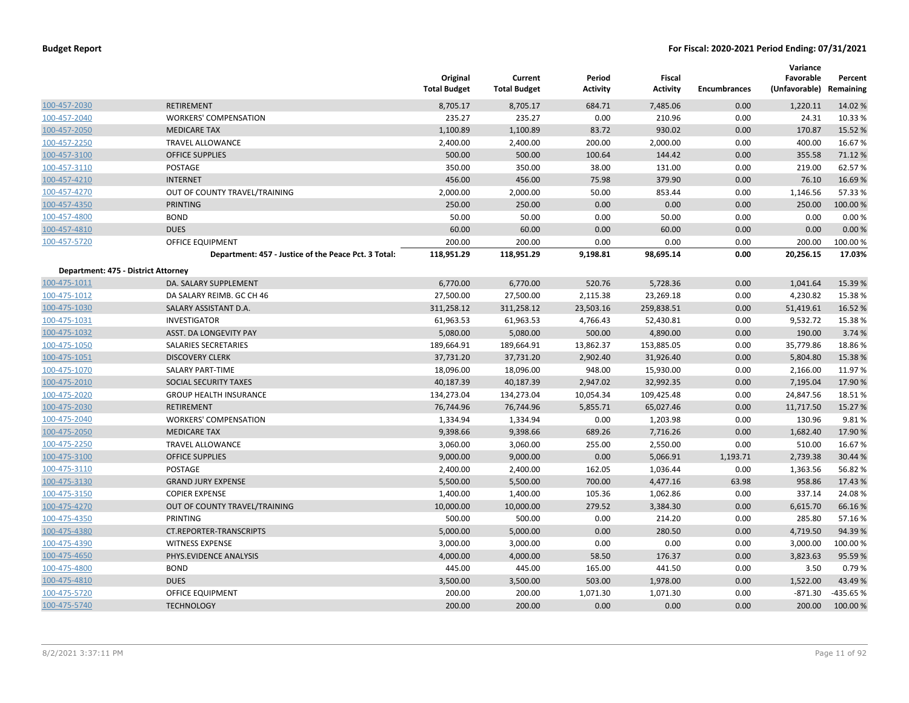|                                     |                                                      | Original<br><b>Total Budget</b> | Current<br><b>Total Budget</b> | Period<br><b>Activity</b> | <b>Fiscal</b><br><b>Activity</b> | <b>Encumbrances</b> | Variance<br>Favorable<br>(Unfavorable) Remaining | Percent  |
|-------------------------------------|------------------------------------------------------|---------------------------------|--------------------------------|---------------------------|----------------------------------|---------------------|--------------------------------------------------|----------|
| 100-457-2030                        | <b>RETIREMENT</b>                                    | 8,705.17                        | 8,705.17                       | 684.71                    | 7,485.06                         | 0.00                | 1,220.11                                         | 14.02 %  |
| 100-457-2040                        | <b>WORKERS' COMPENSATION</b>                         | 235.27                          | 235.27                         | 0.00                      | 210.96                           | 0.00                | 24.31                                            | 10.33%   |
| 100-457-2050                        | <b>MEDICARE TAX</b>                                  | 1,100.89                        | 1,100.89                       | 83.72                     | 930.02                           | 0.00                | 170.87                                           | 15.52 %  |
| 100-457-2250                        | <b>TRAVEL ALLOWANCE</b>                              | 2,400.00                        | 2,400.00                       | 200.00                    | 2,000.00                         | 0.00                | 400.00                                           | 16.67%   |
| 100-457-3100                        | <b>OFFICE SUPPLIES</b>                               | 500.00                          | 500.00                         | 100.64                    | 144.42                           | 0.00                | 355.58                                           | 71.12 %  |
| 100-457-3110                        | POSTAGE                                              | 350.00                          | 350.00                         | 38.00                     | 131.00                           | 0.00                | 219.00                                           | 62.57%   |
| 100-457-4210                        | <b>INTERNET</b>                                      | 456.00                          | 456.00                         | 75.98                     | 379.90                           | 0.00                | 76.10                                            | 16.69%   |
| 100-457-4270                        | OUT OF COUNTY TRAVEL/TRAINING                        | 2,000.00                        | 2,000.00                       | 50.00                     | 853.44                           | 0.00                | 1,146.56                                         | 57.33 %  |
| 100-457-4350                        | <b>PRINTING</b>                                      | 250.00                          | 250.00                         | 0.00                      | 0.00                             | 0.00                | 250.00                                           | 100.00 % |
| 100-457-4800                        | <b>BOND</b>                                          | 50.00                           | 50.00                          | 0.00                      | 50.00                            | 0.00                | 0.00                                             | 0.00%    |
| 100-457-4810                        | <b>DUES</b>                                          | 60.00                           | 60.00                          | 0.00                      | 60.00                            | 0.00                | 0.00                                             | 0.00%    |
| 100-457-5720                        | OFFICE EQUIPMENT                                     | 200.00                          | 200.00                         | 0.00                      | 0.00                             | 0.00                | 200.00                                           | 100.00%  |
|                                     | Department: 457 - Justice of the Peace Pct. 3 Total: | 118,951.29                      | 118,951.29                     | 9,198.81                  | 98,695.14                        | 0.00                | 20,256.15                                        | 17.03%   |
| Department: 475 - District Attorney |                                                      |                                 |                                |                           |                                  |                     |                                                  |          |
| 100-475-1011                        | DA. SALARY SUPPLEMENT                                | 6,770.00                        | 6,770.00                       | 520.76                    | 5,728.36                         | 0.00                | 1,041.64                                         | 15.39 %  |
| 100-475-1012                        | DA SALARY REIMB. GC CH 46                            | 27,500.00                       | 27,500.00                      | 2,115.38                  | 23,269.18                        | 0.00                | 4,230.82                                         | 15.38%   |
| 100-475-1030                        | SALARY ASSISTANT D.A.                                | 311,258.12                      | 311,258.12                     | 23,503.16                 | 259,838.51                       | 0.00                | 51,419.61                                        | 16.52 %  |
| 100-475-1031                        | <b>INVESTIGATOR</b>                                  | 61,963.53                       | 61,963.53                      | 4,766.43                  | 52,430.81                        | 0.00                | 9,532.72                                         | 15.38%   |
| 100-475-1032                        | ASST. DA LONGEVITY PAY                               | 5,080.00                        | 5,080.00                       | 500.00                    | 4,890.00                         | 0.00                | 190.00                                           | 3.74 %   |
| 100-475-1050                        | SALARIES SECRETARIES                                 | 189,664.91                      | 189,664.91                     | 13,862.37                 | 153,885.05                       | 0.00                | 35,779.86                                        | 18.86%   |
| 100-475-1051                        | <b>DISCOVERY CLERK</b>                               | 37,731.20                       | 37,731.20                      | 2,902.40                  | 31,926.40                        | 0.00                | 5,804.80                                         | 15.38 %  |
| 100-475-1070                        | SALARY PART-TIME                                     | 18,096.00                       | 18,096.00                      | 948.00                    | 15,930.00                        | 0.00                | 2,166.00                                         | 11.97%   |
| 100-475-2010                        | SOCIAL SECURITY TAXES                                | 40,187.39                       | 40,187.39                      | 2,947.02                  | 32,992.35                        | 0.00                | 7,195.04                                         | 17.90%   |
| 100-475-2020                        | <b>GROUP HEALTH INSURANCE</b>                        | 134,273.04                      | 134,273.04                     | 10,054.34                 | 109,425.48                       | 0.00                | 24,847.56                                        | 18.51%   |
| 100-475-2030                        | <b>RETIREMENT</b>                                    | 76,744.96                       | 76,744.96                      | 5,855.71                  | 65,027.46                        | 0.00                | 11,717.50                                        | 15.27 %  |
| 100-475-2040                        | <b>WORKERS' COMPENSATION</b>                         | 1,334.94                        | 1,334.94                       | 0.00                      | 1,203.98                         | 0.00                | 130.96                                           | 9.81%    |
| 100-475-2050                        | <b>MEDICARE TAX</b>                                  | 9,398.66                        | 9,398.66                       | 689.26                    | 7,716.26                         | 0.00                | 1,682.40                                         | 17.90%   |
| 100-475-2250                        | <b>TRAVEL ALLOWANCE</b>                              | 3,060.00                        | 3,060.00                       | 255.00                    | 2,550.00                         | 0.00                | 510.00                                           | 16.67%   |
| 100-475-3100                        | <b>OFFICE SUPPLIES</b>                               | 9,000.00                        | 9,000.00                       | 0.00                      | 5,066.91                         | 1,193.71            | 2,739.38                                         | 30.44 %  |
| 100-475-3110                        | <b>POSTAGE</b>                                       | 2,400.00                        | 2,400.00                       | 162.05                    | 1,036.44                         | 0.00                | 1,363.56                                         | 56.82%   |
| 100-475-3130                        | <b>GRAND JURY EXPENSE</b>                            | 5,500.00                        | 5,500.00                       | 700.00                    | 4,477.16                         | 63.98               | 958.86                                           | 17.43 %  |
| 100-475-3150                        | <b>COPIER EXPENSE</b>                                | 1,400.00                        | 1,400.00                       | 105.36                    | 1,062.86                         | 0.00                | 337.14                                           | 24.08%   |
| 100-475-4270                        | OUT OF COUNTY TRAVEL/TRAINING                        | 10,000.00                       | 10,000.00                      | 279.52                    | 3,384.30                         | 0.00                | 6,615.70                                         | 66.16%   |
| 100-475-4350                        | PRINTING                                             | 500.00                          | 500.00                         | 0.00                      | 214.20                           | 0.00                | 285.80                                           | 57.16%   |
| 100-475-4380                        | <b>CT.REPORTER-TRANSCRIPTS</b>                       | 5,000.00                        | 5,000.00                       | 0.00                      | 280.50                           | 0.00                | 4,719.50                                         | 94.39 %  |
| 100-475-4390                        | <b>WITNESS EXPENSE</b>                               | 3,000.00                        | 3,000.00                       | 0.00                      | 0.00                             | 0.00                | 3,000.00                                         | 100.00 % |
| 100-475-4650                        | PHYS.EVIDENCE ANALYSIS                               | 4,000.00                        | 4,000.00                       | 58.50                     | 176.37                           | 0.00                | 3,823.63                                         | 95.59 %  |
| 100-475-4800                        | <b>BOND</b>                                          | 445.00                          | 445.00                         | 165.00                    | 441.50                           | 0.00                | 3.50                                             | 0.79%    |
| 100-475-4810                        | <b>DUES</b>                                          | 3,500.00                        | 3,500.00                       | 503.00                    | 1,978.00                         | 0.00                | 1,522.00                                         | 43.49 %  |
| 100-475-5720                        | <b>OFFICE EQUIPMENT</b>                              | 200.00                          | 200.00                         | 1,071.30                  | 1,071.30                         | 0.00                | $-871.30$                                        | -435.65% |
| 100-475-5740                        | <b>TECHNOLOGY</b>                                    | 200.00                          | 200.00                         | 0.00                      | 0.00                             | 0.00                | 200.00                                           | 100.00%  |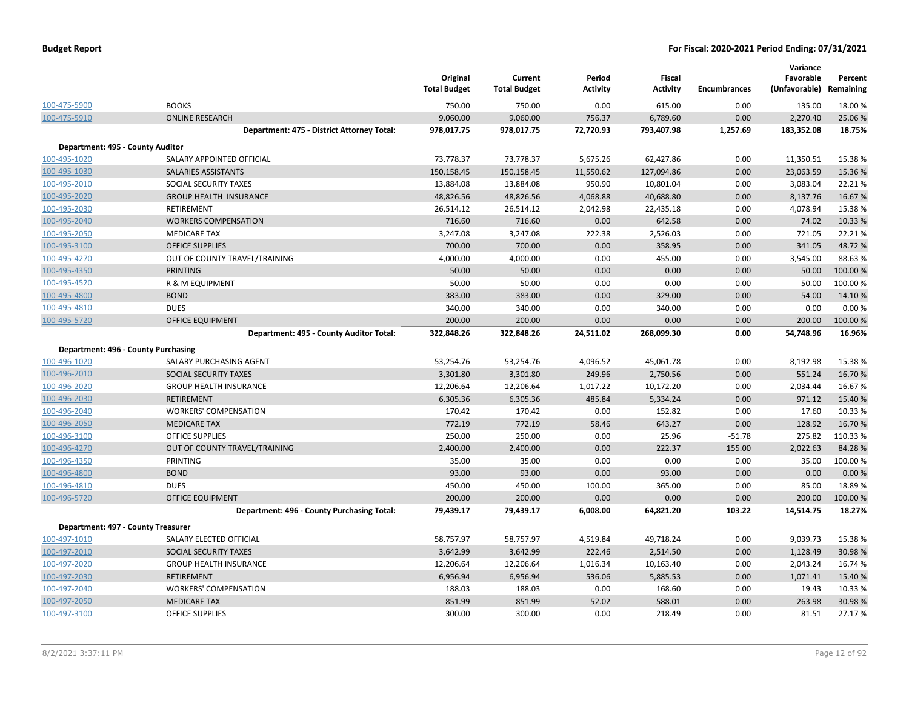|              |                                            | Original<br><b>Total Budget</b> | Current<br><b>Total Budget</b> | Period<br><b>Activity</b> | <b>Fiscal</b><br><b>Activity</b> | <b>Encumbrances</b> | Variance<br>Favorable<br>(Unfavorable) | Percent<br>Remaining |
|--------------|--------------------------------------------|---------------------------------|--------------------------------|---------------------------|----------------------------------|---------------------|----------------------------------------|----------------------|
| 100-475-5900 | <b>BOOKS</b>                               | 750.00                          | 750.00                         | 0.00                      | 615.00                           | 0.00                | 135.00                                 | 18.00%               |
| 100-475-5910 | <b>ONLINE RESEARCH</b>                     | 9,060.00                        | 9,060.00                       | 756.37                    | 6,789.60                         | 0.00                | 2,270.40                               | 25.06%               |
|              | Department: 475 - District Attorney Total: | 978,017.75                      | 978,017.75                     | 72,720.93                 | 793,407.98                       | 1,257.69            | 183,352.08                             | 18.75%               |
|              | Department: 495 - County Auditor           |                                 |                                |                           |                                  |                     |                                        |                      |
| 100-495-1020 | SALARY APPOINTED OFFICIAL                  | 73,778.37                       | 73,778.37                      | 5,675.26                  | 62,427.86                        | 0.00                | 11,350.51                              | 15.38%               |
| 100-495-1030 | SALARIES ASSISTANTS                        | 150,158.45                      | 150,158.45                     | 11,550.62                 | 127,094.86                       | 0.00                | 23,063.59                              | 15.36 %              |
| 100-495-2010 | SOCIAL SECURITY TAXES                      | 13,884.08                       | 13,884.08                      | 950.90                    | 10,801.04                        | 0.00                | 3,083.04                               | 22.21%               |
| 100-495-2020 | <b>GROUP HEALTH INSURANCE</b>              | 48,826.56                       | 48,826.56                      | 4,068.88                  | 40,688.80                        | 0.00                | 8,137.76                               | 16.67%               |
| 100-495-2030 | RETIREMENT                                 | 26,514.12                       | 26,514.12                      | 2,042.98                  | 22,435.18                        | 0.00                | 4,078.94                               | 15.38%               |
| 100-495-2040 | <b>WORKERS COMPENSATION</b>                | 716.60                          | 716.60                         | 0.00                      | 642.58                           | 0.00                | 74.02                                  | 10.33 %              |
| 100-495-2050 | <b>MEDICARE TAX</b>                        | 3,247.08                        | 3,247.08                       | 222.38                    | 2,526.03                         | 0.00                | 721.05                                 | 22.21%               |
| 100-495-3100 | <b>OFFICE SUPPLIES</b>                     | 700.00                          | 700.00                         | 0.00                      | 358.95                           | 0.00                | 341.05                                 | 48.72%               |
| 100-495-4270 | OUT OF COUNTY TRAVEL/TRAINING              | 4,000.00                        | 4,000.00                       | 0.00                      | 455.00                           | 0.00                | 3,545.00                               | 88.63%               |
| 100-495-4350 | <b>PRINTING</b>                            | 50.00                           | 50.00                          | 0.00                      | 0.00                             | 0.00                | 50.00                                  | 100.00%              |
| 100-495-4520 | R & M EQUIPMENT                            | 50.00                           | 50.00                          | 0.00                      | 0.00                             | 0.00                | 50.00                                  | 100.00%              |
| 100-495-4800 | <b>BOND</b>                                | 383.00                          | 383.00                         | 0.00                      | 329.00                           | 0.00                | 54.00                                  | 14.10%               |
| 100-495-4810 | <b>DUES</b>                                | 340.00                          | 340.00                         | 0.00                      | 340.00                           | 0.00                | 0.00                                   | 0.00%                |
| 100-495-5720 | <b>OFFICE EQUIPMENT</b>                    | 200.00                          | 200.00                         | 0.00                      | 0.00                             | 0.00                | 200.00                                 | 100.00%              |
|              | Department: 495 - County Auditor Total:    | 322,848.26                      | 322,848.26                     | 24,511.02                 | 268,099.30                       | 0.00                | 54,748.96                              | 16.96%               |
|              | Department: 496 - County Purchasing        |                                 |                                |                           |                                  |                     |                                        |                      |
| 100-496-1020 | SALARY PURCHASING AGENT                    | 53,254.76                       | 53,254.76                      | 4,096.52                  | 45,061.78                        | 0.00                | 8,192.98                               | 15.38%               |
| 100-496-2010 | <b>SOCIAL SECURITY TAXES</b>               | 3,301.80                        | 3,301.80                       | 249.96                    | 2,750.56                         | 0.00                | 551.24                                 | 16.70%               |
| 100-496-2020 | <b>GROUP HEALTH INSURANCE</b>              | 12,206.64                       | 12,206.64                      | 1,017.22                  | 10,172.20                        | 0.00                | 2,034.44                               | 16.67%               |
| 100-496-2030 | <b>RETIREMENT</b>                          | 6,305.36                        | 6,305.36                       | 485.84                    | 5,334.24                         | 0.00                | 971.12                                 | 15.40 %              |
| 100-496-2040 | <b>WORKERS' COMPENSATION</b>               | 170.42                          | 170.42                         | 0.00                      | 152.82                           | 0.00                | 17.60                                  | 10.33%               |
| 100-496-2050 | <b>MEDICARE TAX</b>                        | 772.19                          | 772.19                         | 58.46                     | 643.27                           | 0.00                | 128.92                                 | 16.70%               |
| 100-496-3100 | OFFICE SUPPLIES                            | 250.00                          | 250.00                         | 0.00                      | 25.96                            | $-51.78$            | 275.82                                 | 110.33%              |
| 100-496-4270 | OUT OF COUNTY TRAVEL/TRAINING              | 2,400.00                        | 2,400.00                       | 0.00                      | 222.37                           | 155.00              | 2,022.63                               | 84.28%               |
| 100-496-4350 | PRINTING                                   | 35.00                           | 35.00                          | 0.00                      | 0.00                             | 0.00                | 35.00                                  | 100.00%              |
| 100-496-4800 | <b>BOND</b>                                | 93.00                           | 93.00                          | 0.00                      | 93.00                            | 0.00                | 0.00                                   | 0.00%                |
| 100-496-4810 | <b>DUES</b>                                | 450.00                          | 450.00                         | 100.00                    | 365.00                           | 0.00                | 85.00                                  | 18.89%               |
| 100-496-5720 | <b>OFFICE EQUIPMENT</b>                    | 200.00                          | 200.00                         | 0.00                      | 0.00                             | 0.00                | 200.00                                 | 100.00%              |
|              | Department: 496 - County Purchasing Total: | 79,439.17                       | 79,439.17                      | 6,008.00                  | 64,821.20                        | 103.22              | 14,514.75                              | 18.27%               |
|              | Department: 497 - County Treasurer         |                                 |                                |                           |                                  |                     |                                        |                      |
| 100-497-1010 | SALARY ELECTED OFFICIAL                    | 58,757.97                       | 58,757.97                      | 4,519.84                  | 49,718.24                        | 0.00                | 9,039.73                               | 15.38%               |
| 100-497-2010 | SOCIAL SECURITY TAXES                      | 3,642.99                        | 3,642.99                       | 222.46                    | 2,514.50                         | 0.00                | 1,128.49                               | 30.98%               |
| 100-497-2020 | <b>GROUP HEALTH INSURANCE</b>              | 12,206.64                       | 12,206.64                      | 1,016.34                  | 10,163.40                        | 0.00                | 2,043.24                               | 16.74 %              |
| 100-497-2030 | <b>RETIREMENT</b>                          | 6,956.94                        | 6,956.94                       | 536.06                    | 5,885.53                         | 0.00                | 1,071.41                               | 15.40 %              |
| 100-497-2040 | <b>WORKERS' COMPENSATION</b>               | 188.03                          | 188.03                         | 0.00                      | 168.60                           | 0.00                | 19.43                                  | 10.33 %              |
| 100-497-2050 | <b>MEDICARE TAX</b>                        | 851.99                          | 851.99                         | 52.02                     | 588.01                           | 0.00                | 263.98                                 | 30.98%               |
| 100-497-3100 | <b>OFFICE SUPPLIES</b>                     | 300.00                          | 300.00                         | 0.00                      | 218.49                           | 0.00                | 81.51                                  | 27.17%               |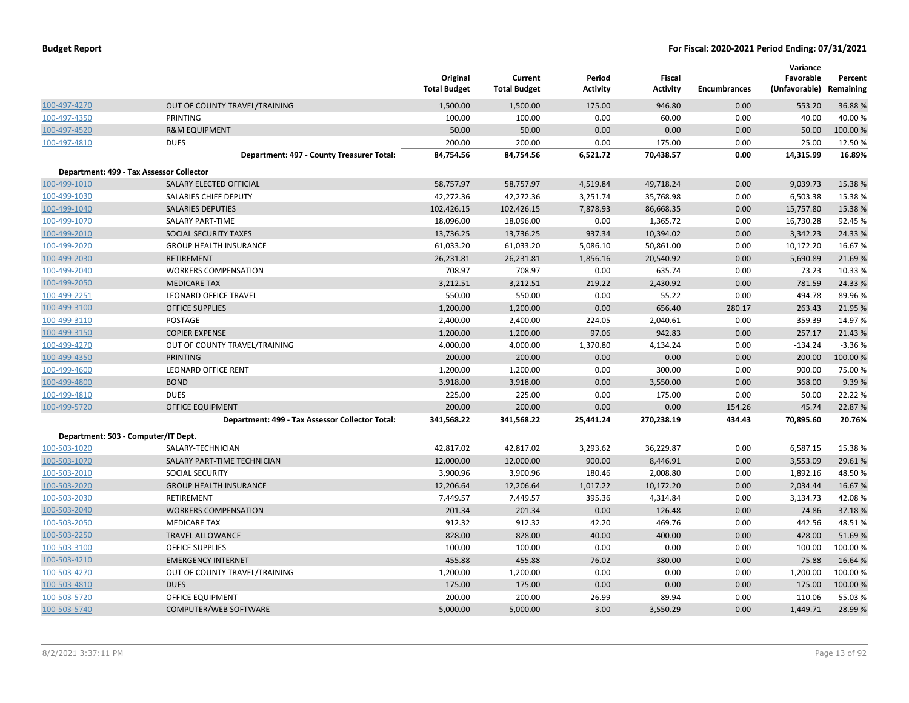|              |                                                 | Original<br><b>Total Budget</b> | Current<br><b>Total Budget</b> | Period<br><b>Activity</b> | Fiscal<br><b>Activity</b> | <b>Encumbrances</b> | Variance<br>Favorable<br>(Unfavorable) | Percent<br>Remaining |
|--------------|-------------------------------------------------|---------------------------------|--------------------------------|---------------------------|---------------------------|---------------------|----------------------------------------|----------------------|
| 100-497-4270 | OUT OF COUNTY TRAVEL/TRAINING                   | 1,500.00                        | 1,500.00                       | 175.00                    | 946.80                    | 0.00                | 553.20                                 | 36.88%               |
| 100-497-4350 | PRINTING                                        | 100.00                          | 100.00                         | 0.00                      | 60.00                     | 0.00                | 40.00                                  | 40.00%               |
| 100-497-4520 | <b>R&amp;M EQUIPMENT</b>                        | 50.00                           | 50.00                          | 0.00                      | 0.00                      | 0.00                | 50.00                                  | 100.00 %             |
| 100-497-4810 | <b>DUES</b>                                     | 200.00                          | 200.00                         | 0.00                      | 175.00                    | 0.00                | 25.00                                  | 12.50%               |
|              | Department: 497 - County Treasurer Total:       | 84,754.56                       | 84,754.56                      | 6,521.72                  | 70,438.57                 | 0.00                | 14,315.99                              | 16.89%               |
|              | Department: 499 - Tax Assessor Collector        |                                 |                                |                           |                           |                     |                                        |                      |
| 100-499-1010 | SALARY ELECTED OFFICIAL                         | 58,757.97                       | 58,757.97                      | 4,519.84                  | 49,718.24                 | 0.00                | 9,039.73                               | 15.38%               |
| 100-499-1030 | SALARIES CHIEF DEPUTY                           | 42,272.36                       | 42,272.36                      | 3,251.74                  | 35,768.98                 | 0.00                | 6,503.38                               | 15.38%               |
| 100-499-1040 | <b>SALARIES DEPUTIES</b>                        | 102,426.15                      | 102,426.15                     | 7,878.93                  | 86,668.35                 | 0.00                | 15,757.80                              | 15.38 %              |
| 100-499-1070 | <b>SALARY PART-TIME</b>                         | 18,096.00                       | 18,096.00                      | 0.00                      | 1,365.72                  | 0.00                | 16,730.28                              | 92.45%               |
| 100-499-2010 | SOCIAL SECURITY TAXES                           | 13,736.25                       | 13,736.25                      | 937.34                    | 10,394.02                 | 0.00                | 3,342.23                               | 24.33 %              |
| 100-499-2020 | <b>GROUP HEALTH INSURANCE</b>                   | 61,033.20                       | 61,033.20                      | 5,086.10                  | 50,861.00                 | 0.00                | 10,172.20                              | 16.67%               |
| 100-499-2030 | <b>RETIREMENT</b>                               | 26,231.81                       | 26,231.81                      | 1,856.16                  | 20,540.92                 | 0.00                | 5,690.89                               | 21.69%               |
| 100-499-2040 | <b>WORKERS COMPENSATION</b>                     | 708.97                          | 708.97                         | 0.00                      | 635.74                    | 0.00                | 73.23                                  | 10.33 %              |
| 100-499-2050 | <b>MEDICARE TAX</b>                             | 3,212.51                        | 3,212.51                       | 219.22                    | 2,430.92                  | 0.00                | 781.59                                 | 24.33%               |
| 100-499-2251 | <b>LEONARD OFFICE TRAVEL</b>                    | 550.00                          | 550.00                         | 0.00                      | 55.22                     | 0.00                | 494.78                                 | 89.96%               |
| 100-499-3100 | <b>OFFICE SUPPLIES</b>                          | 1,200.00                        | 1,200.00                       | 0.00                      | 656.40                    | 280.17              | 263.43                                 | 21.95 %              |
| 100-499-3110 | POSTAGE                                         | 2,400.00                        | 2,400.00                       | 224.05                    | 2,040.61                  | 0.00                | 359.39                                 | 14.97%               |
| 100-499-3150 | <b>COPIER EXPENSE</b>                           | 1,200.00                        | 1,200.00                       | 97.06                     | 942.83                    | 0.00                | 257.17                                 | 21.43%               |
| 100-499-4270 | OUT OF COUNTY TRAVEL/TRAINING                   | 4,000.00                        | 4,000.00                       | 1,370.80                  | 4,134.24                  | 0.00                | $-134.24$                              | $-3.36%$             |
| 100-499-4350 | <b>PRINTING</b>                                 | 200.00                          | 200.00                         | 0.00                      | 0.00                      | 0.00                | 200.00                                 | 100.00%              |
| 100-499-4600 | <b>LEONARD OFFICE RENT</b>                      | 1,200.00                        | 1,200.00                       | 0.00                      | 300.00                    | 0.00                | 900.00                                 | 75.00 %              |
| 100-499-4800 | <b>BOND</b>                                     | 3,918.00                        | 3,918.00                       | 0.00                      | 3,550.00                  | 0.00                | 368.00                                 | 9.39%                |
| 100-499-4810 | <b>DUES</b>                                     | 225.00                          | 225.00                         | 0.00                      | 175.00                    | 0.00                | 50.00                                  | 22.22 %              |
| 100-499-5720 | <b>OFFICE EQUIPMENT</b>                         | 200.00                          | 200.00                         | 0.00                      | 0.00                      | 154.26              | 45.74                                  | 22.87 %              |
|              | Department: 499 - Tax Assessor Collector Total: | 341,568.22                      | 341,568.22                     | 25,441.24                 | 270,238.19                | 434.43              | 70,895.60                              | 20.76%               |
|              | Department: 503 - Computer/IT Dept.             |                                 |                                |                           |                           |                     |                                        |                      |
| 100-503-1020 | SALARY-TECHNICIAN                               | 42,817.02                       | 42,817.02                      | 3,293.62                  | 36,229.87                 | 0.00                | 6,587.15                               | 15.38%               |
| 100-503-1070 | SALARY PART-TIME TECHNICIAN                     | 12,000.00                       | 12,000.00                      | 900.00                    | 8,446.91                  | 0.00                | 3,553.09                               | 29.61%               |
| 100-503-2010 | <b>SOCIAL SECURITY</b>                          | 3,900.96                        | 3,900.96                       | 180.46                    | 2,008.80                  | 0.00                | 1,892.16                               | 48.50%               |
| 100-503-2020 | <b>GROUP HEALTH INSURANCE</b>                   | 12,206.64                       | 12,206.64                      | 1,017.22                  | 10,172.20                 | 0.00                | 2,034.44                               | 16.67%               |
| 100-503-2030 | RETIREMENT                                      | 7,449.57                        | 7,449.57                       | 395.36                    | 4,314.84                  | 0.00                | 3,134.73                               | 42.08%               |
| 100-503-2040 | <b>WORKERS COMPENSATION</b>                     | 201.34                          | 201.34                         | 0.00                      | 126.48                    | 0.00                | 74.86                                  | 37.18%               |
| 100-503-2050 | <b>MEDICARE TAX</b>                             | 912.32                          | 912.32                         | 42.20                     | 469.76                    | 0.00                | 442.56                                 | 48.51%               |
| 100-503-2250 | <b>TRAVEL ALLOWANCE</b>                         | 828.00                          | 828.00                         | 40.00                     | 400.00                    | 0.00                | 428.00                                 | 51.69%               |
| 100-503-3100 | <b>OFFICE SUPPLIES</b>                          | 100.00                          | 100.00                         | 0.00                      | 0.00                      | 0.00                | 100.00                                 | 100.00%              |
| 100-503-4210 | <b>EMERGENCY INTERNET</b>                       | 455.88                          | 455.88                         | 76.02                     | 380.00                    | 0.00                | 75.88                                  | 16.64 %              |
| 100-503-4270 | OUT OF COUNTY TRAVEL/TRAINING                   | 1,200.00                        | 1,200.00                       | 0.00                      | 0.00                      | 0.00                | 1,200.00                               | 100.00%              |
| 100-503-4810 | <b>DUES</b>                                     | 175.00                          | 175.00                         | 0.00                      | 0.00                      | 0.00                | 175.00                                 | 100.00 %             |
| 100-503-5720 | <b>OFFICE EQUIPMENT</b>                         | 200.00                          | 200.00                         | 26.99                     | 89.94                     | 0.00                | 110.06                                 | 55.03%               |
| 100-503-5740 | COMPUTER/WEB SOFTWARE                           | 5,000.00                        | 5,000.00                       | 3.00                      | 3,550.29                  | 0.00                | 1,449.71                               | 28.99%               |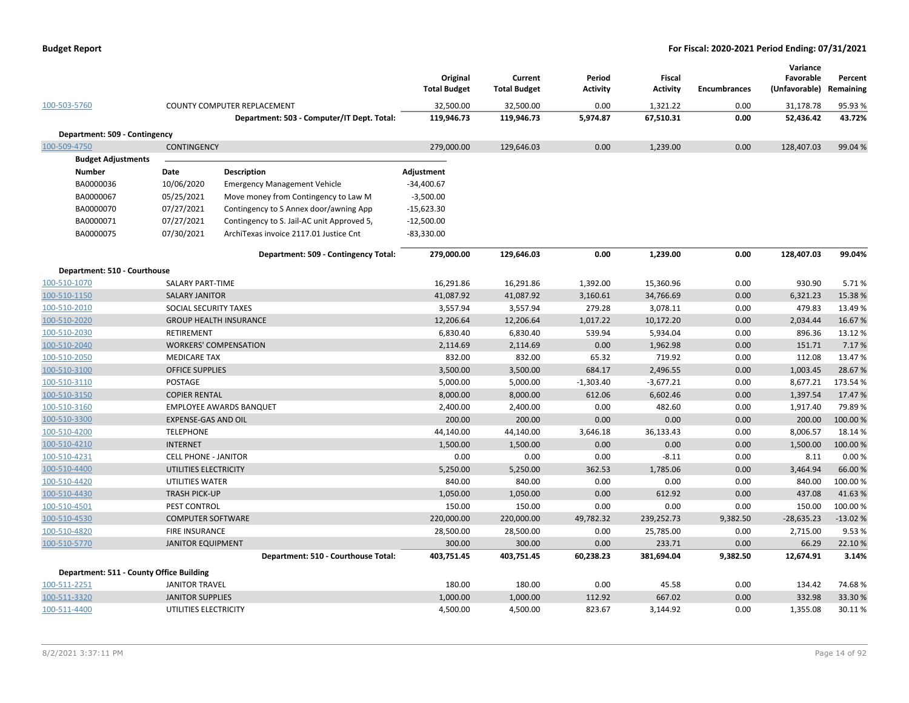|                                          |                             |                                            | Original<br><b>Total Budget</b> | Current<br><b>Total Budget</b> | Period<br><b>Activity</b> | Fiscal<br><b>Activity</b> | <b>Encumbrances</b> | Variance<br>Favorable<br>(Unfavorable) Remaining | Percent   |
|------------------------------------------|-----------------------------|--------------------------------------------|---------------------------------|--------------------------------|---------------------------|---------------------------|---------------------|--------------------------------------------------|-----------|
| 100-503-5760                             |                             | COUNTY COMPUTER REPLACEMENT                | 32,500.00                       | 32,500.00                      | 0.00                      | 1,321.22                  | 0.00                | 31,178.78                                        | 95.93 %   |
|                                          |                             | Department: 503 - Computer/IT Dept. Total: | 119,946.73                      | 119,946.73                     | 5,974.87                  | 67,510.31                 | 0.00                | 52,436.42                                        | 43.72%    |
| Department: 509 - Contingency            |                             |                                            |                                 |                                |                           |                           |                     |                                                  |           |
| 100-509-4750                             | <b>CONTINGENCY</b>          |                                            | 279,000.00                      | 129,646.03                     | 0.00                      | 1,239.00                  | 0.00                | 128,407.03                                       | 99.04 %   |
| <b>Budget Adjustments</b>                |                             |                                            |                                 |                                |                           |                           |                     |                                                  |           |
| <b>Number</b>                            | Date                        | <b>Description</b>                         | Adjustment                      |                                |                           |                           |                     |                                                  |           |
| BA0000036                                | 10/06/2020                  | <b>Emergency Management Vehicle</b>        | $-34,400.67$                    |                                |                           |                           |                     |                                                  |           |
| BA0000067                                | 05/25/2021                  | Move money from Contingency to Law M       | $-3,500.00$                     |                                |                           |                           |                     |                                                  |           |
| BA0000070                                | 07/27/2021                  | Contingency to S Annex door/awning App     | $-15,623.30$                    |                                |                           |                           |                     |                                                  |           |
| BA0000071                                | 07/27/2021                  | Contingency to S. Jail-AC unit Approved 5, | $-12,500.00$                    |                                |                           |                           |                     |                                                  |           |
| BA0000075                                | 07/30/2021                  | ArchiTexas invoice 2117.01 Justice Cnt     | $-83,330.00$                    |                                |                           |                           |                     |                                                  |           |
|                                          |                             | Department: 509 - Contingency Total:       | 279,000.00                      | 129,646.03                     | 0.00                      | 1,239.00                  | 0.00                | 128,407.03                                       | 99.04%    |
| Department: 510 - Courthouse             |                             |                                            |                                 |                                |                           |                           |                     |                                                  |           |
| 100-510-1070                             | SALARY PART-TIME            |                                            | 16,291.86                       | 16,291.86                      | 1,392.00                  | 15,360.96                 | 0.00                | 930.90                                           | 5.71%     |
| 100-510-1150                             | <b>SALARY JANITOR</b>       |                                            | 41,087.92                       | 41,087.92                      | 3,160.61                  | 34,766.69                 | 0.00                | 6,321.23                                         | 15.38 %   |
| 100-510-2010                             | SOCIAL SECURITY TAXES       |                                            | 3,557.94                        | 3,557.94                       | 279.28                    | 3,078.11                  | 0.00                | 479.83                                           | 13.49 %   |
| 100-510-2020                             |                             | <b>GROUP HEALTH INSURANCE</b>              | 12,206.64                       | 12,206.64                      | 1,017.22                  | 10,172.20                 | 0.00                | 2,034.44                                         | 16.67%    |
| 100-510-2030                             | RETIREMENT                  |                                            | 6,830.40                        | 6,830.40                       | 539.94                    | 5,934.04                  | 0.00                | 896.36                                           | 13.12 %   |
| 100-510-2040                             |                             | <b>WORKERS' COMPENSATION</b>               | 2,114.69                        | 2,114.69                       | 0.00                      | 1,962.98                  | 0.00                | 151.71                                           | 7.17%     |
| 100-510-2050                             | <b>MEDICARE TAX</b>         |                                            | 832.00                          | 832.00                         | 65.32                     | 719.92                    | 0.00                | 112.08                                           | 13.47%    |
| 100-510-3100                             | <b>OFFICE SUPPLIES</b>      |                                            | 3,500.00                        | 3,500.00                       | 684.17                    | 2,496.55                  | 0.00                | 1,003.45                                         | 28.67%    |
| 100-510-3110                             | POSTAGE                     |                                            | 5,000.00                        | 5,000.00                       | $-1,303.40$               | $-3,677.21$               | 0.00                | 8,677.21                                         | 173.54 %  |
| 100-510-3150                             | <b>COPIER RENTAL</b>        |                                            | 8,000.00                        | 8,000.00                       | 612.06                    | 6,602.46                  | 0.00                | 1,397.54                                         | 17.47%    |
| 100-510-3160                             |                             | <b>EMPLOYEE AWARDS BANQUET</b>             | 2,400.00                        | 2,400.00                       | 0.00                      | 482.60                    | 0.00                | 1,917.40                                         | 79.89%    |
| 100-510-3300                             | <b>EXPENSE-GAS AND OIL</b>  |                                            | 200.00                          | 200.00                         | 0.00                      | 0.00                      | 0.00                | 200.00                                           | 100.00%   |
| 100-510-4200                             | <b>TELEPHONE</b>            |                                            | 44,140.00                       | 44,140.00                      | 3,646.18                  | 36,133.43                 | 0.00                | 8,006.57                                         | 18.14 %   |
| 100-510-4210                             | <b>INTERNET</b>             |                                            | 1,500.00                        | 1,500.00                       | 0.00                      | 0.00                      | 0.00                | 1,500.00                                         | 100.00%   |
| 100-510-4231                             | <b>CELL PHONE - JANITOR</b> |                                            | 0.00                            | 0.00                           | 0.00                      | $-8.11$                   | 0.00                | 8.11                                             | 0.00%     |
| 100-510-4400                             | UTILITIES ELECTRICITY       |                                            | 5,250.00                        | 5,250.00                       | 362.53                    | 1,785.06                  | 0.00                | 3,464.94                                         | 66.00 %   |
| 100-510-4420                             | UTILITIES WATER             |                                            | 840.00                          | 840.00                         | 0.00                      | 0.00                      | 0.00                | 840.00                                           | 100.00%   |
| 100-510-4430                             | <b>TRASH PICK-UP</b>        |                                            | 1,050.00                        | 1,050.00                       | 0.00                      | 612.92                    | 0.00                | 437.08                                           | 41.63%    |
| 100-510-4501                             | PEST CONTROL                |                                            | 150.00                          | 150.00                         | 0.00                      | 0.00                      | 0.00                | 150.00                                           | 100.00%   |
| 100-510-4530                             | <b>COMPUTER SOFTWARE</b>    |                                            | 220,000.00                      | 220,000.00                     | 49,782.32                 | 239,252.73                | 9,382.50            | $-28,635.23$                                     | $-13.02%$ |
| 100-510-4820                             | <b>FIRE INSURANCE</b>       |                                            | 28,500.00                       | 28,500.00                      | 0.00                      | 25,785.00                 | 0.00                | 2,715.00                                         | 9.53%     |
| 100-510-5770                             | <b>JANITOR EQUIPMENT</b>    |                                            | 300.00                          | 300.00                         | 0.00                      | 233.71                    | 0.00                | 66.29                                            | 22.10%    |
|                                          |                             | Department: 510 - Courthouse Total:        | 403,751.45                      | 403,751.45                     | 60,238.23                 | 381,694.04                | 9,382.50            | 12,674.91                                        | 3.14%     |
| Department: 511 - County Office Building |                             |                                            |                                 |                                |                           |                           |                     |                                                  |           |
| 100-511-2251                             | <b>JANITOR TRAVEL</b>       |                                            | 180.00                          | 180.00                         | 0.00                      | 45.58                     | 0.00                | 134.42                                           | 74.68%    |
| 100-511-3320                             | <b>JANITOR SUPPLIES</b>     |                                            | 1,000.00                        | 1,000.00                       | 112.92                    | 667.02                    | 0.00                | 332.98                                           | 33.30 %   |
| 100-511-4400                             | UTILITIES ELECTRICITY       |                                            | 4,500.00                        | 4,500.00                       | 823.67                    | 3,144.92                  | 0.00                | 1,355.08                                         | 30.11%    |
|                                          |                             |                                            |                                 |                                |                           |                           |                     |                                                  |           |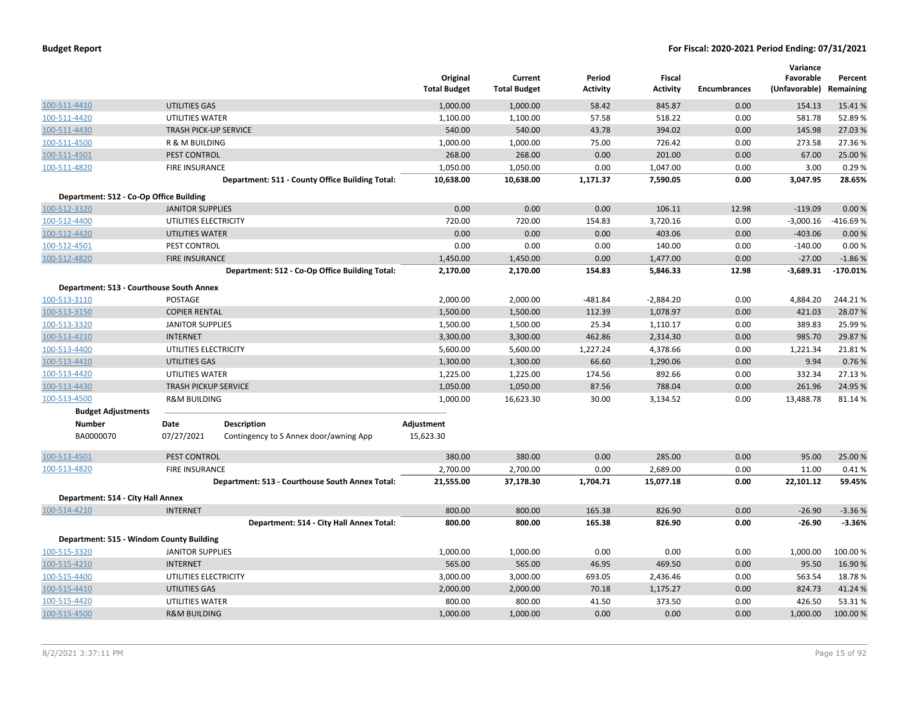|                                          |                              |                                                 | Original<br><b>Total Budget</b> | Current<br><b>Total Budget</b> | Period<br><b>Activity</b> | Fiscal<br><b>Activity</b> | <b>Encumbrances</b> | Variance<br>Favorable<br>(Unfavorable) | Percent<br>Remaining |
|------------------------------------------|------------------------------|-------------------------------------------------|---------------------------------|--------------------------------|---------------------------|---------------------------|---------------------|----------------------------------------|----------------------|
| 100-511-4410                             | UTILITIES GAS                |                                                 | 1,000.00                        | 1,000.00                       | 58.42                     | 845.87                    | 0.00                | 154.13                                 | 15.41 %              |
| 100-511-4420                             | UTILITIES WATER              |                                                 | 1,100.00                        | 1,100.00                       | 57.58                     | 518.22                    | 0.00                | 581.78                                 | 52.89%               |
| 100-511-4430                             | <b>TRASH PICK-UP SERVICE</b> |                                                 | 540.00                          | 540.00                         | 43.78                     | 394.02                    | 0.00                | 145.98                                 | 27.03 %              |
| 100-511-4500                             | R & M BUILDING               |                                                 | 1,000.00                        | 1,000.00                       | 75.00                     | 726.42                    | 0.00                | 273.58                                 | 27.36 %              |
| 100-511-4501                             | PEST CONTROL                 |                                                 | 268.00                          | 268.00                         | 0.00                      | 201.00                    | 0.00                | 67.00                                  | 25.00 %              |
| 100-511-4820                             | <b>FIRE INSURANCE</b>        |                                                 | 1,050.00                        | 1,050.00                       | 0.00                      | 1,047.00                  | 0.00                | 3.00                                   | 0.29%                |
|                                          |                              | Department: 511 - County Office Building Total: | 10,638.00                       | 10,638.00                      | 1,171.37                  | 7,590.05                  | 0.00                | 3,047.95                               | 28.65%               |
| Department: 512 - Co-Op Office Building  |                              |                                                 |                                 |                                |                           |                           |                     |                                        |                      |
| 100-512-3320                             | <b>JANITOR SUPPLIES</b>      |                                                 | 0.00                            | 0.00                           | 0.00                      | 106.11                    | 12.98               | $-119.09$                              | 0.00 %               |
| 100-512-4400                             | UTILITIES ELECTRICITY        |                                                 | 720.00                          | 720.00                         | 154.83                    | 3,720.16                  | 0.00                | $-3,000.16$                            | -416.69%             |
| 100-512-4420                             | <b>UTILITIES WATER</b>       |                                                 | 0.00                            | 0.00                           | 0.00                      | 403.06                    | 0.00                | $-403.06$                              | 0.00%                |
| 100-512-4501                             | PEST CONTROL                 |                                                 | 0.00                            | 0.00                           | 0.00                      | 140.00                    | 0.00                | $-140.00$                              | 0.00%                |
| 100-512-4820                             | <b>FIRE INSURANCE</b>        |                                                 | 1,450.00                        | 1,450.00                       | 0.00                      | 1,477.00                  | 0.00                | $-27.00$                               | $-1.86%$             |
|                                          |                              | Department: 512 - Co-Op Office Building Total:  | 2,170.00                        | 2,170.00                       | 154.83                    | 5,846.33                  | 12.98               | $-3,689.31$                            | $-170.01%$           |
| Department: 513 - Courthouse South Annex |                              |                                                 |                                 |                                |                           |                           |                     |                                        |                      |
| 100-513-3110                             | POSTAGE                      |                                                 | 2,000.00                        | 2,000.00                       | $-481.84$                 | $-2,884.20$               | 0.00                | 4,884.20                               | 244.21%              |
| 100-513-3150                             | <b>COPIER RENTAL</b>         |                                                 | 1,500.00                        | 1,500.00                       | 112.39                    | 1,078.97                  | 0.00                | 421.03                                 | 28.07%               |
| 100-513-3320                             | <b>JANITOR SUPPLIES</b>      |                                                 | 1,500.00                        | 1,500.00                       | 25.34                     | 1,110.17                  | 0.00                | 389.83                                 | 25.99 %              |
| 100-513-4210                             | <b>INTERNET</b>              |                                                 | 3,300.00                        | 3,300.00                       | 462.86                    | 2,314.30                  | 0.00                | 985.70                                 | 29.87 %              |
| 100-513-4400                             | UTILITIES ELECTRICITY        |                                                 | 5,600.00                        | 5,600.00                       | 1,227.24                  | 4,378.66                  | 0.00                | 1,221.34                               | 21.81%               |
| 100-513-4410                             | UTILITIES GAS                |                                                 | 1,300.00                        | 1,300.00                       | 66.60                     | 1,290.06                  | 0.00                | 9.94                                   | 0.76 %               |
| 100-513-4420                             | UTILITIES WATER              |                                                 | 1,225.00                        | 1,225.00                       | 174.56                    | 892.66                    | 0.00                | 332.34                                 | 27.13 %              |
| 100-513-4430                             | <b>TRASH PICKUP SERVICE</b>  |                                                 | 1,050.00                        | 1,050.00                       | 87.56                     | 788.04                    | 0.00                | 261.96                                 | 24.95 %              |
| 100-513-4500                             | <b>R&amp;M BUILDING</b>      |                                                 | 1,000.00                        | 16,623.30                      | 30.00                     | 3,134.52                  | 0.00                | 13,488.78                              | 81.14%               |
| <b>Budget Adjustments</b>                |                              |                                                 |                                 |                                |                           |                           |                     |                                        |                      |
| <b>Number</b>                            | Date                         | <b>Description</b>                              | Adjustment                      |                                |                           |                           |                     |                                        |                      |
| BA0000070                                | 07/27/2021                   | Contingency to S Annex door/awning App          | 15,623.30                       |                                |                           |                           |                     |                                        |                      |
| 100-513-4501                             | PEST CONTROL                 |                                                 | 380.00                          | 380.00                         | 0.00                      | 285.00                    | 0.00                | 95.00                                  | 25.00 %              |
| 100-513-4820                             | <b>FIRE INSURANCE</b>        |                                                 | 2,700.00                        | 2,700.00                       | 0.00                      | 2,689.00                  | 0.00                | 11.00                                  | 0.41%                |
|                                          |                              | Department: 513 - Courthouse South Annex Total: | 21,555.00                       | 37,178.30                      | 1,704.71                  | 15,077.18                 | 0.00                | 22,101.12                              | 59.45%               |
| Department: 514 - City Hall Annex        |                              |                                                 |                                 |                                |                           |                           |                     |                                        |                      |
| 100-514-4210                             | <b>INTERNET</b>              |                                                 | 800.00                          | 800.00                         | 165.38                    | 826.90                    | 0.00                | $-26.90$                               | $-3.36%$             |
|                                          |                              | Department: 514 - City Hall Annex Total:        | 800.00                          | 800.00                         | 165.38                    | 826.90                    | 0.00                | $-26.90$                               | $-3.36%$             |
| Department: 515 - Windom County Building |                              |                                                 |                                 |                                |                           |                           |                     |                                        |                      |
| 100-515-3320                             | <b>JANITOR SUPPLIES</b>      |                                                 | 1,000.00                        | 1,000.00                       | 0.00                      | 0.00                      | 0.00                | 1,000.00                               | 100.00%              |
| 100-515-4210                             | <b>INTERNET</b>              |                                                 | 565.00                          | 565.00                         | 46.95                     | 469.50                    | 0.00                | 95.50                                  | 16.90%               |
| 100-515-4400                             | UTILITIES ELECTRICITY        |                                                 | 3,000.00                        | 3,000.00                       | 693.05                    | 2,436.46                  | 0.00                | 563.54                                 | 18.78%               |
| 100-515-4410                             | UTILITIES GAS                |                                                 | 2,000.00                        | 2,000.00                       | 70.18                     | 1,175.27                  | 0.00                | 824.73                                 | 41.24 %              |
| 100-515-4420                             | UTILITIES WATER              |                                                 | 800.00                          | 800.00                         | 41.50                     | 373.50                    | 0.00                | 426.50                                 | 53.31%               |
| 100-515-4500                             | <b>R&amp;M BUILDING</b>      |                                                 | 1,000.00                        | 1,000.00                       | 0.00                      | 0.00                      | 0.00                | 1,000.00                               | 100.00 %             |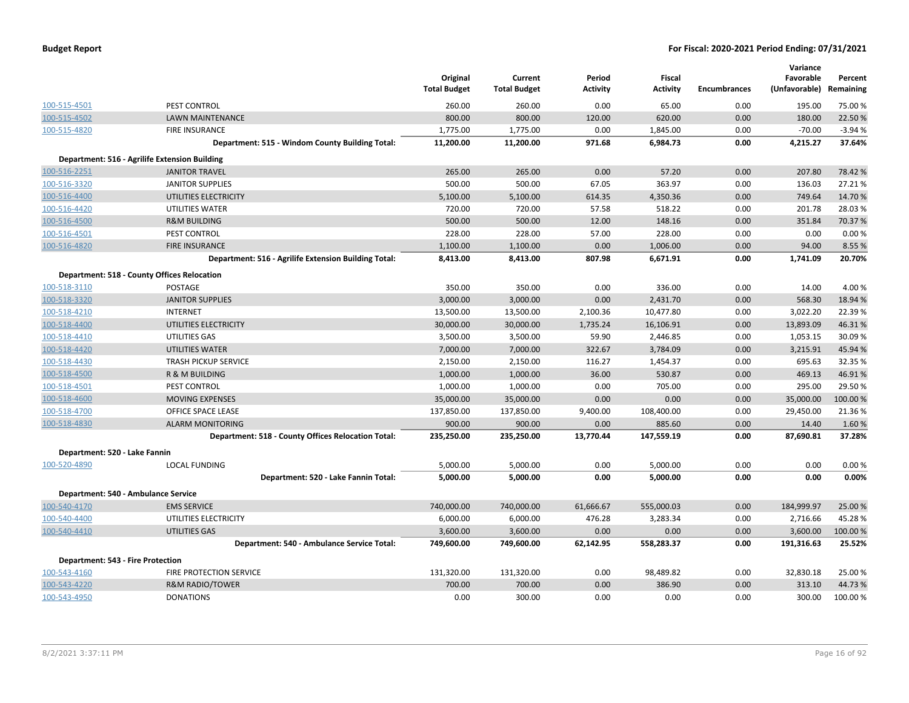|              |                                                      | Original<br><b>Total Budget</b> | Current<br><b>Total Budget</b> | Period<br><b>Activity</b> | Fiscal<br><b>Activity</b> | <b>Encumbrances</b> | Variance<br>Favorable<br>(Unfavorable) Remaining | Percent  |
|--------------|------------------------------------------------------|---------------------------------|--------------------------------|---------------------------|---------------------------|---------------------|--------------------------------------------------|----------|
| 100-515-4501 | PEST CONTROL                                         | 260.00                          | 260.00                         | 0.00                      | 65.00                     | 0.00                | 195.00                                           | 75.00 %  |
| 100-515-4502 | <b>LAWN MAINTENANCE</b>                              | 800.00                          | 800.00                         | 120.00                    | 620.00                    | 0.00                | 180.00                                           | 22.50%   |
| 100-515-4820 | FIRE INSURANCE                                       | 1,775.00                        | 1,775.00                       | 0.00                      | 1,845.00                  | 0.00                | $-70.00$                                         | $-3.94%$ |
|              | Department: 515 - Windom County Building Total:      | 11,200.00                       | 11,200.00                      | 971.68                    | 6,984.73                  | 0.00                | 4,215.27                                         | 37.64%   |
|              | Department: 516 - Agrilife Extension Building        |                                 |                                |                           |                           |                     |                                                  |          |
| 100-516-2251 | <b>JANITOR TRAVEL</b>                                | 265.00                          | 265.00                         | 0.00                      | 57.20                     | 0.00                | 207.80                                           | 78.42%   |
| 100-516-3320 | <b>JANITOR SUPPLIES</b>                              | 500.00                          | 500.00                         | 67.05                     | 363.97                    | 0.00                | 136.03                                           | 27.21%   |
| 100-516-4400 | UTILITIES ELECTRICITY                                | 5,100.00                        | 5,100.00                       | 614.35                    | 4,350.36                  | 0.00                | 749.64                                           | 14.70%   |
| 100-516-4420 | UTILITIES WATER                                      | 720.00                          | 720.00                         | 57.58                     | 518.22                    | 0.00                | 201.78                                           | 28.03%   |
| 100-516-4500 | <b>R&amp;M BUILDING</b>                              | 500.00                          | 500.00                         | 12.00                     | 148.16                    | 0.00                | 351.84                                           | 70.37 %  |
| 100-516-4501 | PEST CONTROL                                         | 228.00                          | 228.00                         | 57.00                     | 228.00                    | 0.00                | 0.00                                             | 0.00%    |
| 100-516-4820 | <b>FIRE INSURANCE</b>                                | 1,100.00                        | 1,100.00                       | 0.00                      | 1,006.00                  | 0.00                | 94.00                                            | 8.55 %   |
|              | Department: 516 - Agrilife Extension Building Total: | 8,413.00                        | 8,413.00                       | 807.98                    | 6,671.91                  | 0.00                | 1,741.09                                         | 20.70%   |
|              | Department: 518 - County Offices Relocation          |                                 |                                |                           |                           |                     |                                                  |          |
| 100-518-3110 | POSTAGE                                              | 350.00                          | 350.00                         | 0.00                      | 336.00                    | 0.00                | 14.00                                            | 4.00 %   |
| 100-518-3320 | <b>JANITOR SUPPLIES</b>                              | 3,000.00                        | 3,000.00                       | 0.00                      | 2,431.70                  | 0.00                | 568.30                                           | 18.94 %  |
| 100-518-4210 | <b>INTERNET</b>                                      | 13,500.00                       | 13,500.00                      | 2,100.36                  | 10,477.80                 | 0.00                | 3,022.20                                         | 22.39%   |
| 100-518-4400 | UTILITIES ELECTRICITY                                | 30,000.00                       | 30,000.00                      | 1,735.24                  | 16,106.91                 | 0.00                | 13,893.09                                        | 46.31%   |
| 100-518-4410 | UTILITIES GAS                                        | 3,500.00                        | 3,500.00                       | 59.90                     | 2,446.85                  | 0.00                | 1,053.15                                         | 30.09%   |
| 100-518-4420 | <b>UTILITIES WATER</b>                               | 7,000.00                        | 7,000.00                       | 322.67                    | 3,784.09                  | 0.00                | 3,215.91                                         | 45.94%   |
| 100-518-4430 | <b>TRASH PICKUP SERVICE</b>                          | 2,150.00                        | 2,150.00                       | 116.27                    | 1,454.37                  | 0.00                | 695.63                                           | 32.35 %  |
| 100-518-4500 | R & M BUILDING                                       | 1,000.00                        | 1,000.00                       | 36.00                     | 530.87                    | 0.00                | 469.13                                           | 46.91%   |
| 100-518-4501 | PEST CONTROL                                         | 1,000.00                        | 1,000.00                       | 0.00                      | 705.00                    | 0.00                | 295.00                                           | 29.50%   |
| 100-518-4600 | <b>MOVING EXPENSES</b>                               | 35,000.00                       | 35,000.00                      | 0.00                      | 0.00                      | 0.00                | 35,000.00                                        | 100.00%  |
| 100-518-4700 | OFFICE SPACE LEASE                                   | 137,850.00                      | 137,850.00                     | 9,400.00                  | 108,400.00                | 0.00                | 29,450.00                                        | 21.36%   |
| 100-518-4830 | <b>ALARM MONITORING</b>                              | 900.00                          | 900.00                         | 0.00                      | 885.60                    | 0.00                | 14.40                                            | 1.60%    |
|              | Department: 518 - County Offices Relocation Total:   | 235,250.00                      | 235,250.00                     | 13,770.44                 | 147,559.19                | 0.00                | 87,690.81                                        | 37.28%   |
|              | Department: 520 - Lake Fannin                        |                                 |                                |                           |                           |                     |                                                  |          |
| 100-520-4890 | <b>LOCAL FUNDING</b>                                 | 5,000.00                        | 5,000.00                       | 0.00                      | 5,000.00                  | 0.00                | 0.00                                             | 0.00%    |
|              | Department: 520 - Lake Fannin Total:                 | 5,000.00                        | 5,000.00                       | 0.00                      | 5,000.00                  | 0.00                | 0.00                                             | 0.00%    |
|              | Department: 540 - Ambulance Service                  |                                 |                                |                           |                           |                     |                                                  |          |
| 100-540-4170 | <b>EMS SERVICE</b>                                   | 740,000.00                      | 740,000.00                     | 61,666.67                 | 555,000.03                | 0.00                | 184,999.97                                       | 25.00 %  |
| 100-540-4400 | UTILITIES ELECTRICITY                                | 6,000.00                        | 6,000.00                       | 476.28                    | 3,283.34                  | 0.00                | 2,716.66                                         | 45.28%   |
| 100-540-4410 | UTILITIES GAS                                        | 3,600.00                        | 3,600.00                       | 0.00                      | 0.00                      | 0.00                | 3,600.00                                         | 100.00%  |
|              | Department: 540 - Ambulance Service Total:           | 749,600.00                      | 749,600.00                     | 62,142.95                 | 558,283.37                | 0.00                | 191,316.63                                       | 25.52%   |
|              | <b>Department: 543 - Fire Protection</b>             |                                 |                                |                           |                           |                     |                                                  |          |
| 100-543-4160 | FIRE PROTECTION SERVICE                              | 131,320.00                      | 131,320.00                     | 0.00                      | 98,489.82                 | 0.00                | 32,830.18                                        | 25.00 %  |
| 100-543-4220 | <b>R&amp;M RADIO/TOWER</b>                           | 700.00                          | 700.00                         | 0.00                      | 386.90                    | 0.00                | 313.10                                           | 44.73%   |
| 100-543-4950 | <b>DONATIONS</b>                                     | 0.00                            | 300.00                         | 0.00                      | 0.00                      | 0.00                | 300.00                                           | 100.00%  |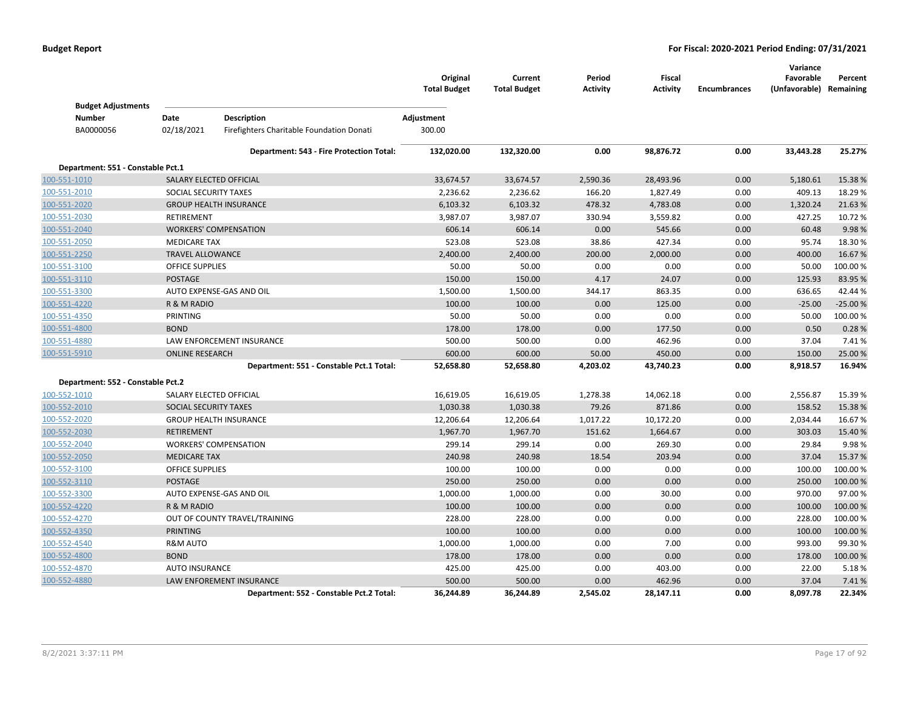|                                   |                              |                                           | Original<br><b>Total Budget</b> | Current<br><b>Total Budget</b> | Period<br><b>Activity</b> | Fiscal<br><b>Activity</b> | <b>Encumbrances</b> | Variance<br>Favorable<br>(Unfavorable) Remaining | Percent   |
|-----------------------------------|------------------------------|-------------------------------------------|---------------------------------|--------------------------------|---------------------------|---------------------------|---------------------|--------------------------------------------------|-----------|
| <b>Budget Adjustments</b>         |                              |                                           |                                 |                                |                           |                           |                     |                                                  |           |
| <b>Number</b>                     | Date                         | Description                               | Adjustment                      |                                |                           |                           |                     |                                                  |           |
| BA0000056                         | 02/18/2021                   | Firefighters Charitable Foundation Donati | 300.00                          |                                |                           |                           |                     |                                                  |           |
|                                   |                              | Department: 543 - Fire Protection Total:  | 132,020.00                      | 132,320.00                     | 0.00                      | 98,876.72                 | 0.00                | 33,443.28                                        | 25.27%    |
| Department: 551 - Constable Pct.1 |                              |                                           |                                 |                                |                           |                           |                     |                                                  |           |
| 100-551-1010                      |                              | SALARY ELECTED OFFICIAL                   | 33,674.57                       | 33,674.57                      | 2,590.36                  | 28,493.96                 | 0.00                | 5,180.61                                         | 15.38 %   |
| 100-551-2010                      | SOCIAL SECURITY TAXES        |                                           | 2,236.62                        | 2,236.62                       | 166.20                    | 1,827.49                  | 0.00                | 409.13                                           | 18.29 %   |
| 100-551-2020                      |                              | <b>GROUP HEALTH INSURANCE</b>             | 6,103.32                        | 6,103.32                       | 478.32                    | 4,783.08                  | 0.00                | 1,320.24                                         | 21.63%    |
| 100-551-2030                      | <b>RETIREMENT</b>            |                                           | 3,987.07                        | 3,987.07                       | 330.94                    | 3,559.82                  | 0.00                | 427.25                                           | 10.72 %   |
| 100-551-2040                      |                              | <b>WORKERS' COMPENSATION</b>              | 606.14                          | 606.14                         | 0.00                      | 545.66                    | 0.00                | 60.48                                            | 9.98%     |
| 100-551-2050                      | <b>MEDICARE TAX</b>          |                                           | 523.08                          | 523.08                         | 38.86                     | 427.34                    | 0.00                | 95.74                                            | 18.30%    |
| 100-551-2250                      | <b>TRAVEL ALLOWANCE</b>      |                                           | 2,400.00                        | 2,400.00                       | 200.00                    | 2,000.00                  | 0.00                | 400.00                                           | 16.67%    |
| 100-551-3100                      | <b>OFFICE SUPPLIES</b>       |                                           | 50.00                           | 50.00                          | 0.00                      | 0.00                      | 0.00                | 50.00                                            | 100.00%   |
| 100-551-3110                      | <b>POSTAGE</b>               |                                           | 150.00                          | 150.00                         | 4.17                      | 24.07                     | 0.00                | 125.93                                           | 83.95 %   |
| 100-551-3300                      |                              | AUTO EXPENSE-GAS AND OIL                  | 1,500.00                        | 1,500.00                       | 344.17                    | 863.35                    | 0.00                | 636.65                                           | 42.44%    |
| 100-551-4220                      | R & M RADIO                  |                                           | 100.00                          | 100.00                         | 0.00                      | 125.00                    | 0.00                | $-25.00$                                         | $-25.00%$ |
| 100-551-4350                      | PRINTING                     |                                           | 50.00                           | 50.00                          | 0.00                      | 0.00                      | 0.00                | 50.00                                            | 100.00%   |
| 100-551-4800                      | <b>BOND</b>                  |                                           | 178.00                          | 178.00                         | 0.00                      | 177.50                    | 0.00                | 0.50                                             | 0.28%     |
| 100-551-4880                      |                              | LAW ENFORCEMENT INSURANCE                 | 500.00                          | 500.00                         | 0.00                      | 462.96                    | 0.00                | 37.04                                            | 7.41%     |
| 100-551-5910                      | <b>ONLINE RESEARCH</b>       |                                           | 600.00                          | 600.00                         | 50.00                     | 450.00                    | 0.00                | 150.00                                           | 25.00 %   |
|                                   |                              | Department: 551 - Constable Pct.1 Total:  | 52,658.80                       | 52,658.80                      | 4,203.02                  | 43,740.23                 | 0.00                | 8,918.57                                         | 16.94%    |
| Department: 552 - Constable Pct.2 |                              |                                           |                                 |                                |                           |                           |                     |                                                  |           |
| 100-552-1010                      |                              | SALARY ELECTED OFFICIAL                   | 16,619.05                       | 16,619.05                      | 1,278.38                  | 14,062.18                 | 0.00                | 2,556.87                                         | 15.39 %   |
| 100-552-2010                      | <b>SOCIAL SECURITY TAXES</b> |                                           | 1,030.38                        | 1,030.38                       | 79.26                     | 871.86                    | 0.00                | 158.52                                           | 15.38%    |
| 100-552-2020                      |                              | <b>GROUP HEALTH INSURANCE</b>             | 12,206.64                       | 12,206.64                      | 1,017.22                  | 10,172.20                 | 0.00                | 2,034.44                                         | 16.67%    |
| 100-552-2030                      | <b>RETIREMENT</b>            |                                           | 1,967.70                        | 1,967.70                       | 151.62                    | 1,664.67                  | 0.00                | 303.03                                           | 15.40 %   |
| 100-552-2040                      |                              | <b>WORKERS' COMPENSATION</b>              | 299.14                          | 299.14                         | 0.00                      | 269.30                    | 0.00                | 29.84                                            | 9.98%     |
| 100-552-2050                      | <b>MEDICARE TAX</b>          |                                           | 240.98                          | 240.98                         | 18.54                     | 203.94                    | 0.00                | 37.04                                            | 15.37 %   |
| 100-552-3100                      | <b>OFFICE SUPPLIES</b>       |                                           | 100.00                          | 100.00                         | 0.00                      | 0.00                      | 0.00                | 100.00                                           | 100.00%   |
| 100-552-3110                      | <b>POSTAGE</b>               |                                           | 250.00                          | 250.00                         | 0.00                      | 0.00                      | 0.00                | 250.00                                           | 100.00 %  |
| 100-552-3300                      |                              | AUTO EXPENSE-GAS AND OIL                  | 1,000.00                        | 1,000.00                       | 0.00                      | 30.00                     | 0.00                | 970.00                                           | 97.00 %   |
| 100-552-4220                      | R & M RADIO                  |                                           | 100.00                          | 100.00                         | 0.00                      | 0.00                      | 0.00                | 100.00                                           | 100.00%   |
| 100-552-4270                      |                              | OUT OF COUNTY TRAVEL/TRAINING             | 228.00                          | 228.00                         | 0.00                      | 0.00                      | 0.00                | 228.00                                           | 100.00%   |
| 100-552-4350                      | <b>PRINTING</b>              |                                           | 100.00                          | 100.00                         | 0.00                      | 0.00                      | 0.00                | 100.00                                           | 100.00%   |
| 100-552-4540                      | R&M AUTO                     |                                           | 1,000.00                        | 1,000.00                       | 0.00                      | 7.00                      | 0.00                | 993.00                                           | 99.30%    |
| 100-552-4800                      | <b>BOND</b>                  |                                           | 178.00                          | 178.00                         | 0.00                      | 0.00                      | 0.00                | 178.00                                           | 100.00%   |
| 100-552-4870                      | <b>AUTO INSURANCE</b>        |                                           | 425.00                          | 425.00                         | 0.00                      | 403.00                    | 0.00                | 22.00                                            | 5.18%     |
| 100-552-4880                      |                              | LAW ENFOREMENT INSURANCE                  | 500.00                          | 500.00                         | 0.00                      | 462.96                    | 0.00                | 37.04                                            | 7.41%     |
|                                   |                              | Department: 552 - Constable Pct.2 Total:  | 36,244.89                       | 36,244.89                      | 2,545.02                  | 28,147.11                 | 0.00                | 8,097.78                                         | 22.34%    |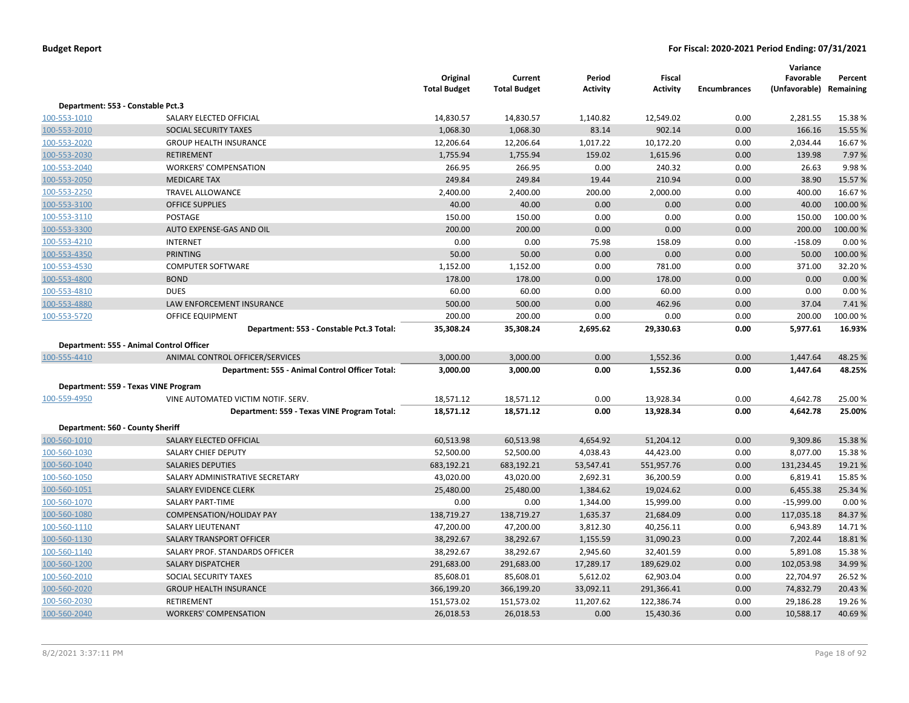|                                   |                                                 | Original<br><b>Total Budget</b> | Current<br><b>Total Budget</b> | Period<br><b>Activity</b> | Fiscal<br><b>Activity</b> | <b>Encumbrances</b> | Variance<br>Favorable<br>(Unfavorable) Remaining | Percent |
|-----------------------------------|-------------------------------------------------|---------------------------------|--------------------------------|---------------------------|---------------------------|---------------------|--------------------------------------------------|---------|
| Department: 553 - Constable Pct.3 |                                                 |                                 |                                |                           |                           |                     |                                                  |         |
| 100-553-1010                      | SALARY ELECTED OFFICIAL                         | 14,830.57                       | 14,830.57                      | 1,140.82                  | 12,549.02                 | 0.00                | 2,281.55                                         | 15.38%  |
| 100-553-2010                      | SOCIAL SECURITY TAXES                           | 1,068.30                        | 1,068.30                       | 83.14                     | 902.14                    | 0.00                | 166.16                                           | 15.55 % |
| 100-553-2020                      | <b>GROUP HEALTH INSURANCE</b>                   | 12,206.64                       | 12,206.64                      | 1,017.22                  | 10,172.20                 | 0.00                | 2,034.44                                         | 16.67%  |
| 100-553-2030                      | <b>RETIREMENT</b>                               | 1,755.94                        | 1,755.94                       | 159.02                    | 1,615.96                  | 0.00                | 139.98                                           | 7.97%   |
| 100-553-2040                      | <b>WORKERS' COMPENSATION</b>                    | 266.95                          | 266.95                         | 0.00                      | 240.32                    | 0.00                | 26.63                                            | 9.98%   |
| 100-553-2050                      | <b>MEDICARE TAX</b>                             | 249.84                          | 249.84                         | 19.44                     | 210.94                    | 0.00                | 38.90                                            | 15.57 % |
| 100-553-2250                      | <b>TRAVEL ALLOWANCE</b>                         | 2,400.00                        | 2,400.00                       | 200.00                    | 2,000.00                  | 0.00                | 400.00                                           | 16.67%  |
| 100-553-3100                      | <b>OFFICE SUPPLIES</b>                          | 40.00                           | 40.00                          | 0.00                      | 0.00                      | 0.00                | 40.00                                            | 100.00% |
| 100-553-3110                      | <b>POSTAGE</b>                                  | 150.00                          | 150.00                         | 0.00                      | 0.00                      | 0.00                | 150.00                                           | 100.00% |
| 100-553-3300                      | AUTO EXPENSE-GAS AND OIL                        | 200.00                          | 200.00                         | 0.00                      | 0.00                      | 0.00                | 200.00                                           | 100.00% |
| 100-553-4210                      | <b>INTERNET</b>                                 | 0.00                            | 0.00                           | 75.98                     | 158.09                    | 0.00                | $-158.09$                                        | 0.00%   |
| 100-553-4350                      | <b>PRINTING</b>                                 | 50.00                           | 50.00                          | 0.00                      | 0.00                      | 0.00                | 50.00                                            | 100.00% |
| 100-553-4530                      | <b>COMPUTER SOFTWARE</b>                        | 1,152.00                        | 1,152.00                       | 0.00                      | 781.00                    | 0.00                | 371.00                                           | 32.20%  |
| 100-553-4800                      | <b>BOND</b>                                     | 178.00                          | 178.00                         | 0.00                      | 178.00                    | 0.00                | 0.00                                             | 0.00%   |
| 100-553-4810                      | <b>DUES</b>                                     | 60.00                           | 60.00                          | 0.00                      | 60.00                     | 0.00                | 0.00                                             | 0.00%   |
| 100-553-4880                      | LAW ENFORCEMENT INSURANCE                       | 500.00                          | 500.00                         | 0.00                      | 462.96                    | 0.00                | 37.04                                            | 7.41%   |
| 100-553-5720                      | OFFICE EQUIPMENT                                | 200.00                          | 200.00                         | 0.00                      | 0.00                      | 0.00                | 200.00                                           | 100.00% |
|                                   | Department: 553 - Constable Pct.3 Total:        | 35,308.24                       | 35,308.24                      | 2,695.62                  | 29,330.63                 | 0.00                | 5,977.61                                         | 16.93%  |
|                                   | Department: 555 - Animal Control Officer        |                                 |                                |                           |                           |                     |                                                  |         |
| 100-555-4410                      | ANIMAL CONTROL OFFICER/SERVICES                 | 3,000.00                        | 3,000.00                       | 0.00                      | 1,552.36                  | 0.00                | 1,447.64                                         | 48.25 % |
|                                   | Department: 555 - Animal Control Officer Total: | 3,000.00                        | 3,000.00                       | 0.00                      | 1,552.36                  | 0.00                | 1,447.64                                         | 48.25%  |
|                                   | Department: 559 - Texas VINE Program            |                                 |                                |                           |                           |                     |                                                  |         |
| 100-559-4950                      | VINE AUTOMATED VICTIM NOTIF. SERV.              | 18,571.12                       | 18,571.12                      | 0.00                      | 13,928.34                 | 0.00                | 4,642.78                                         | 25.00 % |
|                                   | Department: 559 - Texas VINE Program Total:     | 18,571.12                       | 18,571.12                      | 0.00                      | 13,928.34                 | 0.00                | 4,642.78                                         | 25.00%  |
|                                   |                                                 |                                 |                                |                           |                           |                     |                                                  |         |
| Department: 560 - County Sheriff  |                                                 |                                 |                                |                           |                           |                     |                                                  |         |
| 100-560-1010                      | SALARY ELECTED OFFICIAL                         | 60,513.98                       | 60,513.98                      | 4,654.92                  | 51,204.12                 | 0.00                | 9,309.86                                         | 15.38 % |
| 100-560-1030                      | SALARY CHIEF DEPUTY                             | 52,500.00                       | 52,500.00                      | 4,038.43                  | 44,423.00                 | 0.00                | 8,077.00                                         | 15.38%  |
| 100-560-1040                      | <b>SALARIES DEPUTIES</b>                        | 683,192.21                      | 683,192.21                     | 53,547.41                 | 551,957.76                | 0.00                | 131,234.45                                       | 19.21%  |
| 100-560-1050                      | SALARY ADMINISTRATIVE SECRETARY                 | 43,020.00                       | 43,020.00                      | 2,692.31                  | 36,200.59                 | 0.00                | 6,819.41                                         | 15.85 % |
| 100-560-1051                      | SALARY EVIDENCE CLERK                           | 25,480.00                       | 25,480.00                      | 1,384.62                  | 19,024.62                 | 0.00                | 6,455.38                                         | 25.34 % |
| 100-560-1070                      | <b>SALARY PART-TIME</b>                         | 0.00                            | 0.00                           | 1,344.00                  | 15,999.00                 | 0.00                | $-15,999.00$                                     | 0.00%   |
| 100-560-1080                      | <b>COMPENSATION/HOLIDAY PAY</b>                 | 138,719.27                      | 138,719.27                     | 1,635.37                  | 21,684.09                 | 0.00                | 117,035.18                                       | 84.37%  |
| 100-560-1110                      | <b>SALARY LIEUTENANT</b>                        | 47,200.00                       | 47,200.00                      | 3,812.30                  | 40,256.11                 | 0.00                | 6,943.89                                         | 14.71%  |
| 100-560-1130                      | SALARY TRANSPORT OFFICER                        | 38,292.67                       | 38,292.67                      | 1,155.59                  | 31,090.23                 | 0.00                | 7,202.44                                         | 18.81%  |
| 100-560-1140                      | SALARY PROF. STANDARDS OFFICER                  | 38,292.67                       | 38,292.67                      | 2,945.60                  | 32,401.59                 | 0.00                | 5,891.08                                         | 15.38%  |
| 100-560-1200                      | <b>SALARY DISPATCHER</b>                        | 291,683.00                      | 291,683.00                     | 17,289.17                 | 189,629.02                | 0.00                | 102,053.98                                       | 34.99 % |
| 100-560-2010                      | SOCIAL SECURITY TAXES                           | 85,608.01                       | 85,608.01                      | 5,612.02                  | 62,903.04                 | 0.00                | 22,704.97                                        | 26.52%  |
| 100-560-2020                      | <b>GROUP HEALTH INSURANCE</b>                   | 366,199.20                      | 366,199.20                     | 33,092.11                 | 291,366.41                | 0.00                | 74,832.79                                        | 20.43 % |
| 100-560-2030                      | <b>RETIREMENT</b>                               | 151,573.02                      | 151,573.02                     | 11,207.62                 | 122,386.74                | 0.00                | 29,186.28                                        | 19.26 % |
| 100-560-2040                      | <b>WORKERS' COMPENSATION</b>                    | 26,018.53                       | 26,018.53                      | 0.00                      | 15,430.36                 | 0.00                | 10,588.17                                        | 40.69%  |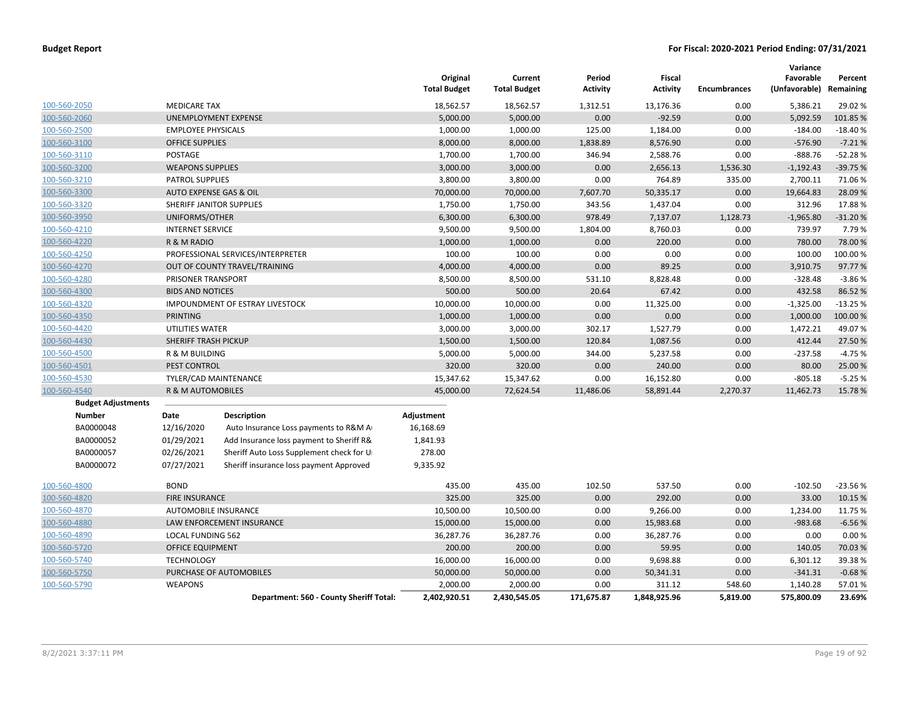|                           |                           |                                          | Original<br><b>Total Budget</b> | Current<br><b>Total Budget</b> | Period<br><b>Activity</b> | Fiscal<br><b>Activity</b> | <b>Encumbrances</b> | Variance<br>Favorable<br>(Unfavorable) Remaining | Percent   |
|---------------------------|---------------------------|------------------------------------------|---------------------------------|--------------------------------|---------------------------|---------------------------|---------------------|--------------------------------------------------|-----------|
| 100-560-2050              | <b>MEDICARE TAX</b>       |                                          | 18,562.57                       | 18,562.57                      | 1,312.51                  | 13,176.36                 | 0.00                | 5,386.21                                         | 29.02 %   |
| 100-560-2060              |                           | UNEMPLOYMENT EXPENSE                     | 5,000.00                        | 5,000.00                       | 0.00                      | $-92.59$                  | 0.00                | 5,092.59                                         | 101.85 %  |
| 100-560-2500              | <b>EMPLOYEE PHYSICALS</b> |                                          | 1,000.00                        | 1,000.00                       | 125.00                    | 1,184.00                  | 0.00                | $-184.00$                                        | $-18.40%$ |
| 100-560-3100              | <b>OFFICE SUPPLIES</b>    |                                          | 8,000.00                        | 8,000.00                       | 1,838.89                  | 8,576.90                  | 0.00                | $-576.90$                                        | $-7.21%$  |
| 100-560-3110              | POSTAGE                   |                                          | 1,700.00                        | 1,700.00                       | 346.94                    | 2,588.76                  | 0.00                | $-888.76$                                        | $-52.28%$ |
| 100-560-3200              | <b>WEAPONS SUPPLIES</b>   |                                          | 3,000.00                        | 3,000.00                       | 0.00                      | 2,656.13                  | 1,536.30            | $-1,192.43$                                      | $-39.75%$ |
| 100-560-3210              | <b>PATROL SUPPLIES</b>    |                                          | 3,800.00                        | 3,800.00                       | 0.00                      | 764.89                    | 335.00              | 2,700.11                                         | 71.06%    |
| 100-560-3300              | AUTO EXPENSE GAS & OIL    |                                          | 70,000.00                       | 70,000.00                      | 7,607.70                  | 50,335.17                 | 0.00                | 19,664.83                                        | 28.09 %   |
| 100-560-3320              |                           | SHERIFF JANITOR SUPPLIES                 | 1,750.00                        | 1,750.00                       | 343.56                    | 1,437.04                  | 0.00                | 312.96                                           | 17.88%    |
| 100-560-3950              | UNIFORMS/OTHER            |                                          | 6,300.00                        | 6,300.00                       | 978.49                    | 7,137.07                  | 1,128.73            | $-1,965.80$                                      | $-31.20%$ |
| 100-560-4210              | <b>INTERNET SERVICE</b>   |                                          | 9,500.00                        | 9,500.00                       | 1,804.00                  | 8,760.03                  | 0.00                | 739.97                                           | 7.79 %    |
| 100-560-4220              | R & M RADIO               |                                          | 1,000.00                        | 1,000.00                       | 0.00                      | 220.00                    | 0.00                | 780.00                                           | 78.00 %   |
| 100-560-4250              |                           | PROFESSIONAL SERVICES/INTERPRETER        | 100.00                          | 100.00                         | 0.00                      | 0.00                      | 0.00                | 100.00                                           | 100.00%   |
| 100-560-4270              |                           | OUT OF COUNTY TRAVEL/TRAINING            | 4,000.00                        | 4,000.00                       | 0.00                      | 89.25                     | 0.00                | 3,910.75                                         | 97.77%    |
| 100-560-4280              | PRISONER TRANSPORT        |                                          | 8,500.00                        | 8,500.00                       | 531.10                    | 8,828.48                  | 0.00                | $-328.48$                                        | $-3.86%$  |
| 100-560-4300              | <b>BIDS AND NOTICES</b>   |                                          | 500.00                          | 500.00                         | 20.64                     | 67.42                     | 0.00                | 432.58                                           | 86.52%    |
| 100-560-4320              |                           | IMPOUNDMENT OF ESTRAY LIVESTOCK          | 10,000.00                       | 10,000.00                      | 0.00                      | 11,325.00                 | 0.00                | $-1,325.00$                                      | $-13.25%$ |
| 100-560-4350              | PRINTING                  |                                          | 1,000.00                        | 1,000.00                       | 0.00                      | 0.00                      | 0.00                | 1,000.00                                         | 100.00%   |
| 100-560-4420              | UTILITIES WATER           |                                          | 3,000.00                        | 3,000.00                       | 302.17                    | 1,527.79                  | 0.00                | 1,472.21                                         | 49.07%    |
| 100-560-4430              | SHERIFF TRASH PICKUP      |                                          | 1,500.00                        | 1,500.00                       | 120.84                    | 1,087.56                  | 0.00                | 412.44                                           | 27.50 %   |
| 100-560-4500              | R & M BUILDING            |                                          | 5,000.00                        | 5,000.00                       | 344.00                    | 5,237.58                  | 0.00                | $-237.58$                                        | $-4.75%$  |
| 100-560-4501              | PEST CONTROL              |                                          | 320.00                          | 320.00                         | 0.00                      | 240.00                    | 0.00                | 80.00                                            | 25.00 %   |
| 100-560-4530              |                           | TYLER/CAD MAINTENANCE                    | 15,347.62                       | 15,347.62                      | 0.00                      | 16,152.80                 | 0.00                | $-805.18$                                        | $-5.25%$  |
| 100-560-4540              | R & M AUTOMOBILES         |                                          | 45,000.00                       | 72,624.54                      | 11,486.06                 | 58,891.44                 | 2,270.37            | 11,462.73                                        | 15.78%    |
| <b>Budget Adjustments</b> |                           |                                          |                                 |                                |                           |                           |                     |                                                  |           |
| Number                    | Date                      | <b>Description</b>                       | Adjustment                      |                                |                           |                           |                     |                                                  |           |
| BA0000048                 | 12/16/2020                | Auto Insurance Loss payments to R&M A    | 16,168.69                       |                                |                           |                           |                     |                                                  |           |
| BA0000052                 | 01/29/2021                | Add Insurance loss payment to Sheriff R& | 1,841.93                        |                                |                           |                           |                     |                                                  |           |
| BA0000057                 | 02/26/2021                | Sheriff Auto Loss Supplement check for U | 278.00                          |                                |                           |                           |                     |                                                  |           |
| BA0000072                 | 07/27/2021                | Sheriff insurance loss payment Approved  | 9,335.92                        |                                |                           |                           |                     |                                                  |           |
| 100-560-4800              | <b>BOND</b>               |                                          | 435.00                          | 435.00                         | 102.50                    | 537.50                    | 0.00                | $-102.50$                                        | $-23.56%$ |
| 100-560-4820              | <b>FIRE INSURANCE</b>     |                                          | 325.00                          | 325.00                         | 0.00                      | 292.00                    | 0.00                | 33.00                                            | 10.15 %   |
| 100-560-4870              | AUTOMOBILE INSURANCE      |                                          | 10,500.00                       | 10,500.00                      | 0.00                      | 9,266.00                  | 0.00                | 1,234.00                                         | 11.75 %   |
| 100-560-4880              |                           | LAW ENFORCEMENT INSURANCE                | 15,000.00                       | 15,000.00                      | 0.00                      | 15,983.68                 | 0.00                | $-983.68$                                        | $-6.56%$  |
| 100-560-4890              | <b>LOCAL FUNDING 562</b>  |                                          | 36,287.76                       | 36,287.76                      | 0.00                      | 36,287.76                 | 0.00                | 0.00                                             | 0.00%     |
| 100-560-5720              | OFFICE EQUIPMENT          |                                          | 200.00                          | 200.00                         | 0.00                      | 59.95                     | 0.00                | 140.05                                           | 70.03 %   |
| 100-560-5740              | <b>TECHNOLOGY</b>         |                                          | 16,000.00                       | 16,000.00                      | 0.00                      | 9,698.88                  | 0.00                | 6,301.12                                         | 39.38%    |
| 100-560-5750              |                           | PURCHASE OF AUTOMOBILES                  | 50,000.00                       | 50,000.00                      | 0.00                      | 50,341.31                 | 0.00                | $-341.31$                                        | $-0.68%$  |
| 100-560-5790              | <b>WEAPONS</b>            |                                          | 2,000.00                        | 2,000.00                       | 0.00                      | 311.12                    | 548.60              | 1,140.28                                         | 57.01%    |
|                           |                           | Department: 560 - County Sheriff Total:  | 2,402,920.51                    | 2,430,545.05                   | 171,675.87                | 1,848,925.96              | 5,819.00            | 575,800.09                                       | 23.69%    |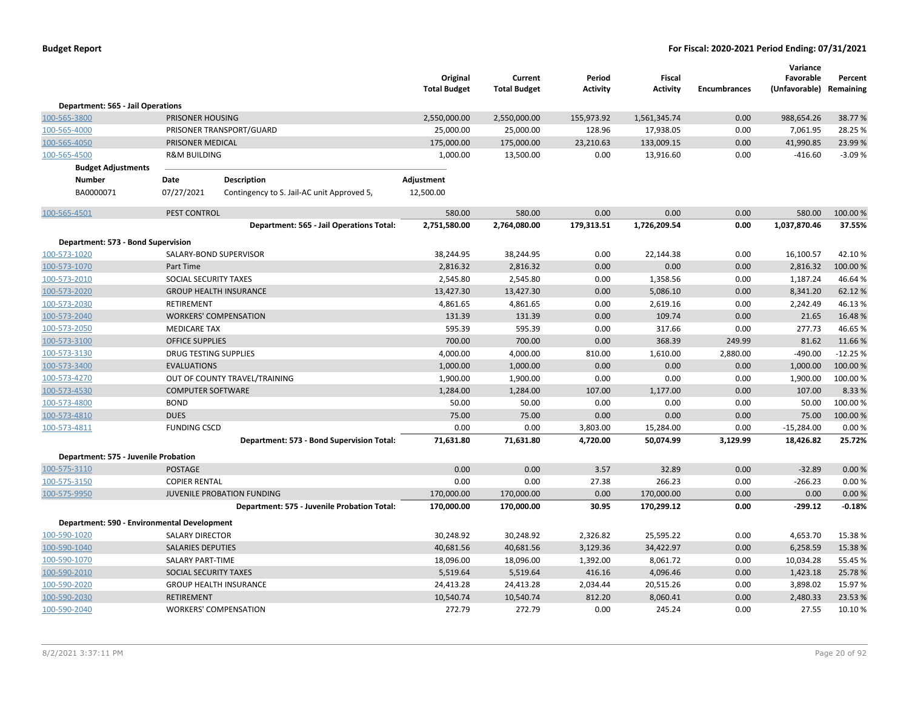|                                                             |                              |                                                                           | Original<br><b>Total Budget</b> | Current<br><b>Total Budget</b> | Period<br><b>Activity</b> | Fiscal<br><b>Activity</b> | <b>Encumbrances</b> | Variance<br>Favorable<br>(Unfavorable) Remaining | Percent           |
|-------------------------------------------------------------|------------------------------|---------------------------------------------------------------------------|---------------------------------|--------------------------------|---------------------------|---------------------------|---------------------|--------------------------------------------------|-------------------|
| Department: 565 - Jail Operations                           |                              |                                                                           |                                 |                                |                           |                           |                     |                                                  |                   |
| 100-565-3800                                                | PRISONER HOUSING             |                                                                           | 2,550,000.00                    | 2,550,000.00                   | 155,973.92                | 1,561,345.74              | 0.00                | 988,654.26                                       | 38.77 %           |
| 100-565-4000                                                |                              | PRISONER TRANSPORT/GUARD                                                  | 25,000.00                       | 25,000.00                      | 128.96                    | 17,938.05                 | 0.00                | 7,061.95                                         | 28.25 %           |
| 100-565-4050                                                | PRISONER MEDICAL             |                                                                           | 175,000.00                      | 175,000.00                     | 23,210.63                 | 133,009.15                | 0.00                | 41,990.85                                        | 23.99%            |
| 100-565-4500                                                | <b>R&amp;M BUILDING</b>      |                                                                           | 1,000.00                        | 13,500.00                      | 0.00                      | 13,916.60                 | 0.00                | $-416.60$                                        | $-3.09%$          |
| <b>Budget Adjustments</b>                                   |                              |                                                                           |                                 |                                |                           |                           |                     |                                                  |                   |
| <b>Number</b>                                               | Date                         | <b>Description</b>                                                        | Adjustment                      |                                |                           |                           |                     |                                                  |                   |
| BA0000071                                                   | 07/27/2021                   | Contingency to S. Jail-AC unit Approved 5,                                | 12,500.00                       |                                |                           |                           |                     |                                                  |                   |
| 100-565-4501                                                | PEST CONTROL                 |                                                                           | 580.00                          | 580.00                         | 0.00                      | 0.00                      | 0.00                | 580.00                                           | 100.00 %          |
|                                                             |                              | Department: 565 - Jail Operations Total:                                  | 2,751,580.00                    | 2,764,080.00                   | 179,313.51                | 1,726,209.54              | 0.00                | 1,037,870.46                                     | 37.55%            |
| Department: 573 - Bond Supervision                          |                              |                                                                           |                                 |                                |                           |                           |                     |                                                  |                   |
| 100-573-1020                                                |                              | SALARY-BOND SUPERVISOR                                                    | 38,244.95                       | 38,244.95                      | 0.00                      | 22,144.38                 | 0.00                | 16,100.57                                        | 42.10%            |
| 100-573-1070                                                | Part Time                    |                                                                           | 2,816.32                        | 2,816.32                       | 0.00                      | 0.00                      | 0.00                | 2,816.32                                         | 100.00 %          |
| 100-573-2010                                                | SOCIAL SECURITY TAXES        |                                                                           | 2,545.80                        | 2,545.80                       | 0.00                      | 1,358.56                  | 0.00                | 1,187.24                                         | 46.64%            |
| 100-573-2020                                                |                              | <b>GROUP HEALTH INSURANCE</b>                                             | 13,427.30                       | 13,427.30                      | 0.00                      | 5,086.10                  | 0.00                | 8,341.20                                         | 62.12 %           |
| 100-573-2030                                                | RETIREMENT                   |                                                                           | 4,861.65                        | 4,861.65                       | 0.00                      | 2,619.16                  | 0.00                | 2,242.49                                         | 46.13%            |
| 100-573-2040                                                |                              | <b>WORKERS' COMPENSATION</b>                                              | 131.39                          | 131.39                         | 0.00                      | 109.74                    | 0.00                | 21.65                                            | 16.48%            |
| 100-573-2050                                                | <b>MEDICARE TAX</b>          |                                                                           | 595.39                          | 595.39                         | 0.00                      | 317.66                    | 0.00                | 277.73                                           | 46.65%            |
| 100-573-3100                                                | <b>OFFICE SUPPLIES</b>       |                                                                           | 700.00                          | 700.00                         | 0.00                      | 368.39                    | 249.99              | 81.62                                            | 11.66%            |
| 100-573-3130                                                | <b>DRUG TESTING SUPPLIES</b> |                                                                           | 4,000.00                        | 4,000.00                       | 810.00                    | 1,610.00                  | 2,880.00            | $-490.00$                                        | $-12.25%$         |
| 100-573-3400                                                | <b>EVALUATIONS</b>           |                                                                           | 1,000.00                        | 1,000.00                       | 0.00                      | 0.00                      | 0.00                | 1,000.00                                         | 100.00%           |
| 100-573-4270                                                |                              | OUT OF COUNTY TRAVEL/TRAINING                                             | 1,900.00                        | 1,900.00                       | 0.00                      | 0.00                      | 0.00                | 1,900.00                                         | 100.00%           |
| 100-573-4530                                                | <b>COMPUTER SOFTWARE</b>     |                                                                           | 1,284.00                        | 1,284.00                       | 107.00                    | 1,177.00                  | 0.00                | 107.00                                           | 8.33%             |
| 100-573-4800                                                | <b>BOND</b>                  |                                                                           | 50.00                           | 50.00                          | 0.00                      | 0.00                      | 0.00                | 50.00                                            | 100.00%           |
| 100-573-4810                                                | <b>DUES</b>                  |                                                                           | 75.00                           | 75.00                          | 0.00                      | 0.00                      | 0.00                | 75.00                                            | 100.00%           |
| 100-573-4811                                                | <b>FUNDING CSCD</b>          |                                                                           | 0.00                            | 0.00                           | 3,803.00                  | 15,284.00                 | 0.00                | $-15,284.00$                                     | 0.00%             |
|                                                             |                              | Department: 573 - Bond Supervision Total:                                 | 71,631.80                       | 71,631.80                      | 4,720.00                  | 50,074.99                 | 3,129.99            | 18,426.82                                        | 25.72%            |
| Department: 575 - Juvenile Probation                        |                              |                                                                           |                                 |                                |                           |                           |                     |                                                  |                   |
| 100-575-3110                                                | <b>POSTAGE</b>               |                                                                           | 0.00                            | 0.00                           | 3.57                      | 32.89                     | 0.00                | $-32.89$                                         | 0.00%             |
| 100-575-3150                                                | <b>COPIER RENTAL</b>         |                                                                           | 0.00                            | 0.00                           | 27.38                     | 266.23                    | 0.00                | $-266.23$                                        | 0.00%             |
| 100-575-9950                                                |                              | JUVENILE PROBATION FUNDING<br>Department: 575 - Juvenile Probation Total: | 170,000.00<br>170,000.00        | 170,000.00<br>170,000.00       | 0.00<br>30.95             | 170,000.00<br>170,299.12  | 0.00<br>0.00        | 0.00<br>$-299.12$                                | 0.00%<br>$-0.18%$ |
|                                                             |                              |                                                                           |                                 |                                |                           |                           |                     |                                                  |                   |
| Department: 590 - Environmental Development<br>100-590-1020 | <b>SALARY DIRECTOR</b>       |                                                                           | 30,248.92                       | 30,248.92                      | 2,326.82                  | 25,595.22                 | 0.00                | 4,653.70                                         | 15.38%            |
| 100-590-1040                                                | <b>SALARIES DEPUTIES</b>     |                                                                           | 40,681.56                       | 40,681.56                      | 3,129.36                  | 34,422.97                 | 0.00                | 6,258.59                                         | 15.38%            |
| 100-590-1070                                                | <b>SALARY PART-TIME</b>      |                                                                           | 18,096.00                       | 18,096.00                      | 1,392.00                  | 8,061.72                  | 0.00                | 10,034.28                                        | 55.45 %           |
| 100-590-2010                                                | SOCIAL SECURITY TAXES        |                                                                           | 5,519.64                        | 5,519.64                       | 416.16                    | 4,096.46                  | 0.00                | 1,423.18                                         | 25.78%            |
| 100-590-2020                                                |                              | <b>GROUP HEALTH INSURANCE</b>                                             | 24,413.28                       | 24,413.28                      | 2,034.44                  | 20,515.26                 | 0.00                | 3,898.02                                         | 15.97%            |
| 100-590-2030                                                | <b>RETIREMENT</b>            |                                                                           | 10,540.74                       | 10,540.74                      | 812.20                    | 8,060.41                  | 0.00                | 2,480.33                                         | 23.53 %           |
| 100-590-2040                                                |                              | <b>WORKERS' COMPENSATION</b>                                              | 272.79                          | 272.79                         | 0.00                      | 245.24                    | 0.00                | 27.55                                            | 10.10%            |
|                                                             |                              |                                                                           |                                 |                                |                           |                           |                     |                                                  |                   |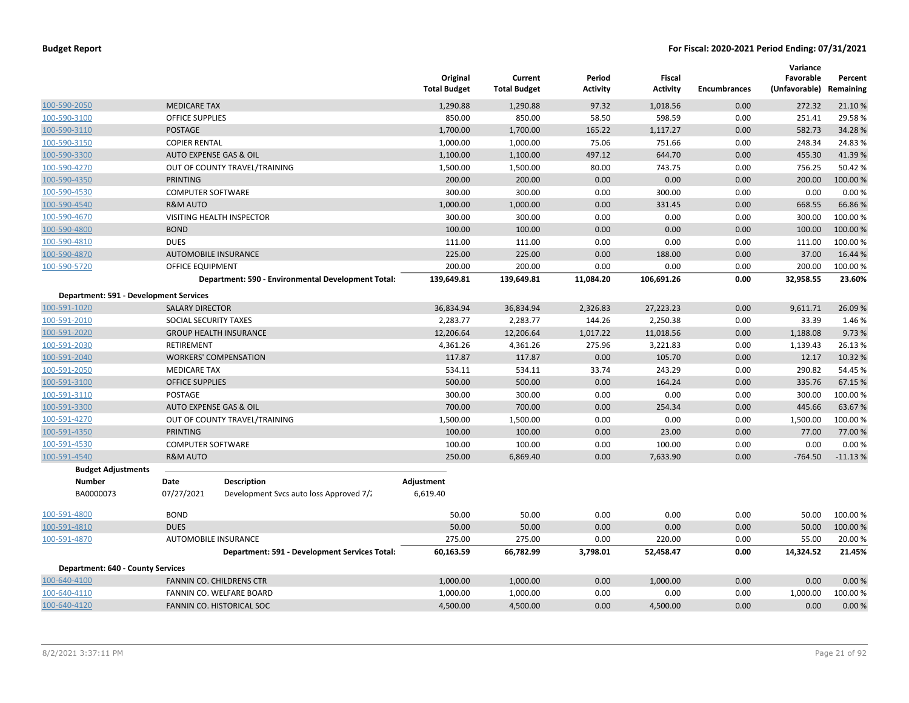|                                          |                          |                                                    | Original<br><b>Total Budget</b> | Current<br><b>Total Budget</b> | Period<br>Activity | <b>Fiscal</b><br>Activity | <b>Encumbrances</b> | Variance<br>Favorable<br>(Unfavorable) | Percent<br>Remaining |
|------------------------------------------|--------------------------|----------------------------------------------------|---------------------------------|--------------------------------|--------------------|---------------------------|---------------------|----------------------------------------|----------------------|
| 100-590-2050                             | <b>MEDICARE TAX</b>      |                                                    | 1,290.88                        | 1,290.88                       | 97.32              | 1,018.56                  | 0.00                | 272.32                                 | 21.10%               |
| 100-590-3100                             | <b>OFFICE SUPPLIES</b>   |                                                    | 850.00                          | 850.00                         | 58.50              | 598.59                    | 0.00                | 251.41                                 | 29.58%               |
| 100-590-3110                             | POSTAGE                  |                                                    | 1,700.00                        | 1,700.00                       | 165.22             | 1,117.27                  | 0.00                | 582.73                                 | 34.28%               |
| 100-590-3150                             | <b>COPIER RENTAL</b>     |                                                    | 1,000.00                        | 1,000.00                       | 75.06              | 751.66                    | 0.00                | 248.34                                 | 24.83%               |
| 100-590-3300                             |                          | <b>AUTO EXPENSE GAS &amp; OIL</b>                  | 1,100.00                        | 1,100.00                       | 497.12             | 644.70                    | 0.00                | 455.30                                 | 41.39%               |
| 100-590-4270                             |                          | OUT OF COUNTY TRAVEL/TRAINING                      | 1,500.00                        | 1,500.00                       | 80.00              | 743.75                    | 0.00                | 756.25                                 | 50.42 %              |
| 100-590-4350                             | <b>PRINTING</b>          |                                                    | 200.00                          | 200.00                         | 0.00               | 0.00                      | 0.00                | 200.00                                 | 100.00 %             |
| 100-590-4530                             | <b>COMPUTER SOFTWARE</b> |                                                    | 300.00                          | 300.00                         | 0.00               | 300.00                    | 0.00                | 0.00                                   | 0.00%                |
| 100-590-4540                             | <b>R&amp;M AUTO</b>      |                                                    | 1,000.00                        | 1,000.00                       | 0.00               | 331.45                    | 0.00                | 668.55                                 | 66.86%               |
| 100-590-4670                             |                          | VISITING HEALTH INSPECTOR                          | 300.00                          | 300.00                         | 0.00               | 0.00                      | 0.00                | 300.00                                 | 100.00%              |
| 100-590-4800                             | <b>BOND</b>              |                                                    | 100.00                          | 100.00                         | 0.00               | 0.00                      | 0.00                | 100.00                                 | 100.00%              |
| 100-590-4810                             | <b>DUES</b>              |                                                    | 111.00                          | 111.00                         | 0.00               | 0.00                      | 0.00                | 111.00                                 | 100.00%              |
| 100-590-4870                             |                          | <b>AUTOMOBILE INSURANCE</b>                        | 225.00                          | 225.00                         | 0.00               | 188.00                    | 0.00                | 37.00                                  | 16.44 %              |
| 100-590-5720                             | OFFICE EQUIPMENT         |                                                    | 200.00                          | 200.00                         | 0.00               | 0.00                      | 0.00                | 200.00                                 | 100.00%              |
|                                          |                          | Department: 590 - Environmental Development Total: | 139,649.81                      | 139,649.81                     | 11,084.20          | 106,691.26                | 0.00                | 32,958.55                              | 23.60%               |
| Department: 591 - Development Services   |                          |                                                    |                                 |                                |                    |                           |                     |                                        |                      |
| 100-591-1020                             | <b>SALARY DIRECTOR</b>   |                                                    | 36,834.94                       | 36,834.94                      | 2,326.83           | 27,223.23                 | 0.00                | 9,611.71                               | 26.09 %              |
| 100-591-2010                             | SOCIAL SECURITY TAXES    |                                                    | 2,283.77                        | 2,283.77                       | 144.26             | 2,250.38                  | 0.00                | 33.39                                  | 1.46 %               |
| 100-591-2020                             |                          | <b>GROUP HEALTH INSURANCE</b>                      | 12,206.64                       | 12,206.64                      | 1,017.22           | 11,018.56                 | 0.00                | 1,188.08                               | 9.73 %               |
| 100-591-2030                             | <b>RETIREMENT</b>        |                                                    | 4,361.26                        | 4,361.26                       | 275.96             | 3,221.83                  | 0.00                | 1,139.43                               | 26.13%               |
| 100-591-2040                             |                          | <b>WORKERS' COMPENSATION</b>                       | 117.87                          | 117.87                         | 0.00               | 105.70                    | 0.00                | 12.17                                  | 10.32 %              |
| 100-591-2050                             | <b>MEDICARE TAX</b>      |                                                    | 534.11                          | 534.11                         | 33.74              | 243.29                    | 0.00                | 290.82                                 | 54.45 %              |
| 100-591-3100                             | <b>OFFICE SUPPLIES</b>   |                                                    | 500.00                          | 500.00                         | 0.00               | 164.24                    | 0.00                | 335.76                                 | 67.15 %              |
| 100-591-3110                             | POSTAGE                  |                                                    | 300.00                          | 300.00                         | 0.00               | 0.00                      | 0.00                | 300.00                                 | 100.00%              |
| 100-591-3300                             |                          | AUTO EXPENSE GAS & OIL                             | 700.00                          | 700.00                         | 0.00               | 254.34                    | 0.00                | 445.66                                 | 63.67%               |
| 100-591-4270                             |                          | OUT OF COUNTY TRAVEL/TRAINING                      | 1,500.00                        | 1,500.00                       | 0.00               | 0.00                      | 0.00                | 1,500.00                               | 100.00%              |
| 100-591-4350                             | <b>PRINTING</b>          |                                                    | 100.00                          | 100.00                         | 0.00               | 23.00                     | 0.00                | 77.00                                  | 77.00 %              |
| 100-591-4530                             | <b>COMPUTER SOFTWARE</b> |                                                    | 100.00                          | 100.00                         | 0.00               | 100.00                    | 0.00                | 0.00                                   | 0.00%                |
| 100-591-4540                             | <b>R&amp;M AUTO</b>      |                                                    | 250.00                          | 6,869.40                       | 0.00               | 7,633.90                  | 0.00                | $-764.50$                              | $-11.13%$            |
| <b>Budget Adjustments</b>                |                          |                                                    |                                 |                                |                    |                           |                     |                                        |                      |
| <b>Number</b>                            | Date                     | <b>Description</b>                                 | Adjustment                      |                                |                    |                           |                     |                                        |                      |
| BA0000073                                | 07/27/2021               | Development Svcs auto loss Approved 7/2            | 6,619.40                        |                                |                    |                           |                     |                                        |                      |
| 100-591-4800                             | <b>BOND</b>              |                                                    | 50.00                           | 50.00                          | 0.00               | 0.00                      | 0.00                | 50.00                                  | 100.00%              |
| 100-591-4810                             | <b>DUES</b>              |                                                    | 50.00                           | 50.00                          | 0.00               | 0.00                      | 0.00                | 50.00                                  | 100.00 %             |
| 100-591-4870                             |                          | AUTOMOBILE INSURANCE                               | 275.00                          | 275.00                         | 0.00               | 220.00                    | 0.00                | 55.00                                  | 20.00 %              |
|                                          |                          | Department: 591 - Development Services Total:      | 60,163.59                       | 66,782.99                      | 3,798.01           | 52,458.47                 | 0.00                | 14,324.52                              | 21.45%               |
| <b>Department: 640 - County Services</b> |                          |                                                    |                                 |                                |                    |                           |                     |                                        |                      |
| 100-640-4100                             |                          | FANNIN CO. CHILDRENS CTR                           | 1,000.00                        | 1,000.00                       | 0.00               | 1,000.00                  | 0.00                | 0.00                                   | 0.00%                |
| 100-640-4110                             |                          | FANNIN CO. WELFARE BOARD                           | 1,000.00                        | 1,000.00                       | 0.00               | 0.00                      | 0.00                | 1,000.00                               | 100.00%              |
| 100-640-4120                             |                          | FANNIN CO. HISTORICAL SOC                          | 4,500.00                        | 4,500.00                       | 0.00               | 4,500.00                  | 0.00                | 0.00                                   | 0.00%                |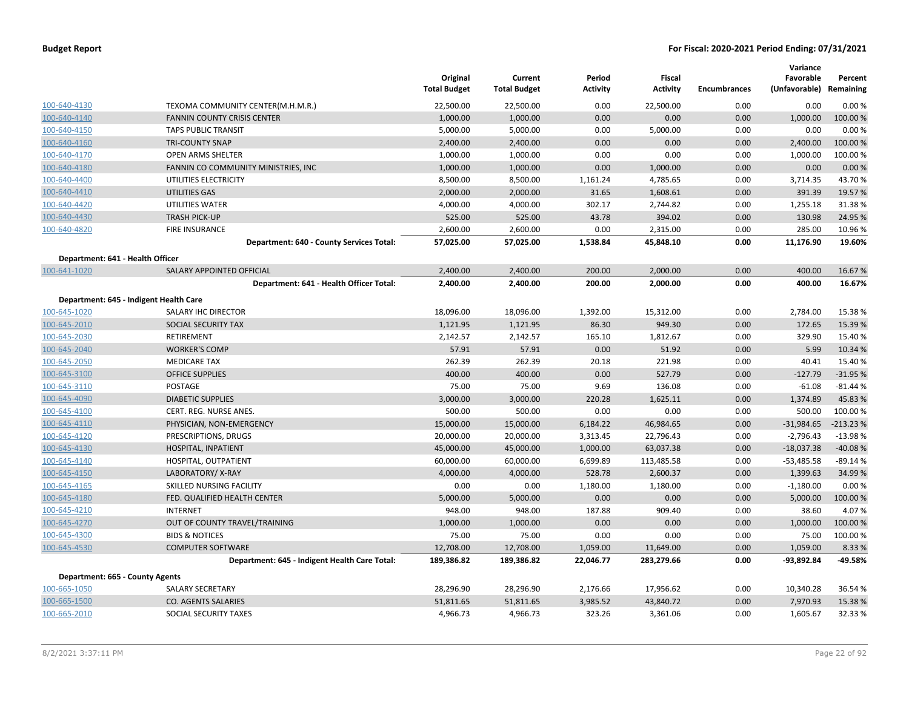|                                  |                                               | Original<br><b>Total Budget</b> | Current<br><b>Total Budget</b> | Period<br><b>Activity</b> | Fiscal<br><b>Activity</b> | <b>Encumbrances</b> | Variance<br>Favorable<br>(Unfavorable) Remaining | Percent    |
|----------------------------------|-----------------------------------------------|---------------------------------|--------------------------------|---------------------------|---------------------------|---------------------|--------------------------------------------------|------------|
| 100-640-4130                     | TEXOMA COMMUNITY CENTER(M.H.M.R.)             | 22,500.00                       | 22,500.00                      | 0.00                      | 22,500.00                 | 0.00                | 0.00                                             | 0.00%      |
| 100-640-4140                     | <b>FANNIN COUNTY CRISIS CENTER</b>            | 1,000.00                        | 1,000.00                       | 0.00                      | 0.00                      | 0.00                | 1,000.00                                         | 100.00 %   |
| 100-640-4150                     | <b>TAPS PUBLIC TRANSIT</b>                    | 5,000.00                        | 5,000.00                       | 0.00                      | 5,000.00                  | 0.00                | 0.00                                             | 0.00%      |
| 100-640-4160                     | <b>TRI-COUNTY SNAP</b>                        | 2,400.00                        | 2,400.00                       | 0.00                      | 0.00                      | 0.00                | 2,400.00                                         | 100.00 %   |
| 100-640-4170                     | <b>OPEN ARMS SHELTER</b>                      | 1,000.00                        | 1,000.00                       | 0.00                      | 0.00                      | 0.00                | 1,000.00                                         | 100.00%    |
| 100-640-4180                     | FANNIN CO COMMUNITY MINISTRIES, INC           | 1,000.00                        | 1,000.00                       | 0.00                      | 1,000.00                  | 0.00                | 0.00                                             | 0.00%      |
| 100-640-4400                     | UTILITIES ELECTRICITY                         | 8,500.00                        | 8,500.00                       | 1,161.24                  | 4,785.65                  | 0.00                | 3,714.35                                         | 43.70%     |
| 100-640-4410                     | UTILITIES GAS                                 | 2,000.00                        | 2,000.00                       | 31.65                     | 1,608.61                  | 0.00                | 391.39                                           | 19.57 %    |
| 100-640-4420                     | UTILITIES WATER                               | 4,000.00                        | 4,000.00                       | 302.17                    | 2,744.82                  | 0.00                | 1,255.18                                         | 31.38%     |
| 100-640-4430                     | <b>TRASH PICK-UP</b>                          | 525.00                          | 525.00                         | 43.78                     | 394.02                    | 0.00                | 130.98                                           | 24.95 %    |
| 100-640-4820                     | <b>FIRE INSURANCE</b>                         | 2,600.00                        | 2,600.00                       | 0.00                      | 2,315.00                  | 0.00                | 285.00                                           | 10.96%     |
|                                  | Department: 640 - County Services Total:      | 57,025.00                       | 57,025.00                      | 1,538.84                  | 45,848.10                 | 0.00                | 11,176.90                                        | 19.60%     |
| Department: 641 - Health Officer |                                               |                                 |                                |                           |                           |                     |                                                  |            |
| 100-641-1020                     | SALARY APPOINTED OFFICIAL                     | 2,400.00                        | 2,400.00                       | 200.00                    | 2,000.00                  | 0.00                | 400.00                                           | 16.67%     |
|                                  | Department: 641 - Health Officer Total:       | 2,400.00                        | 2,400.00                       | 200.00                    | 2,000.00                  | 0.00                | 400.00                                           | 16.67%     |
|                                  | Department: 645 - Indigent Health Care        |                                 |                                |                           |                           |                     |                                                  |            |
| 100-645-1020                     | SALARY IHC DIRECTOR                           | 18,096.00                       | 18,096.00                      | 1,392.00                  | 15,312.00                 | 0.00                | 2,784.00                                         | 15.38%     |
| 100-645-2010                     | SOCIAL SECURITY TAX                           | 1,121.95                        | 1,121.95                       | 86.30                     | 949.30                    | 0.00                | 172.65                                           | 15.39 %    |
| 100-645-2030                     | RETIREMENT                                    | 2,142.57                        | 2,142.57                       | 165.10                    | 1,812.67                  | 0.00                | 329.90                                           | 15.40 %    |
| 100-645-2040                     | <b>WORKER'S COMP</b>                          | 57.91                           | 57.91                          | 0.00                      | 51.92                     | 0.00                | 5.99                                             | 10.34 %    |
| 100-645-2050                     | <b>MEDICARE TAX</b>                           | 262.39                          | 262.39                         | 20.18                     | 221.98                    | 0.00                | 40.41                                            | 15.40 %    |
| 100-645-3100                     | <b>OFFICE SUPPLIES</b>                        | 400.00                          | 400.00                         | 0.00                      | 527.79                    | 0.00                | $-127.79$                                        | $-31.95%$  |
| 100-645-3110                     | <b>POSTAGE</b>                                | 75.00                           | 75.00                          | 9.69                      | 136.08                    | 0.00                | $-61.08$                                         | $-81.44%$  |
| 100-645-4090                     | <b>DIABETIC SUPPLIES</b>                      | 3,000.00                        | 3,000.00                       | 220.28                    | 1,625.11                  | 0.00                | 1,374.89                                         | 45.83 %    |
| 100-645-4100                     | CERT. REG. NURSE ANES.                        | 500.00                          | 500.00                         | 0.00                      | 0.00                      | 0.00                | 500.00                                           | 100.00%    |
| 100-645-4110                     | PHYSICIAN, NON-EMERGENCY                      | 15,000.00                       | 15,000.00                      | 6,184.22                  | 46,984.65                 | 0.00                | $-31,984.65$                                     | $-213.23%$ |
| 100-645-4120                     | PRESCRIPTIONS, DRUGS                          | 20,000.00                       | 20,000.00                      | 3,313.45                  | 22,796.43                 | 0.00                | $-2,796.43$                                      | $-13.98%$  |
| 100-645-4130                     | HOSPITAL, INPATIENT                           | 45,000.00                       | 45,000.00                      | 1,000.00                  | 63,037.38                 | 0.00                | $-18,037.38$                                     | $-40.08%$  |
| 100-645-4140                     | HOSPITAL, OUTPATIENT                          | 60,000.00                       | 60,000.00                      | 6,699.89                  | 113,485.58                | 0.00                | $-53,485.58$                                     | $-89.14%$  |
| 100-645-4150                     | LABORATORY/X-RAY                              | 4,000.00                        | 4,000.00                       | 528.78                    | 2,600.37                  | 0.00                | 1,399.63                                         | 34.99 %    |
| 100-645-4165                     | SKILLED NURSING FACILITY                      | 0.00                            | 0.00                           | 1,180.00                  | 1,180.00                  | 0.00                | $-1,180.00$                                      | 0.00%      |
| 100-645-4180                     | FED. QUALIFIED HEALTH CENTER                  | 5,000.00                        | 5,000.00                       | 0.00                      | 0.00                      | 0.00                | 5,000.00                                         | 100.00 %   |
| 100-645-4210                     | <b>INTERNET</b>                               | 948.00                          | 948.00                         | 187.88                    | 909.40                    | 0.00                | 38.60                                            | 4.07%      |
| 100-645-4270                     | OUT OF COUNTY TRAVEL/TRAINING                 | 1,000.00                        | 1,000.00                       | 0.00                      | 0.00                      | 0.00                | 1,000.00                                         | 100.00 %   |
| 100-645-4300                     | <b>BIDS &amp; NOTICES</b>                     | 75.00                           | 75.00                          | 0.00                      | 0.00                      | 0.00                | 75.00                                            | 100.00%    |
| 100-645-4530                     | <b>COMPUTER SOFTWARE</b>                      | 12,708.00                       | 12,708.00                      | 1,059.00                  | 11,649.00                 | 0.00                | 1,059.00                                         | 8.33 %     |
|                                  | Department: 645 - Indigent Health Care Total: | 189,386.82                      | 189,386.82                     | 22,046.77                 | 283,279.66                | 0.00                | $-93,892.84$                                     | -49.58%    |
| Department: 665 - County Agents  |                                               |                                 |                                |                           |                           |                     |                                                  |            |
| 100-665-1050                     | <b>SALARY SECRETARY</b>                       | 28,296.90                       | 28,296.90                      | 2,176.66                  | 17,956.62                 | 0.00                | 10,340.28                                        | 36.54 %    |
| 100-665-1500                     | <b>CO. AGENTS SALARIES</b>                    | 51,811.65                       | 51,811.65                      | 3,985.52                  | 43,840.72                 | 0.00                | 7,970.93                                         | 15.38 %    |
| 100-665-2010                     | SOCIAL SECURITY TAXES                         | 4,966.73                        | 4,966.73                       | 323.26                    | 3,361.06                  | 0.00                | 1,605.67                                         | 32.33 %    |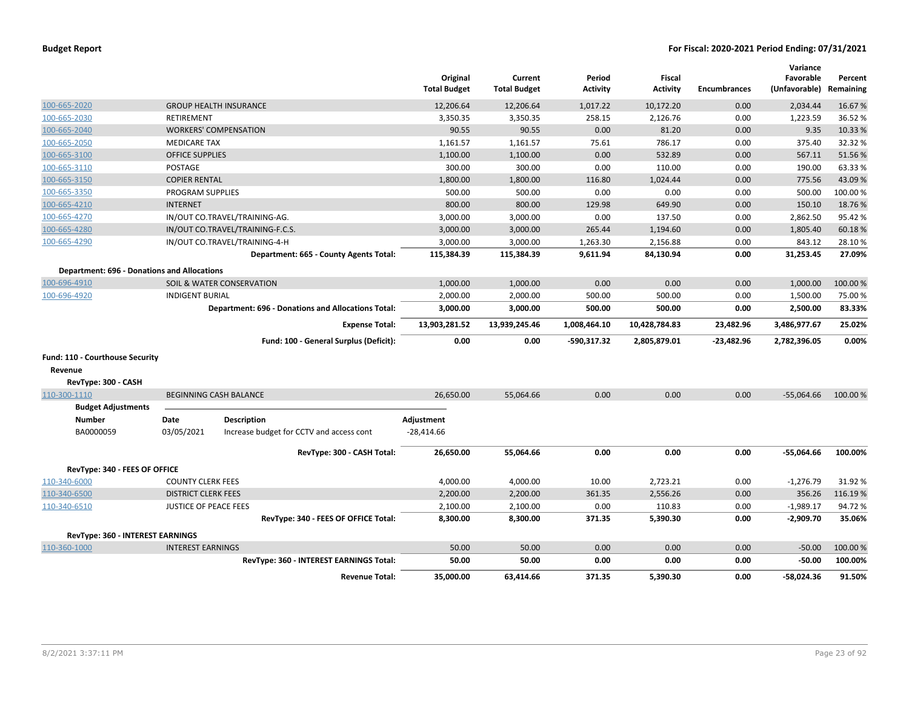| <b>Budget Report</b> |  |  |  |  |
|----------------------|--|--|--|--|
|----------------------|--|--|--|--|

|                                                    |                              |                                                           | Original<br><b>Total Budget</b> | Current<br><b>Total Budget</b> | Period<br><b>Activity</b> | Fiscal<br><b>Activity</b> | <b>Encumbrances</b> | Variance<br>Favorable<br>(Unfavorable) | Percent<br>Remaining |
|----------------------------------------------------|------------------------------|-----------------------------------------------------------|---------------------------------|--------------------------------|---------------------------|---------------------------|---------------------|----------------------------------------|----------------------|
| 100-665-2020                                       |                              | <b>GROUP HEALTH INSURANCE</b>                             | 12,206.64                       | 12,206.64                      | 1,017.22                  | 10,172.20                 | 0.00                | 2,034.44                               | 16.67%               |
| 100-665-2030                                       | <b>RETIREMENT</b>            |                                                           | 3,350.35                        | 3,350.35                       | 258.15                    | 2,126.76                  | 0.00                | 1,223.59                               | 36.52%               |
| 100-665-2040                                       |                              | <b>WORKERS' COMPENSATION</b>                              | 90.55                           | 90.55                          | 0.00                      | 81.20                     | 0.00                | 9.35                                   | 10.33 %              |
| 100-665-2050                                       | <b>MEDICARE TAX</b>          |                                                           | 1,161.57                        | 1,161.57                       | 75.61                     | 786.17                    | 0.00                | 375.40                                 | 32.32 %              |
| 100-665-3100                                       | <b>OFFICE SUPPLIES</b>       |                                                           | 1,100.00                        | 1,100.00                       | 0.00                      | 532.89                    | 0.00                | 567.11                                 | 51.56%               |
| 100-665-3110                                       | POSTAGE                      |                                                           | 300.00                          | 300.00                         | 0.00                      | 110.00                    | 0.00                | 190.00                                 | 63.33%               |
| 100-665-3150                                       | <b>COPIER RENTAL</b>         |                                                           | 1,800.00                        | 1,800.00                       | 116.80                    | 1,024.44                  | 0.00                | 775.56                                 | 43.09%               |
| 100-665-3350                                       | <b>PROGRAM SUPPLIES</b>      |                                                           | 500.00                          | 500.00                         | 0.00                      | 0.00                      | 0.00                | 500.00                                 | 100.00%              |
| 100-665-4210                                       | <b>INTERNET</b>              |                                                           | 800.00                          | 800.00                         | 129.98                    | 649.90                    | 0.00                | 150.10                                 | 18.76%               |
| 100-665-4270                                       |                              | IN/OUT CO.TRAVEL/TRAINING-AG.                             | 3,000.00                        | 3,000.00                       | 0.00                      | 137.50                    | 0.00                | 2,862.50                               | 95.42%               |
| 100-665-4280                                       |                              | IN/OUT CO.TRAVEL/TRAINING-F.C.S.                          | 3,000.00                        | 3,000.00                       | 265.44                    | 1,194.60                  | 0.00                | 1,805.40                               | 60.18%               |
| 100-665-4290                                       |                              | IN/OUT CO.TRAVEL/TRAINING-4-H                             | 3,000.00                        | 3,000.00                       | 1,263.30                  | 2,156.88                  | 0.00                | 843.12                                 | 28.10%               |
|                                                    |                              | Department: 665 - County Agents Total:                    | 115,384.39                      | 115,384.39                     | 9,611.94                  | 84,130.94                 | 0.00                | 31,253.45                              | 27.09%               |
| <b>Department: 696 - Donations and Allocations</b> |                              |                                                           |                                 |                                |                           |                           |                     |                                        |                      |
| 100-696-4910                                       |                              | SOIL & WATER CONSERVATION                                 | 1,000.00                        | 1,000.00                       | 0.00                      | 0.00                      | 0.00                | 1,000.00                               | 100.00%              |
| 100-696-4920                                       | <b>INDIGENT BURIAL</b>       |                                                           | 2,000.00                        | 2,000.00                       | 500.00                    | 500.00                    | 0.00                | 1,500.00                               | 75.00%               |
|                                                    |                              | <b>Department: 696 - Donations and Allocations Total:</b> | 3,000.00                        | 3,000.00                       | 500.00                    | 500.00                    | 0.00                | 2,500.00                               | 83.33%               |
|                                                    |                              | <b>Expense Total:</b>                                     | 13,903,281.52                   | 13,939,245.46                  | 1,008,464.10              | 10,428,784.83             | 23,482.96           | 3,486,977.67                           | 25.02%               |
|                                                    |                              | Fund: 100 - General Surplus (Deficit):                    | 0.00                            | 0.00                           | -590,317.32               | 2,805,879.01              | $-23,482.96$        | 2,782,396.05                           | 0.00%                |
| Fund: 110 - Courthouse Security                    |                              |                                                           |                                 |                                |                           |                           |                     |                                        |                      |
| Revenue                                            |                              |                                                           |                                 |                                |                           |                           |                     |                                        |                      |
| RevType: 300 - CASH                                |                              |                                                           |                                 |                                |                           |                           |                     |                                        |                      |
| 110-300-1110                                       |                              | <b>BEGINNING CASH BALANCE</b>                             | 26,650.00                       | 55,064.66                      | 0.00                      | 0.00                      | 0.00                | $-55,064.66$                           | 100.00%              |
| <b>Budget Adjustments</b>                          |                              |                                                           |                                 |                                |                           |                           |                     |                                        |                      |
| <b>Number</b>                                      | Date                         | <b>Description</b>                                        | Adjustment                      |                                |                           |                           |                     |                                        |                      |
| BA0000059                                          | 03/05/2021                   | Increase budget for CCTV and access cont                  | $-28,414.66$                    |                                |                           |                           |                     |                                        |                      |
|                                                    |                              | RevType: 300 - CASH Total:                                | 26,650.00                       | 55,064.66                      | 0.00                      | 0.00                      | 0.00                | $-55,064.66$                           | 100.00%              |
| RevType: 340 - FEES OF OFFICE                      |                              |                                                           |                                 |                                |                           |                           |                     |                                        |                      |
| 110-340-6000                                       | <b>COUNTY CLERK FEES</b>     |                                                           | 4,000.00                        | 4,000.00                       | 10.00                     | 2,723.21                  | 0.00                | $-1,276.79$                            | 31.92 %              |
| 110-340-6500                                       | <b>DISTRICT CLERK FEES</b>   |                                                           | 2,200.00                        | 2,200.00                       | 361.35                    | 2,556.26                  | 0.00                | 356.26                                 | 116.19%              |
| 110-340-6510                                       | <b>JUSTICE OF PEACE FEES</b> |                                                           | 2,100.00                        | 2,100.00                       | 0.00                      | 110.83                    | 0.00                | $-1,989.17$                            | 94.72%               |
|                                                    |                              | RevType: 340 - FEES OF OFFICE Total:                      | 8,300.00                        | 8,300.00                       | 371.35                    | 5,390.30                  | 0.00                | $-2,909.70$                            | 35.06%               |
| RevType: 360 - INTEREST EARNINGS                   |                              |                                                           |                                 |                                |                           |                           |                     |                                        |                      |
| 110-360-1000                                       | <b>INTEREST EARNINGS</b>     |                                                           | 50.00                           | 50.00                          | 0.00                      | 0.00                      | 0.00                | $-50.00$                               | 100.00%              |
|                                                    |                              | RevType: 360 - INTEREST EARNINGS Total:                   | 50.00                           | 50.00                          | 0.00                      | 0.00                      | 0.00                | $-50.00$                               | 100.00%              |
|                                                    |                              | <b>Revenue Total:</b>                                     | 35,000.00                       | 63,414.66                      | 371.35                    | 5.390.30                  | 0.00                | $-58.024.36$                           | 91.50%               |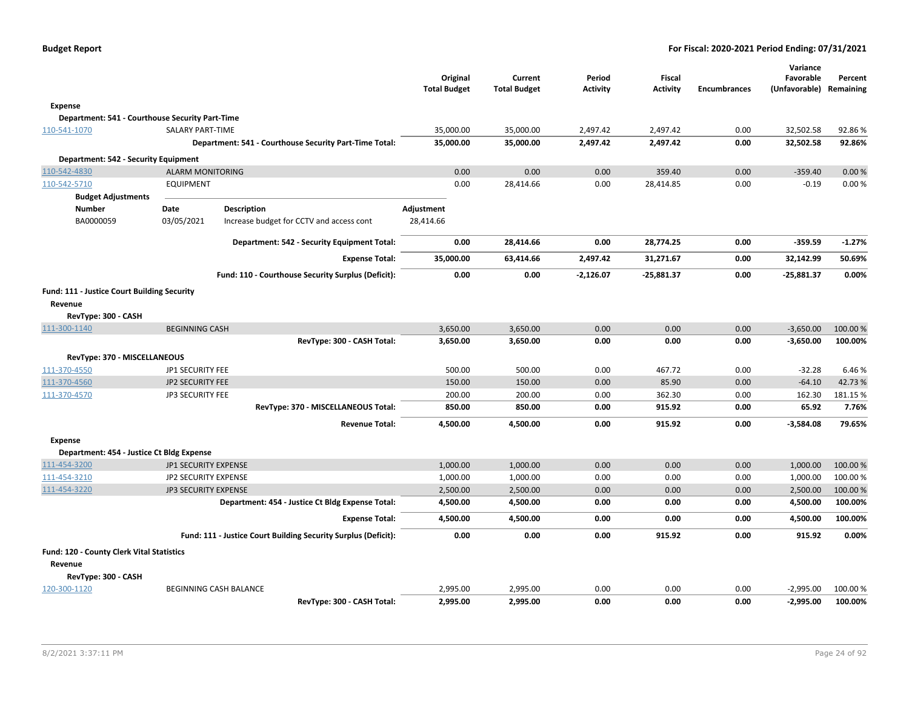|                                                 |                         |                                                                | Original<br><b>Total Budget</b> | Current<br><b>Total Budget</b> | Period<br><b>Activity</b> | <b>Fiscal</b><br><b>Activity</b> | <b>Encumbrances</b> | Variance<br>Favorable<br>(Unfavorable) | Percent<br>Remaining |
|-------------------------------------------------|-------------------------|----------------------------------------------------------------|---------------------------------|--------------------------------|---------------------------|----------------------------------|---------------------|----------------------------------------|----------------------|
| Expense                                         |                         |                                                                |                                 |                                |                           |                                  |                     |                                        |                      |
| Department: 541 - Courthouse Security Part-Time |                         |                                                                |                                 |                                |                           |                                  |                     |                                        |                      |
| 110-541-1070                                    | <b>SALARY PART-TIME</b> |                                                                | 35,000.00                       | 35,000.00                      | 2,497.42                  | 2,497.42                         | 0.00                | 32,502.58                              | 92.86%               |
|                                                 |                         | Department: 541 - Courthouse Security Part-Time Total:         | 35,000.00                       | 35,000.00                      | 2,497.42                  | 2,497.42                         | 0.00                | 32,502.58                              | 92.86%               |
| Department: 542 - Security Equipment            |                         |                                                                |                                 |                                |                           |                                  |                     |                                        |                      |
| 110-542-4830                                    | <b>ALARM MONITORING</b> |                                                                | 0.00                            | 0.00                           | 0.00                      | 359.40                           | 0.00                | $-359.40$                              | 0.00%                |
| 110-542-5710                                    | <b>EQUIPMENT</b>        |                                                                | 0.00                            | 28,414.66                      | 0.00                      | 28,414.85                        | 0.00                | $-0.19$                                | 0.00%                |
| <b>Budget Adjustments</b>                       |                         |                                                                |                                 |                                |                           |                                  |                     |                                        |                      |
| <b>Number</b>                                   | <b>Date</b>             | <b>Description</b>                                             | Adjustment                      |                                |                           |                                  |                     |                                        |                      |
| BA0000059                                       | 03/05/2021              | Increase budget for CCTV and access cont                       | 28,414.66                       |                                |                           |                                  |                     |                                        |                      |
|                                                 |                         | Department: 542 - Security Equipment Total:                    | 0.00                            | 28,414.66                      | 0.00                      | 28,774.25                        | 0.00                | $-359.59$                              | $-1.27%$             |
|                                                 |                         | <b>Expense Total:</b>                                          | 35,000.00                       | 63,414.66                      | 2,497.42                  | 31,271.67                        | 0.00                | 32,142.99                              | 50.69%               |
|                                                 |                         | Fund: 110 - Courthouse Security Surplus (Deficit):             | 0.00                            | 0.00                           | $-2,126.07$               | $-25,881.37$                     | 0.00                | $-25,881.37$                           | 0.00%                |
| Fund: 111 - Justice Court Building Security     |                         |                                                                |                                 |                                |                           |                                  |                     |                                        |                      |
| Revenue                                         |                         |                                                                |                                 |                                |                           |                                  |                     |                                        |                      |
| RevType: 300 - CASH                             |                         |                                                                |                                 |                                |                           |                                  |                     |                                        |                      |
| 111-300-1140                                    | <b>BEGINNING CASH</b>   |                                                                | 3,650.00                        | 3,650.00                       | 0.00                      | 0.00                             | 0.00                | $-3,650.00$                            | 100.00 %             |
|                                                 |                         | RevType: 300 - CASH Total:                                     | 3,650.00                        | 3,650.00                       | 0.00                      | 0.00                             | 0.00                | $-3,650.00$                            | 100.00%              |
| RevType: 370 - MISCELLANEOUS                    |                         |                                                                |                                 |                                |                           |                                  |                     |                                        |                      |
| 111-370-4550                                    | JP1 SECURITY FEE        |                                                                | 500.00                          | 500.00                         | 0.00                      | 467.72                           | 0.00                | $-32.28$                               | 6.46%                |
| 111-370-4560                                    | <b>JP2 SECURITY FEE</b> |                                                                | 150.00                          | 150.00                         | 0.00                      | 85.90                            | 0.00                | $-64.10$                               | 42.73%               |
| 111-370-4570                                    | JP3 SECURITY FEE        |                                                                | 200.00                          | 200.00                         | 0.00                      | 362.30                           | 0.00                | 162.30                                 | 181.15 %             |
|                                                 |                         | RevType: 370 - MISCELLANEOUS Total:                            | 850.00                          | 850.00                         | 0.00                      | 915.92                           | 0.00                | 65.92                                  | 7.76%                |
|                                                 |                         | <b>Revenue Total:</b>                                          | 4,500.00                        | 4,500.00                       | 0.00                      | 915.92                           | 0.00                | $-3,584.08$                            | 79.65%               |
| <b>Expense</b>                                  |                         |                                                                |                                 |                                |                           |                                  |                     |                                        |                      |
| Department: 454 - Justice Ct Bldg Expense       |                         |                                                                |                                 |                                |                           |                                  |                     |                                        |                      |
| 111-454-3200                                    | JP1 SECURITY EXPENSE    |                                                                | 1,000.00                        | 1,000.00                       | 0.00                      | 0.00                             | 0.00                | 1,000.00                               | 100.00%              |
| 111-454-3210                                    | JP2 SECURITY EXPENSE    |                                                                | 1,000.00                        | 1,000.00                       | 0.00                      | 0.00                             | 0.00                | 1,000.00                               | 100.00%              |
| 111-454-3220                                    | JP3 SECURITY EXPENSE    |                                                                | 2,500.00                        | 2,500.00                       | 0.00                      | 0.00                             | 0.00                | 2,500.00                               | 100.00 %             |
|                                                 |                         | Department: 454 - Justice Ct Bldg Expense Total:               | 4,500.00                        | 4,500.00                       | 0.00                      | 0.00                             | 0.00                | 4,500.00                               | 100.00%              |
|                                                 |                         | <b>Expense Total:</b>                                          | 4,500.00                        | 4,500.00                       | 0.00                      | 0.00                             | 0.00                | 4,500.00                               | 100.00%              |
|                                                 |                         | Fund: 111 - Justice Court Building Security Surplus (Deficit): | 0.00                            | 0.00                           | 0.00                      | 915.92                           | 0.00                | 915.92                                 | 0.00%                |
| Fund: 120 - County Clerk Vital Statistics       |                         |                                                                |                                 |                                |                           |                                  |                     |                                        |                      |
| Revenue                                         |                         |                                                                |                                 |                                |                           |                                  |                     |                                        |                      |
| RevType: 300 - CASH                             |                         |                                                                |                                 |                                |                           |                                  |                     |                                        |                      |
| 120-300-1120                                    |                         | BEGINNING CASH BALANCE                                         | 2,995.00                        | 2,995.00                       | 0.00                      | 0.00                             | 0.00                | $-2,995.00$                            | 100.00 %             |
|                                                 |                         | RevType: 300 - CASH Total:                                     | 2,995.00                        | 2,995.00                       | 0.00                      | 0.00                             | 0.00                | $-2,995.00$                            | 100.00%              |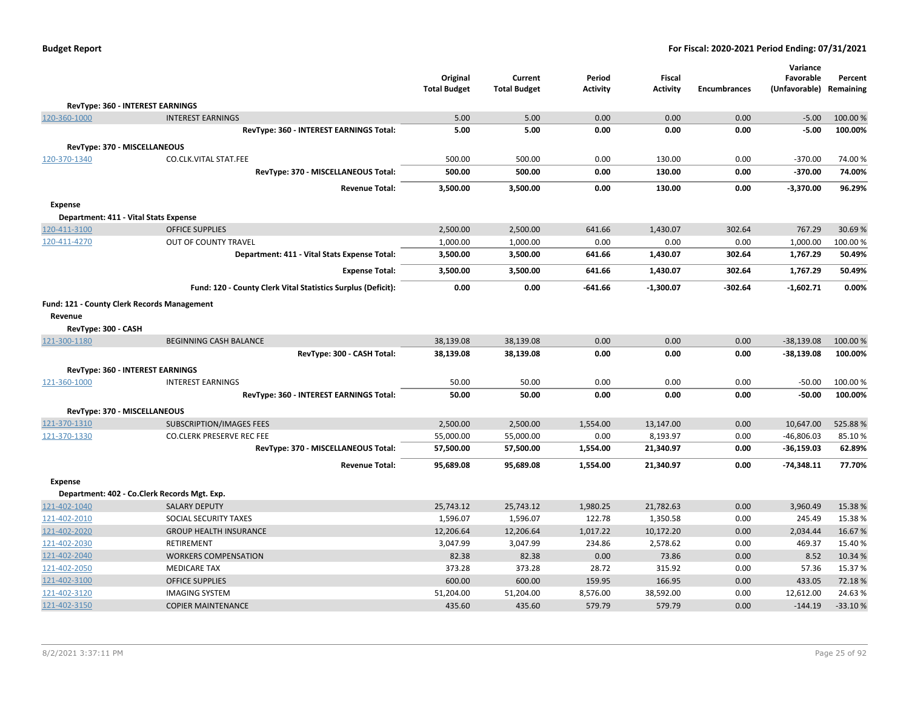|                              |                                                              | Original<br><b>Total Budget</b> | Current<br><b>Total Budget</b> | Period<br><b>Activity</b> | Fiscal<br><b>Activity</b> | <b>Encumbrances</b> | Variance<br>Favorable<br>(Unfavorable) | Percent<br>Remaining |
|------------------------------|--------------------------------------------------------------|---------------------------------|--------------------------------|---------------------------|---------------------------|---------------------|----------------------------------------|----------------------|
|                              | RevType: 360 - INTEREST EARNINGS                             |                                 |                                |                           |                           |                     |                                        |                      |
| 120-360-1000                 | <b>INTEREST EARNINGS</b>                                     | 5.00                            | 5.00                           | 0.00                      | 0.00                      | 0.00                | $-5.00$                                | 100.00 %             |
|                              | RevType: 360 - INTEREST EARNINGS Total:                      | 5.00                            | 5.00                           | 0.00                      | 0.00                      | 0.00                | $-5.00$                                | 100.00%              |
| RevType: 370 - MISCELLANEOUS |                                                              |                                 |                                |                           |                           |                     |                                        |                      |
| 120-370-1340                 | CO.CLK.VITAL STAT.FEE                                        | 500.00                          | 500.00                         | 0.00                      | 130.00                    | 0.00                | $-370.00$                              | 74.00%               |
|                              | RevType: 370 - MISCELLANEOUS Total:                          | 500.00                          | 500.00                         | 0.00                      | 130.00                    | 0.00                | -370.00                                | 74.00%               |
|                              | <b>Revenue Total:</b>                                        | 3,500.00                        | 3,500.00                       | 0.00                      | 130.00                    | 0.00                | $-3,370.00$                            | 96.29%               |
| <b>Expense</b>               |                                                              |                                 |                                |                           |                           |                     |                                        |                      |
|                              | Department: 411 - Vital Stats Expense                        |                                 |                                |                           |                           |                     |                                        |                      |
| 120-411-3100                 | <b>OFFICE SUPPLIES</b>                                       | 2,500.00                        | 2,500.00                       | 641.66                    | 1,430.07                  | 302.64              | 767.29                                 | 30.69%               |
| 120-411-4270                 | OUT OF COUNTY TRAVEL                                         | 1,000.00                        | 1,000.00                       | 0.00                      | 0.00                      | 0.00                | 1,000.00                               | 100.00%              |
|                              | Department: 411 - Vital Stats Expense Total:                 | 3,500.00                        | 3,500.00                       | 641.66                    | 1,430.07                  | 302.64              | 1,767.29                               | 50.49%               |
|                              | <b>Expense Total:</b>                                        | 3,500.00                        | 3,500.00                       | 641.66                    | 1,430.07                  | 302.64              | 1,767.29                               | 50.49%               |
|                              | Fund: 120 - County Clerk Vital Statistics Surplus (Deficit): | 0.00                            | 0.00                           | -641.66                   | $-1,300.07$               | $-302.64$           | $-1,602.71$                            | 0.00%                |
|                              | <b>Fund: 121 - County Clerk Records Management</b>           |                                 |                                |                           |                           |                     |                                        |                      |
| Revenue                      |                                                              |                                 |                                |                           |                           |                     |                                        |                      |
| RevType: 300 - CASH          |                                                              |                                 |                                |                           |                           |                     |                                        |                      |
| 121-300-1180                 | <b>BEGINNING CASH BALANCE</b>                                | 38,139.08                       | 38,139.08                      | 0.00                      | 0.00                      | 0.00                | $-38,139.08$                           | 100.00 %             |
|                              | RevType: 300 - CASH Total:                                   | 38,139.08                       | 38,139.08                      | 0.00                      | 0.00                      | 0.00                | $-38,139.08$                           | 100.00%              |
|                              | RevType: 360 - INTEREST EARNINGS                             |                                 |                                |                           |                           |                     |                                        |                      |
| 121-360-1000                 | <b>INTEREST EARNINGS</b>                                     | 50.00                           | 50.00                          | 0.00                      | 0.00                      | 0.00                | $-50.00$                               | 100.00 %             |
|                              | RevType: 360 - INTEREST EARNINGS Total:                      | 50.00                           | 50.00                          | 0.00                      | 0.00                      | 0.00                | $-50.00$                               | 100.00%              |
| RevType: 370 - MISCELLANEOUS |                                                              |                                 |                                |                           |                           |                     |                                        |                      |
| 121-370-1310                 | <b>SUBSCRIPTION/IMAGES FEES</b>                              | 2,500.00                        | 2,500.00                       | 1,554.00                  | 13,147.00                 | 0.00                | 10,647.00                              | 525.88%              |
| 121-370-1330                 | CO.CLERK PRESERVE REC FEE                                    | 55,000.00                       | 55,000.00                      | 0.00                      | 8,193.97                  | 0.00                | $-46,806.03$                           | 85.10%               |
|                              | RevType: 370 - MISCELLANEOUS Total:                          | 57,500.00                       | 57,500.00                      | 1,554.00                  | 21,340.97                 | 0.00                | -36,159.03                             | 62.89%               |
|                              | <b>Revenue Total:</b>                                        | 95,689.08                       | 95,689.08                      | 1,554.00                  | 21,340.97                 | 0.00                | $-74,348.11$                           | 77.70%               |
| <b>Expense</b>               |                                                              |                                 |                                |                           |                           |                     |                                        |                      |
|                              | Department: 402 - Co.Clerk Records Mgt. Exp.                 |                                 |                                |                           |                           |                     |                                        |                      |
| 121-402-1040                 | <b>SALARY DEPUTY</b>                                         | 25,743.12                       | 25,743.12                      | 1,980.25                  | 21,782.63                 | 0.00                | 3,960.49                               | 15.38%               |
| 121-402-2010                 | SOCIAL SECURITY TAXES                                        | 1,596.07                        | 1,596.07                       | 122.78                    | 1,350.58                  | 0.00                | 245.49                                 | 15.38%               |
| 121-402-2020                 | <b>GROUP HEALTH INSURANCE</b>                                | 12,206.64                       | 12,206.64                      | 1,017.22                  | 10,172.20                 | 0.00                | 2,034.44                               | 16.67%               |
| 121-402-2030                 | <b>RETIREMENT</b>                                            | 3,047.99                        | 3,047.99                       | 234.86                    | 2,578.62                  | 0.00                | 469.37                                 | 15.40%               |
| 121-402-2040                 | <b>WORKERS COMPENSATION</b>                                  | 82.38                           | 82.38                          | 0.00                      | 73.86                     | 0.00                | 8.52                                   | 10.34 %              |
| 121-402-2050                 | <b>MEDICARE TAX</b>                                          | 373.28                          | 373.28                         | 28.72                     | 315.92                    | 0.00                | 57.36                                  | 15.37%               |
| 121-402-3100                 | <b>OFFICE SUPPLIES</b>                                       | 600.00                          | 600.00                         | 159.95                    | 166.95                    | 0.00                | 433.05                                 | 72.18%               |
| 121-402-3120                 | <b>IMAGING SYSTEM</b>                                        | 51,204.00                       | 51,204.00                      | 8,576.00                  | 38,592.00                 | 0.00                | 12,612.00                              | 24.63%               |
| 121-402-3150                 | <b>COPIER MAINTENANCE</b>                                    | 435.60                          | 435.60                         | 579.79                    | 579.79                    | 0.00                | $-144.19$                              | $-33.10%$            |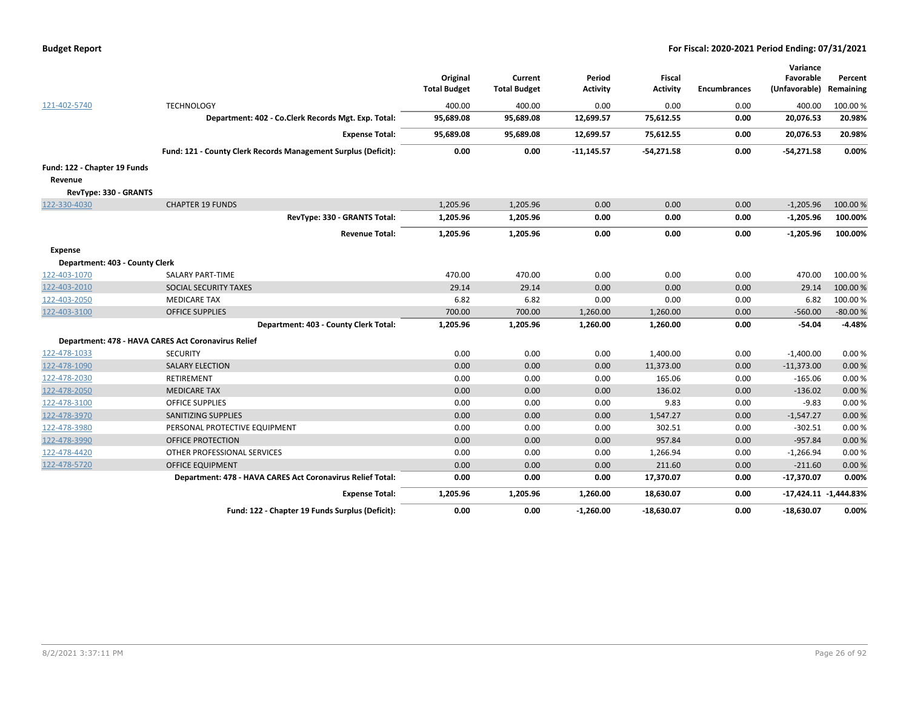| <b>Budget Report</b> |  |
|----------------------|--|
|----------------------|--|

|                                |                                                                |                     |                     |                 |                 |                     | Variance      |                           |
|--------------------------------|----------------------------------------------------------------|---------------------|---------------------|-----------------|-----------------|---------------------|---------------|---------------------------|
|                                |                                                                | Original            | Current             | Period          | <b>Fiscal</b>   |                     | Favorable     | Percent                   |
|                                |                                                                | <b>Total Budget</b> | <b>Total Budget</b> | <b>Activity</b> | <b>Activity</b> | <b>Encumbrances</b> | (Unfavorable) | Remaining                 |
| 121-402-5740                   | <b>TECHNOLOGY</b>                                              | 400.00              | 400.00              | 0.00            | 0.00            | 0.00                | 400.00        | 100.00%                   |
|                                | Department: 402 - Co.Clerk Records Mgt. Exp. Total:            | 95,689.08           | 95,689.08           | 12,699.57       | 75,612.55       | 0.00                | 20,076.53     | 20.98%                    |
|                                | <b>Expense Total:</b>                                          | 95,689.08           | 95,689.08           | 12,699.57       | 75,612.55       | 0.00                | 20,076.53     | 20.98%                    |
|                                | Fund: 121 - County Clerk Records Management Surplus (Deficit): | 0.00                | 0.00                | $-11,145.57$    | $-54,271.58$    | 0.00                | $-54,271.58$  | 0.00%                     |
| Fund: 122 - Chapter 19 Funds   |                                                                |                     |                     |                 |                 |                     |               |                           |
| Revenue                        |                                                                |                     |                     |                 |                 |                     |               |                           |
| RevType: 330 - GRANTS          |                                                                |                     |                     |                 |                 |                     |               |                           |
| 122-330-4030                   | <b>CHAPTER 19 FUNDS</b>                                        | 1,205.96            | 1,205.96            | 0.00            | 0.00            | 0.00                | $-1,205.96$   | 100.00%                   |
|                                | RevType: 330 - GRANTS Total:                                   | 1,205.96            | 1,205.96            | 0.00            | 0.00            | 0.00                | $-1,205.96$   | 100.00%                   |
|                                | <b>Revenue Total:</b>                                          | 1,205.96            | 1,205.96            | 0.00            | 0.00            | 0.00                | $-1,205.96$   | 100.00%                   |
| <b>Expense</b>                 |                                                                |                     |                     |                 |                 |                     |               |                           |
| Department: 403 - County Clerk |                                                                |                     |                     |                 |                 |                     |               |                           |
| 122-403-1070                   | SALARY PART-TIME                                               | 470.00              | 470.00              | 0.00            | 0.00            | 0.00                | 470.00        | 100.00%                   |
| 122-403-2010                   | SOCIAL SECURITY TAXES                                          | 29.14               | 29.14               | 0.00            | 0.00            | 0.00                | 29.14         | 100.00%                   |
| 122-403-2050                   | <b>MEDICARE TAX</b>                                            | 6.82                | 6.82                | 0.00            | 0.00            | 0.00                | 6.82          | 100.00%                   |
| 122-403-3100                   | <b>OFFICE SUPPLIES</b>                                         | 700.00              | 700.00              | 1,260.00        | 1,260.00        | 0.00                | $-560.00$     | $-80.00%$                 |
|                                | Department: 403 - County Clerk Total:                          | 1,205.96            | 1,205.96            | 1,260.00        | 1,260.00        | 0.00                | -54.04        | $-4.48%$                  |
|                                | Department: 478 - HAVA CARES Act Coronavirus Relief            |                     |                     |                 |                 |                     |               |                           |
| 122-478-1033                   | <b>SECURITY</b>                                                | 0.00                | 0.00                | 0.00            | 1,400.00        | 0.00                | $-1,400.00$   | 0.00%                     |
| 122-478-1090                   | <b>SALARY ELECTION</b>                                         | 0.00                | 0.00                | 0.00            | 11,373.00       | 0.00                | $-11,373.00$  | 0.00%                     |
| 122-478-2030                   | RETIREMENT                                                     | 0.00                | 0.00                | 0.00            | 165.06          | 0.00                | $-165.06$     | 0.00%                     |
| 122-478-2050                   | <b>MEDICARE TAX</b>                                            | 0.00                | 0.00                | 0.00            | 136.02          | 0.00                | $-136.02$     | 0.00%                     |
| 122-478-3100                   | <b>OFFICE SUPPLIES</b>                                         | 0.00                | 0.00                | 0.00            | 9.83            | 0.00                | $-9.83$       | 0.00%                     |
| 122-478-3970                   | <b>SANITIZING SUPPLIES</b>                                     | 0.00                | 0.00                | 0.00            | 1,547.27        | 0.00                | $-1,547.27$   | 0.00%                     |
| 122-478-3980                   | PERSONAL PROTECTIVE EQUIPMENT                                  | 0.00                | 0.00                | 0.00            | 302.51          | 0.00                | $-302.51$     | 0.00%                     |
| 122-478-3990                   | OFFICE PROTECTION                                              | 0.00                | 0.00                | 0.00            | 957.84          | 0.00                | $-957.84$     | 0.00%                     |
| 122-478-4420                   | OTHER PROFESSIONAL SERVICES                                    | 0.00                | 0.00                | 0.00            | 1,266.94        | 0.00                | $-1,266.94$   | 0.00%                     |
| 122-478-5720                   | <b>OFFICE EQUIPMENT</b>                                        | 0.00                | 0.00                | 0.00            | 211.60          | 0.00                | $-211.60$     | 0.00%                     |
|                                | Department: 478 - HAVA CARES Act Coronavirus Relief Total:     | 0.00                | 0.00                | 0.00            | 17,370.07       | 0.00                | $-17,370.07$  | 0.00%                     |
|                                | <b>Expense Total:</b>                                          | 1,205.96            | 1,205.96            | 1,260.00        | 18,630.07       | 0.00                |               | $-17,424.11$ $-1,444.83%$ |
|                                | Fund: 122 - Chapter 19 Funds Surplus (Deficit):                | 0.00                | 0.00                | $-1,260.00$     | $-18,630.07$    | 0.00                | $-18,630.07$  | 0.00%                     |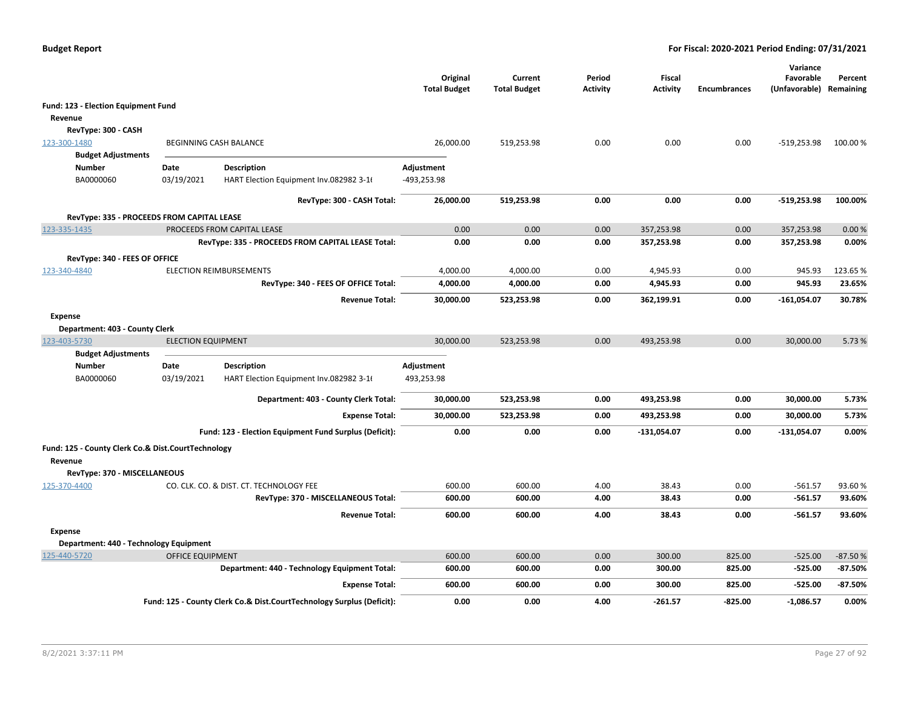|                                                    |                           |                                                                       | Original<br><b>Total Budget</b> | Current<br><b>Total Budget</b> | Period<br><b>Activity</b> | Fiscal<br><b>Activity</b> | <b>Encumbrances</b> | Variance<br>Favorable<br>(Unfavorable) Remaining | Percent   |
|----------------------------------------------------|---------------------------|-----------------------------------------------------------------------|---------------------------------|--------------------------------|---------------------------|---------------------------|---------------------|--------------------------------------------------|-----------|
| Fund: 123 - Election Equipment Fund                |                           |                                                                       |                                 |                                |                           |                           |                     |                                                  |           |
| Revenue                                            |                           |                                                                       |                                 |                                |                           |                           |                     |                                                  |           |
| RevType: 300 - CASH                                |                           |                                                                       |                                 |                                |                           |                           |                     |                                                  |           |
| 123-300-1480                                       |                           | BEGINNING CASH BALANCE                                                | 26,000.00                       | 519,253.98                     | 0.00                      | 0.00                      | 0.00                | $-519,253.98$                                    | 100.00 %  |
| <b>Budget Adjustments</b>                          |                           |                                                                       |                                 |                                |                           |                           |                     |                                                  |           |
| Number                                             | Date                      | <b>Description</b>                                                    | Adjustment                      |                                |                           |                           |                     |                                                  |           |
| BA0000060                                          | 03/19/2021                | HART Election Equipment Inv.082982 3-16                               | -493,253.98                     |                                |                           |                           |                     |                                                  |           |
|                                                    |                           | RevType: 300 - CASH Total:                                            | 26,000.00                       | 519,253.98                     | 0.00                      | 0.00                      | 0.00                | -519,253.98                                      | 100.00%   |
| RevType: 335 - PROCEEDS FROM CAPITAL LEASE         |                           |                                                                       |                                 |                                |                           |                           |                     |                                                  |           |
| 123-335-1435                                       |                           | PROCEEDS FROM CAPITAL LEASE                                           | 0.00                            | 0.00                           | 0.00                      | 357,253.98                | 0.00                | 357,253.98                                       | 0.00%     |
|                                                    |                           | RevType: 335 - PROCEEDS FROM CAPITAL LEASE Total:                     | 0.00                            | 0.00                           | 0.00                      | 357,253.98                | 0.00                | 357,253.98                                       | 0.00%     |
| RevType: 340 - FEES OF OFFICE                      |                           |                                                                       |                                 |                                |                           |                           |                     |                                                  |           |
| 123-340-4840                                       |                           | <b>ELECTION REIMBURSEMENTS</b>                                        | 4,000.00                        | 4,000.00                       | 0.00                      | 4.945.93                  | 0.00                | 945.93                                           | 123.65%   |
|                                                    |                           | RevType: 340 - FEES OF OFFICE Total:                                  | 4,000.00                        | 4,000.00                       | 0.00                      | 4,945.93                  | 0.00                | 945.93                                           | 23.65%    |
|                                                    |                           | <b>Revenue Total:</b>                                                 | 30,000.00                       | 523,253.98                     | 0.00                      | 362,199.91                | 0.00                | $-161,054.07$                                    | 30.78%    |
| <b>Expense</b>                                     |                           |                                                                       |                                 |                                |                           |                           |                     |                                                  |           |
| Department: 403 - County Clerk                     |                           |                                                                       |                                 |                                |                           |                           |                     |                                                  |           |
| 123-403-5730                                       | <b>ELECTION EQUIPMENT</b> |                                                                       | 30,000.00                       | 523,253.98                     | 0.00                      | 493,253.98                | 0.00                | 30,000.00                                        | 5.73 %    |
| <b>Budget Adjustments</b>                          |                           |                                                                       |                                 |                                |                           |                           |                     |                                                  |           |
| <b>Number</b>                                      | Date                      | <b>Description</b>                                                    | Adjustment                      |                                |                           |                           |                     |                                                  |           |
| BA0000060                                          | 03/19/2021                | HART Election Equipment Inv.082982 3-16                               | 493,253.98                      |                                |                           |                           |                     |                                                  |           |
|                                                    |                           | Department: 403 - County Clerk Total:                                 | 30,000.00                       | 523,253.98                     | 0.00                      | 493,253.98                | 0.00                | 30,000.00                                        | 5.73%     |
|                                                    |                           | <b>Expense Total:</b>                                                 | 30,000.00                       | 523,253.98                     | 0.00                      | 493,253.98                | 0.00                | 30,000.00                                        | 5.73%     |
|                                                    |                           | Fund: 123 - Election Equipment Fund Surplus (Deficit):                | 0.00                            | 0.00                           | 0.00                      | $-131,054.07$             | 0.00                | $-131,054.07$                                    | 0.00%     |
| Fund: 125 - County Clerk Co.& Dist.CourtTechnology |                           |                                                                       |                                 |                                |                           |                           |                     |                                                  |           |
| Revenue                                            |                           |                                                                       |                                 |                                |                           |                           |                     |                                                  |           |
| RevType: 370 - MISCELLANEOUS                       |                           |                                                                       |                                 |                                |                           |                           |                     |                                                  |           |
| 125-370-4400                                       |                           | CO. CLK. CO. & DIST. CT. TECHNOLOGY FEE                               | 600.00                          | 600.00                         | 4.00                      | 38.43                     | 0.00                | $-561.57$                                        | 93.60%    |
|                                                    |                           | RevType: 370 - MISCELLANEOUS Total:                                   | 600.00                          | 600.00                         | 4.00                      | 38.43                     | 0.00                | $-561.57$                                        | 93.60%    |
|                                                    |                           | <b>Revenue Total:</b>                                                 | 600.00                          | 600.00                         | 4.00                      | 38.43                     | 0.00                | $-561.57$                                        | 93.60%    |
| <b>Expense</b>                                     |                           |                                                                       |                                 |                                |                           |                           |                     |                                                  |           |
| Department: 440 - Technology Equipment             |                           |                                                                       |                                 |                                |                           |                           |                     |                                                  |           |
| 125-440-5720                                       | <b>OFFICE EQUIPMENT</b>   |                                                                       | 600.00                          | 600.00                         | 0.00                      | 300.00                    | 825.00              | $-525.00$                                        | $-87.50%$ |
|                                                    |                           | Department: 440 - Technology Equipment Total:                         | 600.00                          | 600.00                         | 0.00                      | 300.00                    | 825.00              | $-525.00$                                        | $-87.50%$ |
|                                                    |                           | <b>Expense Total:</b>                                                 | 600.00                          | 600.00                         | 0.00                      | 300.00                    | 825.00              | $-525.00$                                        | $-87.50%$ |
|                                                    |                           | Fund: 125 - County Clerk Co.& Dist.CourtTechnology Surplus (Deficit): | 0.00                            | 0.00                           | 4.00                      | $-261.57$                 | $-825.00$           | $-1,086.57$                                      | 0.00%     |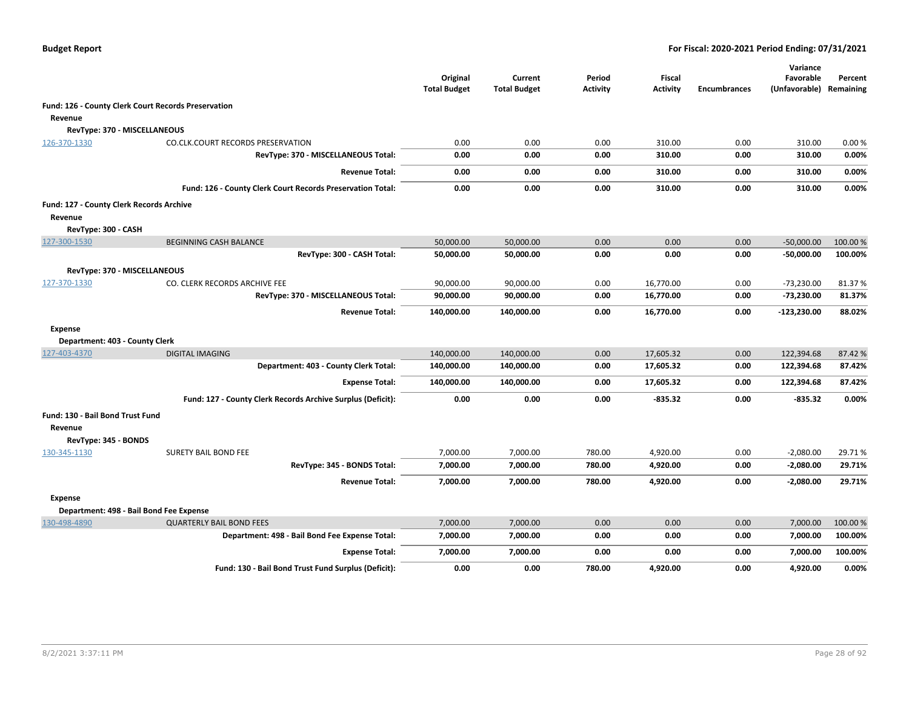|                                          |                                                             | Original<br><b>Total Budget</b> | Current<br><b>Total Budget</b> | Period<br><b>Activity</b> | <b>Fiscal</b><br><b>Activity</b> | <b>Encumbrances</b> | Variance<br>Favorable<br>(Unfavorable) | Percent<br>Remaining |
|------------------------------------------|-------------------------------------------------------------|---------------------------------|--------------------------------|---------------------------|----------------------------------|---------------------|----------------------------------------|----------------------|
|                                          | Fund: 126 - County Clerk Court Records Preservation         |                                 |                                |                           |                                  |                     |                                        |                      |
| Revenue                                  |                                                             |                                 |                                |                           |                                  |                     |                                        |                      |
| RevType: 370 - MISCELLANEOUS             |                                                             |                                 |                                |                           |                                  |                     |                                        |                      |
| 126-370-1330                             | <b>CO.CLK.COURT RECORDS PRESERVATION</b>                    | 0.00                            | 0.00                           | 0.00                      | 310.00                           | 0.00                | 310.00                                 | 0.00%                |
|                                          | RevType: 370 - MISCELLANEOUS Total:                         | 0.00                            | 0.00                           | 0.00                      | 310.00                           | 0.00                | 310.00                                 | 0.00%                |
|                                          | <b>Revenue Total:</b>                                       | 0.00                            | 0.00                           | 0.00                      | 310.00                           | 0.00                | 310.00                                 | 0.00%                |
|                                          | Fund: 126 - County Clerk Court Records Preservation Total:  | 0.00                            | 0.00                           | 0.00                      | 310.00                           | 0.00                | 310.00                                 | 0.00%                |
| Fund: 127 - County Clerk Records Archive |                                                             |                                 |                                |                           |                                  |                     |                                        |                      |
| Revenue                                  |                                                             |                                 |                                |                           |                                  |                     |                                        |                      |
| RevType: 300 - CASH                      |                                                             |                                 |                                |                           |                                  |                     |                                        |                      |
| 127-300-1530                             | <b>BEGINNING CASH BALANCE</b>                               | 50,000.00                       | 50,000.00                      | 0.00                      | 0.00                             | 0.00                | $-50,000.00$                           | 100.00 %             |
|                                          | RevType: 300 - CASH Total:                                  | 50,000.00                       | 50,000.00                      | 0.00                      | 0.00                             | 0.00                | $-50,000.00$                           | 100.00%              |
| RevType: 370 - MISCELLANEOUS             |                                                             |                                 |                                |                           |                                  |                     |                                        |                      |
| 127-370-1330                             | CO. CLERK RECORDS ARCHIVE FEE                               | 90,000.00                       | 90,000.00                      | 0.00                      | 16,770.00                        | 0.00                | $-73,230.00$                           | 81.37%               |
|                                          | RevType: 370 - MISCELLANEOUS Total:                         | 90,000.00                       | 90,000.00                      | 0.00                      | 16,770.00                        | 0.00                | -73,230.00                             | 81.37%               |
|                                          | <b>Revenue Total:</b>                                       | 140,000.00                      | 140,000.00                     | 0.00                      | 16,770.00                        | 0.00                | $-123,230.00$                          | 88.02%               |
| <b>Expense</b>                           |                                                             |                                 |                                |                           |                                  |                     |                                        |                      |
| Department: 403 - County Clerk           |                                                             |                                 |                                |                           |                                  |                     |                                        |                      |
| 127-403-4370                             | <b>DIGITAL IMAGING</b>                                      | 140,000.00                      | 140,000.00                     | 0.00                      | 17,605.32                        | 0.00                | 122,394.68                             | 87.42%               |
|                                          | Department: 403 - County Clerk Total:                       | 140,000.00                      | 140,000.00                     | 0.00                      | 17,605.32                        | 0.00                | 122,394.68                             | 87.42%               |
|                                          | <b>Expense Total:</b>                                       | 140,000.00                      | 140,000.00                     | 0.00                      | 17,605.32                        | 0.00                | 122,394.68                             | 87.42%               |
|                                          | Fund: 127 - County Clerk Records Archive Surplus (Deficit): | 0.00                            | 0.00                           | 0.00                      | $-835.32$                        | 0.00                | -835.32                                | 0.00%                |
| Fund: 130 - Bail Bond Trust Fund         |                                                             |                                 |                                |                           |                                  |                     |                                        |                      |
| Revenue                                  |                                                             |                                 |                                |                           |                                  |                     |                                        |                      |
| RevType: 345 - BONDS                     |                                                             |                                 |                                |                           |                                  |                     |                                        |                      |
| 130-345-1130                             | <b>SURETY BAIL BOND FEE</b>                                 | 7,000.00                        | 7,000.00                       | 780.00                    | 4,920.00                         | 0.00                | $-2,080.00$                            | 29.71%               |
|                                          | RevType: 345 - BONDS Total:                                 | 7,000.00                        | 7,000.00                       | 780.00                    | 4,920.00                         | 0.00                | $-2,080.00$                            | 29.71%               |
|                                          | <b>Revenue Total:</b>                                       | 7,000.00                        | 7,000.00                       | 780.00                    | 4,920.00                         | 0.00                | -2,080.00                              | 29.71%               |
| <b>Expense</b>                           |                                                             |                                 |                                |                           |                                  |                     |                                        |                      |
|                                          | Department: 498 - Bail Bond Fee Expense                     |                                 |                                |                           |                                  |                     |                                        |                      |
| 130-498-4890                             | <b>QUARTERLY BAIL BOND FEES</b>                             | 7,000.00                        | 7,000.00                       | 0.00                      | 0.00                             | 0.00                | 7,000.00                               | 100.00%              |
|                                          | Department: 498 - Bail Bond Fee Expense Total:              | 7,000.00                        | 7,000.00                       | 0.00                      | 0.00                             | 0.00                | 7,000.00                               | 100.00%              |
|                                          | <b>Expense Total:</b>                                       | 7,000.00                        | 7,000.00                       | 0.00                      | 0.00                             | 0.00                | 7,000.00                               | 100.00%              |
|                                          | Fund: 130 - Bail Bond Trust Fund Surplus (Deficit):         | 0.00                            | 0.00                           | 780.00                    | 4,920.00                         | 0.00                | 4,920.00                               | 0.00%                |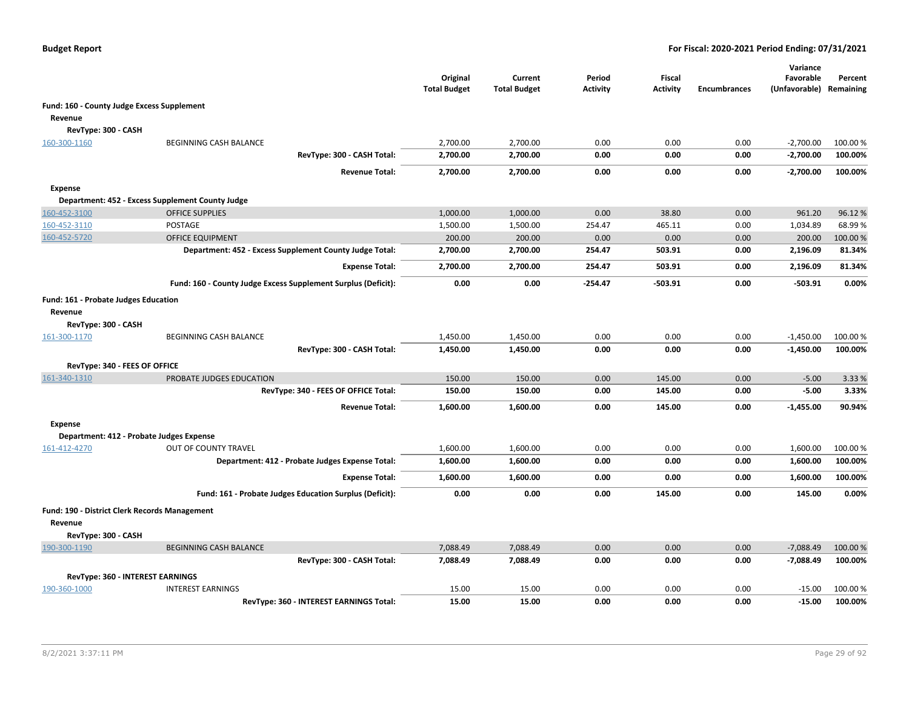|                                               |                                                               | Original<br><b>Total Budget</b> | Current<br><b>Total Budget</b> | Period<br>Activity | <b>Fiscal</b><br>Activity | <b>Encumbrances</b> | Variance<br>Favorable<br>(Unfavorable) Remaining | Percent  |
|-----------------------------------------------|---------------------------------------------------------------|---------------------------------|--------------------------------|--------------------|---------------------------|---------------------|--------------------------------------------------|----------|
| Fund: 160 - County Judge Excess Supplement    |                                                               |                                 |                                |                    |                           |                     |                                                  |          |
| Revenue                                       |                                                               |                                 |                                |                    |                           |                     |                                                  |          |
| RevType: 300 - CASH                           |                                                               |                                 |                                |                    |                           |                     |                                                  |          |
| 160-300-1160                                  | BEGINNING CASH BALANCE                                        | 2,700.00                        | 2,700.00                       | 0.00               | 0.00                      | 0.00                | $-2,700.00$                                      | 100.00 % |
|                                               | RevType: 300 - CASH Total:                                    | 2,700.00                        | 2,700.00                       | 0.00               | 0.00                      | 0.00                | $-2,700.00$                                      | 100.00%  |
|                                               | <b>Revenue Total:</b>                                         | 2,700.00                        | 2,700.00                       | 0.00               | 0.00                      | 0.00                | $-2,700.00$                                      | 100.00%  |
| <b>Expense</b>                                |                                                               |                                 |                                |                    |                           |                     |                                                  |          |
|                                               | Department: 452 - Excess Supplement County Judge              |                                 |                                |                    |                           |                     |                                                  |          |
| 160-452-3100                                  | <b>OFFICE SUPPLIES</b>                                        | 1,000.00                        | 1,000.00                       | 0.00               | 38.80                     | 0.00                | 961.20                                           | 96.12%   |
| 160-452-3110                                  | POSTAGE                                                       | 1,500.00                        | 1,500.00                       | 254.47             | 465.11                    | 0.00                | 1,034.89                                         | 68.99%   |
| 160-452-5720                                  | <b>OFFICE EQUIPMENT</b>                                       | 200.00                          | 200.00                         | 0.00               | 0.00                      | 0.00                | 200.00                                           | 100.00%  |
|                                               | Department: 452 - Excess Supplement County Judge Total:       | 2,700.00                        | 2,700.00                       | 254.47             | 503.91                    | 0.00                | 2,196.09                                         | 81.34%   |
|                                               | <b>Expense Total:</b>                                         | 2,700.00                        | 2,700.00                       | 254.47             | 503.91                    | 0.00                | 2,196.09                                         | 81.34%   |
|                                               | Fund: 160 - County Judge Excess Supplement Surplus (Deficit): | 0.00                            | 0.00                           | -254.47            | $-503.91$                 | 0.00                | $-503.91$                                        | 0.00%    |
| Fund: 161 - Probate Judges Education          |                                                               |                                 |                                |                    |                           |                     |                                                  |          |
| Revenue                                       |                                                               |                                 |                                |                    |                           |                     |                                                  |          |
| RevType: 300 - CASH                           |                                                               |                                 |                                |                    |                           |                     |                                                  |          |
| 161-300-1170                                  | BEGINNING CASH BALANCE                                        | 1,450.00                        | 1,450.00                       | 0.00               | 0.00                      | 0.00                | $-1,450.00$                                      | 100.00 % |
|                                               | RevType: 300 - CASH Total:                                    | 1,450.00                        | 1,450.00                       | 0.00               | 0.00                      | 0.00                | $-1,450.00$                                      | 100.00%  |
|                                               |                                                               |                                 |                                |                    |                           |                     |                                                  |          |
| RevType: 340 - FEES OF OFFICE                 |                                                               |                                 |                                |                    |                           |                     |                                                  |          |
| 161-340-1310                                  | PROBATE JUDGES EDUCATION                                      | 150.00                          | 150.00                         | 0.00               | 145.00                    | 0.00                | $-5.00$                                          | 3.33 %   |
|                                               | RevType: 340 - FEES OF OFFICE Total:                          | 150.00                          | 150.00                         | 0.00               | 145.00                    | 0.00                | $-5.00$                                          | 3.33%    |
|                                               | <b>Revenue Total:</b>                                         | 1,600.00                        | 1,600.00                       | 0.00               | 145.00                    | 0.00                | $-1,455.00$                                      | 90.94%   |
| <b>Expense</b>                                |                                                               |                                 |                                |                    |                           |                     |                                                  |          |
|                                               | Department: 412 - Probate Judges Expense                      |                                 |                                |                    |                           |                     |                                                  |          |
| 161-412-4270                                  | OUT OF COUNTY TRAVEL                                          | 1,600.00                        | 1,600.00                       | 0.00               | 0.00                      | 0.00                | 1,600.00                                         | 100.00 % |
|                                               | Department: 412 - Probate Judges Expense Total:               | 1,600.00                        | 1,600.00                       | 0.00               | 0.00                      | 0.00                | 1,600.00                                         | 100.00%  |
|                                               | <b>Expense Total:</b>                                         | 1,600.00                        | 1,600.00                       | 0.00               | 0.00                      | 0.00                | 1,600.00                                         | 100.00%  |
|                                               | Fund: 161 - Probate Judges Education Surplus (Deficit):       | 0.00                            | 0.00                           | 0.00               | 145.00                    | 0.00                | 145.00                                           | 0.00%    |
| Fund: 190 - District Clerk Records Management |                                                               |                                 |                                |                    |                           |                     |                                                  |          |
| Revenue                                       |                                                               |                                 |                                |                    |                           |                     |                                                  |          |
| RevType: 300 - CASH                           |                                                               |                                 |                                |                    |                           |                     |                                                  |          |
| 190-300-1190                                  | <b>BEGINNING CASH BALANCE</b>                                 | 7,088.49                        | 7,088.49                       | 0.00               | 0.00                      | 0.00                | $-7,088.49$                                      | 100.00 % |
|                                               | RevType: 300 - CASH Total:                                    | 7,088.49                        | 7,088.49                       | 0.00               | 0.00                      | 0.00                | $-7,088.49$                                      | 100.00%  |
|                                               | RevType: 360 - INTEREST EARNINGS                              |                                 |                                |                    |                           |                     |                                                  |          |
| 190-360-1000                                  | <b>INTEREST EARNINGS</b>                                      | 15.00                           | 15.00                          | 0.00               | 0.00                      | 0.00                | $-15.00$                                         | 100.00 % |
|                                               | RevType: 360 - INTEREST EARNINGS Total:                       | 15.00                           | 15.00                          | 0.00               | 0.00                      | 0.00                | $-15.00$                                         | 100.00%  |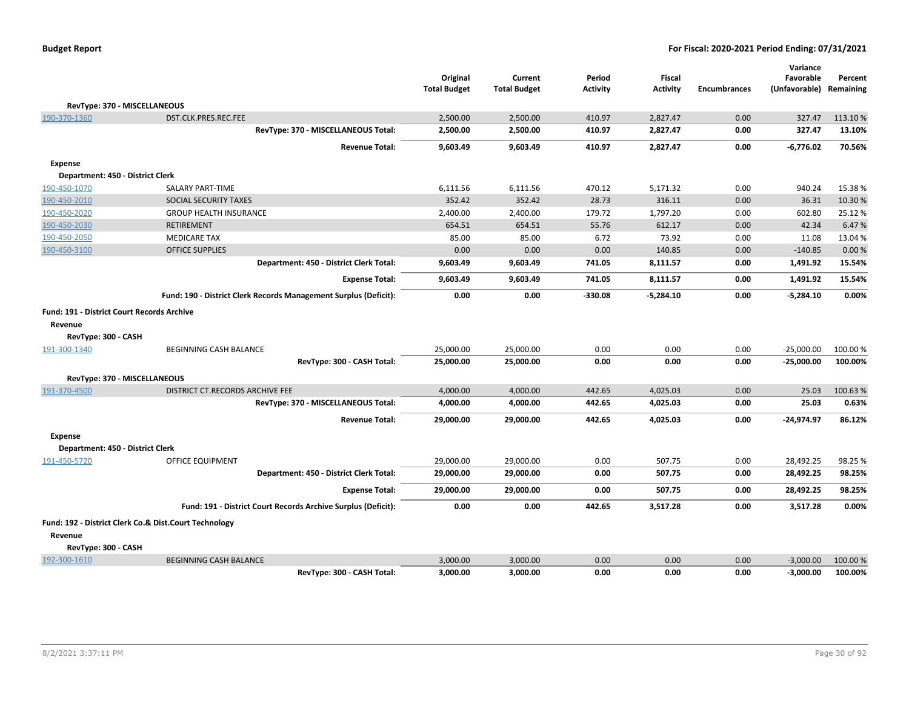|                                            |                                                                  | Original<br><b>Total Budget</b> | Current<br><b>Total Budget</b> | Period<br><b>Activity</b> | <b>Fiscal</b><br><b>Activity</b> | <b>Encumbrances</b> | Variance<br>Favorable<br>(Unfavorable) | Percent<br>Remaining |
|--------------------------------------------|------------------------------------------------------------------|---------------------------------|--------------------------------|---------------------------|----------------------------------|---------------------|----------------------------------------|----------------------|
| RevType: 370 - MISCELLANEOUS               |                                                                  |                                 |                                |                           |                                  |                     |                                        |                      |
| 190-370-1360                               | DST.CLK.PRES.REC.FEE                                             | 2,500.00                        | 2,500.00                       | 410.97                    | 2,827.47                         | 0.00                | 327.47                                 | 113.10%              |
|                                            | RevType: 370 - MISCELLANEOUS Total:                              | 2,500.00                        | 2,500.00                       | 410.97                    | 2,827.47                         | 0.00                | 327.47                                 | 13.10%               |
|                                            | <b>Revenue Total:</b>                                            | 9,603.49                        | 9,603.49                       | 410.97                    | 2,827.47                         | 0.00                | $-6,776.02$                            | 70.56%               |
| <b>Expense</b>                             |                                                                  |                                 |                                |                           |                                  |                     |                                        |                      |
| Department: 450 - District Clerk           |                                                                  |                                 |                                |                           |                                  |                     |                                        |                      |
| 190-450-1070                               | SALARY PART-TIME                                                 | 6,111.56                        | 6,111.56                       | 470.12                    | 5,171.32                         | 0.00                | 940.24                                 | 15.38%               |
| 190-450-2010                               | SOCIAL SECURITY TAXES                                            | 352.42                          | 352.42                         | 28.73                     | 316.11                           | 0.00                | 36.31                                  | 10.30%               |
| 190-450-2020                               | <b>GROUP HEALTH INSURANCE</b>                                    | 2,400.00                        | 2,400.00                       | 179.72                    | 1,797.20                         | 0.00                | 602.80                                 | 25.12 %              |
| 190-450-2030                               | RETIREMENT                                                       | 654.51                          | 654.51                         | 55.76                     | 612.17                           | 0.00                | 42.34                                  | 6.47%                |
| 190-450-2050                               | <b>MEDICARE TAX</b>                                              | 85.00                           | 85.00                          | 6.72                      | 73.92                            | 0.00                | 11.08                                  | 13.04 %              |
| 190-450-3100                               | <b>OFFICE SUPPLIES</b>                                           | 0.00                            | 0.00                           | 0.00                      | 140.85                           | 0.00                | $-140.85$                              | 0.00%                |
|                                            | Department: 450 - District Clerk Total:                          | 9,603.49                        | 9,603.49                       | 741.05                    | 8,111.57                         | 0.00                | 1,491.92                               | 15.54%               |
|                                            | <b>Expense Total:</b>                                            | 9,603.49                        | 9,603.49                       | 741.05                    | 8,111.57                         | 0.00                | 1,491.92                               | 15.54%               |
|                                            | Fund: 190 - District Clerk Records Management Surplus (Deficit): | 0.00                            | 0.00                           | $-330.08$                 | $-5,284.10$                      | 0.00                | -5,284.10                              | 0.00%                |
| Fund: 191 - District Court Records Archive |                                                                  |                                 |                                |                           |                                  |                     |                                        |                      |
| Revenue                                    |                                                                  |                                 |                                |                           |                                  |                     |                                        |                      |
| RevType: 300 - CASH                        |                                                                  |                                 |                                |                           |                                  |                     |                                        |                      |
| 191-300-1340                               | <b>BEGINNING CASH BALANCE</b>                                    | 25,000.00                       | 25,000.00                      | 0.00                      | 0.00                             | 0.00                | $-25.000.00$                           | 100.00%              |
|                                            | RevType: 300 - CASH Total:                                       | 25,000.00                       | 25,000.00                      | 0.00                      | 0.00                             | 0.00                | $-25,000.00$                           | 100.00%              |
|                                            | RevType: 370 - MISCELLANEOUS                                     |                                 |                                |                           |                                  |                     |                                        |                      |
| 191-370-4500                               | DISTRICT CT.RECORDS ARCHIVE FEE                                  | 4,000.00                        | 4,000.00                       | 442.65                    | 4,025.03                         | 0.00                | 25.03                                  | 100.63%              |
|                                            | RevType: 370 - MISCELLANEOUS Total:                              | 4,000.00                        | 4,000.00                       | 442.65                    | 4,025.03                         | 0.00                | 25.03                                  | 0.63%                |
|                                            | <b>Revenue Total:</b>                                            | 29,000.00                       | 29,000.00                      | 442.65                    | 4.025.03                         | 0.00                | $-24.974.97$                           | 86.12%               |
| Expense                                    |                                                                  |                                 |                                |                           |                                  |                     |                                        |                      |
| Department: 450 - District Clerk           |                                                                  |                                 |                                |                           |                                  |                     |                                        |                      |
| 191-450-5720                               | OFFICE EQUIPMENT                                                 | 29,000.00                       | 29,000.00                      | 0.00                      | 507.75                           | 0.00                | 28,492.25                              | 98.25 %              |
|                                            | Department: 450 - District Clerk Total:                          | 29,000.00                       | 29,000.00                      | 0.00                      | 507.75                           | 0.00                | 28,492.25                              | 98.25%               |
|                                            | <b>Expense Total:</b>                                            | 29,000.00                       | 29,000.00                      | 0.00                      | 507.75                           | 0.00                | 28,492.25                              | 98.25%               |
|                                            | Fund: 191 - District Court Records Archive Surplus (Deficit):    | 0.00                            | 0.00                           | 442.65                    | 3,517.28                         | 0.00                | 3,517.28                               | 0.00%                |
|                                            | Fund: 192 - District Clerk Co.& Dist.Court Technology            |                                 |                                |                           |                                  |                     |                                        |                      |
| Revenue                                    |                                                                  |                                 |                                |                           |                                  |                     |                                        |                      |
| RevType: 300 - CASH                        |                                                                  |                                 |                                |                           |                                  |                     |                                        |                      |
| 192-300-1610                               | <b>BEGINNING CASH BALANCE</b>                                    | 3,000.00                        | 3,000.00                       | 0.00                      | 0.00                             | 0.00                | $-3,000.00$                            | 100.00 %             |
|                                            | RevType: 300 - CASH Total:                                       | 3.000.00                        | 3.000.00                       | 0.00                      | 0.00                             | 0.00                | $-3,000.00$                            | 100.00%              |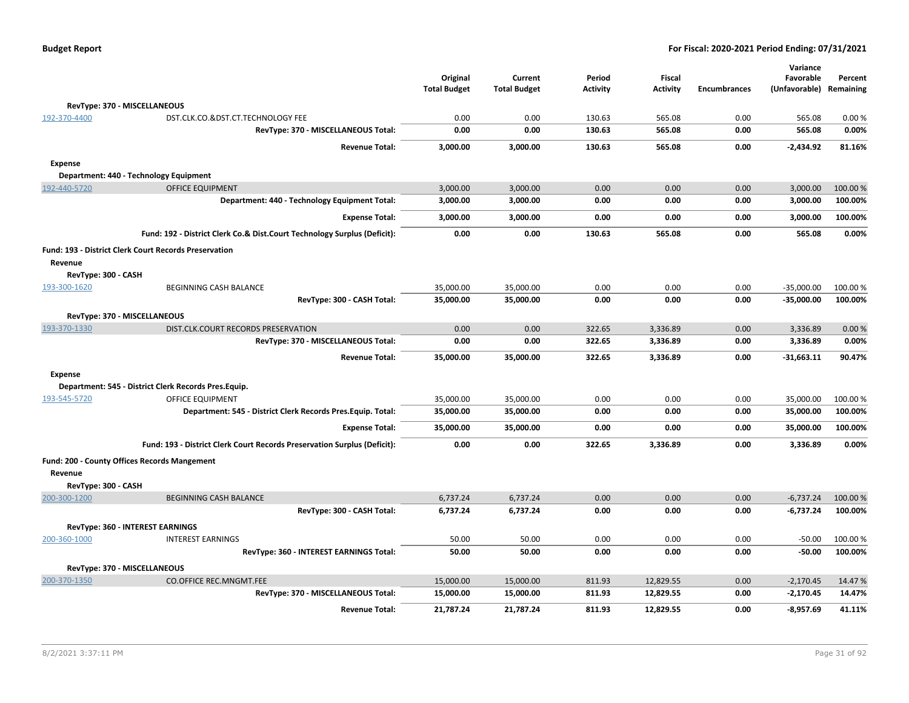| <b>Budget Report</b> |  |
|----------------------|--|
|----------------------|--|

|                              |                                                                          | Original<br><b>Total Budget</b> | Current<br><b>Total Budget</b> | Period<br><b>Activity</b> | <b>Fiscal</b><br><b>Activity</b> | <b>Encumbrances</b> | Variance<br>Favorable<br>(Unfavorable) | Percent<br>Remaining |
|------------------------------|--------------------------------------------------------------------------|---------------------------------|--------------------------------|---------------------------|----------------------------------|---------------------|----------------------------------------|----------------------|
| RevType: 370 - MISCELLANEOUS |                                                                          |                                 |                                |                           |                                  |                     |                                        |                      |
| 192-370-4400                 | DST.CLK.CO.&DST.CT.TECHNOLOGY FEE                                        | 0.00                            | 0.00                           | 130.63                    | 565.08                           | 0.00                | 565.08                                 | 0.00%                |
|                              | RevType: 370 - MISCELLANEOUS Total:                                      | 0.00                            | 0.00                           | 130.63                    | 565.08                           | 0.00                | 565.08                                 | 0.00%                |
|                              | <b>Revenue Total:</b>                                                    | 3,000.00                        | 3,000.00                       | 130.63                    | 565.08                           | 0.00                | $-2,434.92$                            | 81.16%               |
| <b>Expense</b>               | Department: 440 - Technology Equipment                                   |                                 |                                |                           |                                  |                     |                                        |                      |
| 192-440-5720                 | <b>OFFICE EQUIPMENT</b>                                                  | 3,000.00                        | 3,000.00                       | 0.00                      | 0.00                             | 0.00                | 3,000.00                               | 100.00 %             |
|                              | Department: 440 - Technology Equipment Total:                            | 3,000.00                        | 3,000.00                       | 0.00                      | 0.00                             | 0.00                | 3,000.00                               | 100.00%              |
|                              |                                                                          |                                 |                                |                           |                                  |                     |                                        |                      |
|                              | <b>Expense Total:</b>                                                    | 3,000.00                        | 3,000.00                       | 0.00                      | 0.00                             | 0.00                | 3,000.00                               | 100.00%              |
|                              | Fund: 192 - District Clerk Co.& Dist.Court Technology Surplus (Deficit): | 0.00                            | 0.00                           | 130.63                    | 565.08                           | 0.00                | 565.08                                 | 0.00%                |
|                              | <b>Fund: 193 - District Clerk Court Records Preservation</b>             |                                 |                                |                           |                                  |                     |                                        |                      |
| Revenue                      |                                                                          |                                 |                                |                           |                                  |                     |                                        |                      |
| RevType: 300 - CASH          |                                                                          |                                 |                                |                           |                                  |                     |                                        |                      |
| 193-300-1620                 | <b>BEGINNING CASH BALANCE</b>                                            | 35,000.00                       | 35,000.00                      | 0.00                      | 0.00                             | 0.00                | $-35,000.00$                           | 100.00%              |
|                              | RevType: 300 - CASH Total:                                               | 35,000.00                       | 35,000.00                      | 0.00                      | 0.00                             | 0.00                | $-35,000.00$                           | 100.00%              |
| RevType: 370 - MISCELLANEOUS |                                                                          |                                 |                                |                           |                                  |                     |                                        |                      |
| 193-370-1330                 | DIST.CLK.COURT RECORDS PRESERVATION                                      | 0.00                            | 0.00                           | 322.65                    | 3,336.89                         | 0.00                | 3,336.89                               | 0.00%                |
|                              | RevType: 370 - MISCELLANEOUS Total:                                      | 0.00                            | 0.00                           | 322.65                    | 3,336.89                         | 0.00                | 3,336.89                               | 0.00%                |
|                              | <b>Revenue Total:</b>                                                    | 35,000.00                       | 35,000.00                      | 322.65                    | 3,336.89                         | 0.00                | $-31,663.11$                           | 90.47%               |
| <b>Expense</b>               |                                                                          |                                 |                                |                           |                                  |                     |                                        |                      |
|                              | Department: 545 - District Clerk Records Pres. Equip.                    |                                 |                                |                           |                                  |                     |                                        |                      |
| 193-545-5720                 | <b>OFFICE EQUIPMENT</b>                                                  | 35,000.00                       | 35,000.00                      | 0.00                      | 0.00                             | 0.00                | 35,000.00                              | 100.00%              |
|                              | Department: 545 - District Clerk Records Pres. Equip. Total:             | 35,000.00                       | 35,000.00                      | 0.00                      | 0.00                             | 0.00                | 35,000.00                              | 100.00%              |
|                              | <b>Expense Total:</b>                                                    | 35,000.00                       | 35,000.00                      | 0.00                      | 0.00                             | 0.00                | 35,000.00                              | 100.00%              |
|                              | Fund: 193 - District Clerk Court Records Preservation Surplus (Deficit): | 0.00                            | 0.00                           | 322.65                    | 3,336.89                         | 0.00                | 3,336.89                               | 0.00%                |
|                              | Fund: 200 - County Offices Records Mangement                             |                                 |                                |                           |                                  |                     |                                        |                      |
| Revenue                      |                                                                          |                                 |                                |                           |                                  |                     |                                        |                      |
| RevType: 300 - CASH          |                                                                          |                                 |                                |                           |                                  |                     |                                        |                      |
| 200-300-1200                 | <b>BEGINNING CASH BALANCE</b>                                            | 6,737.24                        | 6,737.24                       | 0.00                      | 0.00                             | 0.00                | $-6,737.24$                            | 100.00 %             |
|                              | RevType: 300 - CASH Total:                                               | 6,737.24                        | 6,737.24                       | 0.00                      | 0.00                             | 0.00                | $-6,737.24$                            | 100.00%              |
|                              | RevType: 360 - INTEREST EARNINGS                                         |                                 |                                |                           |                                  |                     |                                        |                      |
| 200-360-1000                 | <b>INTEREST EARNINGS</b>                                                 | 50.00                           | 50.00                          | 0.00                      | 0.00                             | 0.00                | $-50.00$                               | 100.00%              |
|                              | RevType: 360 - INTEREST EARNINGS Total:                                  | 50.00                           | 50.00                          | 0.00                      | 0.00                             | 0.00                | $-50.00$                               | 100.00%              |
| RevType: 370 - MISCELLANEOUS |                                                                          |                                 |                                |                           |                                  |                     |                                        |                      |
| 200-370-1350                 | <b>CO.OFFICE REC.MNGMT.FEE</b>                                           | 15,000.00                       | 15,000.00                      | 811.93                    | 12,829.55                        | 0.00                | $-2,170.45$                            | 14.47%               |
|                              | RevType: 370 - MISCELLANEOUS Total:                                      | 15,000.00                       | 15,000.00                      | 811.93                    | 12,829.55                        | 0.00                | $-2,170.45$                            | 14.47%               |
|                              | <b>Revenue Total:</b>                                                    | 21,787.24                       | 21,787.24                      | 811.93                    | 12,829.55                        | 0.00                | $-8,957.69$                            | 41.11%               |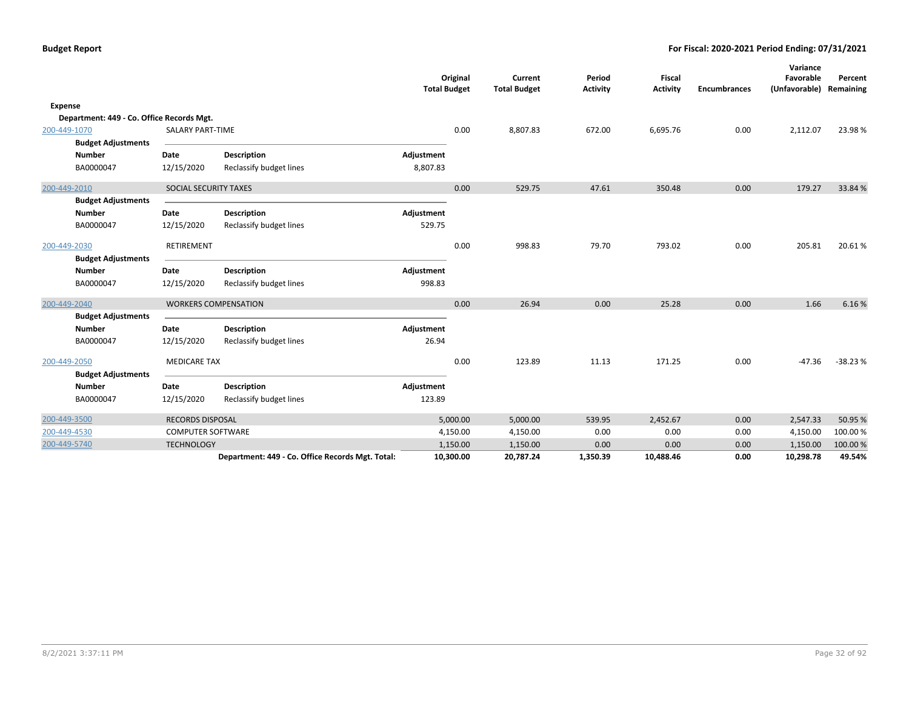|                |                                           |                          |                                                  | <b>Total Budget</b> | Original  | Current<br><b>Total Budget</b> | Period<br><b>Activity</b> | Fiscal<br><b>Activity</b> | <b>Encumbrances</b> | Variance<br>Favorable<br>(Unfavorable) | Percent<br>Remaining |
|----------------|-------------------------------------------|--------------------------|--------------------------------------------------|---------------------|-----------|--------------------------------|---------------------------|---------------------------|---------------------|----------------------------------------|----------------------|
| <b>Expense</b> |                                           |                          |                                                  |                     |           |                                |                           |                           |                     |                                        |                      |
|                | Department: 449 - Co. Office Records Mgt. |                          |                                                  |                     |           |                                |                           |                           |                     |                                        |                      |
| 200-449-1070   |                                           | <b>SALARY PART-TIME</b>  |                                                  |                     | 0.00      | 8,807.83                       | 672.00                    | 6,695.76                  | 0.00                | 2,112.07                               | 23.98%               |
|                | <b>Budget Adjustments</b>                 |                          |                                                  |                     |           |                                |                           |                           |                     |                                        |                      |
|                | <b>Number</b>                             | Date                     | <b>Description</b>                               | Adjustment          |           |                                |                           |                           |                     |                                        |                      |
|                | BA0000047                                 | 12/15/2020               | Reclassify budget lines                          | 8,807.83            |           |                                |                           |                           |                     |                                        |                      |
| 200-449-2010   |                                           | SOCIAL SECURITY TAXES    |                                                  |                     | 0.00      | 529.75                         | 47.61                     | 350.48                    | 0.00                | 179.27                                 | 33.84 %              |
|                | <b>Budget Adjustments</b>                 |                          |                                                  |                     |           |                                |                           |                           |                     |                                        |                      |
|                | <b>Number</b>                             | Date                     | <b>Description</b>                               | Adjustment          |           |                                |                           |                           |                     |                                        |                      |
|                | BA0000047                                 | 12/15/2020               | Reclassify budget lines                          | 529.75              |           |                                |                           |                           |                     |                                        |                      |
| 200-449-2030   |                                           | RETIREMENT               |                                                  |                     | 0.00      | 998.83                         | 79.70                     | 793.02                    | 0.00                | 205.81                                 | 20.61%               |
|                | <b>Budget Adjustments</b>                 |                          |                                                  |                     |           |                                |                           |                           |                     |                                        |                      |
|                | <b>Number</b>                             | Date                     | <b>Description</b>                               | Adjustment          |           |                                |                           |                           |                     |                                        |                      |
|                | BA0000047                                 | 12/15/2020               | Reclassify budget lines                          | 998.83              |           |                                |                           |                           |                     |                                        |                      |
| 200-449-2040   |                                           |                          | <b>WORKERS COMPENSATION</b>                      |                     | 0.00      | 26.94                          | 0.00                      | 25.28                     | 0.00                | 1.66                                   | 6.16%                |
|                | <b>Budget Adjustments</b>                 |                          |                                                  |                     |           |                                |                           |                           |                     |                                        |                      |
|                | <b>Number</b>                             | Date                     | <b>Description</b>                               | Adjustment          |           |                                |                           |                           |                     |                                        |                      |
|                | BA0000047                                 | 12/15/2020               | Reclassify budget lines                          | 26.94               |           |                                |                           |                           |                     |                                        |                      |
| 200-449-2050   |                                           | <b>MEDICARE TAX</b>      |                                                  |                     | 0.00      | 123.89                         | 11.13                     | 171.25                    | 0.00                | $-47.36$                               | $-38.23%$            |
|                | <b>Budget Adjustments</b>                 |                          |                                                  |                     |           |                                |                           |                           |                     |                                        |                      |
|                | <b>Number</b>                             | Date                     | <b>Description</b>                               | Adjustment          |           |                                |                           |                           |                     |                                        |                      |
|                | BA0000047                                 | 12/15/2020               | Reclassify budget lines                          | 123.89              |           |                                |                           |                           |                     |                                        |                      |
| 200-449-3500   |                                           | <b>RECORDS DISPOSAL</b>  |                                                  |                     | 5,000.00  | 5,000.00                       | 539.95                    | 2,452.67                  | 0.00                | 2,547.33                               | 50.95 %              |
| 200-449-4530   |                                           | <b>COMPUTER SOFTWARE</b> |                                                  |                     | 4,150.00  | 4,150.00                       | 0.00                      | 0.00                      | 0.00                | 4,150.00                               | 100.00%              |
| 200-449-5740   |                                           | <b>TECHNOLOGY</b>        |                                                  |                     | 1,150.00  | 1,150.00                       | 0.00                      | 0.00                      | 0.00                | 1,150.00                               | 100.00%              |
|                |                                           |                          | Department: 449 - Co. Office Records Mgt. Total: |                     | 10,300.00 | 20,787.24                      | 1,350.39                  | 10,488.46                 | 0.00                | 10,298.78                              | 49.54%               |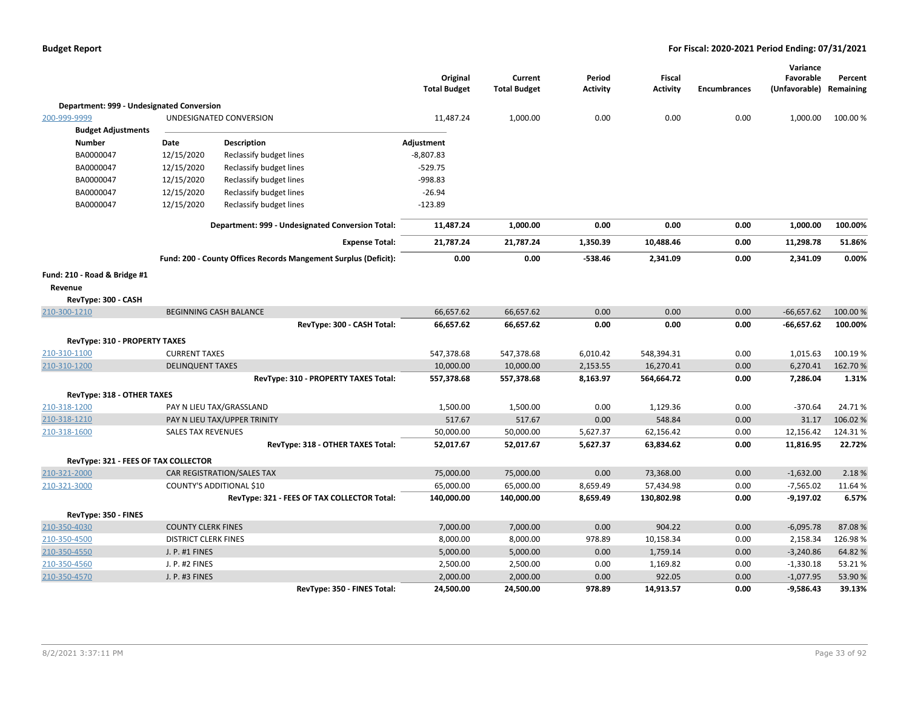|                                           |                             |                                                                 | Original<br><b>Total Budget</b> | Current<br><b>Total Budget</b> | Period<br><b>Activity</b> | <b>Fiscal</b><br><b>Activity</b> | <b>Encumbrances</b> | Variance<br>Favorable<br>(Unfavorable) | Percent<br>Remaining |
|-------------------------------------------|-----------------------------|-----------------------------------------------------------------|---------------------------------|--------------------------------|---------------------------|----------------------------------|---------------------|----------------------------------------|----------------------|
| Department: 999 - Undesignated Conversion |                             |                                                                 |                                 |                                |                           |                                  |                     |                                        |                      |
| 200-999-9999                              |                             | UNDESIGNATED CONVERSION                                         | 11,487.24                       | 1,000.00                       | 0.00                      | 0.00                             | 0.00                | 1,000.00                               | 100.00 %             |
| <b>Budget Adjustments</b>                 |                             |                                                                 |                                 |                                |                           |                                  |                     |                                        |                      |
| <b>Number</b>                             | Date                        | <b>Description</b>                                              | Adjustment                      |                                |                           |                                  |                     |                                        |                      |
| BA0000047                                 | 12/15/2020                  | Reclassify budget lines                                         | $-8,807.83$                     |                                |                           |                                  |                     |                                        |                      |
| BA0000047                                 | 12/15/2020                  | Reclassify budget lines                                         | $-529.75$                       |                                |                           |                                  |                     |                                        |                      |
| BA0000047                                 | 12/15/2020                  | Reclassify budget lines                                         | -998.83                         |                                |                           |                                  |                     |                                        |                      |
| BA0000047                                 | 12/15/2020                  | Reclassify budget lines                                         | $-26.94$                        |                                |                           |                                  |                     |                                        |                      |
| BA0000047                                 | 12/15/2020                  | Reclassify budget lines                                         | $-123.89$                       |                                |                           |                                  |                     |                                        |                      |
|                                           |                             | Department: 999 - Undesignated Conversion Total:                | 11,487.24                       | 1,000.00                       | 0.00                      | 0.00                             | 0.00                | 1,000.00                               | 100.00%              |
|                                           |                             | <b>Expense Total:</b>                                           | 21,787.24                       | 21,787.24                      | 1,350.39                  | 10,488.46                        | 0.00                | 11,298.78                              | 51.86%               |
|                                           |                             | Fund: 200 - County Offices Records Mangement Surplus (Deficit): | 0.00                            | 0.00                           | $-538.46$                 | 2,341.09                         | 0.00                | 2,341.09                               | 0.00%                |
| Fund: 210 - Road & Bridge #1              |                             |                                                                 |                                 |                                |                           |                                  |                     |                                        |                      |
| Revenue                                   |                             |                                                                 |                                 |                                |                           |                                  |                     |                                        |                      |
| RevType: 300 - CASH                       |                             |                                                                 |                                 |                                |                           |                                  |                     |                                        |                      |
| 210-300-1210                              |                             | <b>BEGINNING CASH BALANCE</b>                                   | 66,657.62                       | 66,657.62                      | 0.00                      | 0.00                             | 0.00                | $-66,657.62$                           | 100.00%              |
|                                           |                             | RevType: 300 - CASH Total:                                      | 66,657.62                       | 66,657.62                      | 0.00                      | 0.00                             | 0.00                | $-66,657.62$                           | 100.00%              |
| RevType: 310 - PROPERTY TAXES             |                             |                                                                 |                                 |                                |                           |                                  |                     |                                        |                      |
| 210-310-1100                              | <b>CURRENT TAXES</b>        |                                                                 | 547,378.68                      | 547,378.68                     | 6,010.42                  | 548,394.31                       | 0.00                | 1,015.63                               | 100.19%              |
| 210-310-1200                              | <b>DELINQUENT TAXES</b>     |                                                                 | 10,000.00                       | 10,000.00                      | 2,153.55                  | 16,270.41                        | 0.00                | 6,270.41                               | 162.70%              |
|                                           |                             | RevType: 310 - PROPERTY TAXES Total:                            | 557,378.68                      | 557,378.68                     | 8,163.97                  | 564,664.72                       | 0.00                | 7,286.04                               | 1.31%                |
| RevType: 318 - OTHER TAXES                |                             |                                                                 |                                 |                                |                           |                                  |                     |                                        |                      |
| 210-318-1200                              |                             | PAY N LIEU TAX/GRASSLAND                                        | 1,500.00                        | 1,500.00                       | 0.00                      | 1,129.36                         | 0.00                | $-370.64$                              | 24.71%               |
| 210-318-1210                              |                             | PAY N LIEU TAX/UPPER TRINITY                                    | 517.67                          | 517.67                         | 0.00                      | 548.84                           | 0.00                | 31.17                                  | 106.02%              |
| 210-318-1600                              | <b>SALES TAX REVENUES</b>   |                                                                 | 50,000.00                       | 50,000.00                      | 5,627.37                  | 62,156.42                        | 0.00                | 12,156.42                              | 124.31%              |
|                                           |                             | RevType: 318 - OTHER TAXES Total:                               | 52,017.67                       | 52,017.67                      | 5,627.37                  | 63,834.62                        | 0.00                | 11,816.95                              | 22.72%               |
| RevType: 321 - FEES OF TAX COLLECTOR      |                             |                                                                 |                                 |                                |                           |                                  |                     |                                        |                      |
| 210-321-2000                              |                             | CAR REGISTRATION/SALES TAX                                      | 75,000.00                       | 75,000.00                      | 0.00                      | 73,368.00                        | 0.00                | $-1,632.00$                            | 2.18%                |
| 210-321-3000                              |                             | COUNTY'S ADDITIONAL \$10                                        | 65,000.00                       | 65,000.00                      | 8,659.49                  | 57,434.98                        | 0.00                | $-7,565.02$                            | 11.64 %              |
|                                           |                             | RevType: 321 - FEES OF TAX COLLECTOR Total:                     | 140,000.00                      | 140,000.00                     | 8,659.49                  | 130,802.98                       | 0.00                | $-9,197.02$                            | 6.57%                |
| RevType: 350 - FINES                      |                             |                                                                 |                                 |                                |                           |                                  |                     |                                        |                      |
| 210-350-4030                              | <b>COUNTY CLERK FINES</b>   |                                                                 | 7,000.00                        | 7,000.00                       | 0.00                      | 904.22                           | 0.00                | $-6,095.78$                            | 87.08%               |
| 210-350-4500                              | <b>DISTRICT CLERK FINES</b> |                                                                 | 8,000.00                        | 8,000.00                       | 978.89                    | 10,158.34                        | 0.00                | 2,158.34                               | 126.98%              |
| 210-350-4550                              | J. P. #1 FINES              |                                                                 | 5,000.00                        | 5,000.00                       | 0.00                      | 1,759.14                         | 0.00                | $-3,240.86$                            | 64.82%               |
| 210-350-4560                              | J. P. #2 FINES              |                                                                 | 2,500.00                        | 2,500.00                       | 0.00                      | 1,169.82                         | 0.00                | $-1,330.18$                            | 53.21%               |
| 210-350-4570                              | J. P. #3 FINES              |                                                                 | 2,000.00                        | 2,000.00                       | 0.00                      | 922.05                           | 0.00                | $-1,077.95$                            | 53.90%               |
|                                           |                             | RevType: 350 - FINES Total:                                     | 24,500.00                       | 24,500.00                      | 978.89                    | 14,913.57                        | 0.00                | $-9,586.43$                            | 39.13%               |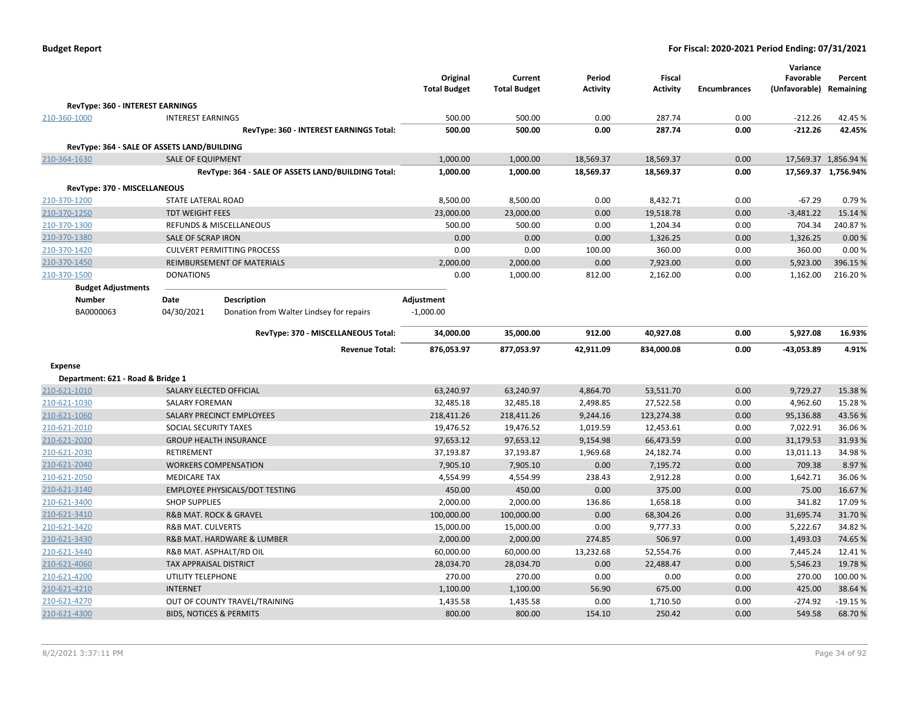| <b>Budget Report</b> |  |
|----------------------|--|
|----------------------|--|

|                                             |                                       |                                                    | Original            | Current             | Period          | <b>Fiscal</b>   |                     | Variance<br>Favorable | Percent              |
|---------------------------------------------|---------------------------------------|----------------------------------------------------|---------------------|---------------------|-----------------|-----------------|---------------------|-----------------------|----------------------|
|                                             |                                       |                                                    | <b>Total Budget</b> | <b>Total Budget</b> | <b>Activity</b> | <b>Activity</b> | <b>Encumbrances</b> | (Unfavorable)         | Remaining            |
| RevType: 360 - INTEREST EARNINGS            |                                       |                                                    |                     |                     |                 |                 |                     |                       |                      |
| 210-360-1000                                | <b>INTEREST EARNINGS</b>              |                                                    | 500.00              | 500.00              | 0.00            | 287.74          | 0.00                | $-212.26$             | 42.45%               |
|                                             |                                       | RevType: 360 - INTEREST EARNINGS Total:            | 500.00              | 500.00              | 0.00            | 287.74          | 0.00                | $-212.26$             | 42.45%               |
| RevType: 364 - SALE OF ASSETS LAND/BUILDING |                                       |                                                    |                     |                     |                 |                 |                     |                       |                      |
| 210-364-1630                                | <b>SALE OF EQUIPMENT</b>              |                                                    | 1,000.00            | 1,000.00            | 18,569.37       | 18,569.37       | 0.00                |                       | 17,569.37 1,856.94 % |
|                                             |                                       | RevType: 364 - SALE OF ASSETS LAND/BUILDING Total: | 1,000.00            | 1,000.00            | 18,569.37       | 18,569.37       | 0.00                |                       | 17,569.37 1,756.94%  |
| RevType: 370 - MISCELLANEOUS                |                                       |                                                    |                     |                     |                 |                 |                     |                       |                      |
| 210-370-1200                                | STATE LATERAL ROAD                    |                                                    | 8,500.00            | 8,500.00            | 0.00            | 8,432.71        | 0.00                | $-67.29$              | 0.79%                |
| 210-370-1250                                | <b>TDT WEIGHT FEES</b>                |                                                    | 23,000.00           | 23,000.00           | 0.00            | 19,518.78       | 0.00                | $-3,481.22$           | 15.14 %              |
| 210-370-1300                                |                                       | <b>REFUNDS &amp; MISCELLANEOUS</b>                 | 500.00              | 500.00              | 0.00            | 1,204.34        | 0.00                | 704.34                | 240.87%              |
| 210-370-1380                                | <b>SALE OF SCRAP IRON</b>             |                                                    | 0.00                | 0.00                | 0.00            | 1,326.25        | 0.00                | 1,326.25              | 0.00%                |
| 210-370-1420                                |                                       | <b>CULVERT PERMITTING PROCESS</b>                  | 0.00                | 0.00                | 100.00          | 360.00          | 0.00                | 360.00                | 0.00%                |
| 210-370-1450                                |                                       | REIMBURSEMENT OF MATERIALS                         | 2,000.00            | 2,000.00            | 0.00            | 7,923.00        | 0.00                | 5,923.00              | 396.15 %             |
| 210-370-1500                                | <b>DONATIONS</b>                      |                                                    | 0.00                | 1,000.00            | 812.00          | 2,162.00        | 0.00                | 1,162.00              | 216.20%              |
| <b>Budget Adjustments</b>                   |                                       |                                                    |                     |                     |                 |                 |                     |                       |                      |
| Number                                      | Date                                  | Description                                        | Adjustment          |                     |                 |                 |                     |                       |                      |
| BA0000063                                   | 04/30/2021                            | Donation from Walter Lindsey for repairs           | $-1,000.00$         |                     |                 |                 |                     |                       |                      |
|                                             |                                       | RevType: 370 - MISCELLANEOUS Total:                | 34,000.00           | 35,000.00           | 912.00          | 40,927.08       | 0.00                | 5,927.08              | 16.93%               |
|                                             |                                       | <b>Revenue Total:</b>                              | 876,053.97          | 877,053.97          | 42,911.09       | 834,000.08      | 0.00                | -43,053.89            | 4.91%                |
| <b>Expense</b>                              |                                       |                                                    |                     |                     |                 |                 |                     |                       |                      |
| Department: 621 - Road & Bridge 1           |                                       |                                                    |                     |                     |                 |                 |                     |                       |                      |
| 210-621-1010                                | SALARY ELECTED OFFICIAL               |                                                    | 63,240.97           | 63,240.97           | 4,864.70        | 53,511.70       | 0.00                | 9,729.27              | 15.38%               |
| 210-621-1030                                | <b>SALARY FOREMAN</b>                 |                                                    | 32,485.18           | 32,485.18           | 2,498.85        | 27,522.58       | 0.00                | 4,962.60              | 15.28%               |
| 210-621-1060                                |                                       | SALARY PRECINCT EMPLOYEES                          | 218,411.26          | 218,411.26          | 9,244.16        | 123,274.38      | 0.00                | 95,136.88             | 43.56%               |
| 210-621-2010                                | SOCIAL SECURITY TAXES                 |                                                    | 19,476.52           | 19,476.52           | 1,019.59        | 12,453.61       | 0.00                | 7,022.91              | 36.06%               |
| 210-621-2020                                |                                       | <b>GROUP HEALTH INSURANCE</b>                      | 97,653.12           | 97,653.12           | 9,154.98        | 66,473.59       | 0.00                | 31,179.53             | 31.93%               |
| 210-621-2030                                | RETIREMENT                            |                                                    | 37,193.87           | 37,193.87           | 1,969.68        | 24,182.74       | 0.00                | 13,011.13             | 34.98%               |
| 210-621-2040                                |                                       | <b>WORKERS COMPENSATION</b>                        | 7,905.10            | 7,905.10            | 0.00            | 7,195.72        | 0.00                | 709.38                | 8.97%                |
| 210-621-2050                                | <b>MEDICARE TAX</b>                   |                                                    | 4,554.99            | 4,554.99            | 238.43          | 2,912.28        | 0.00                | 1,642.71              | 36.06%               |
| 210-621-3140                                |                                       | <b>EMPLOYEE PHYSICALS/DOT TESTING</b>              | 450.00              | 450.00              | 0.00            | 375.00          | 0.00                | 75.00                 | 16.67%               |
| 210-621-3400                                | <b>SHOP SUPPLIES</b>                  |                                                    | 2,000.00            | 2,000.00            | 136.86          | 1,658.18        | 0.00                | 341.82                | 17.09%               |
| 210-621-3410                                | <b>R&amp;B MAT. ROCK &amp; GRAVEL</b> |                                                    | 100,000.00          | 100,000.00          | 0.00            | 68,304.26       | 0.00                | 31,695.74             | 31.70%               |
| 210-621-3420                                | <b>R&amp;B MAT. CULVERTS</b>          |                                                    | 15,000.00           | 15,000.00           | 0.00            | 9,777.33        | 0.00                | 5,222.67              | 34.82%               |
| 210-621-3430                                |                                       | R&B MAT. HARDWARE & LUMBER                         | 2,000.00            | 2,000.00            | 274.85          | 506.97          | 0.00                | 1,493.03              | 74.65%               |
| 210-621-3440                                |                                       | R&B MAT. ASPHALT/RD OIL                            | 60,000.00           | 60,000.00           | 13,232.68       | 52,554.76       | 0.00                | 7,445.24              | 12.41%               |
| 210-621-4060                                | TAX APPRAISAL DISTRICT                |                                                    | 28,034.70           | 28,034.70           | 0.00            | 22,488.47       | 0.00                | 5,546.23              | 19.78%               |
| 210-621-4200                                | UTILITY TELEPHONE                     |                                                    | 270.00              | 270.00              | 0.00            | 0.00            | 0.00                | 270.00                | 100.00%              |
| 210-621-4210                                | <b>INTERNET</b>                       |                                                    | 1,100.00            | 1,100.00            | 56.90           | 675.00          | 0.00                | 425.00                | 38.64%               |
| 210-621-4270                                |                                       | OUT OF COUNTY TRAVEL/TRAINING                      | 1,435.58            | 1,435.58            | 0.00            | 1,710.50        | 0.00                | $-274.92$             | $-19.15%$            |
| 210-621-4300                                | <b>BIDS, NOTICES &amp; PERMITS</b>    |                                                    | 800.00              | 800.00              | 154.10          | 250.42          | 0.00                | 549.58                | 68.70%               |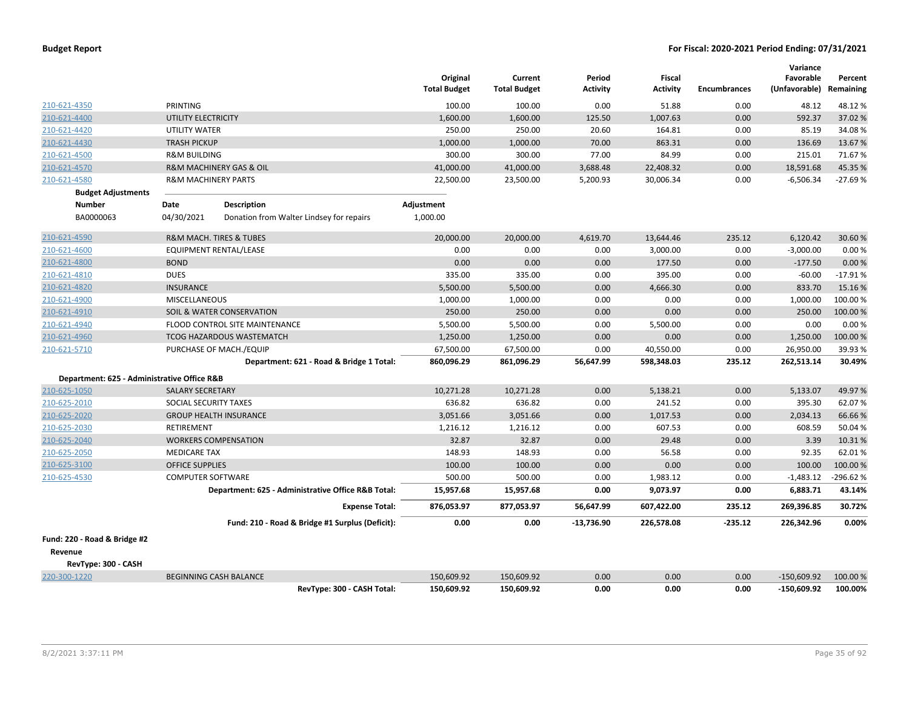|                                             |                                |                                                    | Original<br><b>Total Budget</b> | Current<br><b>Total Budget</b> | Period<br><b>Activity</b> | <b>Fiscal</b><br><b>Activity</b> | <b>Encumbrances</b> | Variance<br>Favorable<br>(Unfavorable) Remaining | Percent    |
|---------------------------------------------|--------------------------------|----------------------------------------------------|---------------------------------|--------------------------------|---------------------------|----------------------------------|---------------------|--------------------------------------------------|------------|
| 210-621-4350                                | PRINTING                       |                                                    | 100.00                          | 100.00                         | 0.00                      | 51.88                            | 0.00                | 48.12                                            | 48.12%     |
| 210-621-4400                                | UTILITY ELECTRICITY            |                                                    | 1,600.00                        | 1,600.00                       | 125.50                    | 1,007.63                         | 0.00                | 592.37                                           | 37.02%     |
| 210-621-4420                                | UTILITY WATER                  |                                                    | 250.00                          | 250.00                         | 20.60                     | 164.81                           | 0.00                | 85.19                                            | 34.08%     |
| 210-621-4430                                | <b>TRASH PICKUP</b>            |                                                    | 1,000.00                        | 1,000.00                       | 70.00                     | 863.31                           | 0.00                | 136.69                                           | 13.67%     |
| 210-621-4500                                | <b>R&amp;M BUILDING</b>        |                                                    | 300.00                          | 300.00                         | 77.00                     | 84.99                            | 0.00                | 215.01                                           | 71.67%     |
| 210-621-4570                                |                                | R&M MACHINERY GAS & OIL                            | 41,000.00                       | 41,000.00                      | 3,688.48                  | 22,408.32                        | 0.00                | 18,591.68                                        | 45.35%     |
| 210-621-4580                                | <b>R&amp;M MACHINERY PARTS</b> |                                                    | 22,500.00                       | 23,500.00                      | 5,200.93                  | 30,006.34                        | 0.00                | $-6,506.34$                                      | $-27.69%$  |
| <b>Budget Adjustments</b>                   |                                |                                                    |                                 |                                |                           |                                  |                     |                                                  |            |
| <b>Number</b>                               | Date                           | <b>Description</b>                                 | Adjustment                      |                                |                           |                                  |                     |                                                  |            |
| BA0000063                                   | 04/30/2021                     | Donation from Walter Lindsey for repairs           | 1,000.00                        |                                |                           |                                  |                     |                                                  |            |
| 210-621-4590                                |                                | <b>R&amp;M MACH. TIRES &amp; TUBES</b>             | 20,000.00                       | 20,000.00                      | 4,619.70                  | 13,644.46                        | 235.12              | 6,120.42                                         | 30.60%     |
| 210-621-4600                                |                                | EQUIPMENT RENTAL/LEASE                             | 0.00                            | 0.00                           | 0.00                      | 3,000.00                         | 0.00                | $-3,000.00$                                      | 0.00%      |
| 210-621-4800                                | <b>BOND</b>                    |                                                    | 0.00                            | 0.00                           | 0.00                      | 177.50                           | 0.00                | $-177.50$                                        | 0.00%      |
| 210-621-4810                                | <b>DUES</b>                    |                                                    | 335.00                          | 335.00                         | 0.00                      | 395.00                           | 0.00                | $-60.00$                                         | $-17.91%$  |
| 210-621-4820                                | <b>INSURANCE</b>               |                                                    | 5,500.00                        | 5,500.00                       | 0.00                      | 4,666.30                         | 0.00                | 833.70                                           | 15.16%     |
| 210-621-4900                                | <b>MISCELLANEOUS</b>           |                                                    | 1,000.00                        | 1,000.00                       | 0.00                      | 0.00                             | 0.00                | 1,000.00                                         | 100.00%    |
| 210-621-4910                                |                                | SOIL & WATER CONSERVATION                          | 250.00                          | 250.00                         | 0.00                      | 0.00                             | 0.00                | 250.00                                           | 100.00 %   |
| 210-621-4940                                |                                | FLOOD CONTROL SITE MAINTENANCE                     | 5,500.00                        | 5,500.00                       | 0.00                      | 5,500.00                         | 0.00                | 0.00                                             | 0.00%      |
| 210-621-4960                                |                                | TCOG HAZARDOUS WASTEMATCH                          | 1,250.00                        | 1,250.00                       | 0.00                      | 0.00                             | 0.00                | 1,250.00                                         | 100.00%    |
| 210-621-5710                                |                                | PURCHASE OF MACH./EQUIP                            | 67,500.00                       | 67,500.00                      | 0.00                      | 40,550.00                        | 0.00                | 26,950.00                                        | 39.93%     |
|                                             |                                | Department: 621 - Road & Bridge 1 Total:           | 860,096.29                      | 861,096.29                     | 56,647.99                 | 598,348.03                       | 235.12              | 262,513.14                                       | 30.49%     |
| Department: 625 - Administrative Office R&B |                                |                                                    |                                 |                                |                           |                                  |                     |                                                  |            |
| 210-625-1050                                | <b>SALARY SECRETARY</b>        |                                                    | 10,271.28                       | 10,271.28                      | 0.00                      | 5,138.21                         | 0.00                | 5,133.07                                         | 49.97%     |
| 210-625-2010                                | SOCIAL SECURITY TAXES          |                                                    | 636.82                          | 636.82                         | 0.00                      | 241.52                           | 0.00                | 395.30                                           | 62.07%     |
| 210-625-2020                                |                                | <b>GROUP HEALTH INSURANCE</b>                      | 3,051.66                        | 3,051.66                       | 0.00                      | 1,017.53                         | 0.00                | 2,034.13                                         | 66.66%     |
| 210-625-2030                                | RETIREMENT                     |                                                    | 1,216.12                        | 1,216.12                       | 0.00                      | 607.53                           | 0.00                | 608.59                                           | 50.04 %    |
| 210-625-2040                                |                                | <b>WORKERS COMPENSATION</b>                        | 32.87                           | 32.87                          | 0.00                      | 29.48                            | 0.00                | 3.39                                             | 10.31%     |
| 210-625-2050                                | <b>MEDICARE TAX</b>            |                                                    | 148.93                          | 148.93                         | 0.00                      | 56.58                            | 0.00                | 92.35                                            | 62.01%     |
| 210-625-3100                                | <b>OFFICE SUPPLIES</b>         |                                                    | 100.00                          | 100.00                         | 0.00                      | 0.00                             | 0.00                | 100.00                                           | 100.00%    |
| 210-625-4530                                | <b>COMPUTER SOFTWARE</b>       |                                                    | 500.00                          | 500.00                         | 0.00                      | 1,983.12                         | 0.00                | $-1,483.12$                                      | $-296.62%$ |
|                                             |                                | Department: 625 - Administrative Office R&B Total: | 15,957.68                       | 15,957.68                      | 0.00                      | 9,073.97                         | 0.00                | 6,883.71                                         | 43.14%     |
|                                             |                                | <b>Expense Total:</b>                              | 876,053.97                      | 877,053.97                     | 56,647.99                 | 607,422.00                       | 235.12              | 269,396.85                                       | 30.72%     |
|                                             |                                | Fund: 210 - Road & Bridge #1 Surplus (Deficit):    | 0.00                            | 0.00                           | $-13,736.90$              | 226,578.08                       | -235.12             | 226,342.96                                       | 0.00%      |
| Fund: 220 - Road & Bridge #2                |                                |                                                    |                                 |                                |                           |                                  |                     |                                                  |            |
| Revenue                                     |                                |                                                    |                                 |                                |                           |                                  |                     |                                                  |            |
| RevType: 300 - CASH                         |                                |                                                    |                                 |                                |                           |                                  |                     |                                                  |            |
| 220-300-1220                                |                                | <b>BEGINNING CASH BALANCE</b>                      | 150,609.92                      | 150,609.92                     | 0.00                      | 0.00                             | 0.00                | $-150,609.92$                                    | 100.00 %   |
|                                             |                                | RevTvpe: 300 - CASH Total:                         | 150.609.92                      | 150.609.92                     | 0.00                      | 0.00                             | 0.00                | $-150.609.92$                                    | 100.00%    |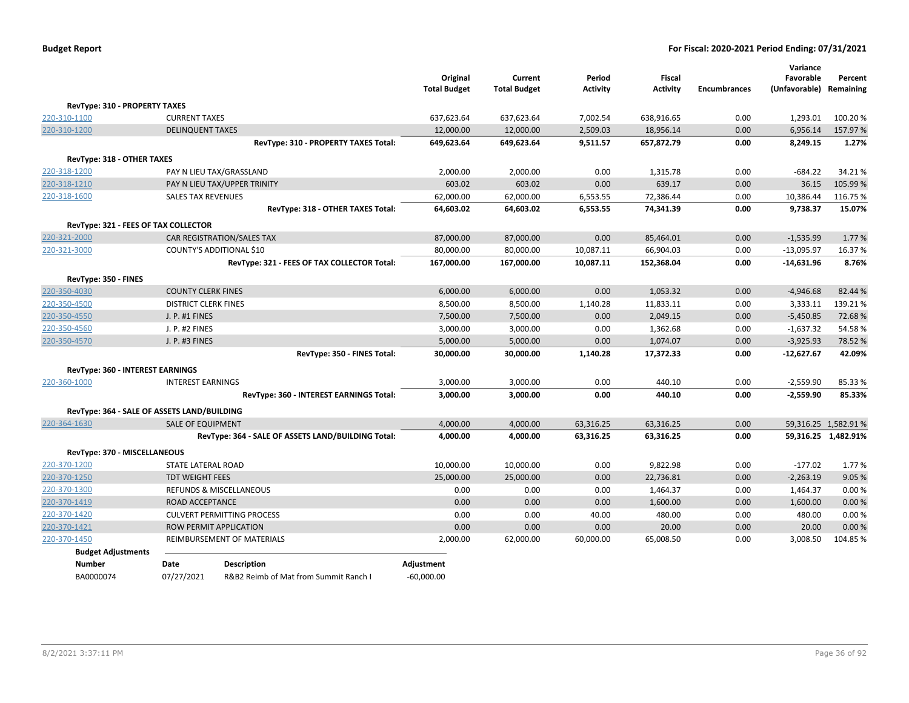|                                      |                                             |                                                    | Original<br><b>Total Budget</b> | Current<br><b>Total Budget</b> | Period<br><b>Activity</b> | Fiscal<br><b>Activity</b> | <b>Encumbrances</b> | Variance<br>Favorable<br>(Unfavorable) | Percent<br>Remaining |
|--------------------------------------|---------------------------------------------|----------------------------------------------------|---------------------------------|--------------------------------|---------------------------|---------------------------|---------------------|----------------------------------------|----------------------|
| <b>RevType: 310 - PROPERTY TAXES</b> |                                             |                                                    |                                 |                                |                           |                           |                     |                                        |                      |
| 220-310-1100                         | <b>CURRENT TAXES</b>                        |                                                    | 637,623.64                      | 637,623.64                     | 7,002.54                  | 638,916.65                | 0.00                | 1,293.01                               | 100.20%              |
| 220-310-1200                         | <b>DELINQUENT TAXES</b>                     |                                                    | 12,000.00                       | 12,000.00                      | 2,509.03                  | 18,956.14                 | 0.00                | 6,956.14                               | 157.97%              |
|                                      |                                             | RevType: 310 - PROPERTY TAXES Total:               | 649,623.64                      | 649,623.64                     | 9,511.57                  | 657,872.79                | 0.00                | 8,249.15                               | 1.27%                |
| RevType: 318 - OTHER TAXES           |                                             |                                                    |                                 |                                |                           |                           |                     |                                        |                      |
| 220-318-1200                         |                                             | PAY N LIEU TAX/GRASSLAND                           | 2,000.00                        | 2,000.00                       | 0.00                      | 1,315.78                  | 0.00                | $-684.22$                              | 34.21%               |
| 220-318-1210                         |                                             | PAY N LIEU TAX/UPPER TRINITY                       | 603.02                          | 603.02                         | 0.00                      | 639.17                    | 0.00                | 36.15                                  | 105.99%              |
| 220-318-1600                         | <b>SALES TAX REVENUES</b>                   |                                                    | 62,000.00                       | 62,000.00                      | 6,553.55                  | 72,386.44                 | 0.00                | 10,386.44                              | 116.75 %             |
|                                      |                                             | RevType: 318 - OTHER TAXES Total:                  | 64,603.02                       | 64,603.02                      | 6,553.55                  | 74,341.39                 | 0.00                | 9,738.37                               | 15.07%               |
|                                      | RevType: 321 - FEES OF TAX COLLECTOR        |                                                    |                                 |                                |                           |                           |                     |                                        |                      |
| 220-321-2000                         |                                             | CAR REGISTRATION/SALES TAX                         | 87,000.00                       | 87,000.00                      | 0.00                      | 85,464.01                 | 0.00                | $-1,535.99$                            | 1.77%                |
| 220-321-3000                         |                                             | COUNTY'S ADDITIONAL \$10                           | 80,000.00                       | 80,000.00                      | 10,087.11                 | 66,904.03                 | 0.00                | $-13,095.97$                           | 16.37%               |
|                                      |                                             | RevType: 321 - FEES OF TAX COLLECTOR Total:        | 167,000.00                      | 167,000.00                     | 10,087.11                 | 152,368.04                | 0.00                | $-14,631.96$                           | 8.76%                |
| RevType: 350 - FINES                 |                                             |                                                    |                                 |                                |                           |                           |                     |                                        |                      |
| 220-350-4030                         | <b>COUNTY CLERK FINES</b>                   |                                                    | 6,000.00                        | 6,000.00                       | 0.00                      | 1,053.32                  | 0.00                | $-4,946.68$                            | 82.44 %              |
| 220-350-4500                         | <b>DISTRICT CLERK FINES</b>                 |                                                    | 8,500.00                        | 8,500.00                       | 1,140.28                  | 11,833.11                 | 0.00                | 3,333.11                               | 139.21%              |
| 220-350-4550                         | J. P. #1 FINES                              |                                                    | 7,500.00                        | 7,500.00                       | 0.00                      | 2,049.15                  | 0.00                | $-5,450.85$                            | 72.68%               |
| 220-350-4560                         | J. P. #2 FINES                              |                                                    | 3,000.00                        | 3,000.00                       | 0.00                      | 1,362.68                  | 0.00                | $-1,637.32$                            | 54.58%               |
| 220-350-4570                         | J. P. #3 FINES                              |                                                    | 5,000.00                        | 5,000.00                       | 0.00                      | 1,074.07                  | 0.00                | $-3,925.93$                            | 78.52%               |
|                                      |                                             | RevType: 350 - FINES Total:                        | 30,000.00                       | 30,000.00                      | 1,140.28                  | 17,372.33                 | 0.00                | $-12,627.67$                           | 42.09%               |
| RevType: 360 - INTEREST EARNINGS     |                                             |                                                    |                                 |                                |                           |                           |                     |                                        |                      |
| 220-360-1000                         | <b>INTEREST EARNINGS</b>                    |                                                    | 3,000.00                        | 3,000.00                       | 0.00                      | 440.10                    | 0.00                | $-2,559.90$                            | 85.33 %              |
|                                      |                                             | RevType: 360 - INTEREST EARNINGS Total:            | 3,000.00                        | 3,000.00                       | 0.00                      | 440.10                    | 0.00                | $-2,559.90$                            | 85.33%               |
|                                      | RevType: 364 - SALE OF ASSETS LAND/BUILDING |                                                    |                                 |                                |                           |                           |                     |                                        |                      |
| 220-364-1630                         | <b>SALE OF EQUIPMENT</b>                    |                                                    | 4,000.00                        | 4,000.00                       | 63,316.25                 | 63,316.25                 | 0.00                |                                        | 59,316.25 1,582.91 % |
|                                      |                                             | RevType: 364 - SALE OF ASSETS LAND/BUILDING Total: | 4,000.00                        | 4,000.00                       | 63,316.25                 | 63,316.25                 | 0.00                |                                        | 59,316.25 1,482.91%  |
| RevType: 370 - MISCELLANEOUS         |                                             |                                                    |                                 |                                |                           |                           |                     |                                        |                      |
| 220-370-1200                         | STATE LATERAL ROAD                          |                                                    | 10,000.00                       | 10,000.00                      | 0.00                      | 9,822.98                  | 0.00                | $-177.02$                              | 1.77%                |
| 220-370-1250                         | <b>TDT WEIGHT FEES</b>                      |                                                    | 25,000.00                       | 25,000.00                      | 0.00                      | 22,736.81                 | 0.00                | $-2,263.19$                            | 9.05%                |
| 220-370-1300                         |                                             | REFUNDS & MISCELLANEOUS                            |                                 | 0.00                           | 0.00                      | 1,464.37                  | 0.00                | 1,464.37                               | 0.00%                |
| 220-370-1419                         |                                             | ROAD ACCEPTANCE                                    |                                 | 0.00                           | 0.00                      | 1,600.00                  | 0.00                | 1,600.00                               | 0.00%                |
| 220-370-1420                         |                                             | <b>CULVERT PERMITTING PROCESS</b>                  |                                 | 0.00                           | 40.00                     | 480.00                    | 0.00                | 480.00                                 | 0.00%                |
| 220-370-1421                         |                                             | <b>ROW PERMIT APPLICATION</b>                      |                                 | 0.00                           | 0.00                      | 20.00                     | 0.00                | 20.00                                  | 0.00%                |
| 220-370-1450                         |                                             | REIMBURSEMENT OF MATERIALS                         | 2,000.00                        | 62,000.00                      | 60,000.00                 | 65,008.50                 | 0.00                | 3,008.50                               | 104.85%              |
| <b>Budget Adjustments</b>            |                                             |                                                    |                                 |                                |                           |                           |                     |                                        |                      |
| <b>Number</b>                        | Date                                        | <b>Description</b>                                 | Adjustment                      |                                |                           |                           |                     |                                        |                      |
| BA0000074                            | 07/27/2021                                  | R&B2 Reimb of Mat from Summit Ranch I              | $-60,000.00$                    |                                |                           |                           |                     |                                        |                      |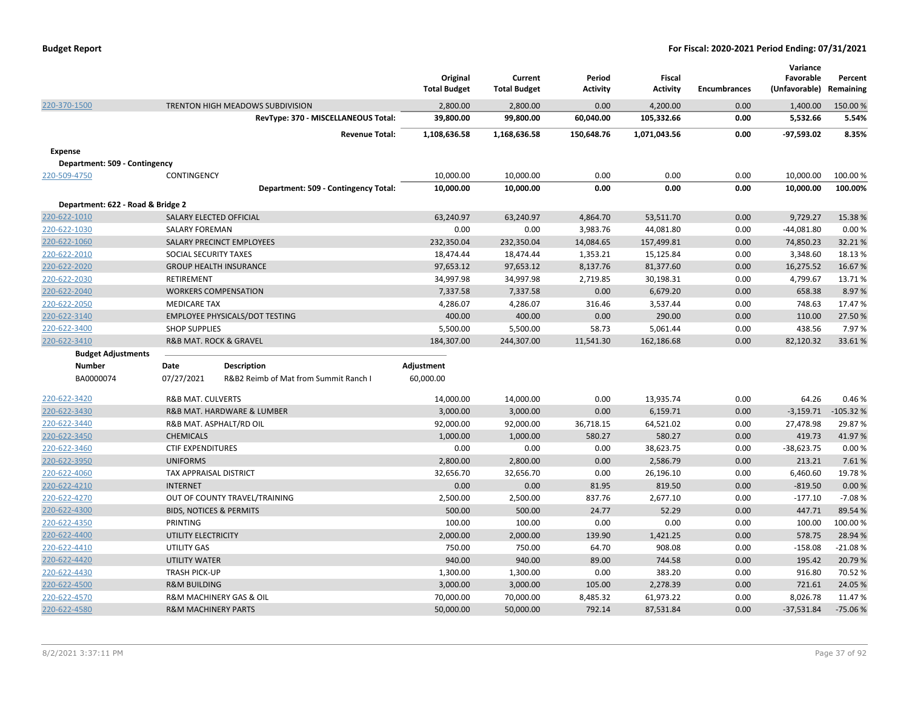|                                   |                                    |                                       | Original<br><b>Total Budget</b> | Current<br><b>Total Budget</b> | Period<br>Activity | <b>Fiscal</b><br><b>Activity</b> | <b>Encumbrances</b> | Variance<br>Favorable<br>(Unfavorable) | Percent<br>Remaining |
|-----------------------------------|------------------------------------|---------------------------------------|---------------------------------|--------------------------------|--------------------|----------------------------------|---------------------|----------------------------------------|----------------------|
| 220-370-1500                      |                                    | TRENTON HIGH MEADOWS SUBDIVISION      | 2,800.00                        | 2,800.00                       | 0.00               | 4,200.00                         | 0.00                | 1,400.00                               | 150.00%              |
|                                   |                                    | RevType: 370 - MISCELLANEOUS Total:   | 39,800.00                       | 99,800.00                      | 60,040.00          | 105,332.66                       | 0.00                | 5,532.66                               | 5.54%                |
|                                   |                                    | <b>Revenue Total:</b>                 | 1,108,636.58                    | 1,168,636.58                   | 150,648.76         | 1,071,043.56                     | 0.00                | -97,593.02                             | 8.35%                |
| <b>Expense</b>                    |                                    |                                       |                                 |                                |                    |                                  |                     |                                        |                      |
| Department: 509 - Contingency     |                                    |                                       |                                 |                                |                    |                                  |                     |                                        |                      |
| 220-509-4750                      | CONTINGENCY                        |                                       | 10,000.00                       | 10,000.00                      | 0.00               | 0.00                             | 0.00                | 10,000.00                              | 100.00 %             |
|                                   |                                    | Department: 509 - Contingency Total:  | 10,000.00                       | 10,000.00                      | 0.00               | 0.00                             | 0.00                | 10,000.00                              | 100.00%              |
| Department: 622 - Road & Bridge 2 |                                    |                                       |                                 |                                |                    |                                  |                     |                                        |                      |
| 220-622-1010                      | SALARY ELECTED OFFICIAL            |                                       | 63,240.97                       | 63,240.97                      | 4,864.70           | 53,511.70                        | 0.00                | 9,729.27                               | 15.38 %              |
| 220-622-1030                      | <b>SALARY FOREMAN</b>              |                                       | 0.00                            | 0.00                           | 3,983.76           | 44,081.80                        | 0.00                | $-44,081.80$                           | 0.00%                |
| 220-622-1060                      |                                    | SALARY PRECINCT EMPLOYEES             | 232,350.04                      | 232,350.04                     | 14,084.65          | 157,499.81                       | 0.00                | 74,850.23                              | 32.21%               |
| 220-622-2010                      | SOCIAL SECURITY TAXES              |                                       | 18,474.44                       | 18,474.44                      | 1,353.21           | 15,125.84                        | 0.00                | 3,348.60                               | 18.13 %              |
| 220-622-2020                      |                                    | <b>GROUP HEALTH INSURANCE</b>         | 97,653.12                       | 97,653.12                      | 8,137.76           | 81,377.60                        | 0.00                | 16,275.52                              | 16.67%               |
| 220-622-2030                      | RETIREMENT                         |                                       | 34,997.98                       | 34,997.98                      | 2,719.85           | 30,198.31                        | 0.00                | 4,799.67                               | 13.71%               |
| 220-622-2040                      |                                    | <b>WORKERS COMPENSATION</b>           | 7,337.58                        | 7,337.58                       | 0.00               | 6,679.20                         | 0.00                | 658.38                                 | 8.97%                |
| 220-622-2050                      | <b>MEDICARE TAX</b>                |                                       | 4,286.07                        | 4,286.07                       | 316.46             | 3,537.44                         | 0.00                | 748.63                                 | 17.47%               |
| 220-622-3140                      |                                    | <b>EMPLOYEE PHYSICALS/DOT TESTING</b> | 400.00                          | 400.00                         | 0.00               | 290.00                           | 0.00                | 110.00                                 | 27.50 %              |
| 220-622-3400                      | <b>SHOP SUPPLIES</b>               |                                       | 5,500.00                        | 5,500.00                       | 58.73              | 5,061.44                         | 0.00                | 438.56                                 | 7.97%                |
| 220-622-3410                      |                                    | <b>R&amp;B MAT, ROCK &amp; GRAVEL</b> | 184,307.00                      | 244,307.00                     | 11,541.30          | 162,186.68                       | 0.00                | 82,120.32                              | 33.61%               |
| <b>Budget Adjustments</b>         |                                    |                                       |                                 |                                |                    |                                  |                     |                                        |                      |
| <b>Number</b>                     | Date                               | <b>Description</b>                    | Adjustment                      |                                |                    |                                  |                     |                                        |                      |
| BA0000074                         | 07/27/2021                         | R&B2 Reimb of Mat from Summit Ranch I | 60,000.00                       |                                |                    |                                  |                     |                                        |                      |
| 220-622-3420                      | <b>R&amp;B MAT. CULVERTS</b>       |                                       | 14,000.00                       | 14,000.00                      | 0.00               | 13,935.74                        | 0.00                | 64.26                                  | 0.46%                |
| 220-622-3430                      |                                    | R&B MAT. HARDWARE & LUMBER            | 3,000.00                        | 3,000.00                       | 0.00               | 6,159.71                         | 0.00                | $-3,159.71$                            | $-105.32%$           |
| 220-622-3440                      |                                    | R&B MAT. ASPHALT/RD OIL               | 92,000.00                       | 92,000.00                      | 36,718.15          | 64,521.02                        | 0.00                | 27,478.98                              | 29.87%               |
| 220-622-3450                      | <b>CHEMICALS</b>                   |                                       | 1,000.00                        | 1,000.00                       | 580.27             | 580.27                           | 0.00                | 419.73                                 | 41.97%               |
| 220-622-3460                      | <b>CTIF EXPENDITURES</b>           |                                       | 0.00                            | 0.00                           | 0.00               | 38,623.75                        | 0.00                | $-38,623.75$                           | 0.00%                |
| 220-622-3950                      | <b>UNIFORMS</b>                    |                                       | 2,800.00                        | 2,800.00                       | 0.00               | 2,586.79                         | 0.00                | 213.21                                 | 7.61%                |
| 220-622-4060                      | TAX APPRAISAL DISTRICT             |                                       | 32,656.70                       | 32,656.70                      | 0.00               | 26,196.10                        | 0.00                | 6,460.60                               | 19.78%               |
| 220-622-4210                      | <b>INTERNET</b>                    |                                       | 0.00                            | 0.00                           | 81.95              | 819.50                           | 0.00                | $-819.50$                              | 0.00%                |
| 220-622-4270                      |                                    | OUT OF COUNTY TRAVEL/TRAINING         | 2,500.00                        | 2,500.00                       | 837.76             | 2,677.10                         | 0.00                | $-177.10$                              | $-7.08%$             |
| 220-622-4300                      | <b>BIDS, NOTICES &amp; PERMITS</b> |                                       | 500.00                          | 500.00                         | 24.77              | 52.29                            | 0.00                | 447.71                                 | 89.54%               |
| 220-622-4350                      | PRINTING                           |                                       | 100.00                          | 100.00                         | 0.00               | 0.00                             | 0.00                | 100.00                                 | 100.00%              |
| 220-622-4400                      | UTILITY ELECTRICITY                |                                       | 2,000.00                        | 2,000.00                       | 139.90             | 1,421.25                         | 0.00                | 578.75                                 | 28.94 %              |
| 220-622-4410                      | UTILITY GAS                        |                                       | 750.00                          | 750.00                         | 64.70              | 908.08                           | 0.00                | $-158.08$                              | $-21.08%$            |
| 220-622-4420                      | <b>UTILITY WATER</b>               |                                       | 940.00                          | 940.00                         | 89.00              | 744.58                           | 0.00                | 195.42                                 | 20.79%               |
| 220-622-4430                      | <b>TRASH PICK-UP</b>               |                                       | 1,300.00                        | 1,300.00                       | 0.00               | 383.20                           | 0.00                | 916.80                                 | 70.52%               |
| 220-622-4500                      | <b>R&amp;M BUILDING</b>            |                                       | 3,000.00                        | 3,000.00                       | 105.00             | 2,278.39                         | 0.00                | 721.61                                 | 24.05%               |
| 220-622-4570                      |                                    | R&M MACHINERY GAS & OIL               | 70,000.00                       | 70,000.00                      | 8,485.32           | 61,973.22                        | 0.00                | 8,026.78                               | 11.47%               |
| 220-622-4580                      | <b>R&amp;M MACHINERY PARTS</b>     |                                       | 50,000.00                       | 50,000.00                      | 792.14             | 87,531.84                        | 0.00                | $-37,531.84$                           | $-75.06%$            |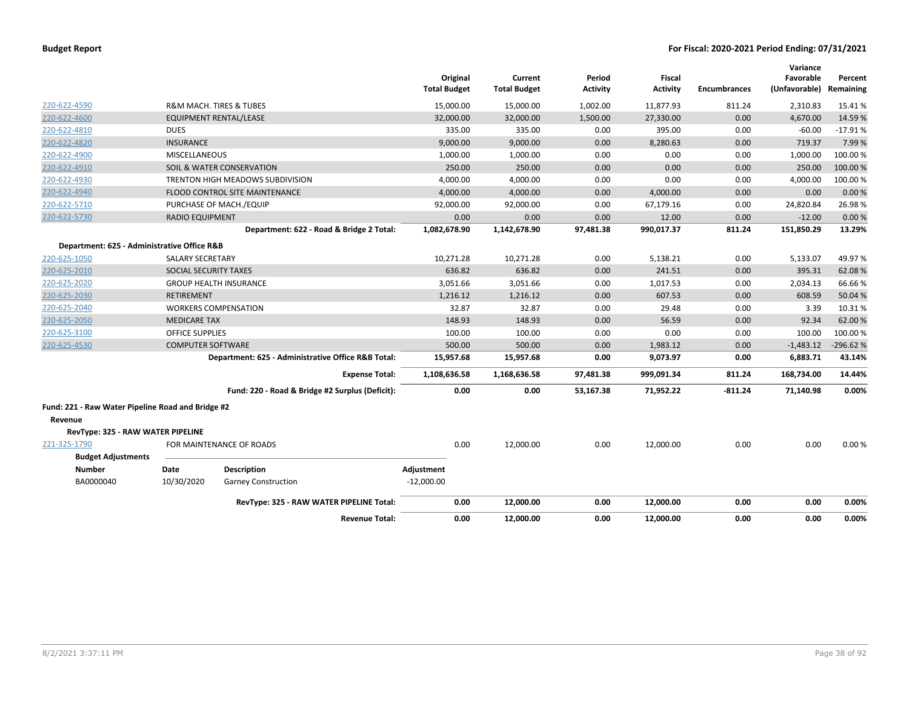|                                                   |                          |                                                    | <b>Total Budget</b> | Original  | Current<br><b>Total Budget</b> | Period<br><b>Activity</b> | <b>Fiscal</b><br><b>Activity</b> | <b>Encumbrances</b> | Variance<br>Favorable<br>(Unfavorable) | Percent<br>Remaining |
|---------------------------------------------------|--------------------------|----------------------------------------------------|---------------------|-----------|--------------------------------|---------------------------|----------------------------------|---------------------|----------------------------------------|----------------------|
| 220-622-4590                                      |                          | R&M MACH. TIRES & TUBES                            |                     | 15,000.00 | 15,000.00                      | 1,002.00                  | 11,877.93                        | 811.24              | 2,310.83                               | 15.41%               |
| 220-622-4600                                      |                          | EQUIPMENT RENTAL/LEASE                             |                     | 32,000.00 | 32,000.00                      | 1,500.00                  | 27,330.00                        | 0.00                | 4,670.00                               | 14.59%               |
| 220-622-4810                                      | <b>DUES</b>              |                                                    |                     | 335.00    | 335.00                         | 0.00                      | 395.00                           | 0.00                | $-60.00$                               | $-17.91%$            |
| 220-622-4820                                      | <b>INSURANCE</b>         |                                                    |                     | 9,000.00  | 9,000.00                       | 0.00                      | 8,280.63                         | 0.00                | 719.37                                 | 7.99%                |
| 220-622-4900                                      | <b>MISCELLANEOUS</b>     |                                                    |                     | 1,000.00  | 1,000.00                       | 0.00                      | 0.00                             | 0.00                | 1,000.00                               | 100.00%              |
| 220-622-4910                                      |                          | SOIL & WATER CONSERVATION                          |                     | 250.00    | 250.00                         | 0.00                      | 0.00                             | 0.00                | 250.00                                 | 100.00 %             |
| 220-622-4930                                      |                          | <b>TRENTON HIGH MEADOWS SUBDIVISION</b>            |                     | 4,000.00  | 4,000.00                       | 0.00                      | 0.00                             | 0.00                | 4,000.00                               | 100.00%              |
| 220-622-4940                                      |                          | <b>FLOOD CONTROL SITE MAINTENANCE</b>              |                     | 4,000.00  | 4,000.00                       | 0.00                      | 4,000.00                         | 0.00                | 0.00                                   | 0.00%                |
| 220-622-5710                                      |                          | PURCHASE OF MACH./EQUIP                            |                     | 92,000.00 | 92,000.00                      | 0.00                      | 67,179.16                        | 0.00                | 24,820.84                              | 26.98%               |
| 220-622-5730                                      | <b>RADIO EQUIPMENT</b>   |                                                    |                     | 0.00      | 0.00                           | 0.00                      | 12.00                            | 0.00                | $-12.00$                               | 0.00%                |
|                                                   |                          | Department: 622 - Road & Bridge 2 Total:           | 1,082,678.90        |           | 1,142,678.90                   | 97,481.38                 | 990,017.37                       | 811.24              | 151,850.29                             | 13.29%               |
| Department: 625 - Administrative Office R&B       |                          |                                                    |                     |           |                                |                           |                                  |                     |                                        |                      |
| 220-625-1050                                      | <b>SALARY SECRETARY</b>  |                                                    |                     | 10,271.28 | 10,271.28                      | 0.00                      | 5,138.21                         | 0.00                | 5,133.07                               | 49.97%               |
| 220-625-2010                                      | SOCIAL SECURITY TAXES    |                                                    |                     | 636.82    | 636.82                         | 0.00                      | 241.51                           | 0.00                | 395.31                                 | 62.08%               |
| 220-625-2020                                      |                          | <b>GROUP HEALTH INSURANCE</b>                      |                     | 3,051.66  | 3,051.66                       | 0.00                      | 1,017.53                         | 0.00                | 2,034.13                               | 66.66%               |
| 220-625-2030                                      | <b>RETIREMENT</b>        |                                                    |                     | 1.216.12  | 1.216.12                       | 0.00                      | 607.53                           | 0.00                | 608.59                                 | 50.04%               |
| 220-625-2040                                      |                          | <b>WORKERS COMPENSATION</b>                        |                     | 32.87     | 32.87                          | 0.00                      | 29.48                            | 0.00                | 3.39                                   | 10.31%               |
| 220-625-2050                                      | <b>MEDICARE TAX</b>      |                                                    |                     | 148.93    | 148.93                         | 0.00                      | 56.59                            | 0.00                | 92.34                                  | 62.00%               |
| 220-625-3100                                      | <b>OFFICE SUPPLIES</b>   |                                                    |                     | 100.00    | 100.00                         | 0.00                      | 0.00                             | 0.00                | 100.00                                 | 100.00%              |
| 220-625-4530                                      | <b>COMPUTER SOFTWARE</b> |                                                    |                     | 500.00    | 500.00                         | 0.00                      | 1,983.12                         | 0.00                | $-1,483.12$                            | $-296.62%$           |
|                                                   |                          | Department: 625 - Administrative Office R&B Total: |                     | 15,957.68 | 15,957.68                      | 0.00                      | 9,073.97                         | 0.00                | 6,883.71                               | 43.14%               |
|                                                   |                          | <b>Expense Total:</b>                              | 1,108,636.58        |           | 1,168,636.58                   | 97,481.38                 | 999,091.34                       | 811.24              | 168,734.00                             | 14.44%               |
|                                                   |                          | Fund: 220 - Road & Bridge #2 Surplus (Deficit):    |                     | 0.00      | 0.00                           | 53,167.38                 | 71,952.22                        | $-811.24$           | 71,140.98                              | 0.00%                |
| Fund: 221 - Raw Water Pipeline Road and Bridge #2 |                          |                                                    |                     |           |                                |                           |                                  |                     |                                        |                      |
| Revenue                                           |                          |                                                    |                     |           |                                |                           |                                  |                     |                                        |                      |
| RevType: 325 - RAW WATER PIPELINE                 |                          |                                                    |                     |           |                                |                           |                                  |                     |                                        |                      |
| 221-325-1790                                      |                          | FOR MAINTENANCE OF ROADS                           |                     | 0.00      | 12,000.00                      | 0.00                      | 12,000.00                        | 0.00                | 0.00                                   | 0.00%                |
| <b>Budget Adjustments</b>                         |                          |                                                    |                     |           |                                |                           |                                  |                     |                                        |                      |
| <b>Number</b>                                     | Date                     | <b>Description</b>                                 | Adjustment          |           |                                |                           |                                  |                     |                                        |                      |
| BA0000040                                         | 10/30/2020               | <b>Garney Construction</b>                         | $-12,000.00$        |           |                                |                           |                                  |                     |                                        |                      |
|                                                   |                          | RevType: 325 - RAW WATER PIPELINE Total:           |                     | 0.00      | 12,000.00                      | 0.00                      | 12,000.00                        | 0.00                | 0.00                                   | 0.00%                |
|                                                   |                          | <b>Revenue Total:</b>                              |                     | 0.00      | 12,000.00                      | 0.00                      | 12,000.00                        | 0.00                | 0.00                                   | 0.00%                |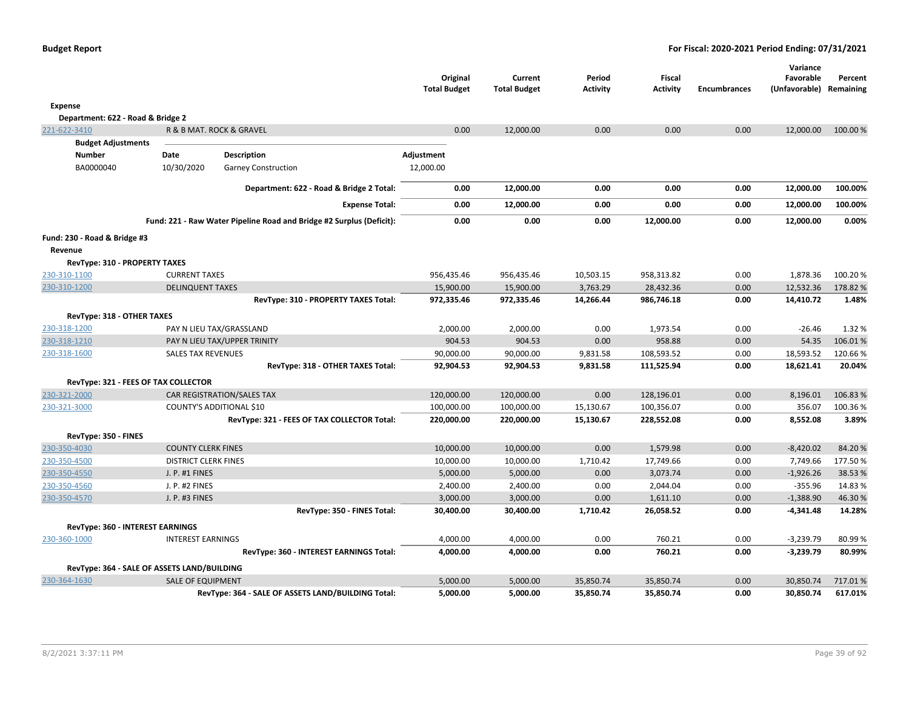|                                             |                             |                                                                      | Original<br><b>Total Budget</b> | Current<br><b>Total Budget</b> | Period<br><b>Activity</b> | Fiscal<br><b>Activity</b> | <b>Encumbrances</b> | Variance<br>Favorable<br>(Unfavorable) Remaining | Percent |
|---------------------------------------------|-----------------------------|----------------------------------------------------------------------|---------------------------------|--------------------------------|---------------------------|---------------------------|---------------------|--------------------------------------------------|---------|
| Expense                                     |                             |                                                                      |                                 |                                |                           |                           |                     |                                                  |         |
| Department: 622 - Road & Bridge 2           |                             |                                                                      |                                 |                                |                           |                           |                     |                                                  |         |
| 221-622-3410                                |                             | R & B MAT. ROCK & GRAVEL                                             | 0.00                            | 12,000.00                      | 0.00                      | 0.00                      | 0.00                | 12,000.00                                        | 100.00% |
| <b>Budget Adjustments</b>                   |                             |                                                                      |                                 |                                |                           |                           |                     |                                                  |         |
| Number                                      | Date                        | <b>Description</b>                                                   | Adjustment                      |                                |                           |                           |                     |                                                  |         |
| BA0000040                                   | 10/30/2020                  | <b>Garney Construction</b>                                           | 12,000.00                       |                                |                           |                           |                     |                                                  |         |
|                                             |                             | Department: 622 - Road & Bridge 2 Total:                             | 0.00                            | 12,000.00                      | 0.00                      | 0.00                      | 0.00                | 12,000.00                                        | 100.00% |
|                                             |                             | <b>Expense Total:</b>                                                | 0.00                            | 12,000.00                      | 0.00                      | 0.00                      | 0.00                | 12,000.00                                        | 100.00% |
|                                             |                             | Fund: 221 - Raw Water Pipeline Road and Bridge #2 Surplus (Deficit): | 0.00                            | 0.00                           | 0.00                      | 12,000.00                 | 0.00                | 12,000.00                                        | 0.00%   |
| Fund: 230 - Road & Bridge #3                |                             |                                                                      |                                 |                                |                           |                           |                     |                                                  |         |
| Revenue                                     |                             |                                                                      |                                 |                                |                           |                           |                     |                                                  |         |
| RevType: 310 - PROPERTY TAXES               |                             |                                                                      |                                 |                                |                           |                           |                     |                                                  |         |
| 230-310-1100                                | <b>CURRENT TAXES</b>        |                                                                      | 956,435.46                      | 956,435.46                     | 10,503.15                 | 958,313.82                | 0.00                | 1,878.36                                         | 100.20% |
| 230-310-1200                                | <b>DELINQUENT TAXES</b>     |                                                                      | 15,900.00                       | 15,900.00                      | 3,763.29                  | 28,432.36                 | 0.00                | 12,532.36                                        | 178.82% |
|                                             |                             | RevType: 310 - PROPERTY TAXES Total:                                 | 972,335.46                      | 972,335.46                     | 14,266.44                 | 986,746.18                | 0.00                | 14,410.72                                        | 1.48%   |
| RevType: 318 - OTHER TAXES                  |                             |                                                                      |                                 |                                |                           |                           |                     |                                                  |         |
| 230-318-1200                                |                             | PAY N LIEU TAX/GRASSLAND                                             | 2,000.00                        | 2,000.00                       | 0.00                      | 1,973.54                  | 0.00                | $-26.46$                                         | 1.32 %  |
| 230-318-1210                                |                             | PAY N LIEU TAX/UPPER TRINITY                                         | 904.53                          | 904.53                         | 0.00                      | 958.88                    | 0.00                | 54.35                                            | 106.01% |
| 230-318-1600                                | <b>SALES TAX REVENUES</b>   |                                                                      | 90,000.00                       | 90,000.00                      | 9,831.58                  | 108,593.52                | 0.00                | 18,593.52                                        | 120.66% |
|                                             |                             | RevType: 318 - OTHER TAXES Total:                                    | 92,904.53                       | 92,904.53                      | 9,831.58                  | 111,525.94                | 0.00                | 18,621.41                                        | 20.04%  |
| RevType: 321 - FEES OF TAX COLLECTOR        |                             |                                                                      |                                 |                                |                           |                           |                     |                                                  |         |
| 230-321-2000                                |                             | CAR REGISTRATION/SALES TAX                                           | 120,000.00                      | 120,000.00                     | 0.00                      | 128,196.01                | 0.00                | 8,196.01                                         | 106.83% |
| 230-321-3000                                |                             | COUNTY'S ADDITIONAL \$10                                             | 100,000.00                      | 100,000.00                     | 15,130.67                 | 100,356.07                | 0.00                | 356.07                                           | 100.36% |
|                                             |                             | RevType: 321 - FEES OF TAX COLLECTOR Total:                          | 220,000.00                      | 220,000.00                     | 15,130.67                 | 228,552.08                | 0.00                | 8,552.08                                         | 3.89%   |
| RevType: 350 - FINES                        |                             |                                                                      |                                 |                                |                           |                           |                     |                                                  |         |
| 230-350-4030                                | <b>COUNTY CLERK FINES</b>   |                                                                      | 10,000.00                       | 10,000.00                      | 0.00                      | 1,579.98                  | 0.00                | $-8,420.02$                                      | 84.20%  |
| 230-350-4500                                | <b>DISTRICT CLERK FINES</b> |                                                                      | 10,000.00                       | 10,000.00                      | 1,710.42                  | 17,749.66                 | 0.00                | 7,749.66                                         | 177.50% |
| 230-350-4550                                | J. P. #1 FINES              |                                                                      | 5,000.00                        | 5,000.00                       | 0.00                      | 3,073.74                  | 0.00                | $-1,926.26$                                      | 38.53 % |
| 230-350-4560                                | J. P. #2 FINES              |                                                                      | 2,400.00                        | 2,400.00                       | 0.00                      | 2,044.04                  | 0.00                | $-355.96$                                        | 14.83%  |
| 230-350-4570                                | J. P. #3 FINES              |                                                                      | 3,000.00                        | 3,000.00                       | 0.00                      | 1,611.10                  | 0.00                | $-1,388.90$                                      | 46.30%  |
|                                             |                             | RevType: 350 - FINES Total:                                          | 30,400.00                       | 30,400.00                      | 1,710.42                  | 26,058.52                 | 0.00                | $-4,341.48$                                      | 14.28%  |
| RevType: 360 - INTEREST EARNINGS            |                             |                                                                      |                                 |                                |                           |                           |                     |                                                  |         |
| 230-360-1000                                | <b>INTEREST EARNINGS</b>    |                                                                      | 4,000.00                        | 4,000.00                       | 0.00                      | 760.21                    | 0.00                | $-3,239.79$                                      | 80.99%  |
|                                             |                             | RevType: 360 - INTEREST EARNINGS Total:                              | 4,000.00                        | 4,000.00                       | 0.00                      | 760.21                    | 0.00                | $-3,239.79$                                      | 80.99%  |
| RevType: 364 - SALE OF ASSETS LAND/BUILDING |                             |                                                                      |                                 |                                |                           |                           |                     |                                                  |         |
| 230-364-1630                                | <b>SALE OF EQUIPMENT</b>    |                                                                      | 5,000.00                        | 5,000.00                       | 35,850.74                 | 35,850.74                 | 0.00                | 30,850.74                                        | 717.01% |
|                                             |                             | RevType: 364 - SALE OF ASSETS LAND/BUILDING Total:                   | 5,000.00                        | 5,000.00                       | 35,850.74                 | 35,850.74                 | 0.00                | 30,850.74                                        | 617.01% |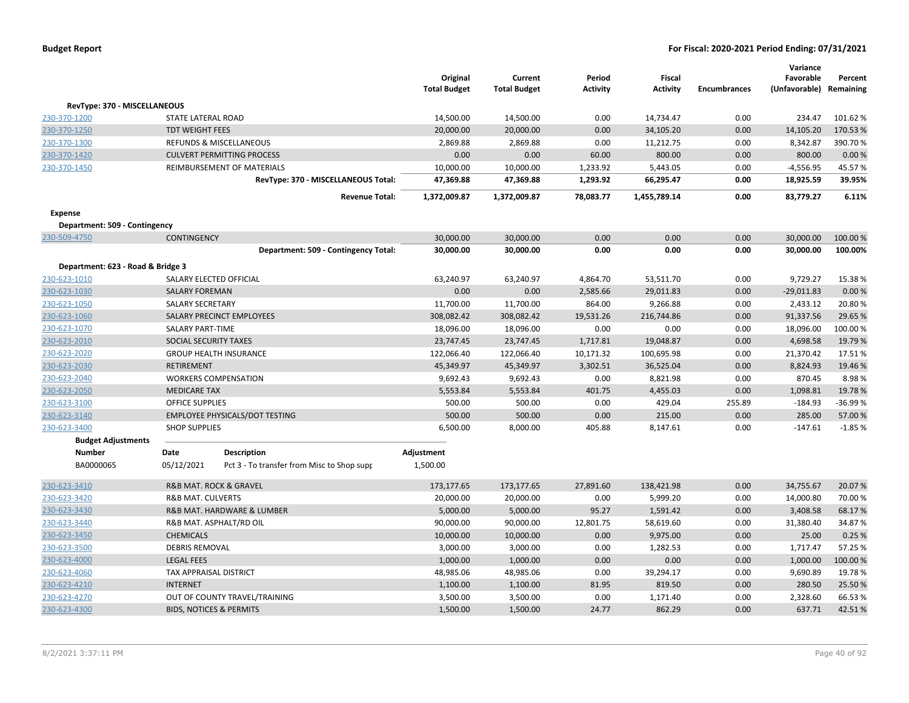|                                   |                                       |                                            | Original            | Current             | Period    | Fiscal          |                     | Variance<br>Favorable   | Percent  |
|-----------------------------------|---------------------------------------|--------------------------------------------|---------------------|---------------------|-----------|-----------------|---------------------|-------------------------|----------|
|                                   |                                       |                                            | <b>Total Budget</b> | <b>Total Budget</b> | Activity  | <b>Activity</b> | <b>Encumbrances</b> | (Unfavorable) Remaining |          |
| RevType: 370 - MISCELLANEOUS      |                                       |                                            |                     |                     |           |                 |                     |                         |          |
| 230-370-1200                      | STATE LATERAL ROAD                    |                                            | 14,500.00           | 14,500.00           | 0.00      | 14,734.47       | 0.00                | 234.47                  | 101.62%  |
| 230-370-1250                      | <b>TDT WEIGHT FEES</b>                |                                            | 20,000.00           | 20,000.00           | 0.00      | 34,105.20       | 0.00                | 14,105.20               | 170.53%  |
| 230-370-1300                      |                                       | REFUNDS & MISCELLANEOUS                    | 2,869.88            | 2,869.88            | 0.00      | 11,212.75       | 0.00                | 8,342.87                | 390.70%  |
| 230-370-1420                      |                                       | <b>CULVERT PERMITTING PROCESS</b>          | 0.00                | 0.00                | 60.00     | 800.00          | 0.00                | 800.00                  | 0.00%    |
| 230-370-1450                      |                                       | REIMBURSEMENT OF MATERIALS                 | 10,000.00           | 10,000.00           | 1,233.92  | 5,443.05        | 0.00                | $-4,556.95$             | 45.57%   |
|                                   |                                       | RevType: 370 - MISCELLANEOUS Total:        | 47,369.88           | 47,369.88           | 1,293.92  | 66,295.47       | 0.00                | 18,925.59               | 39.95%   |
|                                   |                                       | <b>Revenue Total:</b>                      | 1,372,009.87        | 1,372,009.87        | 78,083.77 | 1,455,789.14    | 0.00                | 83,779.27               | 6.11%    |
| Expense                           |                                       |                                            |                     |                     |           |                 |                     |                         |          |
| Department: 509 - Contingency     |                                       |                                            |                     |                     |           |                 |                     |                         |          |
| 230-509-4750                      | <b>CONTINGENCY</b>                    |                                            | 30,000.00           | 30,000.00           | 0.00      | 0.00            | 0.00                | 30,000.00               | 100.00 % |
|                                   |                                       | Department: 509 - Contingency Total:       | 30,000.00           | 30,000.00           | 0.00      | 0.00            | 0.00                | 30,000.00               | 100.00%  |
| Department: 623 - Road & Bridge 3 |                                       |                                            |                     |                     |           |                 |                     |                         |          |
| 230-623-1010                      | SALARY ELECTED OFFICIAL               |                                            | 63,240.97           | 63,240.97           | 4,864.70  | 53,511.70       | 0.00                | 9,729.27                | 15.38%   |
| 230-623-1030                      | <b>SALARY FOREMAN</b>                 |                                            | 0.00                | 0.00                | 2,585.66  | 29,011.83       | 0.00                | $-29,011.83$            | 0.00%    |
| 230-623-1050                      | SALARY SECRETARY                      |                                            | 11,700.00           | 11,700.00           | 864.00    | 9,266.88        | 0.00                | 2,433.12                | 20.80%   |
| 230-623-1060                      |                                       | SALARY PRECINCT EMPLOYEES                  | 308,082.42          | 308,082.42          | 19,531.26 | 216,744.86      | 0.00                | 91,337.56               | 29.65 %  |
| 230-623-1070                      | SALARY PART-TIME                      |                                            | 18,096.00           | 18,096.00           | 0.00      | 0.00            | 0.00                | 18,096.00               | 100.00%  |
| 230-623-2010                      | SOCIAL SECURITY TAXES                 |                                            | 23,747.45           | 23,747.45           | 1,717.81  | 19,048.87       | 0.00                | 4,698.58                | 19.79 %  |
| 230-623-2020                      |                                       | <b>GROUP HEALTH INSURANCE</b>              | 122,066.40          | 122,066.40          | 10,171.32 | 100,695.98      | 0.00                | 21,370.42               | 17.51%   |
| 230-623-2030                      | <b>RETIREMENT</b>                     |                                            | 45,349.97           | 45,349.97           | 3,302.51  | 36,525.04       | 0.00                | 8,824.93                | 19.46%   |
| 230-623-2040                      |                                       | <b>WORKERS COMPENSATION</b>                | 9,692.43            | 9,692.43            | 0.00      | 8,821.98        | 0.00                | 870.45                  | 8.98%    |
| 230-623-2050                      | <b>MEDICARE TAX</b>                   |                                            | 5,553.84            | 5,553.84            | 401.75    | 4,455.03        | 0.00                | 1,098.81                | 19.78%   |
| 230-623-3100                      | <b>OFFICE SUPPLIES</b>                |                                            | 500.00              | 500.00              | 0.00      | 429.04          | 255.89              | $-184.93$               | -36.99%  |
| 230-623-3140                      |                                       | <b>EMPLOYEE PHYSICALS/DOT TESTING</b>      | 500.00              | 500.00              | 0.00      | 215.00          | 0.00                | 285.00                  | 57.00 %  |
| 230-623-3400                      | <b>SHOP SUPPLIES</b>                  |                                            | 6,500.00            | 8,000.00            | 405.88    | 8,147.61        | 0.00                | $-147.61$               | $-1.85%$ |
| <b>Budget Adjustments</b>         |                                       |                                            |                     |                     |           |                 |                     |                         |          |
| <b>Number</b>                     | <b>Date</b>                           | <b>Description</b>                         | Adjustment          |                     |           |                 |                     |                         |          |
| BA0000065                         | 05/12/2021                            | Pct 3 - To transfer from Misc to Shop supr | 1,500.00            |                     |           |                 |                     |                         |          |
| 230-623-3410                      | <b>R&amp;B MAT. ROCK &amp; GRAVEL</b> |                                            | 173,177.65          | 173,177.65          | 27,891.60 | 138,421.98      | 0.00                | 34,755.67               | 20.07%   |
| 230-623-3420                      | <b>R&amp;B MAT. CULVERTS</b>          |                                            | 20,000.00           | 20,000.00           | 0.00      | 5,999.20        | 0.00                | 14,000.80               | 70.00%   |
| 230-623-3430                      |                                       | R&B MAT. HARDWARE & LUMBER                 | 5,000.00            | 5,000.00            | 95.27     | 1,591.42        | 0.00                | 3,408.58                | 68.17%   |
| 230-623-3440                      |                                       | R&B MAT. ASPHALT/RD OIL                    | 90,000.00           | 90,000.00           | 12,801.75 | 58,619.60       | 0.00                | 31,380.40               | 34.87%   |
| 230-623-3450                      | <b>CHEMICALS</b>                      |                                            | 10,000.00           | 10,000.00           | 0.00      | 9,975.00        | 0.00                | 25.00                   | 0.25%    |
| 230-623-3500                      | <b>DEBRIS REMOVAL</b>                 |                                            | 3,000.00            | 3,000.00            | 0.00      | 1,282.53        | 0.00                | 1,717.47                | 57.25 %  |
| 230-623-4000                      | <b>LEGAL FEES</b>                     |                                            | 1,000.00            | 1,000.00            | 0.00      | 0.00            | 0.00                | 1,000.00                | 100.00 % |
| 230-623-4060                      | TAX APPRAISAL DISTRICT                |                                            | 48,985.06           | 48,985.06           | 0.00      | 39,294.17       | 0.00                | 9,690.89                | 19.78%   |
| 230-623-4210                      | <b>INTERNET</b>                       |                                            | 1,100.00            | 1,100.00            | 81.95     | 819.50          | 0.00                | 280.50                  | 25.50%   |
| 230-623-4270                      |                                       | OUT OF COUNTY TRAVEL/TRAINING              | 3,500.00            | 3,500.00            | 0.00      | 1,171.40        | 0.00                | 2,328.60                | 66.53%   |
| 230-623-4300                      | <b>BIDS, NOTICES &amp; PERMITS</b>    |                                            | 1,500.00            | 1,500.00            | 24.77     | 862.29          | 0.00                | 637.71                  | 42.51%   |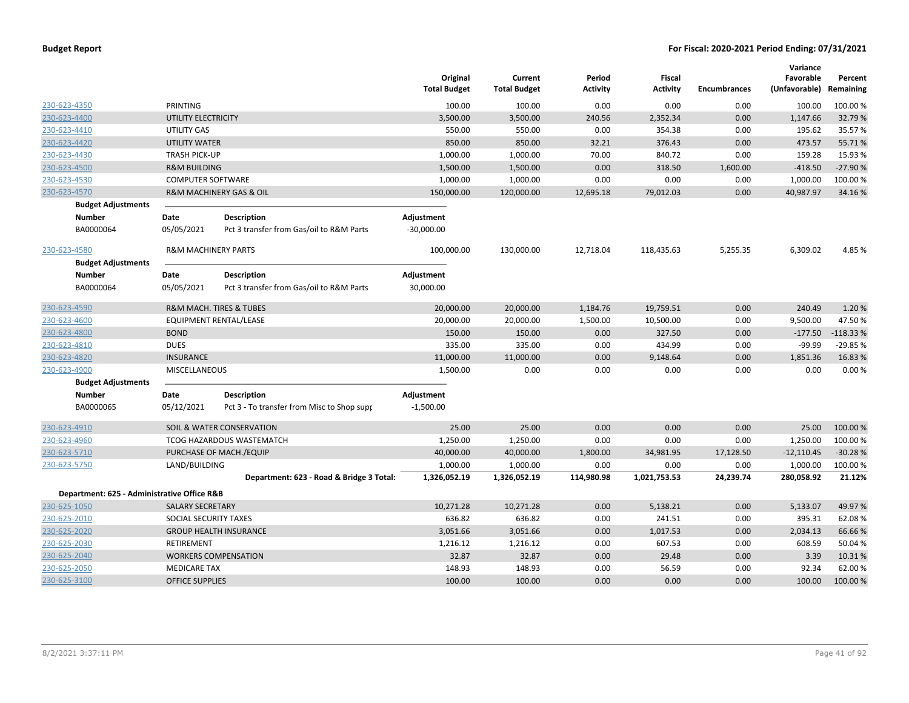|                                             |                                |                                            | Original<br><b>Total Budget</b> | Current<br><b>Total Budget</b> | Period<br><b>Activity</b> | <b>Fiscal</b><br><b>Activity</b> | <b>Encumbrances</b> | Variance<br>Favorable<br>(Unfavorable) | Percent<br>Remaining |
|---------------------------------------------|--------------------------------|--------------------------------------------|---------------------------------|--------------------------------|---------------------------|----------------------------------|---------------------|----------------------------------------|----------------------|
| 230-623-4350                                | PRINTING                       |                                            | 100.00                          | 100.00                         | 0.00                      | 0.00                             | 0.00                | 100.00                                 | 100.00 %             |
| 230-623-4400                                | UTILITY ELECTRICITY            |                                            | 3,500.00                        | 3,500.00                       | 240.56                    | 2,352.34                         | 0.00                | 1,147.66                               | 32.79%               |
| 230-623-4410                                | UTILITY GAS                    |                                            | 550.00                          | 550.00                         | 0.00                      | 354.38                           | 0.00                | 195.62                                 | 35.57%               |
| 230-623-4420                                | <b>UTILITY WATER</b>           |                                            | 850.00                          | 850.00                         | 32.21                     | 376.43                           | 0.00                | 473.57                                 | 55.71%               |
| 230-623-4430                                | <b>TRASH PICK-UP</b>           |                                            | 1,000.00                        | 1,000.00                       | 70.00                     | 840.72                           | 0.00                | 159.28                                 | 15.93 %              |
| 230-623-4500                                | <b>R&amp;M BUILDING</b>        |                                            | 1,500.00                        | 1,500.00                       | 0.00                      | 318.50                           | 1,600.00            | $-418.50$                              | $-27.90%$            |
| 230-623-4530                                | <b>COMPUTER SOFTWARE</b>       |                                            | 1,000.00                        | 1,000.00                       | 0.00                      | 0.00                             | 0.00                | 1,000.00                               | 100.00%              |
| 230-623-4570                                |                                | R&M MACHINERY GAS & OIL                    | 150,000.00                      | 120,000.00                     | 12,695.18                 | 79,012.03                        | 0.00                | 40,987.97                              | 34.16%               |
| <b>Budget Adjustments</b>                   |                                |                                            |                                 |                                |                           |                                  |                     |                                        |                      |
| Number                                      | Date                           | Description                                | Adjustment                      |                                |                           |                                  |                     |                                        |                      |
| BA0000064                                   | 05/05/2021                     | Pct 3 transfer from Gas/oil to R&M Parts   | $-30,000.00$                    |                                |                           |                                  |                     |                                        |                      |
| 230-623-4580                                | <b>R&amp;M MACHINERY PARTS</b> |                                            | 100,000.00                      | 130,000.00                     | 12,718.04                 | 118,435.63                       | 5,255.35            | 6,309.02                               | 4.85 %               |
| <b>Budget Adjustments</b>                   |                                |                                            |                                 |                                |                           |                                  |                     |                                        |                      |
| Number                                      | Date                           | Description                                | Adjustment                      |                                |                           |                                  |                     |                                        |                      |
| BA0000064                                   | 05/05/2021                     | Pct 3 transfer from Gas/oil to R&M Parts   | 30,000.00                       |                                |                           |                                  |                     |                                        |                      |
| 230-623-4590                                |                                | R&M MACH. TIRES & TUBES                    | 20,000.00                       | 20,000.00                      | 1,184.76                  | 19,759.51                        | 0.00                | 240.49                                 | 1.20%                |
| 230-623-4600                                |                                | EQUIPMENT RENTAL/LEASE                     | 20,000.00                       | 20,000.00                      | 1,500.00                  | 10,500.00                        | 0.00                | 9,500.00                               | 47.50%               |
| 230-623-4800                                | <b>BOND</b>                    |                                            | 150.00                          | 150.00                         | 0.00                      | 327.50                           | 0.00                | $-177.50$                              | $-118.33%$           |
| 230-623-4810                                | <b>DUES</b>                    |                                            | 335.00                          | 335.00                         | 0.00                      | 434.99                           | 0.00                | $-99.99$                               | $-29.85%$            |
| 230-623-4820                                | <b>INSURANCE</b>               |                                            | 11,000.00                       | 11,000.00                      | 0.00                      | 9,148.64                         | 0.00                | 1,851.36                               | 16.83 %              |
| 230-623-4900                                | MISCELLANEOUS                  |                                            | 1,500.00                        | 0.00                           | 0.00                      | 0.00                             | 0.00                | 0.00                                   | 0.00%                |
| <b>Budget Adjustments</b>                   |                                |                                            |                                 |                                |                           |                                  |                     |                                        |                      |
| <b>Number</b>                               | Date                           | <b>Description</b>                         | Adjustment                      |                                |                           |                                  |                     |                                        |                      |
| BA0000065                                   | 05/12/2021                     | Pct 3 - To transfer from Misc to Shop supp | $-1,500.00$                     |                                |                           |                                  |                     |                                        |                      |
| 230-623-4910                                |                                | SOIL & WATER CONSERVATION                  | 25.00                           | 25.00                          | 0.00                      | 0.00                             | 0.00                | 25.00                                  | 100.00%              |
| 230-623-4960                                |                                | <b>TCOG HAZARDOUS WASTEMATCH</b>           | 1,250.00                        | 1,250.00                       | 0.00                      | 0.00                             | 0.00                | 1,250.00                               | 100.00%              |
| 230-623-5710                                |                                | PURCHASE OF MACH./EQUIP                    | 40,000.00                       | 40,000.00                      | 1,800.00                  | 34,981.95                        | 17,128.50           | $-12,110.45$                           | $-30.28%$            |
| 230-623-5750                                | LAND/BUILDING                  |                                            | 1,000.00                        | 1,000.00                       | 0.00                      | 0.00                             | 0.00                | 1,000.00                               | 100.00%              |
|                                             |                                | Department: 623 - Road & Bridge 3 Total:   | 1,326,052.19                    | 1,326,052.19                   | 114,980.98                | 1,021,753.53                     | 24,239.74           | 280,058.92                             | 21.12%               |
| Department: 625 - Administrative Office R&B |                                |                                            |                                 |                                |                           |                                  |                     |                                        |                      |
| 230-625-1050                                | <b>SALARY SECRETARY</b>        |                                            | 10,271.28                       | 10,271.28                      | 0.00                      | 5,138.21                         | 0.00                | 5,133.07                               | 49.97%               |
| 230-625-2010                                | SOCIAL SECURITY TAXES          |                                            | 636.82                          | 636.82                         | 0.00                      | 241.51                           | 0.00                | 395.31                                 | 62.08%               |
| 230-625-2020                                |                                | <b>GROUP HEALTH INSURANCE</b>              | 3,051.66                        | 3,051.66                       | 0.00                      | 1,017.53                         | 0.00                | 2,034.13                               | 66.66%               |
| 230-625-2030                                | <b>RETIREMENT</b>              |                                            | 1,216.12                        | 1,216.12                       | 0.00                      | 607.53                           | 0.00                | 608.59                                 | 50.04%               |
| 230-625-2040                                |                                | <b>WORKERS COMPENSATION</b>                | 32.87                           | 32.87                          | 0.00                      | 29.48                            | 0.00                | 3.39                                   | 10.31%               |
| 230-625-2050                                | <b>MEDICARE TAX</b>            |                                            | 148.93                          | 148.93                         | 0.00                      | 56.59                            | 0.00                | 92.34                                  | 62.00%               |
| 230-625-3100                                | <b>OFFICE SUPPLIES</b>         |                                            | 100.00                          | 100.00                         | 0.00                      | 0.00                             | 0.00                | 100.00                                 | 100.00 %             |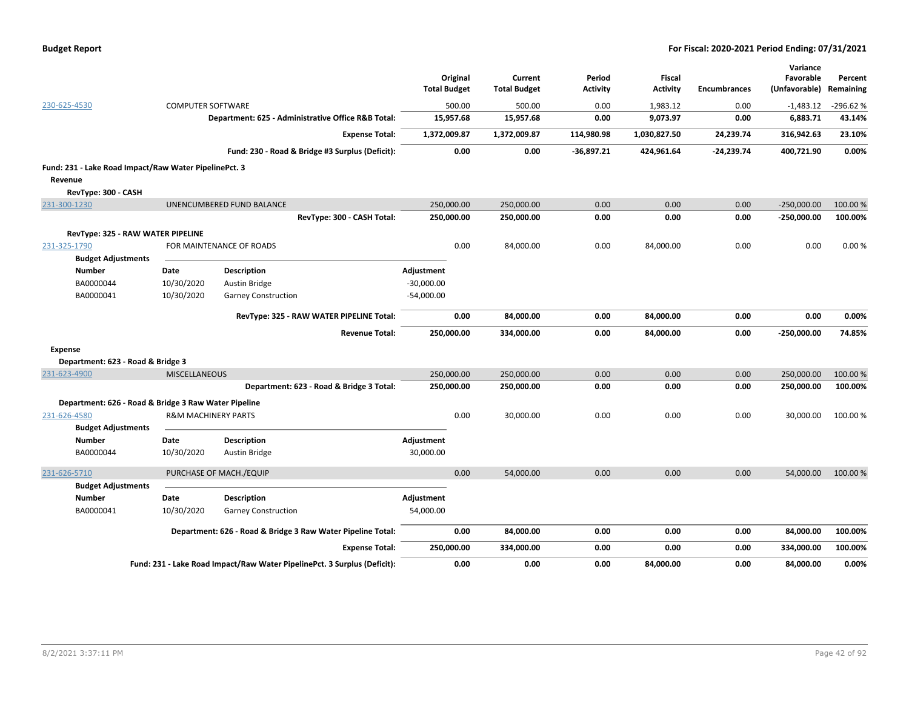|  | <b>Budget Report</b> |
|--|----------------------|
|--|----------------------|

|                                                       |                                |                                                                          |                     |                     |                 |                 |                     | Variance      |            |
|-------------------------------------------------------|--------------------------------|--------------------------------------------------------------------------|---------------------|---------------------|-----------------|-----------------|---------------------|---------------|------------|
|                                                       |                                |                                                                          | Original            | Current             | Period          | <b>Fiscal</b>   |                     | Favorable     | Percent    |
|                                                       |                                |                                                                          | <b>Total Budget</b> | <b>Total Budget</b> | <b>Activity</b> | <b>Activity</b> | <b>Encumbrances</b> | (Unfavorable) | Remaining  |
| 230-625-4530                                          | <b>COMPUTER SOFTWARE</b>       |                                                                          |                     | 500.00<br>500.00    | 0.00            | 1,983.12        | 0.00                | $-1,483.12$   | $-296.62%$ |
|                                                       |                                | Department: 625 - Administrative Office R&B Total:                       | 15,957.68           | 15,957.68           | 0.00            | 9,073.97        | 0.00                | 6,883.71      | 43.14%     |
|                                                       |                                | <b>Expense Total:</b>                                                    | 1,372,009.87        | 1,372,009.87        | 114,980.98      | 1,030,827.50    | 24,239.74           | 316,942.63    | 23.10%     |
|                                                       |                                | Fund: 230 - Road & Bridge #3 Surplus (Deficit):                          |                     | 0.00<br>0.00        | $-36,897.21$    | 424,961.64      | $-24,239.74$        | 400,721.90    | 0.00%      |
| Fund: 231 - Lake Road Impact/Raw Water PipelinePct. 3 |                                |                                                                          |                     |                     |                 |                 |                     |               |            |
| Revenue                                               |                                |                                                                          |                     |                     |                 |                 |                     |               |            |
| RevType: 300 - CASH                                   |                                |                                                                          |                     |                     |                 |                 |                     |               |            |
| 231-300-1230                                          |                                | UNENCUMBERED FUND BALANCE                                                | 250,000.00          | 250,000.00          | 0.00            | 0.00            | 0.00                | $-250,000.00$ | 100.00 %   |
|                                                       |                                | RevType: 300 - CASH Total:                                               | 250,000.00          | 250,000.00          | 0.00            | 0.00            | 0.00                | $-250,000.00$ | 100.00%    |
| <b>RevType: 325 - RAW WATER PIPELINE</b>              |                                |                                                                          |                     |                     |                 |                 |                     |               |            |
| 231-325-1790                                          |                                | FOR MAINTENANCE OF ROADS                                                 |                     | 0.00<br>84,000.00   | 0.00            | 84,000.00       | 0.00                | 0.00          | 0.00%      |
| <b>Budget Adjustments</b>                             |                                |                                                                          |                     |                     |                 |                 |                     |               |            |
| <b>Number</b>                                         | Date                           | <b>Description</b>                                                       | Adjustment          |                     |                 |                 |                     |               |            |
| BA0000044                                             | 10/30/2020                     | <b>Austin Bridge</b>                                                     | $-30,000.00$        |                     |                 |                 |                     |               |            |
| BA0000041                                             | 10/30/2020                     | <b>Garney Construction</b>                                               | $-54,000.00$        |                     |                 |                 |                     |               |            |
|                                                       |                                |                                                                          |                     |                     |                 |                 |                     |               |            |
|                                                       |                                | RevType: 325 - RAW WATER PIPELINE Total:                                 |                     | 0.00<br>84,000.00   | 0.00            | 84,000.00       | 0.00                | 0.00          | 0.00%      |
|                                                       |                                | <b>Revenue Total:</b>                                                    | 250,000.00          | 334,000.00          | 0.00            | 84,000.00       | 0.00                | $-250,000.00$ | 74.85%     |
| Expense                                               |                                |                                                                          |                     |                     |                 |                 |                     |               |            |
| Department: 623 - Road & Bridge 3                     |                                |                                                                          |                     |                     |                 |                 |                     |               |            |
| 231-623-4900                                          | <b>MISCELLANEOUS</b>           |                                                                          | 250,000.00          | 250,000.00          | 0.00            | 0.00            | 0.00                | 250,000.00    | 100.00 %   |
|                                                       |                                | Department: 623 - Road & Bridge 3 Total:                                 | 250,000.00          | 250,000.00          | 0.00            | 0.00            | 0.00                | 250,000.00    | 100.00%    |
| Department: 626 - Road & Bridge 3 Raw Water Pipeline  |                                |                                                                          |                     |                     |                 |                 |                     |               |            |
| 231-626-4580                                          | <b>R&amp;M MACHINERY PARTS</b> |                                                                          |                     | 0.00<br>30,000.00   | 0.00            | 0.00            | 0.00                | 30,000.00     | 100.00%    |
| <b>Budget Adjustments</b>                             |                                |                                                                          |                     |                     |                 |                 |                     |               |            |
| <b>Number</b>                                         | Date                           | Description                                                              | Adjustment          |                     |                 |                 |                     |               |            |
| BA0000044                                             | 10/30/2020                     | Austin Bridge                                                            | 30,000.00           |                     |                 |                 |                     |               |            |
| 231-626-5710                                          |                                | PURCHASE OF MACH./EQUIP                                                  |                     | 0.00<br>54,000.00   | 0.00            | 0.00            | 0.00                | 54,000.00     | 100.00 %   |
| <b>Budget Adjustments</b>                             |                                |                                                                          |                     |                     |                 |                 |                     |               |            |
| <b>Number</b>                                         | <b>Date</b>                    | <b>Description</b>                                                       | Adjustment          |                     |                 |                 |                     |               |            |
| BA0000041                                             | 10/30/2020                     | <b>Garney Construction</b>                                               | 54,000.00           |                     |                 |                 |                     |               |            |
|                                                       |                                | Department: 626 - Road & Bridge 3 Raw Water Pipeline Total:              |                     | 0.00<br>84,000.00   | 0.00            | 0.00            | 0.00                | 84,000.00     | 100.00%    |
|                                                       |                                |                                                                          |                     |                     |                 |                 |                     |               |            |
|                                                       |                                | <b>Expense Total:</b>                                                    | 250,000.00          | 334,000.00          | 0.00            | 0.00            | 0.00                | 334,000.00    | 100.00%    |
|                                                       |                                | Fund: 231 - Lake Road Impact/Raw Water PipelinePct. 3 Surplus (Deficit): |                     | 0.00<br>0.00        | 0.00            | 84,000.00       | 0.00                | 84,000.00     | 0.00%      |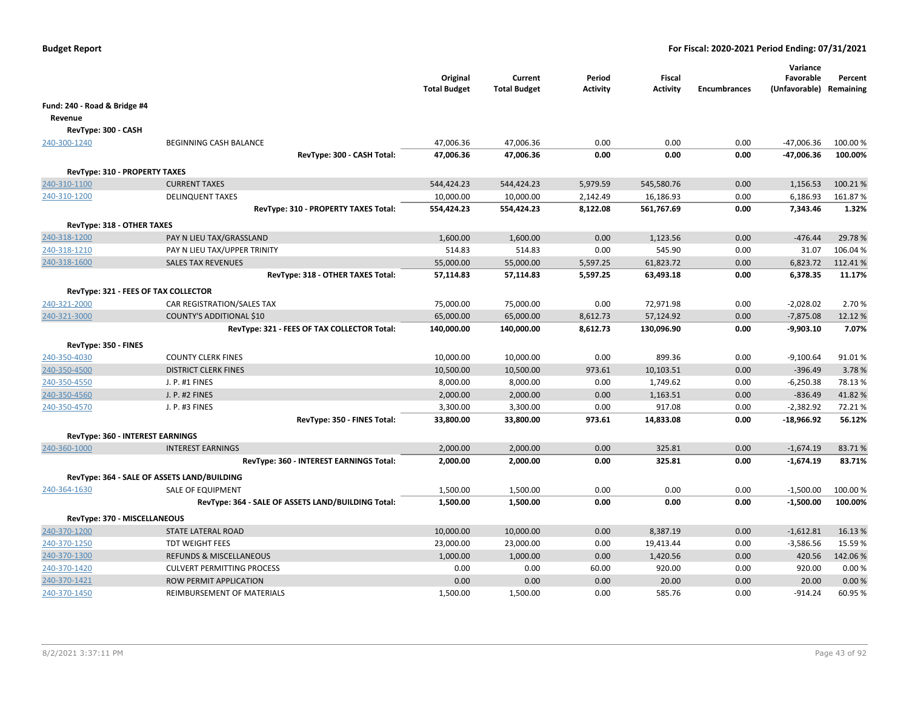|                                               |                                                                         | Original<br><b>Total Budget</b> | Current<br><b>Total Budget</b> | Period<br><b>Activity</b> | Fiscal<br><b>Activity</b> | <b>Encumbrances</b> | Variance<br>Favorable<br>(Unfavorable) Remaining | Percent  |
|-----------------------------------------------|-------------------------------------------------------------------------|---------------------------------|--------------------------------|---------------------------|---------------------------|---------------------|--------------------------------------------------|----------|
| Fund: 240 - Road & Bridge #4                  |                                                                         |                                 |                                |                           |                           |                     |                                                  |          |
| Revenue                                       |                                                                         |                                 |                                |                           |                           |                     |                                                  |          |
| RevType: 300 - CASH                           |                                                                         |                                 |                                |                           |                           |                     |                                                  |          |
| 240-300-1240                                  | <b>BEGINNING CASH BALANCE</b>                                           | 47,006.36                       | 47,006.36                      | 0.00                      | 0.00                      | 0.00                | $-47,006.36$                                     | 100.00 % |
|                                               | RevType: 300 - CASH Total:                                              | 47,006.36                       | 47,006.36                      | 0.00                      | 0.00                      | 0.00                | -47,006.36                                       | 100.00%  |
|                                               |                                                                         |                                 |                                |                           |                           |                     |                                                  |          |
| RevType: 310 - PROPERTY TAXES<br>240-310-1100 | <b>CURRENT TAXES</b>                                                    | 544,424.23                      | 544,424.23                     | 5,979.59                  | 545,580.76                | 0.00                | 1,156.53                                         | 100.21%  |
| 240-310-1200                                  | <b>DELINQUENT TAXES</b>                                                 | 10,000.00                       | 10,000.00                      | 2,142.49                  | 16,186.93                 | 0.00                | 6,186.93                                         | 161.87%  |
|                                               | RevType: 310 - PROPERTY TAXES Total:                                    | 554,424.23                      | 554,424.23                     | 8,122.08                  | 561,767.69                | 0.00                | 7,343.46                                         | 1.32%    |
|                                               |                                                                         |                                 |                                |                           |                           |                     |                                                  |          |
| RevType: 318 - OTHER TAXES                    |                                                                         |                                 |                                |                           |                           |                     |                                                  |          |
| 240-318-1200                                  | PAY N LIEU TAX/GRASSLAND                                                | 1,600.00                        | 1,600.00                       | 0.00                      | 1,123.56                  | 0.00                | $-476.44$                                        | 29.78%   |
| 240-318-1210                                  | PAY N LIEU TAX/UPPER TRINITY                                            | 514.83                          | 514.83                         | 0.00                      | 545.90                    | 0.00                | 31.07                                            | 106.04%  |
| 240-318-1600                                  | <b>SALES TAX REVENUES</b>                                               | 55,000.00                       | 55,000.00                      | 5,597.25                  | 61,823.72                 | 0.00                | 6,823.72                                         | 112.41%  |
|                                               | RevType: 318 - OTHER TAXES Total:                                       | 57,114.83                       | 57,114.83                      | 5,597.25                  | 63,493.18                 | 0.00                | 6,378.35                                         | 11.17%   |
| RevType: 321 - FEES OF TAX COLLECTOR          |                                                                         |                                 |                                |                           |                           |                     |                                                  |          |
| 240-321-2000                                  | CAR REGISTRATION/SALES TAX                                              | 75,000.00                       | 75,000.00                      | 0.00                      | 72,971.98                 | 0.00                | $-2,028.02$                                      | 2.70 %   |
| 240-321-3000                                  | COUNTY'S ADDITIONAL \$10                                                | 65,000.00                       | 65,000.00                      | 8,612.73                  | 57,124.92                 | 0.00                | $-7,875.08$                                      | 12.12 %  |
|                                               | RevType: 321 - FEES OF TAX COLLECTOR Total:                             | 140,000.00                      | 140,000.00                     | 8,612.73                  | 130,096.90                | 0.00                | $-9,903.10$                                      | 7.07%    |
| RevType: 350 - FINES                          |                                                                         |                                 |                                |                           |                           |                     |                                                  |          |
| 240-350-4030                                  | <b>COUNTY CLERK FINES</b>                                               | 10,000.00                       | 10,000.00                      | 0.00                      | 899.36                    | 0.00                | $-9,100.64$                                      | 91.01%   |
| 240-350-4500                                  | <b>DISTRICT CLERK FINES</b>                                             | 10,500.00                       | 10,500.00                      | 973.61                    | 10,103.51                 | 0.00                | $-396.49$                                        | 3.78%    |
| 240-350-4550                                  | J. P. #1 FINES                                                          | 8,000.00                        | 8,000.00                       | 0.00                      | 1,749.62                  | 0.00                | $-6,250.38$                                      | 78.13%   |
| 240-350-4560                                  | J. P. #2 FINES                                                          | 2,000.00                        | 2,000.00                       | 0.00                      | 1,163.51                  | 0.00                | $-836.49$                                        | 41.82%   |
| 240-350-4570                                  | J. P. #3 FINES                                                          | 3,300.00                        | 3,300.00                       | 0.00                      | 917.08                    | 0.00                | $-2,382.92$                                      | 72.21%   |
|                                               | RevType: 350 - FINES Total:                                             | 33,800.00                       | 33,800.00                      | 973.61                    | 14,833.08                 | 0.00                | -18,966.92                                       | 56.12%   |
| <b>RevType: 360 - INTEREST EARNINGS</b>       |                                                                         |                                 |                                |                           |                           |                     |                                                  |          |
| 240-360-1000                                  | <b>INTEREST EARNINGS</b>                                                | 2,000.00                        | 2,000.00                       | 0.00                      | 325.81                    | 0.00                | $-1,674.19$                                      | 83.71%   |
|                                               | RevType: 360 - INTEREST EARNINGS Total:                                 | 2,000.00                        | 2,000.00                       | 0.00                      | 325.81                    | 0.00                | $-1,674.19$                                      | 83.71%   |
|                                               |                                                                         |                                 |                                |                           |                           |                     |                                                  |          |
|                                               | RevType: 364 - SALE OF ASSETS LAND/BUILDING                             |                                 |                                | 0.00                      | 0.00                      | 0.00                |                                                  | 100.00%  |
| 240-364-1630                                  | SALE OF EQUIPMENT<br>RevType: 364 - SALE OF ASSETS LAND/BUILDING Total: | 1,500.00<br>1,500.00            | 1,500.00<br>1,500.00           | 0.00                      | 0.00                      | 0.00                | $-1,500.00$<br>$-1,500.00$                       | 100.00%  |
|                                               |                                                                         |                                 |                                |                           |                           |                     |                                                  |          |
| RevType: 370 - MISCELLANEOUS                  |                                                                         |                                 |                                |                           |                           |                     |                                                  |          |
| 240-370-1200                                  | <b>STATE LATERAL ROAD</b>                                               | 10,000.00                       | 10,000.00                      | 0.00                      | 8,387.19                  | 0.00                | $-1,612.81$                                      | 16.13%   |
| 240-370-1250                                  | <b>TDT WEIGHT FEES</b>                                                  | 23,000.00                       | 23,000.00                      | 0.00                      | 19,413.44                 | 0.00                | $-3,586.56$                                      | 15.59%   |
| 240-370-1300                                  | <b>REFUNDS &amp; MISCELLANEOUS</b>                                      | 1,000.00                        | 1,000.00                       | 0.00                      | 1,420.56                  | 0.00                | 420.56                                           | 142.06%  |
| 240-370-1420                                  | <b>CULVERT PERMITTING PROCESS</b>                                       | 0.00                            | 0.00                           | 60.00                     | 920.00                    | 0.00                | 920.00                                           | 0.00%    |
| 240-370-1421                                  | ROW PERMIT APPLICATION                                                  | 0.00                            | 0.00                           | 0.00                      | 20.00                     | 0.00                | 20.00                                            | 0.00%    |
| 240-370-1450                                  | REIMBURSEMENT OF MATERIALS                                              | 1,500.00                        | 1,500.00                       | 0.00                      | 585.76                    | 0.00                | -914.24                                          | 60.95%   |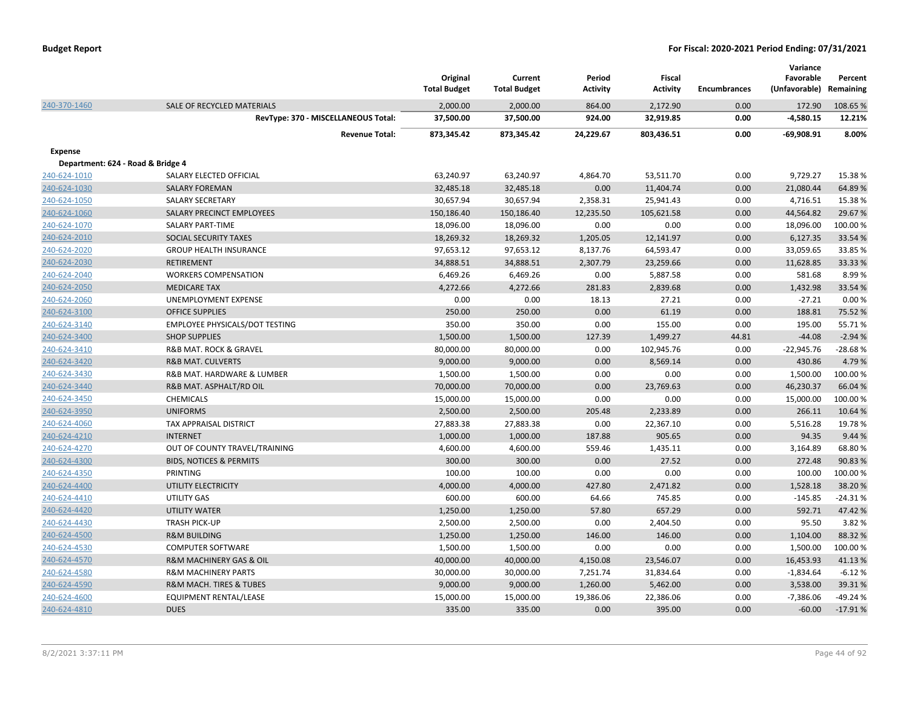|                                   |                                        | Original<br><b>Total Budget</b> | Current<br><b>Total Budget</b> | Period<br>Activity | <b>Fiscal</b><br><b>Activity</b> | <b>Encumbrances</b> | Variance<br>Favorable<br>(Unfavorable) | Percent<br>Remaining |
|-----------------------------------|----------------------------------------|---------------------------------|--------------------------------|--------------------|----------------------------------|---------------------|----------------------------------------|----------------------|
| 240-370-1460                      | SALE OF RECYCLED MATERIALS             | 2,000.00                        | 2,000.00                       | 864.00             | 2,172.90                         | 0.00                | 172.90                                 | 108.65%              |
|                                   | RevType: 370 - MISCELLANEOUS Total:    | 37,500.00                       | 37,500.00                      | 924.00             | 32,919.85                        | 0.00                | $-4,580.15$                            | 12.21%               |
|                                   | <b>Revenue Total:</b>                  | 873,345.42                      | 873,345.42                     | 24,229.67          | 803,436.51                       | 0.00                | $-69,908.91$                           | 8.00%                |
| <b>Expense</b>                    |                                        |                                 |                                |                    |                                  |                     |                                        |                      |
| Department: 624 - Road & Bridge 4 |                                        |                                 |                                |                    |                                  |                     |                                        |                      |
| 240-624-1010                      | SALARY ELECTED OFFICIAL                | 63,240.97                       | 63,240.97                      | 4,864.70           | 53,511.70                        | 0.00                | 9,729.27                               | 15.38%               |
| 240-624-1030                      | <b>SALARY FOREMAN</b>                  | 32,485.18                       | 32,485.18                      | 0.00               | 11,404.74                        | 0.00                | 21,080.44                              | 64.89%               |
| 240-624-1050                      | <b>SALARY SECRETARY</b>                | 30,657.94                       | 30,657.94                      | 2,358.31           | 25,941.43                        | 0.00                | 4,716.51                               | 15.38%               |
| 240-624-1060                      | SALARY PRECINCT EMPLOYEES              | 150,186.40                      | 150,186.40                     | 12,235.50          | 105,621.58                       | 0.00                | 44,564.82                              | 29.67%               |
| 240-624-1070                      | <b>SALARY PART-TIME</b>                | 18,096.00                       | 18,096.00                      | 0.00               | 0.00                             | 0.00                | 18,096.00                              | 100.00%              |
| 240-624-2010                      | SOCIAL SECURITY TAXES                  | 18,269.32                       | 18,269.32                      | 1,205.05           | 12,141.97                        | 0.00                | 6,127.35                               | 33.54 %              |
| 240-624-2020                      | <b>GROUP HEALTH INSURANCE</b>          | 97,653.12                       | 97,653.12                      | 8,137.76           | 64,593.47                        | 0.00                | 33,059.65                              | 33.85 %              |
| 240-624-2030                      | <b>RETIREMENT</b>                      | 34,888.51                       | 34,888.51                      | 2,307.79           | 23,259.66                        | 0.00                | 11,628.85                              | 33.33 %              |
| 240-624-2040                      | <b>WORKERS COMPENSATION</b>            | 6,469.26                        | 6,469.26                       | 0.00               | 5,887.58                         | 0.00                | 581.68                                 | 8.99%                |
| 240-624-2050                      | <b>MEDICARE TAX</b>                    | 4,272.66                        | 4,272.66                       | 281.83             | 2,839.68                         | 0.00                | 1,432.98                               | 33.54 %              |
| 240-624-2060                      | UNEMPLOYMENT EXPENSE                   | 0.00                            | 0.00                           | 18.13              | 27.21                            | 0.00                | $-27.21$                               | 0.00%                |
| 240-624-3100                      | <b>OFFICE SUPPLIES</b>                 | 250.00                          | 250.00                         | 0.00               | 61.19                            | 0.00                | 188.81                                 | 75.52 %              |
| 240-624-3140                      | EMPLOYEE PHYSICALS/DOT TESTING         | 350.00                          | 350.00                         | 0.00               | 155.00                           | 0.00                | 195.00                                 | 55.71%               |
| 240-624-3400                      | <b>SHOP SUPPLIES</b>                   | 1,500.00                        | 1,500.00                       | 127.39             | 1,499.27                         | 44.81               | $-44.08$                               | $-2.94%$             |
| 240-624-3410                      | R&B MAT. ROCK & GRAVEL                 | 80,000.00                       | 80,000.00                      | 0.00               | 102,945.76                       | 0.00                | $-22,945.76$                           | $-28.68%$            |
| 240-624-3420                      | <b>R&amp;B MAT. CULVERTS</b>           | 9,000.00                        | 9,000.00                       | 0.00               | 8,569.14                         | 0.00                | 430.86                                 | 4.79%                |
| 240-624-3430                      | R&B MAT. HARDWARE & LUMBER             | 1,500.00                        | 1,500.00                       | 0.00               | 0.00                             | 0.00                | 1,500.00                               | 100.00%              |
| 240-624-3440                      | R&B MAT. ASPHALT/RD OIL                | 70,000.00                       | 70,000.00                      | 0.00               | 23,769.63                        | 0.00                | 46,230.37                              | 66.04%               |
| 240-624-3450                      | CHEMICALS                              | 15,000.00                       | 15,000.00                      | 0.00               | 0.00                             | 0.00                | 15,000.00                              | 100.00%              |
| 240-624-3950                      | <b>UNIFORMS</b>                        | 2,500.00                        | 2,500.00                       | 205.48             | 2,233.89                         | 0.00                | 266.11                                 | 10.64%               |
| 240-624-4060                      | TAX APPRAISAL DISTRICT                 | 27,883.38                       | 27,883.38                      | 0.00               | 22,367.10                        | 0.00                | 5,516.28                               | 19.78%               |
| 240-624-4210                      | <b>INTERNET</b>                        | 1,000.00                        | 1,000.00                       | 187.88             | 905.65                           | 0.00                | 94.35                                  | 9.44 %               |
| 240-624-4270                      | OUT OF COUNTY TRAVEL/TRAINING          | 4,600.00                        | 4,600.00                       | 559.46             | 1,435.11                         | 0.00                | 3,164.89                               | 68.80%               |
| 240-624-4300                      | <b>BIDS, NOTICES &amp; PERMITS</b>     | 300.00                          | 300.00                         | 0.00               | 27.52                            | 0.00                | 272.48                                 | 90.83%               |
| 240-624-4350                      | PRINTING                               | 100.00                          | 100.00                         | 0.00               | 0.00                             | 0.00                | 100.00                                 | 100.00%              |
| 240-624-4400                      | UTILITY ELECTRICITY                    | 4,000.00                        | 4,000.00                       | 427.80             | 2,471.82                         | 0.00                | 1,528.18                               | 38.20%               |
| 240-624-4410                      | <b>UTILITY GAS</b>                     | 600.00                          | 600.00                         | 64.66              | 745.85                           | 0.00                | $-145.85$                              | $-24.31%$            |
| 240-624-4420                      | <b>UTILITY WATER</b>                   | 1,250.00                        | 1,250.00                       | 57.80              | 657.29                           | 0.00                | 592.71                                 | 47.42%               |
| 240-624-4430                      | TRASH PICK-UP                          | 2,500.00                        | 2,500.00                       | 0.00               | 2,404.50                         | 0.00                | 95.50                                  | 3.82%                |
| 240-624-4500                      | <b>R&amp;M BUILDING</b>                | 1,250.00                        | 1,250.00                       | 146.00             | 146.00                           | 0.00                | 1,104.00                               | 88.32%               |
| 240-624-4530                      | <b>COMPUTER SOFTWARE</b>               | 1,500.00                        | 1,500.00                       | 0.00               | 0.00                             | 0.00                | 1,500.00                               | 100.00%              |
| 240-624-4570                      | R&M MACHINERY GAS & OIL                | 40,000.00                       | 40,000.00                      | 4,150.08           | 23,546.07                        | 0.00                | 16,453.93                              | 41.13%               |
| 240-624-4580                      | <b>R&amp;M MACHINERY PARTS</b>         | 30,000.00                       | 30,000.00                      | 7,251.74           | 31,834.64                        | 0.00                | $-1,834.64$                            | $-6.12%$             |
| 240-624-4590                      | <b>R&amp;M MACH. TIRES &amp; TUBES</b> | 9,000.00                        | 9,000.00                       | 1,260.00           | 5,462.00                         | 0.00                | 3,538.00                               | 39.31%               |
| 240-624-4600                      | EQUIPMENT RENTAL/LEASE                 | 15,000.00                       | 15,000.00                      | 19,386.06          | 22,386.06                        | 0.00                | $-7,386.06$                            | $-49.24%$            |
| 240-624-4810                      | <b>DUES</b>                            | 335.00                          | 335.00                         | 0.00               | 395.00                           | 0.00                | $-60.00$                               | $-17.91%$            |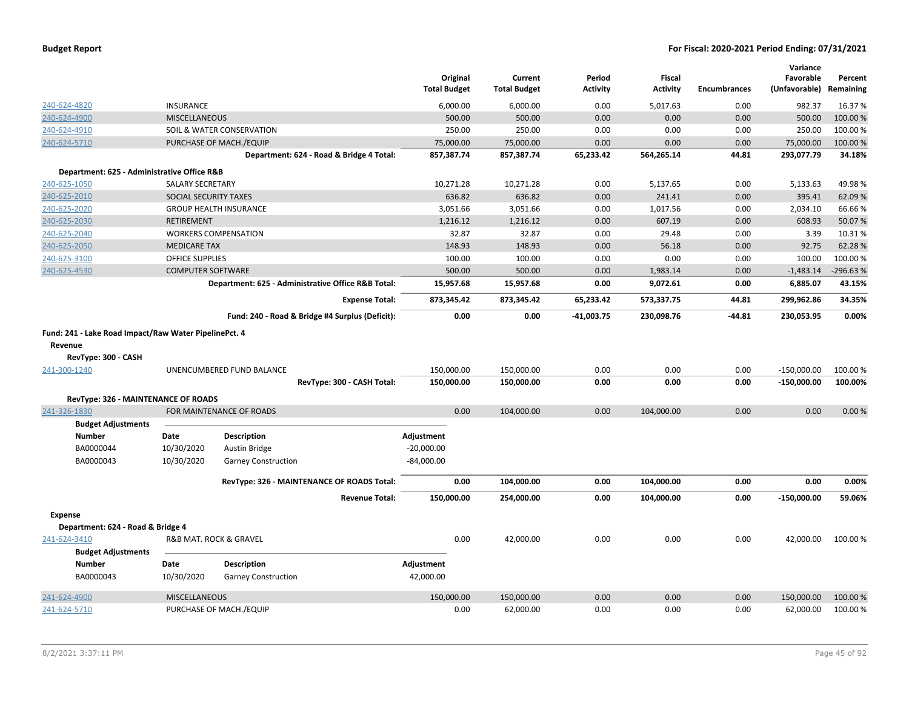| <b>Budget Report</b> |  |
|----------------------|--|
|----------------------|--|

|                                             |                                                       |                                                    |                     |                     |                 |                 |                     | Variance      |            |
|---------------------------------------------|-------------------------------------------------------|----------------------------------------------------|---------------------|---------------------|-----------------|-----------------|---------------------|---------------|------------|
|                                             |                                                       |                                                    | Original            | Current             | Period          | <b>Fiscal</b>   |                     | Favorable     | Percent    |
|                                             |                                                       |                                                    | <b>Total Budget</b> | <b>Total Budget</b> | <b>Activity</b> | <b>Activity</b> | <b>Encumbrances</b> | (Unfavorable) | Remaining  |
| 240-624-4820                                | <b>INSURANCE</b>                                      |                                                    | 6,000.00            | 6,000.00            | 0.00            | 5,017.63        | 0.00                | 982.37        | 16.37%     |
| 240-624-4900                                | <b>MISCELLANEOUS</b>                                  |                                                    | 500.00              | 500.00              | 0.00            | 0.00            | 0.00                | 500.00        | 100.00%    |
| 240-624-4910                                |                                                       | SOIL & WATER CONSERVATION                          | 250.00              | 250.00              | 0.00            | 0.00            | 0.00                | 250.00        | 100.00%    |
| 240-624-5710                                |                                                       | PURCHASE OF MACH./EQUIP                            | 75,000.00           | 75,000.00           | 0.00            | 0.00            | 0.00                | 75,000.00     | 100.00%    |
|                                             |                                                       | Department: 624 - Road & Bridge 4 Total:           | 857,387.74          | 857,387.74          | 65,233.42       | 564,265.14      | 44.81               | 293,077.79    | 34.18%     |
| Department: 625 - Administrative Office R&B |                                                       |                                                    |                     |                     |                 |                 |                     |               |            |
| 240-625-1050                                | <b>SALARY SECRETARY</b>                               |                                                    | 10,271.28           | 10,271.28           | 0.00            | 5,137.65        | 0.00                | 5,133.63      | 49.98%     |
| 240-625-2010                                | SOCIAL SECURITY TAXES                                 |                                                    | 636.82              | 636.82              | 0.00            | 241.41          | 0.00                | 395.41        | 62.09%     |
| 240-625-2020                                |                                                       | <b>GROUP HEALTH INSURANCE</b>                      | 3,051.66            | 3,051.66            | 0.00            | 1,017.56        | 0.00                | 2,034.10      | 66.66%     |
| 240-625-2030                                | <b>RETIREMENT</b>                                     |                                                    | 1,216.12            | 1,216.12            | 0.00            | 607.19          | 0.00                | 608.93        | 50.07%     |
| 240-625-2040                                |                                                       | <b>WORKERS COMPENSATION</b>                        | 32.87               | 32.87               | 0.00            | 29.48           | 0.00                | 3.39          | 10.31%     |
| 240-625-2050                                | <b>MEDICARE TAX</b>                                   |                                                    | 148.93              | 148.93              | 0.00            | 56.18           | 0.00                | 92.75         | 62.28%     |
| 240-625-3100                                | OFFICE SUPPLIES                                       |                                                    | 100.00              | 100.00              | 0.00            | 0.00            | 0.00                | 100.00        | 100.00%    |
| 240-625-4530                                | <b>COMPUTER SOFTWARE</b>                              |                                                    | 500.00              | 500.00              | 0.00            | 1,983.14        | 0.00                | $-1,483.14$   | $-296.63%$ |
|                                             |                                                       | Department: 625 - Administrative Office R&B Total: | 15,957.68           | 15,957.68           | 0.00            | 9,072.61        | 0.00                | 6,885.07      | 43.15%     |
|                                             |                                                       | <b>Expense Total:</b>                              | 873,345.42          | 873,345.42          | 65,233.42       | 573,337.75      | 44.81               | 299,962.86    | 34.35%     |
|                                             |                                                       | Fund: 240 - Road & Bridge #4 Surplus (Deficit):    | 0.00                | 0.00                | -41,003.75      | 230,098.76      | $-44.81$            | 230,053.95    | 0.00%      |
|                                             | Fund: 241 - Lake Road Impact/Raw Water PipelinePct. 4 |                                                    |                     |                     |                 |                 |                     |               |            |
| Revenue                                     |                                                       |                                                    |                     |                     |                 |                 |                     |               |            |
| RevType: 300 - CASH                         |                                                       |                                                    |                     |                     |                 |                 |                     |               |            |
| 241-300-1240                                |                                                       | UNENCUMBERED FUND BALANCE                          | 150,000.00          | 150,000.00          | 0.00            | 0.00            | 0.00                | $-150,000.00$ | 100.00%    |
|                                             |                                                       | RevType: 300 - CASH Total:                         | 150,000.00          | 150,000.00          | 0.00            | 0.00            | 0.00                | $-150,000.00$ | 100.00%    |
| RevType: 326 - MAINTENANCE OF ROADS         |                                                       |                                                    |                     |                     |                 |                 |                     |               |            |
| 241-326-1830                                |                                                       | FOR MAINTENANCE OF ROADS                           | 0.00                | 104,000.00          | 0.00            | 104,000.00      | 0.00                | 0.00          | 0.00%      |
| <b>Budget Adjustments</b>                   |                                                       |                                                    |                     |                     |                 |                 |                     |               |            |
| <b>Number</b>                               | Date                                                  | <b>Description</b>                                 | Adjustment          |                     |                 |                 |                     |               |            |
| BA0000044                                   | 10/30/2020                                            | Austin Bridge                                      | $-20,000.00$        |                     |                 |                 |                     |               |            |
| BA0000043                                   | 10/30/2020                                            | <b>Garney Construction</b>                         | $-84,000.00$        |                     |                 |                 |                     |               |            |
|                                             |                                                       |                                                    |                     |                     |                 |                 |                     |               |            |
|                                             |                                                       | RevType: 326 - MAINTENANCE OF ROADS Total:         | 0.00                | 104,000.00          | 0.00            | 104,000.00      | 0.00                | 0.00          | 0.00%      |
|                                             |                                                       | <b>Revenue Total:</b>                              | 150,000.00          | 254,000.00          | 0.00            | 104,000.00      | 0.00                | $-150,000.00$ | 59.06%     |
| <b>Expense</b>                              |                                                       |                                                    |                     |                     |                 |                 |                     |               |            |
| Department: 624 - Road & Bridge 4           |                                                       |                                                    |                     |                     |                 |                 |                     |               |            |
| 241-624-3410                                |                                                       | R&B MAT. ROCK & GRAVEL                             | 0.00                | 42,000.00           | 0.00            | 0.00            | 0.00                | 42,000.00     | 100.00%    |
| <b>Budget Adjustments</b>                   |                                                       |                                                    |                     |                     |                 |                 |                     |               |            |
| <b>Number</b>                               | Date                                                  | Description                                        | Adjustment          |                     |                 |                 |                     |               |            |
| BA0000043                                   | 10/30/2020                                            | <b>Garney Construction</b>                         | 42,000.00           |                     |                 |                 |                     |               |            |
| 241-624-4900                                | <b>MISCELLANEOUS</b>                                  |                                                    | 150,000.00          | 150,000.00          | 0.00            | 0.00            | 0.00                | 150,000.00    | 100.00%    |
| 241-624-5710                                |                                                       | PURCHASE OF MACH./EQUIP                            | 0.00                | 62,000.00           | 0.00            | 0.00            | 0.00                | 62,000.00     | 100.00%    |
|                                             |                                                       |                                                    |                     |                     |                 |                 |                     |               |            |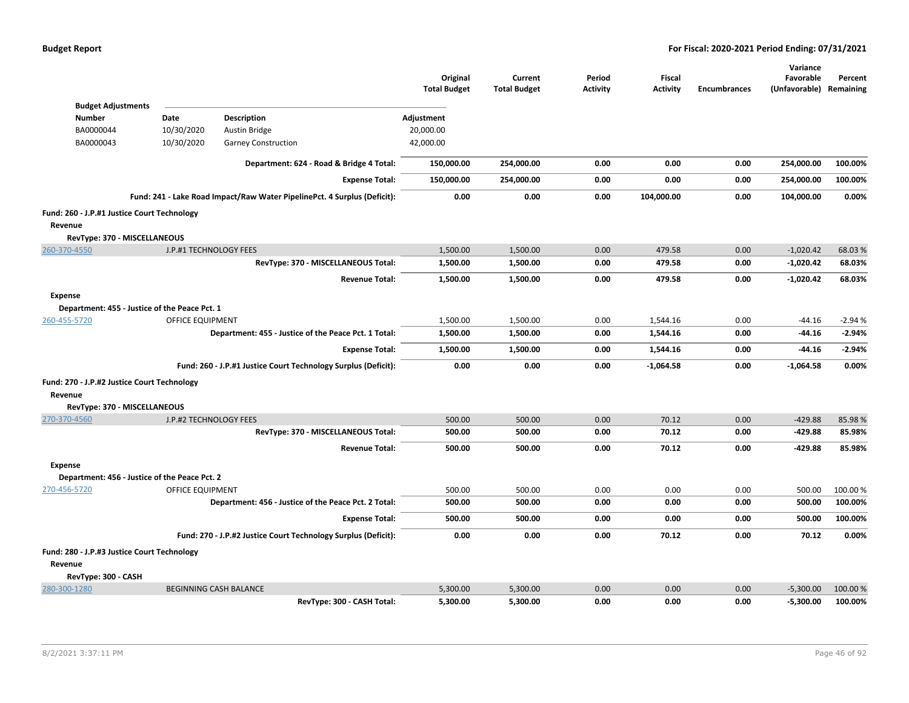|                                               |                          |                                                                          | Original<br><b>Total Budget</b> | Current<br><b>Total Budget</b> | Period<br><b>Activity</b> | Fiscal<br><b>Activity</b> | <b>Encumbrances</b> | Variance<br>Favorable<br>(Unfavorable) Remaining | Percent  |
|-----------------------------------------------|--------------------------|--------------------------------------------------------------------------|---------------------------------|--------------------------------|---------------------------|---------------------------|---------------------|--------------------------------------------------|----------|
| <b>Budget Adjustments</b>                     |                          |                                                                          |                                 |                                |                           |                           |                     |                                                  |          |
| <b>Number</b>                                 | Date                     | <b>Description</b>                                                       | Adjustment                      |                                |                           |                           |                     |                                                  |          |
| BA0000044<br>BA0000043                        | 10/30/2020<br>10/30/2020 | Austin Bridge<br><b>Garney Construction</b>                              | 20,000.00<br>42,000.00          |                                |                           |                           |                     |                                                  |          |
|                                               |                          |                                                                          |                                 |                                |                           |                           |                     |                                                  |          |
|                                               |                          | Department: 624 - Road & Bridge 4 Total:                                 | 150,000.00                      | 254,000.00                     | 0.00                      | 0.00                      | 0.00                | 254,000.00                                       | 100.00%  |
|                                               |                          | <b>Expense Total:</b>                                                    | 150,000.00                      | 254,000.00                     | 0.00                      | 0.00                      | 0.00                | 254,000.00                                       | 100.00%  |
|                                               |                          | Fund: 241 - Lake Road Impact/Raw Water PipelinePct. 4 Surplus (Deficit): | 0.00                            | 0.00                           | 0.00                      | 104,000.00                | 0.00                | 104,000.00                                       | 0.00%    |
| Fund: 260 - J.P.#1 Justice Court Technology   |                          |                                                                          |                                 |                                |                           |                           |                     |                                                  |          |
| Revenue                                       |                          |                                                                          |                                 |                                |                           |                           |                     |                                                  |          |
| RevType: 370 - MISCELLANEOUS                  |                          |                                                                          |                                 |                                |                           |                           |                     |                                                  |          |
| 260-370-4550                                  | J.P.#1 TECHNOLOGY FEES   |                                                                          | 1,500.00                        | 1,500.00                       | 0.00                      | 479.58                    | 0.00                | $-1,020.42$                                      | 68.03%   |
|                                               |                          | RevType: 370 - MISCELLANEOUS Total:                                      | 1,500.00                        | 1,500.00                       | 0.00                      | 479.58                    | 0.00                | $-1,020.42$                                      | 68.03%   |
|                                               |                          | <b>Revenue Total:</b>                                                    | 1,500.00                        | 1,500.00                       | 0.00                      | 479.58                    | 0.00                | $-1,020.42$                                      | 68.03%   |
| Expense                                       |                          |                                                                          |                                 |                                |                           |                           |                     |                                                  |          |
| Department: 455 - Justice of the Peace Pct. 1 |                          |                                                                          |                                 |                                |                           |                           |                     |                                                  |          |
| 260-455-5720                                  | <b>OFFICE EQUIPMENT</b>  |                                                                          | 1,500.00                        | 1,500.00                       | 0.00                      | 1,544.16                  | 0.00                | $-44.16$                                         | $-2.94%$ |
|                                               |                          | Department: 455 - Justice of the Peace Pct. 1 Total:                     | 1,500.00                        | 1,500.00                       | 0.00                      | 1,544.16                  | 0.00                | $-44.16$                                         | $-2.94%$ |
|                                               |                          | <b>Expense Total:</b>                                                    | 1,500.00                        | 1,500.00                       | 0.00                      | 1,544.16                  | 0.00                | -44.16                                           | $-2.94%$ |
|                                               |                          | Fund: 260 - J.P.#1 Justice Court Technology Surplus (Deficit):           | 0.00                            | 0.00                           | 0.00                      | $-1,064.58$               | 0.00                | $-1,064.58$                                      | 0.00%    |
| Fund: 270 - J.P.#2 Justice Court Technology   |                          |                                                                          |                                 |                                |                           |                           |                     |                                                  |          |
| Revenue                                       |                          |                                                                          |                                 |                                |                           |                           |                     |                                                  |          |
| RevType: 370 - MISCELLANEOUS                  |                          |                                                                          |                                 |                                |                           |                           |                     |                                                  |          |
| 270-370-4560                                  | J.P.#2 TECHNOLOGY FEES   |                                                                          | 500.00                          | 500.00                         | 0.00                      | 70.12                     | 0.00                | $-429.88$                                        | 85.98%   |
|                                               |                          | RevType: 370 - MISCELLANEOUS Total:                                      | 500.00                          | 500.00                         | 0.00                      | 70.12                     | 0.00                | $-429.88$                                        | 85.98%   |
|                                               |                          | <b>Revenue Total:</b>                                                    | 500.00                          | 500.00                         | 0.00                      | 70.12                     | 0.00                | $-429.88$                                        | 85.98%   |
| Expense                                       |                          |                                                                          |                                 |                                |                           |                           |                     |                                                  |          |
| Department: 456 - Justice of the Peace Pct. 2 |                          |                                                                          |                                 |                                |                           |                           |                     |                                                  |          |
| 270-456-5720                                  | <b>OFFICE EQUIPMENT</b>  |                                                                          | 500.00                          | 500.00                         | 0.00                      | 0.00                      | 0.00                | 500.00                                           | 100.00%  |
|                                               |                          | Department: 456 - Justice of the Peace Pct. 2 Total:                     | 500.00                          | 500.00                         | 0.00                      | 0.00                      | 0.00                | 500.00                                           | 100.00%  |
|                                               |                          | <b>Expense Total:</b>                                                    | 500.00                          | 500.00                         | 0.00                      | 0.00                      | 0.00                | 500.00                                           | 100.00%  |
|                                               |                          | Fund: 270 - J.P.#2 Justice Court Technology Surplus (Deficit):           | 0.00                            | 0.00                           | 0.00                      | 70.12                     | 0.00                | 70.12                                            | 0.00%    |
| Fund: 280 - J.P.#3 Justice Court Technology   |                          |                                                                          |                                 |                                |                           |                           |                     |                                                  |          |
| Revenue                                       |                          |                                                                          |                                 |                                |                           |                           |                     |                                                  |          |
| RevType: 300 - CASH                           |                          |                                                                          |                                 |                                |                           |                           |                     |                                                  |          |
| 280-300-1280                                  |                          | <b>BEGINNING CASH BALANCE</b>                                            | 5,300.00                        | 5,300.00                       | 0.00                      | 0.00                      | 0.00                | $-5,300.00$                                      | 100.00 % |
|                                               |                          | RevType: 300 - CASH Total:                                               | 5,300.00                        | 5,300.00                       | 0.00                      | 0.00                      | 0.00                | $-5,300.00$                                      | 100.00%  |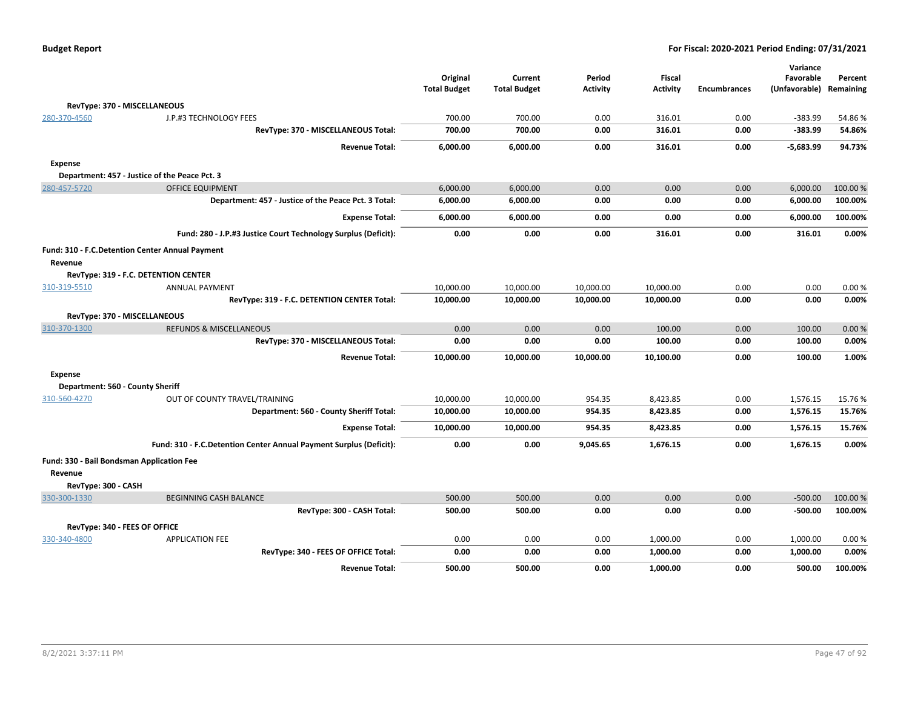| <b>Budget Report</b> |  |
|----------------------|--|
|----------------------|--|

|                                                      |                                                                    |                     |                     |                 |                 |                     | Variance      |           |
|------------------------------------------------------|--------------------------------------------------------------------|---------------------|---------------------|-----------------|-----------------|---------------------|---------------|-----------|
|                                                      |                                                                    | Original            | Current             | Period          | <b>Fiscal</b>   |                     | Favorable     | Percent   |
|                                                      |                                                                    | <b>Total Budget</b> | <b>Total Budget</b> | <b>Activity</b> | <b>Activity</b> | <b>Encumbrances</b> | (Unfavorable) | Remaining |
| RevType: 370 - MISCELLANEOUS                         |                                                                    |                     |                     |                 |                 |                     |               |           |
| 280-370-4560                                         | J.P.#3 TECHNOLOGY FEES                                             | 700.00              | 700.00              | 0.00            | 316.01          | 0.00                | -383.99       | 54.86%    |
|                                                      | RevType: 370 - MISCELLANEOUS Total:                                | 700.00              | 700.00              | 0.00            | 316.01          | 0.00                | $-383.99$     | 54.86%    |
|                                                      | <b>Revenue Total:</b>                                              | 6,000.00            | 6,000.00            | 0.00            | 316.01          | 0.00                | $-5,683.99$   | 94.73%    |
| <b>Expense</b>                                       |                                                                    |                     |                     |                 |                 |                     |               |           |
| Department: 457 - Justice of the Peace Pct. 3        |                                                                    |                     |                     |                 |                 |                     |               |           |
| 280-457-5720                                         | <b>OFFICE EQUIPMENT</b>                                            | 6,000.00            | 6,000.00            | 0.00            | 0.00            | 0.00                | 6,000.00      | 100.00 %  |
|                                                      | Department: 457 - Justice of the Peace Pct. 3 Total:               | 6,000.00            | 6,000.00            | 0.00            | 0.00            | 0.00                | 6,000.00      | 100.00%   |
|                                                      | <b>Expense Total:</b>                                              | 6,000.00            | 6,000.00            | 0.00            | 0.00            | 0.00                | 6,000.00      | 100.00%   |
|                                                      | Fund: 280 - J.P.#3 Justice Court Technology Surplus (Deficit):     | 0.00                | 0.00                | 0.00            | 316.01          | 0.00                | 316.01        | 0.00%     |
| Fund: 310 - F.C. Detention Center Annual Payment     |                                                                    |                     |                     |                 |                 |                     |               |           |
| Revenue                                              |                                                                    |                     |                     |                 |                 |                     |               |           |
| RevType: 319 - F.C. DETENTION CENTER                 |                                                                    |                     |                     |                 |                 |                     |               |           |
| 310-319-5510                                         | <b>ANNUAL PAYMENT</b>                                              | 10,000.00           | 10,000.00           | 10,000.00       | 10,000.00       | 0.00                | 0.00          | 0.00%     |
|                                                      | RevType: 319 - F.C. DETENTION CENTER Total:                        | 10,000.00           | 10,000.00           | 10,000.00       | 10,000.00       | 0.00                | 0.00          | 0.00%     |
| RevType: 370 - MISCELLANEOUS                         |                                                                    |                     |                     |                 |                 |                     |               |           |
| 310-370-1300                                         | <b>REFUNDS &amp; MISCELLANEOUS</b>                                 | 0.00                | 0.00                | 0.00            | 100.00          | 0.00                | 100.00        | 0.00%     |
|                                                      | RevType: 370 - MISCELLANEOUS Total:                                | 0.00                | 0.00                | 0.00            | 100.00          | 0.00                | 100.00        | 0.00%     |
|                                                      | <b>Revenue Total:</b>                                              | 10,000.00           | 10,000.00           | 10,000.00       | 10,100.00       | 0.00                | 100.00        | 1.00%     |
| <b>Expense</b>                                       |                                                                    |                     |                     |                 |                 |                     |               |           |
| Department: 560 - County Sheriff                     |                                                                    |                     |                     |                 |                 |                     |               |           |
| 310-560-4270                                         | OUT OF COUNTY TRAVEL/TRAINING                                      | 10,000.00           | 10,000.00           | 954.35          | 8,423.85        | 0.00                | 1,576.15      | 15.76%    |
|                                                      | Department: 560 - County Sheriff Total:                            | 10,000.00           | 10,000.00           | 954.35          | 8,423.85        | 0.00                | 1,576.15      | 15.76%    |
|                                                      | <b>Expense Total:</b>                                              | 10,000.00           | 10,000.00           | 954.35          | 8,423.85        | 0.00                | 1,576.15      | 15.76%    |
|                                                      | Fund: 310 - F.C.Detention Center Annual Payment Surplus (Deficit): | 0.00                | 0.00                | 9,045.65        | 1,676.15        | 0.00                | 1,676.15      | 0.00%     |
| Fund: 330 - Bail Bondsman Application Fee<br>Revenue |                                                                    |                     |                     |                 |                 |                     |               |           |
| RevType: 300 - CASH                                  |                                                                    |                     |                     |                 |                 |                     |               |           |
| 330-300-1330                                         | <b>BEGINNING CASH BALANCE</b>                                      | 500.00              | 500.00              | 0.00            | 0.00            | 0.00                | $-500.00$     | 100.00 %  |
|                                                      | RevType: 300 - CASH Total:                                         | 500.00              | 500.00              | 0.00            | 0.00            | 0.00                | $-500.00$     | 100.00%   |
|                                                      |                                                                    |                     |                     |                 |                 |                     |               |           |
| RevType: 340 - FEES OF OFFICE                        |                                                                    |                     |                     |                 |                 |                     |               |           |
| 330-340-4800                                         | <b>APPLICATION FEE</b>                                             | 0.00                | 0.00                | 0.00            | 1,000.00        | 0.00                | 1,000.00      | 0.00%     |
|                                                      | RevType: 340 - FEES OF OFFICE Total:                               | 0.00                | 0.00                | 0.00            | 1,000.00        | 0.00                | 1,000.00      | 0.00%     |
|                                                      | <b>Revenue Total:</b>                                              | 500.00              | 500.00              | 0.00            | 1,000.00        | 0.00                | 500.00        | 100.00%   |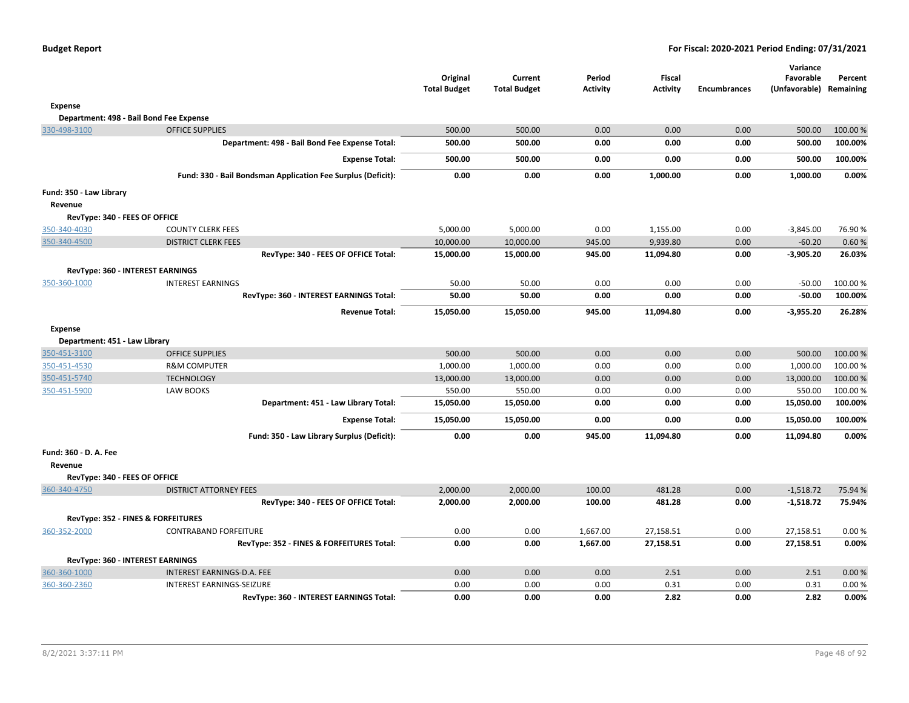| <b>Budget Report</b> |  |
|----------------------|--|
|----------------------|--|

|                               |                                                              | Original<br><b>Total Budget</b> | Current<br><b>Total Budget</b> | Period<br><b>Activity</b> | <b>Fiscal</b><br><b>Activity</b> | <b>Encumbrances</b> | Variance<br>Favorable<br>(Unfavorable) Remaining | Percent  |
|-------------------------------|--------------------------------------------------------------|---------------------------------|--------------------------------|---------------------------|----------------------------------|---------------------|--------------------------------------------------|----------|
| <b>Expense</b>                |                                                              |                                 |                                |                           |                                  |                     |                                                  |          |
|                               | Department: 498 - Bail Bond Fee Expense                      |                                 |                                |                           |                                  |                     |                                                  |          |
| 330-498-3100                  | <b>OFFICE SUPPLIES</b>                                       | 500.00                          | 500.00                         | 0.00                      | 0.00                             | 0.00                | 500.00                                           | 100.00 % |
|                               | Department: 498 - Bail Bond Fee Expense Total:               | 500.00                          | 500.00                         | 0.00                      | 0.00                             | 0.00                | 500.00                                           | 100.00%  |
|                               | <b>Expense Total:</b>                                        | 500.00                          | 500.00                         | 0.00                      | 0.00                             | 0.00                | 500.00                                           | 100.00%  |
|                               | Fund: 330 - Bail Bondsman Application Fee Surplus (Deficit): | 0.00                            | 0.00                           | 0.00                      | 1,000.00                         | 0.00                | 1,000.00                                         | 0.00%    |
| Fund: 350 - Law Library       |                                                              |                                 |                                |                           |                                  |                     |                                                  |          |
| Revenue                       |                                                              |                                 |                                |                           |                                  |                     |                                                  |          |
| RevType: 340 - FEES OF OFFICE |                                                              |                                 |                                |                           |                                  |                     |                                                  |          |
| 350-340-4030                  | <b>COUNTY CLERK FEES</b>                                     | 5,000.00                        | 5,000.00                       | 0.00                      | 1,155.00                         | 0.00                | $-3,845.00$                                      | 76.90%   |
| 350-340-4500                  | <b>DISTRICT CLERK FEES</b>                                   | 10,000.00                       | 10,000.00                      | 945.00                    | 9,939.80                         | 0.00                | $-60.20$                                         | 0.60%    |
|                               | RevType: 340 - FEES OF OFFICE Total:                         | 15,000.00                       | 15,000.00                      | 945.00                    | 11,094.80                        | 0.00                | $-3,905.20$                                      | 26.03%   |
|                               | RevType: 360 - INTEREST EARNINGS                             |                                 |                                |                           |                                  |                     |                                                  |          |
| 350-360-1000                  | <b>INTEREST EARNINGS</b>                                     | 50.00                           | 50.00                          | 0.00                      | 0.00                             | 0.00                | $-50.00$                                         | 100.00%  |
|                               | RevType: 360 - INTEREST EARNINGS Total:                      | 50.00                           | 50.00                          | 0.00                      | 0.00                             | 0.00                | $-50.00$                                         | 100.00%  |
|                               | <b>Revenue Total:</b>                                        | 15,050.00                       | 15,050.00                      | 945.00                    | 11,094.80                        | 0.00                | $-3,955.20$                                      | 26.28%   |
| <b>Expense</b>                |                                                              |                                 |                                |                           |                                  |                     |                                                  |          |
| Department: 451 - Law Library |                                                              |                                 |                                |                           |                                  |                     |                                                  |          |
| 350-451-3100                  | <b>OFFICE SUPPLIES</b>                                       | 500.00                          | 500.00                         | 0.00                      | 0.00                             | 0.00                | 500.00                                           | 100.00%  |
| 350-451-4530                  | <b>R&amp;M COMPUTER</b>                                      | 1,000.00                        | 1,000.00                       | 0.00                      | 0.00                             | 0.00                | 1,000.00                                         | 100.00 % |
| 350-451-5740                  | <b>TECHNOLOGY</b>                                            | 13,000.00                       | 13,000.00                      | 0.00                      | 0.00                             | 0.00                | 13,000.00                                        | 100.00%  |
| 350-451-5900                  | <b>LAW BOOKS</b>                                             | 550.00                          | 550.00                         | 0.00                      | 0.00                             | 0.00                | 550.00                                           | 100.00%  |
|                               | Department: 451 - Law Library Total:                         | 15,050.00                       | 15,050.00                      | 0.00                      | 0.00                             | 0.00                | 15,050.00                                        | 100.00%  |
|                               | <b>Expense Total:</b>                                        | 15,050.00                       | 15,050.00                      | 0.00                      | 0.00                             | 0.00                | 15,050.00                                        | 100.00%  |
|                               | Fund: 350 - Law Library Surplus (Deficit):                   | 0.00                            | 0.00                           | 945.00                    | 11,094.80                        | 0.00                | 11,094.80                                        | 0.00%    |
| Fund: 360 - D. A. Fee         |                                                              |                                 |                                |                           |                                  |                     |                                                  |          |
| Revenue                       |                                                              |                                 |                                |                           |                                  |                     |                                                  |          |
| RevType: 340 - FEES OF OFFICE |                                                              |                                 |                                |                           |                                  |                     |                                                  |          |
| 360-340-4750                  | <b>DISTRICT ATTORNEY FEES</b>                                | 2,000.00                        | 2,000.00                       | 100.00                    | 481.28                           | 0.00                | $-1,518.72$                                      | 75.94 %  |
|                               | RevType: 340 - FEES OF OFFICE Total:                         | 2,000.00                        | 2,000.00                       | 100.00                    | 481.28                           | 0.00                | $-1,518.72$                                      | 75.94%   |
|                               | RevType: 352 - FINES & FORFEITURES                           |                                 |                                |                           |                                  |                     |                                                  |          |
| 360-352-2000                  | <b>CONTRABAND FORFEITURE</b>                                 | 0.00                            | 0.00                           | 1,667.00                  | 27,158.51                        | 0.00                | 27,158.51                                        | 0.00%    |
|                               | RevType: 352 - FINES & FORFEITURES Total:                    | 0.00                            | 0.00                           | 1,667.00                  | 27,158.51                        | 0.00                | 27,158.51                                        | 0.00%    |
|                               | RevType: 360 - INTEREST EARNINGS                             |                                 |                                |                           |                                  |                     |                                                  |          |
| 360-360-1000                  | INTEREST EARNINGS-D.A. FEE                                   | 0.00                            | 0.00                           | 0.00                      | 2.51                             | 0.00                | 2.51                                             | 0.00%    |
| 360-360-2360                  | <b>INTEREST EARNINGS-SEIZURE</b>                             | 0.00                            | 0.00                           | 0.00                      | 0.31                             | 0.00                | 0.31                                             | 0.00%    |
|                               | RevType: 360 - INTEREST EARNINGS Total:                      | 0.00                            | 0.00                           | 0.00                      | 2.82                             | 0.00                | 2.82                                             | 0.00%    |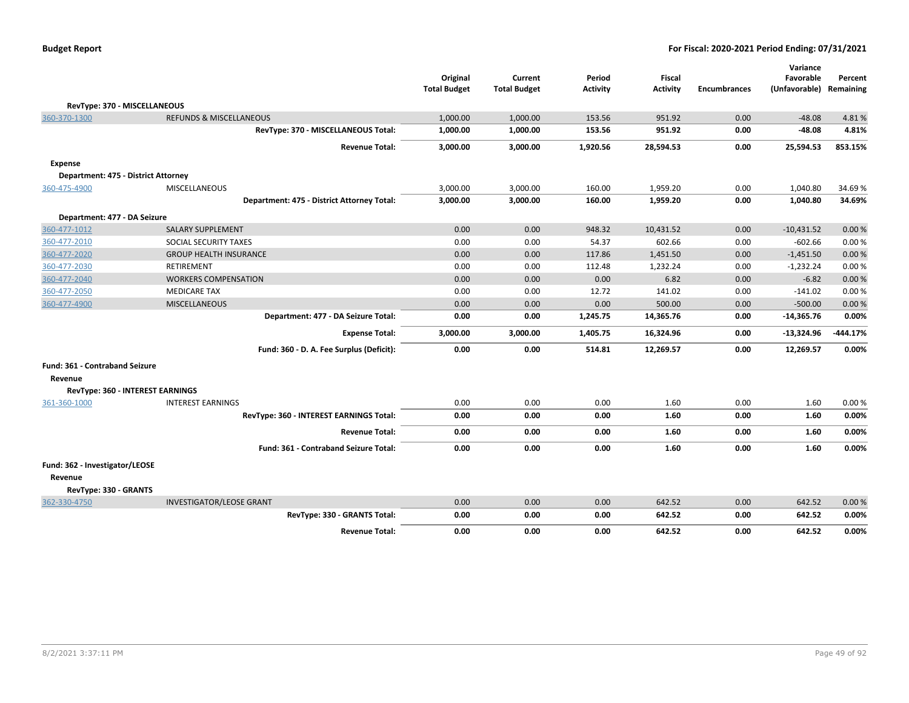|  | <b>Budget Report</b> |
|--|----------------------|
|--|----------------------|

|                                       |                                            | Original<br><b>Total Budget</b> | Current<br><b>Total Budget</b> | Period<br><b>Activity</b> | Fiscal<br><b>Activity</b> | <b>Encumbrances</b> | Variance<br>Favorable<br>(Unfavorable) Remaining | Percent    |
|---------------------------------------|--------------------------------------------|---------------------------------|--------------------------------|---------------------------|---------------------------|---------------------|--------------------------------------------------|------------|
| RevType: 370 - MISCELLANEOUS          |                                            |                                 |                                |                           |                           |                     |                                                  |            |
| 360-370-1300                          | <b>REFUNDS &amp; MISCELLANEOUS</b>         | 1,000.00                        | 1,000.00                       | 153.56                    | 951.92                    | 0.00                | $-48.08$                                         | 4.81%      |
|                                       | RevType: 370 - MISCELLANEOUS Total:        | 1,000.00                        | 1,000.00                       | 153.56                    | 951.92                    | 0.00                | $-48.08$                                         | 4.81%      |
|                                       | <b>Revenue Total:</b>                      | 3,000.00                        | 3,000.00                       | 1,920.56                  | 28,594.53                 | 0.00                | 25,594.53                                        | 853.15%    |
| <b>Expense</b>                        |                                            |                                 |                                |                           |                           |                     |                                                  |            |
| Department: 475 - District Attorney   |                                            |                                 |                                |                           |                           |                     |                                                  |            |
| 360-475-4900                          | <b>MISCELLANEOUS</b>                       | 3,000.00                        | 3,000.00                       | 160.00                    | 1,959.20                  | 0.00                | 1,040.80                                         | 34.69%     |
|                                       | Department: 475 - District Attorney Total: | 3,000.00                        | 3,000.00                       | 160.00                    | 1,959.20                  | 0.00                | 1,040.80                                         | 34.69%     |
| Department: 477 - DA Seizure          |                                            |                                 |                                |                           |                           |                     |                                                  |            |
| 360-477-1012                          | <b>SALARY SUPPLEMENT</b>                   | 0.00                            | 0.00                           | 948.32                    | 10,431.52                 | 0.00                | $-10,431.52$                                     | 0.00%      |
| 360-477-2010                          | SOCIAL SECURITY TAXES                      | 0.00                            | 0.00                           | 54.37                     | 602.66                    | 0.00                | $-602.66$                                        | 0.00%      |
| 360-477-2020                          | <b>GROUP HEALTH INSURANCE</b>              | 0.00                            | 0.00                           | 117.86                    | 1,451.50                  | 0.00                | $-1,451.50$                                      | 0.00%      |
| 360-477-2030                          | RETIREMENT                                 | 0.00                            | 0.00                           | 112.48                    | 1,232.24                  | 0.00                | $-1,232.24$                                      | 0.00%      |
| 360-477-2040                          | <b>WORKERS COMPENSATION</b>                | 0.00                            | 0.00                           | 0.00                      | 6.82                      | 0.00                | $-6.82$                                          | 0.00%      |
| 360-477-2050                          | <b>MEDICARE TAX</b>                        | 0.00                            | 0.00                           | 12.72                     | 141.02                    | 0.00                | $-141.02$                                        | 0.00%      |
| 360-477-4900                          | <b>MISCELLANEOUS</b>                       | 0.00                            | 0.00                           | 0.00                      | 500.00                    | 0.00                | $-500.00$                                        | 0.00%      |
|                                       | Department: 477 - DA Seizure Total:        | 0.00                            | 0.00                           | 1,245.75                  | 14,365.76                 | 0.00                | $-14,365.76$                                     | 0.00%      |
|                                       | <b>Expense Total:</b>                      | 3,000.00                        | 3,000.00                       | 1,405.75                  | 16,324.96                 | 0.00                | $-13,324.96$                                     | $-444.17%$ |
|                                       | Fund: 360 - D. A. Fee Surplus (Deficit):   | 0.00                            | 0.00                           | 514.81                    | 12,269.57                 | 0.00                | 12,269.57                                        | 0.00%      |
| <b>Fund: 361 - Contraband Seizure</b> |                                            |                                 |                                |                           |                           |                     |                                                  |            |
| Revenue                               |                                            |                                 |                                |                           |                           |                     |                                                  |            |
| RevType: 360 - INTEREST EARNINGS      |                                            |                                 |                                |                           |                           |                     |                                                  |            |
| 361-360-1000                          | <b>INTEREST EARNINGS</b>                   | 0.00                            | 0.00                           | 0.00                      | 1.60                      | 0.00                | 1.60                                             | 0.00%      |
|                                       | RevType: 360 - INTEREST EARNINGS Total:    | 0.00                            | 0.00                           | 0.00                      | 1.60                      | 0.00                | 1.60                                             | 0.00%      |
|                                       | <b>Revenue Total:</b>                      | 0.00                            | 0.00                           | 0.00                      | 1.60                      | 0.00                | 1.60                                             | 0.00%      |
|                                       | Fund: 361 - Contraband Seizure Total:      | 0.00                            | 0.00                           | 0.00                      | 1.60                      | 0.00                | 1.60                                             | 0.00%      |
| Fund: 362 - Investigator/LEOSE        |                                            |                                 |                                |                           |                           |                     |                                                  |            |
| Revenue                               |                                            |                                 |                                |                           |                           |                     |                                                  |            |
| RevType: 330 - GRANTS                 |                                            |                                 |                                |                           |                           |                     |                                                  |            |
| 362-330-4750                          | <b>INVESTIGATOR/LEOSE GRANT</b>            | 0.00                            | 0.00                           | 0.00                      | 642.52                    | 0.00                | 642.52                                           | 0.00%      |
|                                       | RevType: 330 - GRANTS Total:               | 0.00                            | 0.00                           | 0.00                      | 642.52                    | 0.00                | 642.52                                           | 0.00%      |
|                                       | <b>Revenue Total:</b>                      | 0.00                            | 0.00                           | 0.00                      | 642.52                    | 0.00                | 642.52                                           | 0.00%      |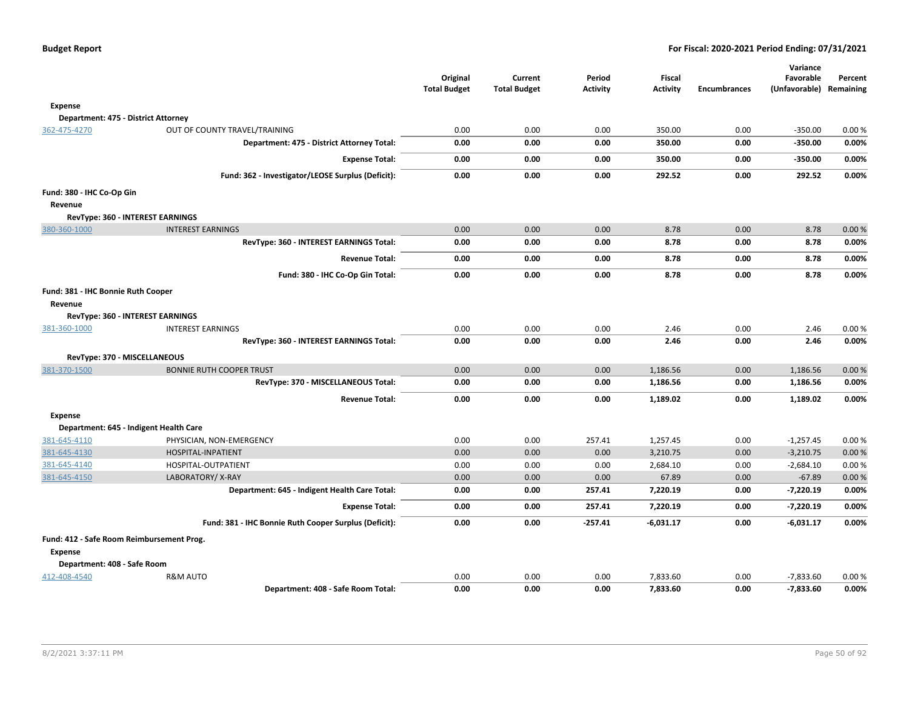|                                           |                                                       | Original<br><b>Total Budget</b> | Current<br><b>Total Budget</b> | Period<br><b>Activity</b> | <b>Fiscal</b><br><b>Activity</b> | <b>Encumbrances</b> | Variance<br>Favorable<br>(Unfavorable) Remaining | Percent |
|-------------------------------------------|-------------------------------------------------------|---------------------------------|--------------------------------|---------------------------|----------------------------------|---------------------|--------------------------------------------------|---------|
| <b>Expense</b>                            |                                                       |                                 |                                |                           |                                  |                     |                                                  |         |
| Department: 475 - District Attorney       |                                                       |                                 |                                |                           |                                  |                     |                                                  |         |
| 362-475-4270                              | OUT OF COUNTY TRAVEL/TRAINING                         | 0.00                            | 0.00                           | 0.00                      | 350.00                           | 0.00                | $-350.00$                                        | 0.00%   |
|                                           | Department: 475 - District Attorney Total:            | 0.00                            | 0.00                           | 0.00                      | 350.00                           | 0.00                | $-350.00$                                        | 0.00%   |
|                                           | <b>Expense Total:</b>                                 | 0.00                            | 0.00                           | 0.00                      | 350.00                           | 0.00                | $-350.00$                                        | 0.00%   |
|                                           | Fund: 362 - Investigator/LEOSE Surplus (Deficit):     | 0.00                            | 0.00                           | 0.00                      | 292.52                           | 0.00                | 292.52                                           | 0.00%   |
|                                           |                                                       |                                 |                                |                           |                                  |                     |                                                  |         |
| Fund: 380 - IHC Co-Op Gin                 |                                                       |                                 |                                |                           |                                  |                     |                                                  |         |
| Revenue                                   |                                                       |                                 |                                |                           |                                  |                     |                                                  |         |
|                                           | RevType: 360 - INTEREST EARNINGS                      |                                 |                                |                           |                                  |                     |                                                  |         |
| 380-360-1000                              | <b>INTEREST EARNINGS</b>                              | 0.00                            | 0.00                           | 0.00                      | 8.78                             | 0.00                | 8.78                                             | 0.00%   |
|                                           | RevType: 360 - INTEREST EARNINGS Total:               | 0.00                            | 0.00                           | 0.00                      | 8.78                             | 0.00                | 8.78                                             | 0.00%   |
|                                           | <b>Revenue Total:</b>                                 | 0.00                            | 0.00                           | 0.00                      | 8.78                             | 0.00                | 8.78                                             | 0.00%   |
|                                           | Fund: 380 - IHC Co-Op Gin Total:                      | 0.00                            | 0.00                           | 0.00                      | 8.78                             | 0.00                | 8.78                                             | 0.00%   |
| Fund: 381 - IHC Bonnie Ruth Cooper        |                                                       |                                 |                                |                           |                                  |                     |                                                  |         |
| Revenue                                   |                                                       |                                 |                                |                           |                                  |                     |                                                  |         |
|                                           | RevType: 360 - INTEREST EARNINGS                      |                                 |                                |                           |                                  |                     |                                                  |         |
| 381-360-1000                              | <b>INTEREST EARNINGS</b>                              | 0.00                            | 0.00                           | 0.00                      | 2.46                             | 0.00                | 2.46                                             | 0.00%   |
|                                           | RevType: 360 - INTEREST EARNINGS Total:               | 0.00                            | 0.00                           | 0.00                      | 2.46                             | 0.00                | 2.46                                             | 0.00%   |
|                                           | RevType: 370 - MISCELLANEOUS                          |                                 |                                |                           |                                  |                     |                                                  |         |
| 381-370-1500                              | <b>BONNIE RUTH COOPER TRUST</b>                       | 0.00                            | 0.00                           | 0.00                      | 1,186.56                         | 0.00                | 1,186.56                                         | 0.00%   |
|                                           | RevType: 370 - MISCELLANEOUS Total:                   | 0.00                            | 0.00                           | 0.00                      | 1,186.56                         | 0.00                | 1,186.56                                         | 0.00%   |
|                                           | <b>Revenue Total:</b>                                 | 0.00                            | 0.00                           | 0.00                      | 1,189.02                         | 0.00                | 1,189.02                                         | 0.00%   |
| <b>Expense</b>                            |                                                       |                                 |                                |                           |                                  |                     |                                                  |         |
|                                           | Department: 645 - Indigent Health Care                |                                 |                                |                           |                                  |                     |                                                  |         |
| 381-645-4110                              | PHYSICIAN, NON-EMERGENCY                              | 0.00                            | 0.00                           | 257.41                    | 1,257.45                         | 0.00                | $-1,257.45$                                      | 0.00%   |
| 381-645-4130                              | HOSPITAL-INPATIENT                                    | 0.00                            | 0.00                           | 0.00                      | 3,210.75                         | 0.00                | $-3,210.75$                                      | 0.00%   |
| 381-645-4140                              | HOSPITAL-OUTPATIENT                                   | 0.00                            | 0.00                           | 0.00                      | 2,684.10                         | 0.00                | $-2,684.10$                                      | 0.00%   |
| 381-645-4150                              | LABORATORY/X-RAY                                      | 0.00                            | 0.00                           | 0.00                      | 67.89                            | 0.00                | $-67.89$                                         | 0.00%   |
|                                           | Department: 645 - Indigent Health Care Total:         | 0.00                            | 0.00                           | 257.41                    | 7,220.19                         | 0.00                | $-7,220.19$                                      | 0.00%   |
|                                           | <b>Expense Total:</b>                                 | 0.00                            | 0.00                           | 257.41                    | 7,220.19                         | 0.00                | $-7,220.19$                                      | 0.00%   |
|                                           | Fund: 381 - IHC Bonnie Ruth Cooper Surplus (Deficit): | 0.00                            | 0.00                           | $-257.41$                 | $-6,031.17$                      | 0.00                | $-6,031.17$                                      | 0.00%   |
| Fund: 412 - Safe Room Reimbursement Prog. |                                                       |                                 |                                |                           |                                  |                     |                                                  |         |
| <b>Expense</b>                            |                                                       |                                 |                                |                           |                                  |                     |                                                  |         |
| Department: 408 - Safe Room               |                                                       |                                 |                                |                           |                                  |                     |                                                  |         |
| 412-408-4540                              | <b>R&amp;M AUTO</b>                                   | 0.00                            | 0.00                           | 0.00                      | 7,833.60                         | 0.00                | $-7,833.60$                                      | 0.00%   |
|                                           | Department: 408 - Safe Room Total:                    | 0.00                            | 0.00                           | 0.00                      | 7,833.60                         | 0.00                | $-7,833.60$                                      | 0.00%   |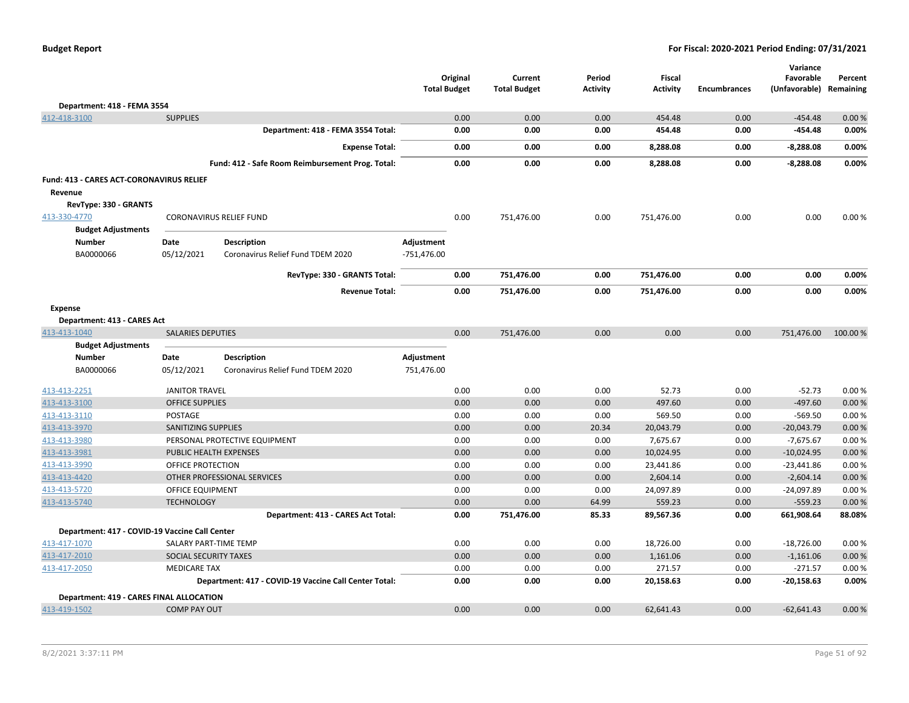|  | <b>Budget Report</b> |
|--|----------------------|
|--|----------------------|

|                                                 |                            |                                                       |                     | Original | Current             | Period          | <b>Fiscal</b>   |                     | Variance<br>Favorable | Percent   |
|-------------------------------------------------|----------------------------|-------------------------------------------------------|---------------------|----------|---------------------|-----------------|-----------------|---------------------|-----------------------|-----------|
|                                                 |                            |                                                       | <b>Total Budget</b> |          | <b>Total Budget</b> | <b>Activity</b> | <b>Activity</b> | <b>Encumbrances</b> | (Unfavorable)         | Remaining |
| Department: 418 - FEMA 3554                     |                            |                                                       |                     |          |                     |                 |                 |                     |                       |           |
| 412-418-3100                                    | <b>SUPPLIES</b>            |                                                       |                     | 0.00     | 0.00                | 0.00            | 454.48          | 0.00                | $-454.48$             | 0.00%     |
|                                                 |                            | Department: 418 - FEMA 3554 Total:                    |                     | 0.00     | 0.00                | 0.00            | 454.48          | 0.00                | $-454.48$             | 0.00%     |
|                                                 |                            | <b>Expense Total:</b>                                 |                     | 0.00     | 0.00                | 0.00            | 8,288.08        | 0.00                | $-8,288.08$           | 0.00%     |
|                                                 |                            | Fund: 412 - Safe Room Reimbursement Prog. Total:      |                     | 0.00     | 0.00                | 0.00            | 8,288.08        | 0.00                | $-8,288.08$           | 0.00%     |
| <b>Fund: 413 - CARES ACT-CORONAVIRUS RELIEF</b> |                            |                                                       |                     |          |                     |                 |                 |                     |                       |           |
| Revenue                                         |                            |                                                       |                     |          |                     |                 |                 |                     |                       |           |
| RevType: 330 - GRANTS                           |                            |                                                       |                     |          |                     |                 |                 |                     |                       |           |
| 413-330-4770                                    |                            | <b>CORONAVIRUS RELIEF FUND</b>                        |                     | 0.00     | 751,476.00          | 0.00            | 751,476.00      | 0.00                | 0.00                  | 0.00%     |
| <b>Budget Adjustments</b>                       |                            |                                                       |                     |          |                     |                 |                 |                     |                       |           |
| <b>Number</b>                                   | Date                       | <b>Description</b>                                    | Adjustment          |          |                     |                 |                 |                     |                       |           |
| BA0000066                                       | 05/12/2021                 | Coronavirus Relief Fund TDEM 2020                     | $-751,476.00$       |          |                     |                 |                 |                     |                       |           |
|                                                 |                            | RevType: 330 - GRANTS Total:                          |                     | 0.00     | 751,476.00          | 0.00            | 751,476.00      | 0.00                | 0.00                  | 0.00%     |
|                                                 |                            | <b>Revenue Total:</b>                                 |                     | 0.00     | 751,476.00          | 0.00            | 751,476.00      | 0.00                | 0.00                  | 0.00%     |
| <b>Expense</b>                                  |                            |                                                       |                     |          |                     |                 |                 |                     |                       |           |
| Department: 413 - CARES Act                     |                            |                                                       |                     |          |                     |                 |                 |                     |                       |           |
| 413-413-1040                                    | <b>SALARIES DEPUTIES</b>   |                                                       |                     | 0.00     | 751,476.00          | 0.00            | 0.00            | 0.00                | 751,476.00            | 100.00%   |
| <b>Budget Adjustments</b>                       |                            |                                                       |                     |          |                     |                 |                 |                     |                       |           |
| <b>Number</b>                                   | Date                       | <b>Description</b>                                    | Adjustment          |          |                     |                 |                 |                     |                       |           |
| BA0000066                                       | 05/12/2021                 | Coronavirus Relief Fund TDEM 2020                     | 751,476.00          |          |                     |                 |                 |                     |                       |           |
| 413-413-2251                                    | <b>JANITOR TRAVEL</b>      |                                                       |                     | 0.00     | 0.00                | 0.00            | 52.73           | 0.00                | $-52.73$              | 0.00%     |
| 413-413-3100                                    | <b>OFFICE SUPPLIES</b>     |                                                       |                     | 0.00     | 0.00                | 0.00            | 497.60          | 0.00                | $-497.60$             | 0.00%     |
| 413-413-3110                                    | <b>POSTAGE</b>             |                                                       |                     | 0.00     | 0.00                | 0.00            | 569.50          | 0.00                | $-569.50$             | 0.00%     |
| 413-413-3970                                    | <b>SANITIZING SUPPLIES</b> |                                                       |                     | 0.00     | 0.00                | 20.34           | 20,043.79       | 0.00                | $-20,043.79$          | 0.00%     |
| 413-413-3980                                    |                            | PERSONAL PROTECTIVE EQUIPMENT                         |                     | 0.00     | 0.00                | 0.00            | 7,675.67        | 0.00                | $-7,675.67$           | 0.00%     |
| 413-413-3981                                    | PUBLIC HEALTH EXPENSES     |                                                       |                     | 0.00     | 0.00                | 0.00            | 10,024.95       | 0.00                | $-10,024.95$          | 0.00%     |
| 413-413-3990                                    | OFFICE PROTECTION          |                                                       |                     | 0.00     | 0.00                | 0.00            | 23,441.86       | 0.00                | $-23,441.86$          | 0.00%     |
| 413-413-4420                                    |                            | OTHER PROFESSIONAL SERVICES                           |                     | 0.00     | 0.00                | 0.00            | 2,604.14        | 0.00                | $-2,604.14$           | 0.00%     |
| 413-413-5720                                    | <b>OFFICE EQUIPMENT</b>    |                                                       |                     | 0.00     | 0.00                | 0.00            | 24,097.89       | 0.00                | $-24,097.89$          | 0.00%     |
| 413-413-5740                                    | <b>TECHNOLOGY</b>          |                                                       |                     | 0.00     | 0.00                | 64.99           | 559.23          | 0.00                | $-559.23$             | 0.00 %    |
|                                                 |                            | Department: 413 - CARES Act Total:                    |                     | 0.00     | 751,476.00          | 85.33           | 89,567.36       | 0.00                | 661,908.64            | 88.08%    |
| Department: 417 - COVID-19 Vaccine Call Center  |                            |                                                       |                     |          |                     |                 |                 |                     |                       |           |
| 413-417-1070                                    | SALARY PART-TIME TEMP      |                                                       |                     | 0.00     | 0.00                | 0.00            | 18,726.00       | 0.00                | $-18,726.00$          | 0.00%     |
| 413-417-2010                                    | SOCIAL SECURITY TAXES      |                                                       |                     | 0.00     | 0.00                | 0.00            | 1,161.06        | 0.00                | $-1,161.06$           | 0.00%     |
| 413-417-2050                                    | <b>MEDICARE TAX</b>        |                                                       |                     | 0.00     | 0.00                | 0.00            | 271.57          | 0.00                | $-271.57$             | 0.00%     |
|                                                 |                            | Department: 417 - COVID-19 Vaccine Call Center Total: |                     | 0.00     | 0.00                | 0.00            | 20,158.63       | 0.00                | $-20,158.63$          | 0.00%     |
| <b>Department: 419 - CARES FINAL ALLOCATION</b> |                            |                                                       |                     |          |                     |                 |                 |                     |                       |           |
| 413-419-1502                                    | <b>COMP PAY OUT</b>        |                                                       |                     | 0.00     | 0.00                | 0.00            | 62.641.43       | 0.00                | $-62,641.43$          | 0.00%     |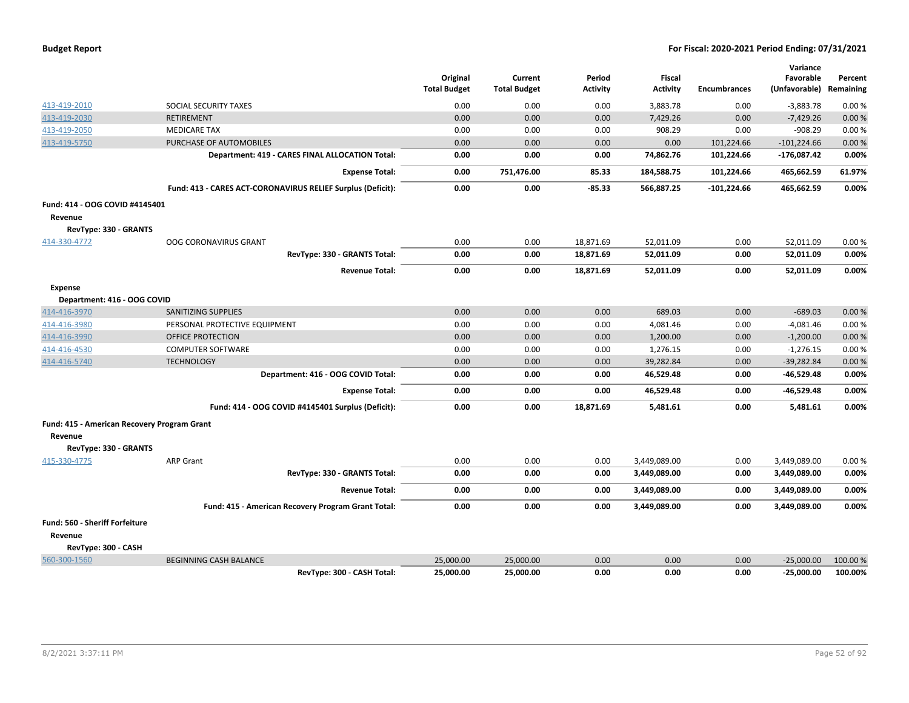| <b>Budget Report</b> |  |
|----------------------|--|
|----------------------|--|

|                                                                         |                                                             | Original<br><b>Total Budget</b> | Current<br><b>Total Budget</b> | Period<br><b>Activity</b> | <b>Fiscal</b><br><b>Activity</b> | <b>Encumbrances</b> | Variance<br>Favorable<br>(Unfavorable) | Percent<br>Remaining |
|-------------------------------------------------------------------------|-------------------------------------------------------------|---------------------------------|--------------------------------|---------------------------|----------------------------------|---------------------|----------------------------------------|----------------------|
| 413-419-2010                                                            | SOCIAL SECURITY TAXES                                       | 0.00                            | 0.00                           | 0.00                      | 3,883.78                         | 0.00                | $-3,883.78$                            | 0.00%                |
| 413-419-2030                                                            | <b>RETIREMENT</b>                                           | 0.00                            | 0.00                           | 0.00                      | 7,429.26                         | 0.00                | $-7,429.26$                            | 0.00%                |
| 413-419-2050                                                            | <b>MEDICARE TAX</b>                                         | 0.00                            | 0.00                           | 0.00                      | 908.29                           | 0.00                | $-908.29$                              | 0.00%                |
| 413-419-5750                                                            | PURCHASE OF AUTOMOBILES                                     | 0.00                            | 0.00                           | 0.00                      | 0.00                             | 101,224.66          | $-101,224.66$                          | 0.00%                |
|                                                                         | Department: 419 - CARES FINAL ALLOCATION Total:             | 0.00                            | 0.00                           | 0.00                      | 74,862.76                        | 101,224.66          | $-176,087.42$                          | 0.00%                |
|                                                                         | <b>Expense Total:</b>                                       | 0.00                            | 751,476.00                     | 85.33                     | 184,588.75                       | 101,224.66          | 465,662.59                             | 61.97%               |
|                                                                         | Fund: 413 - CARES ACT-CORONAVIRUS RELIEF Surplus (Deficit): | 0.00                            | 0.00                           | $-85.33$                  | 566,887.25                       | $-101,224.66$       | 465,662.59                             | 0.00%                |
| Fund: 414 - OOG COVID #4145401<br>Revenue<br>RevType: 330 - GRANTS      |                                                             |                                 |                                |                           |                                  |                     |                                        |                      |
| 414-330-4772                                                            | <b>OOG CORONAVIRUS GRANT</b>                                | 0.00                            | 0.00                           | 18,871.69                 | 52,011.09                        | 0.00                | 52,011.09                              | 0.00%                |
|                                                                         | RevType: 330 - GRANTS Total:                                | 0.00                            | 0.00                           | 18,871.69                 | 52,011.09                        | 0.00                | 52,011.09                              | 0.00%                |
|                                                                         | <b>Revenue Total:</b>                                       | 0.00                            | 0.00                           | 18,871.69                 | 52,011.09                        | 0.00                | 52,011.09                              | 0.00%                |
| <b>Expense</b>                                                          |                                                             |                                 |                                |                           |                                  |                     |                                        |                      |
| Department: 416 - OOG COVID                                             |                                                             |                                 |                                |                           |                                  |                     |                                        |                      |
| 414-416-3970                                                            | <b>SANITIZING SUPPLIES</b>                                  | 0.00                            | 0.00                           | 0.00                      | 689.03                           | 0.00                | $-689.03$                              | 0.00%                |
| 414-416-3980                                                            | PERSONAL PROTECTIVE EQUIPMENT                               | 0.00                            | 0.00                           | 0.00                      | 4,081.46                         | 0.00                | $-4,081.46$                            | 0.00%                |
| 414-416-3990                                                            | <b>OFFICE PROTECTION</b>                                    | 0.00                            | 0.00                           | 0.00                      | 1,200.00                         | 0.00                | $-1,200.00$                            | 0.00%                |
| 414-416-4530                                                            | <b>COMPUTER SOFTWARE</b>                                    | 0.00                            | 0.00                           | 0.00                      | 1,276.15                         | 0.00                | $-1,276.15$                            | 0.00%                |
| 414-416-5740                                                            | <b>TECHNOLOGY</b>                                           | 0.00                            | 0.00                           | 0.00                      | 39,282.84                        | 0.00                | $-39,282.84$                           | 0.00%                |
|                                                                         | Department: 416 - OOG COVID Total:                          | 0.00                            | 0.00                           | 0.00                      | 46,529.48                        | 0.00                | -46,529.48                             | 0.00%                |
|                                                                         | <b>Expense Total:</b>                                       | 0.00                            | 0.00                           | 0.00                      | 46,529.48                        | 0.00                | -46,529.48                             | 0.00%                |
|                                                                         | Fund: 414 - OOG COVID #4145401 Surplus (Deficit):           | 0.00                            | 0.00                           | 18,871.69                 | 5,481.61                         | 0.00                | 5,481.61                               | 0.00%                |
| Fund: 415 - American Recovery Program Grant                             |                                                             |                                 |                                |                           |                                  |                     |                                        |                      |
| Revenue                                                                 |                                                             |                                 |                                |                           |                                  |                     |                                        |                      |
| RevType: 330 - GRANTS                                                   |                                                             |                                 |                                |                           |                                  |                     |                                        |                      |
| 415-330-4775                                                            | <b>ARP Grant</b>                                            | 0.00                            | 0.00                           | 0.00                      | 3,449,089.00                     | 0.00                | 3,449,089.00                           | 0.00%                |
|                                                                         | RevType: 330 - GRANTS Total:                                | 0.00                            | 0.00                           | 0.00                      | 3,449,089.00                     | 0.00                | 3,449,089.00                           | 0.00%                |
|                                                                         | <b>Revenue Total:</b>                                       | 0.00                            | 0.00                           | 0.00                      | 3,449,089.00                     | 0.00                | 3,449,089.00                           | 0.00%                |
|                                                                         | Fund: 415 - American Recovery Program Grant Total:          | 0.00                            | 0.00                           | 0.00                      | 3,449,089.00                     | 0.00                | 3,449,089.00                           | 0.00%                |
| <b>Fund: 560 - Sheriff Forfeiture</b><br>Revenue<br>RevType: 300 - CASH |                                                             |                                 |                                |                           |                                  |                     |                                        |                      |
| 560-300-1560                                                            | <b>BEGINNING CASH BALANCE</b>                               | 25,000.00                       | 25,000.00                      | 0.00                      | 0.00                             | 0.00                | $-25.000.00$                           | 100.00 %             |
|                                                                         | RevType: 300 - CASH Total:                                  | 25,000.00                       | 25.000.00                      | 0.00                      | 0.00                             | 0.00                | $-25.000.00$                           | 100.00%              |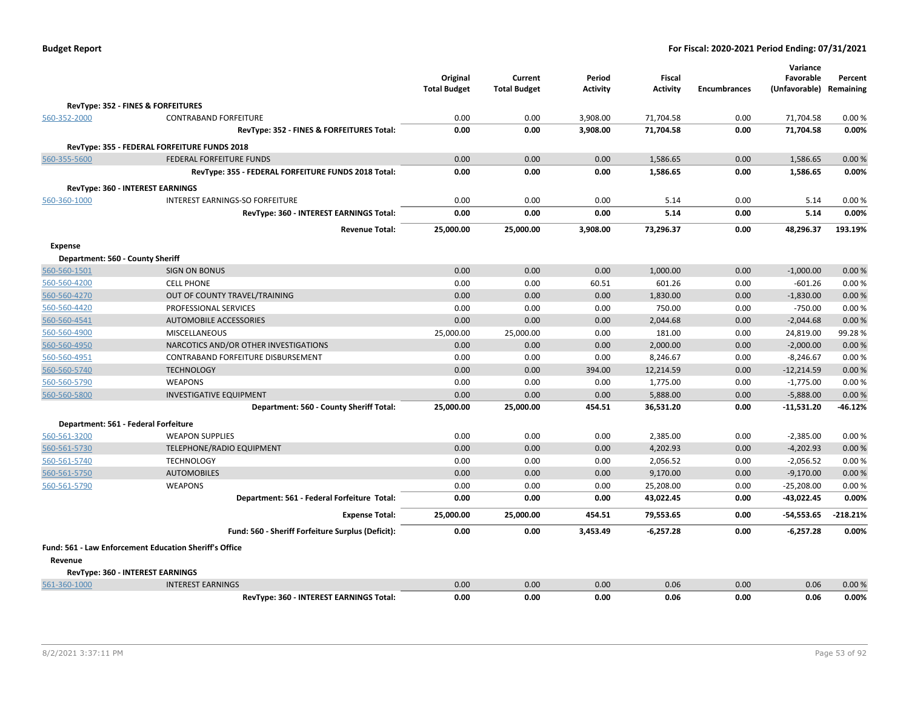| <b>Budget Report</b> |  |
|----------------------|--|
|----------------------|--|

|                                                    |                                                               | Original            | Current             | Period          | Fiscal          |                     | Variance<br>Favorable | Percent    |
|----------------------------------------------------|---------------------------------------------------------------|---------------------|---------------------|-----------------|-----------------|---------------------|-----------------------|------------|
|                                                    |                                                               | <b>Total Budget</b> | <b>Total Budget</b> | <b>Activity</b> | <b>Activity</b> | <b>Encumbrances</b> | (Unfavorable)         | Remaining  |
|                                                    | RevType: 352 - FINES & FORFEITURES                            |                     |                     |                 |                 |                     |                       |            |
| 560-352-2000                                       | <b>CONTRABAND FORFEITURE</b>                                  | 0.00                | 0.00                | 3,908.00        | 71,704.58       | 0.00                | 71,704.58             | 0.00%      |
|                                                    | RevType: 352 - FINES & FORFEITURES Total:                     | 0.00                | 0.00                | 3,908.00        | 71,704.58       | 0.00                | 71,704.58             | 0.00%      |
|                                                    | RevType: 355 - FEDERAL FORFEITURE FUNDS 2018                  |                     |                     |                 |                 |                     |                       |            |
| 560-355-5600                                       | <b>FEDERAL FORFEITURE FUNDS</b>                               | 0.00                | 0.00                | 0.00            | 1,586.65        | 0.00                | 1,586.65              | 0.00%      |
|                                                    | RevType: 355 - FEDERAL FORFEITURE FUNDS 2018 Total:           | 0.00                | 0.00                | 0.00            | 1,586.65        | 0.00                | 1,586.65              | 0.00%      |
|                                                    | <b>RevType: 360 - INTEREST EARNINGS</b>                       |                     |                     |                 |                 |                     |                       |            |
| 560-360-1000                                       | INTEREST EARNINGS-SO FORFEITURE                               | 0.00                | 0.00                | 0.00            | 5.14            | 0.00                | 5.14                  | 0.00%      |
|                                                    | RevType: 360 - INTEREST EARNINGS Total:                       | 0.00                | 0.00                | 0.00            | 5.14            | 0.00                | 5.14                  | 0.00%      |
|                                                    | <b>Revenue Total:</b>                                         | 25,000.00           | 25,000.00           | 3,908.00        | 73,296.37       | 0.00                | 48,296.37             | 193.19%    |
|                                                    |                                                               |                     |                     |                 |                 |                     |                       |            |
| <b>Expense</b><br>Department: 560 - County Sheriff |                                                               |                     |                     |                 |                 |                     |                       |            |
| 560-560-1501                                       | <b>SIGN ON BONUS</b>                                          | 0.00                | 0.00                | 0.00            | 1,000.00        | 0.00                | $-1,000.00$           | 0.00%      |
| 560-560-4200                                       | <b>CELL PHONE</b>                                             | 0.00                | 0.00                | 60.51           | 601.26          | 0.00                | $-601.26$             | 0.00%      |
| 560-560-4270                                       | OUT OF COUNTY TRAVEL/TRAINING                                 | 0.00                | 0.00                | 0.00            | 1,830.00        | 0.00                | $-1,830.00$           | 0.00%      |
| 560-560-4420                                       | PROFESSIONAL SERVICES                                         | 0.00                | 0.00                | 0.00            | 750.00          | 0.00                | $-750.00$             | 0.00%      |
| 560-560-4541                                       | <b>AUTOMOBILE ACCESSORIES</b>                                 | 0.00                | 0.00                | 0.00            | 2,044.68        | 0.00                | $-2,044.68$           | 0.00%      |
| 560-560-4900                                       | <b>MISCELLANEOUS</b>                                          | 25,000.00           | 25,000.00           | 0.00            | 181.00          | 0.00                | 24,819.00             | 99.28%     |
| 560-560-4950                                       | NARCOTICS AND/OR OTHER INVESTIGATIONS                         | 0.00                | 0.00                | 0.00            | 2,000.00        | 0.00                | $-2,000.00$           | 0.00%      |
| 560-560-4951                                       | CONTRABAND FORFEITURE DISBURSEMENT                            | 0.00                | 0.00                | 0.00            | 8,246.67        | 0.00                | $-8,246.67$           | 0.00%      |
| 560-560-5740                                       | <b>TECHNOLOGY</b>                                             | 0.00                | 0.00                | 394.00          | 12,214.59       | 0.00                | $-12,214.59$          | 0.00%      |
| 560-560-5790                                       | <b>WEAPONS</b>                                                | 0.00                | 0.00                | 0.00            | 1,775.00        | 0.00                | $-1,775.00$           | 0.00%      |
| 560-560-5800                                       | <b>INVESTIGATIVE EQUIPMENT</b>                                | 0.00                | 0.00                | 0.00            | 5,888.00        | 0.00                | $-5,888.00$           | 0.00%      |
|                                                    | Department: 560 - County Sheriff Total:                       | 25,000.00           | 25,000.00           | 454.51          | 36,531.20       | 0.00                | $-11,531.20$          | -46.12%    |
|                                                    | Department: 561 - Federal Forfeiture                          |                     |                     |                 |                 |                     |                       |            |
| 560-561-3200                                       | <b>WEAPON SUPPLIES</b>                                        | 0.00                | 0.00                | 0.00            | 2,385.00        | 0.00                | $-2,385.00$           | 0.00%      |
| 560-561-5730                                       | <b>TELEPHONE/RADIO EQUIPMENT</b>                              | 0.00                | 0.00                | 0.00            | 4,202.93        | 0.00                | $-4,202.93$           | 0.00%      |
| 560-561-5740                                       | <b>TECHNOLOGY</b>                                             | 0.00                | 0.00                | 0.00            | 2,056.52        | 0.00                | $-2,056.52$           | 0.00%      |
| 560-561-5750                                       | <b>AUTOMOBILES</b>                                            | 0.00                | 0.00                | 0.00            | 9,170.00        | 0.00                | $-9,170.00$           | 0.00%      |
| 560-561-5790                                       | WEAPONS                                                       | 0.00                | 0.00                | 0.00            | 25,208.00       | 0.00                | $-25,208.00$          | 0.00%      |
|                                                    | Department: 561 - Federal Forfeiture Total:                   | 0.00                | 0.00                | 0.00            | 43,022.45       | 0.00                | $-43,022.45$          | 0.00%      |
|                                                    | <b>Expense Total:</b>                                         | 25,000.00           | 25,000.00           | 454.51          | 79,553.65       | 0.00                | $-54,553.65$          | $-218.21%$ |
|                                                    | Fund: 560 - Sheriff Forfeiture Surplus (Deficit):             | 0.00                | 0.00                | 3,453.49        | $-6,257.28$     | 0.00                | $-6,257.28$           | 0.00%      |
|                                                    | <b>Fund: 561 - Law Enforcement Education Sheriff's Office</b> |                     |                     |                 |                 |                     |                       |            |
| Revenue                                            |                                                               |                     |                     |                 |                 |                     |                       |            |
|                                                    | <b>RevType: 360 - INTEREST EARNINGS</b>                       |                     |                     |                 |                 |                     |                       |            |
| 561-360-1000                                       | <b>INTEREST EARNINGS</b>                                      | 0.00                | 0.00                | 0.00            | 0.06            | 0.00                | 0.06                  | 0.00%      |
|                                                    | RevType: 360 - INTEREST EARNINGS Total:                       | 0.00                | 0.00                | 0.00            | 0.06            | 0.00                | 0.06                  | 0.00%      |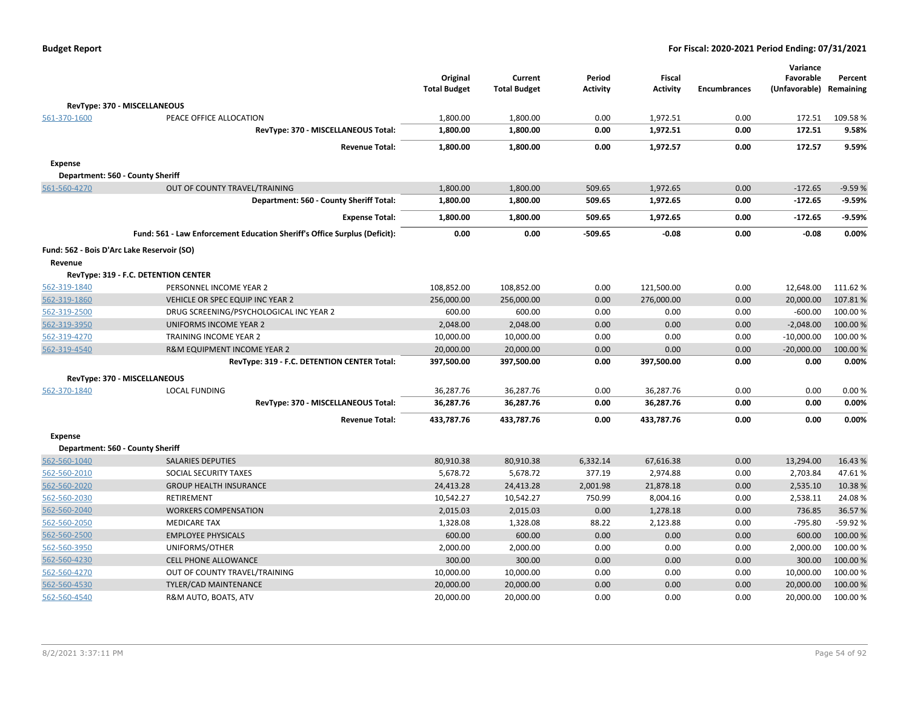|                                                       |                                                                           | Original<br><b>Total Budget</b> | Current<br><b>Total Budget</b> | Period<br><b>Activity</b> | <b>Fiscal</b><br><b>Activity</b> | <b>Encumbrances</b> | Variance<br>Favorable<br>(Unfavorable) Remaining | Percent   |
|-------------------------------------------------------|---------------------------------------------------------------------------|---------------------------------|--------------------------------|---------------------------|----------------------------------|---------------------|--------------------------------------------------|-----------|
|                                                       | RevType: 370 - MISCELLANEOUS                                              |                                 |                                |                           |                                  |                     |                                                  |           |
| 561-370-1600                                          | PEACE OFFICE ALLOCATION                                                   | 1,800.00                        | 1,800.00                       | 0.00                      | 1,972.51                         | 0.00                | 172.51                                           | 109.58%   |
|                                                       | RevType: 370 - MISCELLANEOUS Total:                                       | 1,800.00                        | 1,800.00                       | 0.00                      | 1,972.51                         | 0.00                | 172.51                                           | 9.58%     |
|                                                       | <b>Revenue Total:</b>                                                     | 1,800.00                        | 1,800.00                       | 0.00                      | 1,972.57                         | 0.00                | 172.57                                           | 9.59%     |
| <b>Expense</b>                                        |                                                                           |                                 |                                |                           |                                  |                     |                                                  |           |
|                                                       | Department: 560 - County Sheriff                                          |                                 |                                |                           |                                  |                     |                                                  |           |
| 561-560-4270                                          | OUT OF COUNTY TRAVEL/TRAINING                                             | 1,800.00                        | 1,800.00                       | 509.65                    | 1,972.65                         | 0.00                | $-172.65$                                        | $-9.59%$  |
|                                                       | Department: 560 - County Sheriff Total:                                   | 1,800.00                        | 1,800.00                       | 509.65                    | 1,972.65                         | 0.00                | $-172.65$                                        | $-9.59%$  |
|                                                       | <b>Expense Total:</b>                                                     | 1,800.00                        | 1,800.00                       | 509.65                    | 1,972.65                         | 0.00                | $-172.65$                                        | $-9.59%$  |
|                                                       | Fund: 561 - Law Enforcement Education Sheriff's Office Surplus (Deficit): | 0.00                            | 0.00                           | $-509.65$                 | $-0.08$                          | 0.00                | $-0.08$                                          | 0.00%     |
|                                                       |                                                                           |                                 |                                |                           |                                  |                     |                                                  |           |
| Fund: 562 - Bois D'Arc Lake Reservoir (SO)<br>Revenue |                                                                           |                                 |                                |                           |                                  |                     |                                                  |           |
|                                                       | RevType: 319 - F.C. DETENTION CENTER                                      |                                 |                                |                           |                                  |                     |                                                  |           |
| 562-319-1840                                          | PERSONNEL INCOME YEAR 2                                                   | 108,852.00                      | 108,852.00                     | 0.00                      | 121,500.00                       | 0.00                | 12,648.00                                        | 111.62%   |
| 562-319-1860                                          | VEHICLE OR SPEC EQUIP INC YEAR 2                                          | 256,000.00                      | 256,000.00                     | 0.00                      | 276,000.00                       | 0.00                | 20,000.00                                        | 107.81%   |
| 562-319-2500                                          | DRUG SCREENING/PSYCHOLOGICAL INC YEAR 2                                   | 600.00                          | 600.00                         | 0.00                      | 0.00                             | 0.00                | $-600.00$                                        | 100.00%   |
| 562-319-3950                                          | UNIFORMS INCOME YEAR 2                                                    | 2,048.00                        | 2,048.00                       | 0.00                      | 0.00                             | 0.00                | $-2,048.00$                                      | 100.00 %  |
| 562-319-4270                                          | TRAINING INCOME YEAR 2                                                    | 10,000.00                       | 10,000.00                      | 0.00                      | 0.00                             | 0.00                | $-10,000.00$                                     | 100.00%   |
| 562-319-4540                                          | <b>R&amp;M EQUIPMENT INCOME YEAR 2</b>                                    | 20,000.00                       | 20,000.00                      | 0.00                      | 0.00                             | 0.00                | $-20,000.00$                                     | 100.00 %  |
|                                                       | RevType: 319 - F.C. DETENTION CENTER Total:                               | 397,500.00                      | 397,500.00                     | 0.00                      | 397,500.00                       | 0.00                | 0.00                                             | 0.00%     |
|                                                       | RevType: 370 - MISCELLANEOUS                                              |                                 |                                |                           |                                  |                     |                                                  |           |
| 562-370-1840                                          | <b>LOCAL FUNDING</b>                                                      | 36,287.76                       | 36,287.76                      | 0.00                      | 36,287.76                        | 0.00                | 0.00                                             | 0.00%     |
|                                                       | RevType: 370 - MISCELLANEOUS Total:                                       | 36,287.76                       | 36,287.76                      | 0.00                      | 36,287.76                        | 0.00                | 0.00                                             | 0.00%     |
|                                                       | <b>Revenue Total:</b>                                                     | 433,787.76                      | 433.787.76                     | 0.00                      | 433,787.76                       | 0.00                | 0.00                                             | 0.00%     |
| <b>Expense</b>                                        |                                                                           |                                 |                                |                           |                                  |                     |                                                  |           |
|                                                       | Department: 560 - County Sheriff                                          |                                 |                                |                           |                                  |                     |                                                  |           |
| 562-560-1040                                          | <b>SALARIES DEPUTIES</b>                                                  | 80,910.38                       | 80,910.38                      | 6,332.14                  | 67,616.38                        | 0.00                | 13,294.00                                        | 16.43%    |
| 562-560-2010                                          | SOCIAL SECURITY TAXES                                                     | 5,678.72                        | 5,678.72                       | 377.19                    | 2,974.88                         | 0.00                | 2,703.84                                         | 47.61%    |
| 562-560-2020                                          | <b>GROUP HEALTH INSURANCE</b>                                             | 24,413.28                       | 24,413.28                      | 2,001.98                  | 21,878.18                        | 0.00                | 2,535.10                                         | 10.38%    |
| 562-560-2030                                          | <b>RETIREMENT</b>                                                         | 10,542.27                       | 10,542.27                      | 750.99                    | 8,004.16                         | 0.00                | 2,538.11                                         | 24.08%    |
| 562-560-2040                                          | <b>WORKERS COMPENSATION</b>                                               | 2,015.03                        | 2,015.03                       | 0.00                      | 1,278.18                         | 0.00                | 736.85                                           | 36.57%    |
| 562-560-2050                                          | <b>MEDICARE TAX</b>                                                       | 1,328.08                        | 1,328.08                       | 88.22                     | 2,123.88                         | 0.00                | -795.80                                          | $-59.92%$ |
| 562-560-2500                                          | <b>EMPLOYEE PHYSICALS</b>                                                 | 600.00                          | 600.00                         | 0.00                      | 0.00                             | 0.00                | 600.00                                           | 100.00 %  |
| 562-560-3950                                          | UNIFORMS/OTHER                                                            | 2,000.00                        | 2,000.00                       | 0.00                      | 0.00                             | 0.00                | 2,000.00                                         | 100.00 %  |
| 562-560-4230                                          | <b>CELL PHONE ALLOWANCE</b>                                               | 300.00                          | 300.00                         | 0.00                      | 0.00                             | 0.00                | 300.00                                           | 100.00%   |
| 562-560-4270                                          | OUT OF COUNTY TRAVEL/TRAINING                                             | 10,000.00                       | 10,000.00                      | 0.00                      | 0.00                             | 0.00                | 10,000.00                                        | 100.00%   |
| 562-560-4530                                          | TYLER/CAD MAINTENANCE                                                     | 20,000.00                       | 20,000.00                      | 0.00                      | 0.00                             | 0.00                | 20,000.00                                        | 100.00%   |
| 562-560-4540                                          | R&M AUTO, BOATS, ATV                                                      | 20,000.00                       | 20,000.00                      | 0.00                      | 0.00                             | 0.00                | 20,000.00                                        | 100.00%   |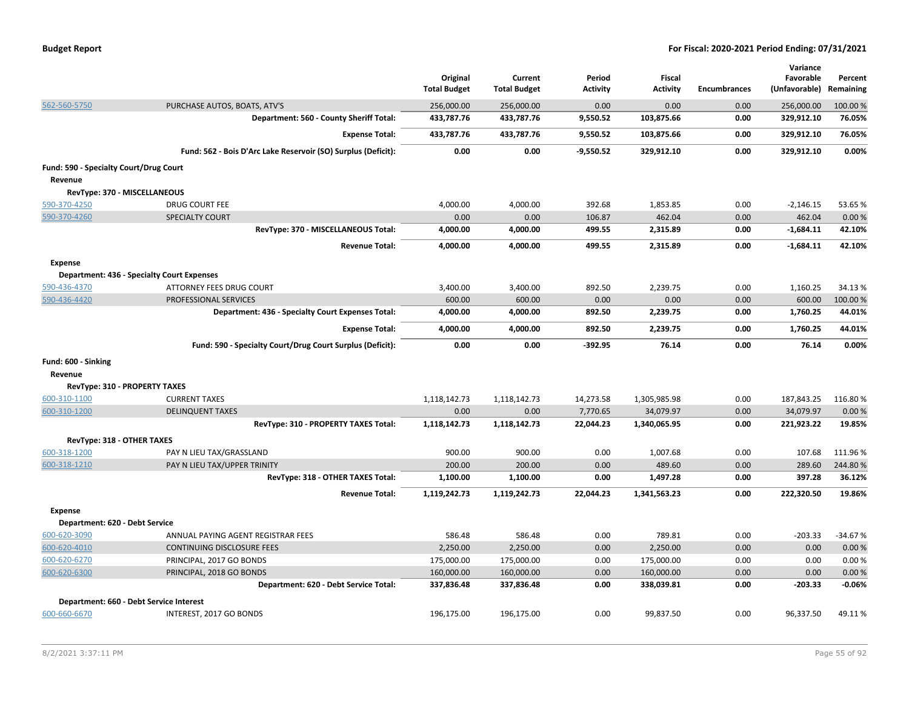|  | <b>Budget Report</b> |
|--|----------------------|
|--|----------------------|

|                                                   |                                                               |                                 |                                |                           |                                  |                     | Variance                   |                      |
|---------------------------------------------------|---------------------------------------------------------------|---------------------------------|--------------------------------|---------------------------|----------------------------------|---------------------|----------------------------|----------------------|
|                                                   |                                                               | Original<br><b>Total Budget</b> | Current<br><b>Total Budget</b> | Period<br><b>Activity</b> | <b>Fiscal</b><br><b>Activity</b> | <b>Encumbrances</b> | Favorable<br>(Unfavorable) | Percent<br>Remaining |
| 562-560-5750                                      | PURCHASE AUTOS, BOATS, ATV'S                                  | 256,000.00                      | 256,000.00                     | 0.00                      | 0.00                             | 0.00                | 256,000.00                 | 100.00 %             |
|                                                   | Department: 560 - County Sheriff Total:                       | 433,787.76                      | 433,787.76                     | 9,550.52                  | 103,875.66                       | 0.00                | 329,912.10                 | 76.05%               |
|                                                   | <b>Expense Total:</b>                                         | 433,787.76                      | 433,787.76                     | 9,550.52                  | 103,875.66                       | 0.00                | 329,912.10                 | 76.05%               |
|                                                   | Fund: 562 - Bois D'Arc Lake Reservoir (SO) Surplus (Deficit): | 0.00                            | 0.00                           | $-9,550.52$               | 329,912.10                       | 0.00                | 329,912.10                 | 0.00%                |
| Fund: 590 - Specialty Court/Drug Court<br>Revenue |                                                               |                                 |                                |                           |                                  |                     |                            |                      |
| RevType: 370 - MISCELLANEOUS                      |                                                               |                                 |                                |                           |                                  |                     |                            |                      |
| 590-370-4250                                      | <b>DRUG COURT FEE</b>                                         | 4,000.00                        | 4.000.00                       | 392.68                    | 1,853.85                         | 0.00                | $-2,146.15$                | 53.65%               |
| 590-370-4260                                      | SPECIALTY COURT                                               | 0.00                            | 0.00                           | 106.87                    | 462.04                           | 0.00                | 462.04                     | 0.00%                |
|                                                   | RevType: 370 - MISCELLANEOUS Total:                           | 4,000.00                        | 4,000.00                       | 499.55                    | 2,315.89                         | 0.00                | $-1,684.11$                | 42.10%               |
|                                                   | <b>Revenue Total:</b>                                         | 4,000.00                        | 4,000.00                       | 499.55                    | 2,315.89                         | 0.00                | $-1,684.11$                | 42.10%               |
| <b>Expense</b>                                    |                                                               |                                 |                                |                           |                                  |                     |                            |                      |
|                                                   | <b>Department: 436 - Specialty Court Expenses</b>             |                                 |                                |                           |                                  |                     |                            |                      |
| 590-436-4370                                      | ATTORNEY FEES DRUG COURT                                      | 3,400.00                        | 3,400.00                       | 892.50                    | 2,239.75                         | 0.00                | 1,160.25                   | 34.13%               |
| 590-436-4420                                      | PROFESSIONAL SERVICES                                         | 600.00                          | 600.00                         | 0.00                      | 0.00                             | 0.00                | 600.00                     | 100.00 %             |
|                                                   | Department: 436 - Specialty Court Expenses Total:             | 4,000.00                        | 4,000.00                       | 892.50                    | 2,239.75                         | 0.00                | 1,760.25                   | 44.01%               |
|                                                   | <b>Expense Total:</b>                                         | 4,000.00                        | 4,000.00                       | 892.50                    | 2,239.75                         | 0.00                | 1,760.25                   | 44.01%               |
|                                                   | Fund: 590 - Specialty Court/Drug Court Surplus (Deficit):     | 0.00                            | 0.00                           | $-392.95$                 | 76.14                            | 0.00                | 76.14                      | 0.00%                |
| Fund: 600 - Sinking                               |                                                               |                                 |                                |                           |                                  |                     |                            |                      |
| Revenue                                           |                                                               |                                 |                                |                           |                                  |                     |                            |                      |
| RevType: 310 - PROPERTY TAXES                     |                                                               |                                 |                                |                           |                                  |                     |                            |                      |
| 600-310-1100                                      | <b>CURRENT TAXES</b>                                          | 1,118,142.73                    | 1,118,142.73                   | 14,273.58                 | 1,305,985.98                     | 0.00                | 187,843.25                 | 116.80%              |
| 600-310-1200                                      | <b>DELINQUENT TAXES</b>                                       | 0.00                            | 0.00                           | 7,770.65                  | 34,079.97                        | 0.00                | 34,079.97                  | 0.00%                |
|                                                   | RevType: 310 - PROPERTY TAXES Total:                          | 1,118,142.73                    | 1,118,142.73                   | 22,044.23                 | 1,340,065.95                     | 0.00                | 221,923.22                 | 19.85%               |
| RevType: 318 - OTHER TAXES                        |                                                               |                                 |                                |                           |                                  |                     |                            |                      |
| 600-318-1200                                      | PAY N LIEU TAX/GRASSLAND                                      | 900.00                          | 900.00                         | 0.00                      | 1,007.68                         | 0.00                | 107.68                     | 111.96%              |
| 600-318-1210                                      | PAY N LIEU TAX/UPPER TRINITY                                  | 200.00                          | 200.00                         | 0.00                      | 489.60                           | 0.00                | 289.60                     | 244.80%              |
|                                                   | RevType: 318 - OTHER TAXES Total:                             | 1,100.00                        | 1,100.00                       | 0.00                      | 1,497.28                         | 0.00                | 397.28                     | 36.12%               |
|                                                   | <b>Revenue Total:</b>                                         | 1,119,242.73                    | 1,119,242.73                   | 22,044.23                 | 1,341,563.23                     | 0.00                | 222,320.50                 | 19.86%               |
| <b>Expense</b>                                    |                                                               |                                 |                                |                           |                                  |                     |                            |                      |
| Department: 620 - Debt Service                    |                                                               |                                 |                                |                           |                                  |                     |                            |                      |
| 600-620-3090                                      | ANNUAL PAYING AGENT REGISTRAR FEES                            | 586.48                          | 586.48                         | 0.00                      | 789.81                           | 0.00                | $-203.33$                  | $-34.67%$            |
| 600-620-4010                                      | CONTINUING DISCLOSURE FEES                                    | 2,250.00                        | 2,250.00                       | 0.00                      | 2,250.00                         | 0.00                | 0.00                       | 0.00%                |
| 600-620-6270                                      | PRINCIPAL, 2017 GO BONDS                                      | 175,000.00                      | 175,000.00                     | 0.00                      | 175,000.00                       | 0.00                | 0.00                       | 0.00%                |
| 600-620-6300                                      | PRINCIPAL, 2018 GO BONDS                                      | 160,000.00                      | 160,000.00                     | 0.00                      | 160,000.00                       | 0.00                | 0.00                       | 0.00%                |
|                                                   | Department: 620 - Debt Service Total:                         | 337,836.48                      | 337,836.48                     | 0.00                      | 338,039.81                       | 0.00                | $-203.33$                  | $-0.06%$             |
|                                                   | Department: 660 - Debt Service Interest                       |                                 |                                |                           |                                  |                     |                            |                      |
| 600-660-6670                                      | INTEREST, 2017 GO BONDS                                       | 196,175.00                      | 196,175.00                     | 0.00                      | 99,837.50                        | 0.00                | 96,337.50                  | 49.11%               |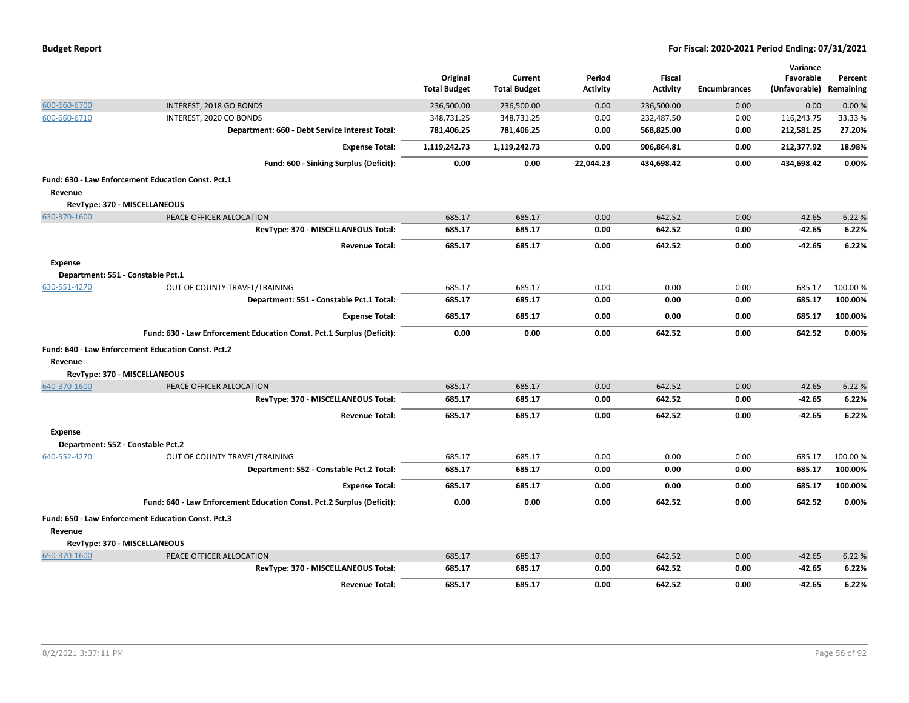|  |  |  | <b>Budget Report</b> |
|--|--|--|----------------------|
|--|--|--|----------------------|

|                |                                                                       | Original<br><b>Total Budget</b> | Current<br><b>Total Budget</b> | Period<br><b>Activity</b> | Fiscal<br><b>Activity</b> | <b>Encumbrances</b> | Variance<br>Favorable<br>(Unfavorable) | Percent<br>Remaining |
|----------------|-----------------------------------------------------------------------|---------------------------------|--------------------------------|---------------------------|---------------------------|---------------------|----------------------------------------|----------------------|
| 600-660-6700   | INTEREST, 2018 GO BONDS                                               | 236,500.00                      | 236,500.00                     | 0.00                      | 236,500.00                | 0.00                | 0.00                                   | 0.00%                |
| 600-660-6710   | INTEREST, 2020 CO BONDS                                               | 348,731.25                      | 348,731.25                     | 0.00                      | 232,487.50                | 0.00                | 116,243.75                             | 33.33 %              |
|                | Department: 660 - Debt Service Interest Total:                        | 781,406.25                      | 781,406.25                     | 0.00                      | 568,825.00                | 0.00                | 212,581.25                             | 27.20%               |
|                | <b>Expense Total:</b>                                                 | 1,119,242.73                    | 1,119,242.73                   | 0.00                      | 906,864.81                | 0.00                | 212,377.92                             | 18.98%               |
|                | Fund: 600 - Sinking Surplus (Deficit):                                | 0.00                            | 0.00                           | 22,044.23                 | 434,698.42                | 0.00                | 434,698.42                             | 0.00%                |
|                | Fund: 630 - Law Enforcement Education Const. Pct.1                    |                                 |                                |                           |                           |                     |                                        |                      |
| Revenue        |                                                                       |                                 |                                |                           |                           |                     |                                        |                      |
|                | RevType: 370 - MISCELLANEOUS                                          |                                 |                                |                           |                           |                     |                                        |                      |
| 630-370-1600   | PEACE OFFICER ALLOCATION                                              | 685.17                          | 685.17                         | 0.00                      | 642.52                    | 0.00                | $-42.65$                               | 6.22 %               |
|                | RevType: 370 - MISCELLANEOUS Total:                                   | 685.17                          | 685.17                         | 0.00                      | 642.52                    | 0.00                | -42.65                                 | 6.22%                |
|                | <b>Revenue Total:</b>                                                 | 685.17                          | 685.17                         | 0.00                      | 642.52                    | 0.00                | -42.65                                 | 6.22%                |
| <b>Expense</b> |                                                                       |                                 |                                |                           |                           |                     |                                        |                      |
|                | Department: 551 - Constable Pct.1                                     |                                 |                                |                           |                           |                     |                                        |                      |
| 630-551-4270   | OUT OF COUNTY TRAVEL/TRAINING                                         | 685.17                          | 685.17                         | 0.00                      | 0.00                      | 0.00                | 685.17                                 | 100.00%              |
|                | Department: 551 - Constable Pct.1 Total:                              | 685.17                          | 685.17                         | 0.00                      | 0.00                      | 0.00                | 685.17                                 | 100.00%              |
|                | <b>Expense Total:</b>                                                 | 685.17                          | 685.17                         | 0.00                      | 0.00                      | 0.00                | 685.17                                 | 100.00%              |
|                | Fund: 630 - Law Enforcement Education Const. Pct.1 Surplus (Deficit): | 0.00                            | 0.00                           | 0.00                      | 642.52                    | 0.00                | 642.52                                 | 0.00%                |
|                | Fund: 640 - Law Enforcement Education Const. Pct.2                    |                                 |                                |                           |                           |                     |                                        |                      |
| Revenue        |                                                                       |                                 |                                |                           |                           |                     |                                        |                      |
|                | RevType: 370 - MISCELLANEOUS                                          |                                 |                                |                           |                           |                     |                                        |                      |
| 640-370-1600   | PEACE OFFICER ALLOCATION                                              | 685.17                          | 685.17                         | 0.00                      | 642.52                    | 0.00                | $-42.65$                               | 6.22 %               |
|                | RevType: 370 - MISCELLANEOUS Total:                                   | 685.17                          | 685.17                         | 0.00                      | 642.52                    | 0.00                | $-42.65$                               | 6.22%                |
|                | <b>Revenue Total:</b>                                                 | 685.17                          | 685.17                         | 0.00                      | 642.52                    | 0.00                | -42.65                                 | 6.22%                |
| <b>Expense</b> |                                                                       |                                 |                                |                           |                           |                     |                                        |                      |
|                | Department: 552 - Constable Pct.2                                     |                                 |                                |                           |                           |                     |                                        |                      |
| 640-552-4270   | OUT OF COUNTY TRAVEL/TRAINING                                         | 685.17                          | 685.17                         | 0.00                      | 0.00                      | 0.00                | 685.17                                 | 100.00 %             |
|                | Department: 552 - Constable Pct.2 Total:                              | 685.17                          | 685.17                         | 0.00                      | 0.00                      | 0.00                | 685.17                                 | 100.00%              |
|                | <b>Expense Total:</b>                                                 | 685.17                          | 685.17                         | 0.00                      | 0.00                      | 0.00                | 685.17                                 | 100.00%              |
|                | Fund: 640 - Law Enforcement Education Const. Pct.2 Surplus (Deficit): | 0.00                            | 0.00                           | 0.00                      | 642.52                    | 0.00                | 642.52                                 | 0.00%                |
|                | Fund: 650 - Law Enforcement Education Const. Pct.3                    |                                 |                                |                           |                           |                     |                                        |                      |
| Revenue        |                                                                       |                                 |                                |                           |                           |                     |                                        |                      |
|                | RevType: 370 - MISCELLANEOUS                                          |                                 |                                |                           |                           |                     |                                        |                      |
| 650-370-1600   | PEACE OFFICER ALLOCATION                                              | 685.17                          | 685.17                         | 0.00                      | 642.52                    | 0.00                | $-42.65$                               | 6.22 %               |
|                | RevType: 370 - MISCELLANEOUS Total:                                   | 685.17                          | 685.17                         | 0.00                      | 642.52                    | 0.00                | $-42.65$                               | 6.22%                |
|                | <b>Revenue Total:</b>                                                 | 685.17                          | 685.17                         | 0.00                      | 642.52                    | 0.00                | $-42.65$                               | 6.22%                |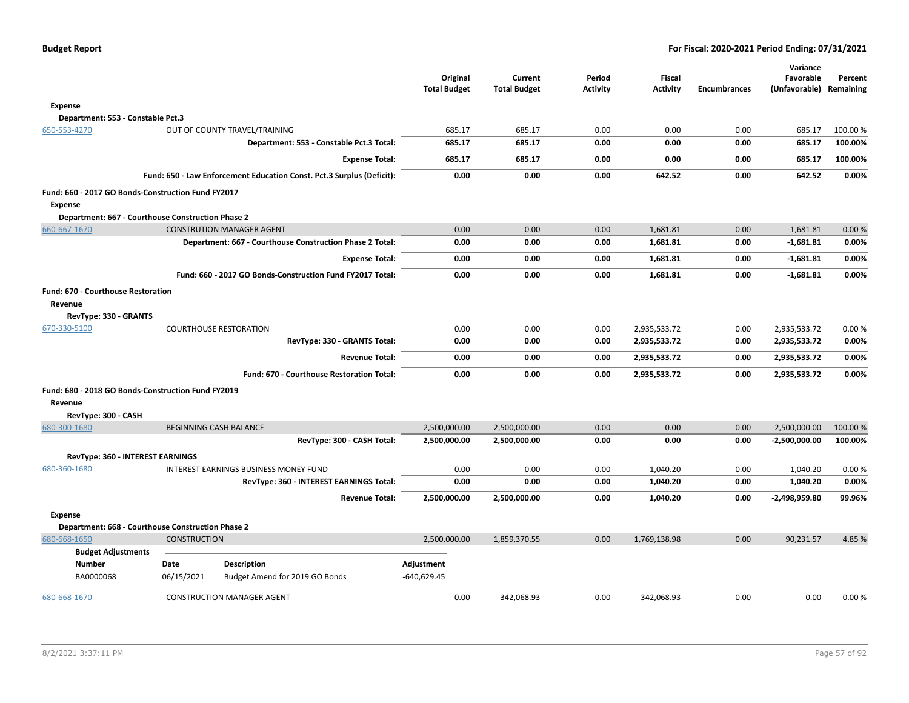|                                           |                                                                       | Original<br><b>Total Budget</b> | Current<br><b>Total Budget</b> | Period<br><b>Activity</b> | <b>Fiscal</b><br><b>Activity</b> | <b>Encumbrances</b> | Variance<br>Favorable<br>(Unfavorable) | Percent<br>Remaining |
|-------------------------------------------|-----------------------------------------------------------------------|---------------------------------|--------------------------------|---------------------------|----------------------------------|---------------------|----------------------------------------|----------------------|
| Expense                                   |                                                                       |                                 |                                |                           |                                  |                     |                                        |                      |
|                                           | Department: 553 - Constable Pct.3                                     |                                 |                                |                           |                                  |                     |                                        |                      |
| 650-553-4270                              | OUT OF COUNTY TRAVEL/TRAINING                                         | 685.17                          | 685.17                         | 0.00                      | 0.00                             | 0.00                | 685.17                                 | 100.00 %             |
|                                           | Department: 553 - Constable Pct.3 Total:                              | 685.17                          | 685.17                         | 0.00                      | 0.00                             | 0.00                | 685.17                                 | 100.00%              |
|                                           | <b>Expense Total:</b>                                                 | 685.17                          | 685.17                         | 0.00                      | 0.00                             | 0.00                | 685.17                                 | 100.00%              |
|                                           | Fund: 650 - Law Enforcement Education Const. Pct.3 Surplus (Deficit): | 0.00                            | 0.00                           | 0.00                      | 642.52                           | 0.00                | 642.52                                 | 0.00%                |
| <b>Expense</b>                            | Fund: 660 - 2017 GO Bonds-Construction Fund FY2017                    |                                 |                                |                           |                                  |                     |                                        |                      |
|                                           | Department: 667 - Courthouse Construction Phase 2                     |                                 |                                |                           |                                  |                     |                                        |                      |
| 660-667-1670                              | <b>CONSTRUTION MANAGER AGENT</b>                                      | 0.00                            | 0.00                           | 0.00                      | 1,681.81                         | 0.00                | $-1,681.81$                            | 0.00%                |
|                                           | Department: 667 - Courthouse Construction Phase 2 Total:              | 0.00                            | 0.00                           | 0.00                      | 1,681.81                         | 0.00                | $-1,681.81$                            | 0.00%                |
|                                           | <b>Expense Total:</b>                                                 | 0.00                            | 0.00                           | 0.00                      | 1,681.81                         | 0.00                | $-1,681.81$                            | 0.00%                |
|                                           | Fund: 660 - 2017 GO Bonds-Construction Fund FY2017 Total:             | 0.00                            | 0.00                           | 0.00                      | 1,681.81                         | 0.00                | $-1,681.81$                            | 0.00%                |
| <b>Fund: 670 - Courthouse Restoration</b> |                                                                       |                                 |                                |                           |                                  |                     |                                        |                      |
| Revenue                                   |                                                                       |                                 |                                |                           |                                  |                     |                                        |                      |
| RevType: 330 - GRANTS                     |                                                                       |                                 |                                |                           |                                  |                     |                                        |                      |
| 670-330-5100                              | <b>COURTHOUSE RESTORATION</b>                                         | 0.00                            | 0.00                           | 0.00                      | 2,935,533.72                     | 0.00                | 2,935,533.72                           | 0.00%                |
|                                           | RevType: 330 - GRANTS Total:                                          | 0.00                            | 0.00                           | 0.00                      | 2,935,533.72                     | 0.00                | 2,935,533.72                           | 0.00%                |
|                                           | <b>Revenue Total:</b>                                                 | 0.00                            | 0.00                           | 0.00                      | 2,935,533.72                     | 0.00                | 2,935,533.72                           | 0.00%                |
|                                           | Fund: 670 - Courthouse Restoration Total:                             | 0.00                            | 0.00                           | 0.00                      | 2,935,533.72                     | 0.00                | 2,935,533.72                           | 0.00%                |
|                                           | Fund: 680 - 2018 GO Bonds-Construction Fund FY2019                    |                                 |                                |                           |                                  |                     |                                        |                      |
| Revenue<br>RevType: 300 - CASH            |                                                                       |                                 |                                |                           |                                  |                     |                                        |                      |
| 680-300-1680                              | <b>BEGINNING CASH BALANCE</b>                                         | 2,500,000.00                    | 2,500,000.00                   | 0.00                      | 0.00                             | 0.00                | $-2,500,000.00$                        | 100.00 %             |
|                                           | RevType: 300 - CASH Total:                                            | 2,500,000.00                    | 2,500,000.00                   | 0.00                      | 0.00                             | 0.00                | $-2,500,000.00$                        | 100.00%              |
|                                           | RevType: 360 - INTEREST EARNINGS                                      |                                 |                                |                           |                                  |                     |                                        |                      |
| 680-360-1680                              | INTEREST EARNINGS BUSINESS MONEY FUND                                 | 0.00                            | 0.00                           | 0.00                      | 1,040.20                         | 0.00                | 1,040.20                               | 0.00%                |
|                                           | RevType: 360 - INTEREST EARNINGS Total:                               | 0.00                            | 0.00                           | 0.00                      | 1,040.20                         | 0.00                | 1,040.20                               | 0.00%                |
|                                           | <b>Revenue Total:</b>                                                 | 2,500,000.00                    | 2,500,000.00                   | 0.00                      | 1,040.20                         | 0.00                | $-2,498,959.80$                        | 99.96%               |
| <b>Expense</b>                            |                                                                       |                                 |                                |                           |                                  |                     |                                        |                      |
|                                           | Department: 668 - Courthouse Construction Phase 2                     |                                 |                                |                           |                                  |                     |                                        |                      |
| 680-668-1650                              | <b>CONSTRUCTION</b>                                                   | 2,500,000.00                    | 1.859.370.55                   | 0.00                      | 1.769.138.98                     | 0.00                | 90,231.57                              | 4.85%                |
|                                           | <b>Budget Adjustments</b>                                             |                                 |                                |                           |                                  |                     |                                        |                      |
| Number<br>BA0000068                       | Date<br>Description<br>06/15/2021<br>Budget Amend for 2019 GO Bonds   | Adjustment<br>$-640,629.45$     |                                |                           |                                  |                     |                                        |                      |
| 680-668-1670                              | <b>CONSTRUCTION MANAGER AGENT</b>                                     | 0.00                            | 342,068.93                     | 0.00                      | 342,068.93                       | 0.00                | 0.00                                   | 0.00%                |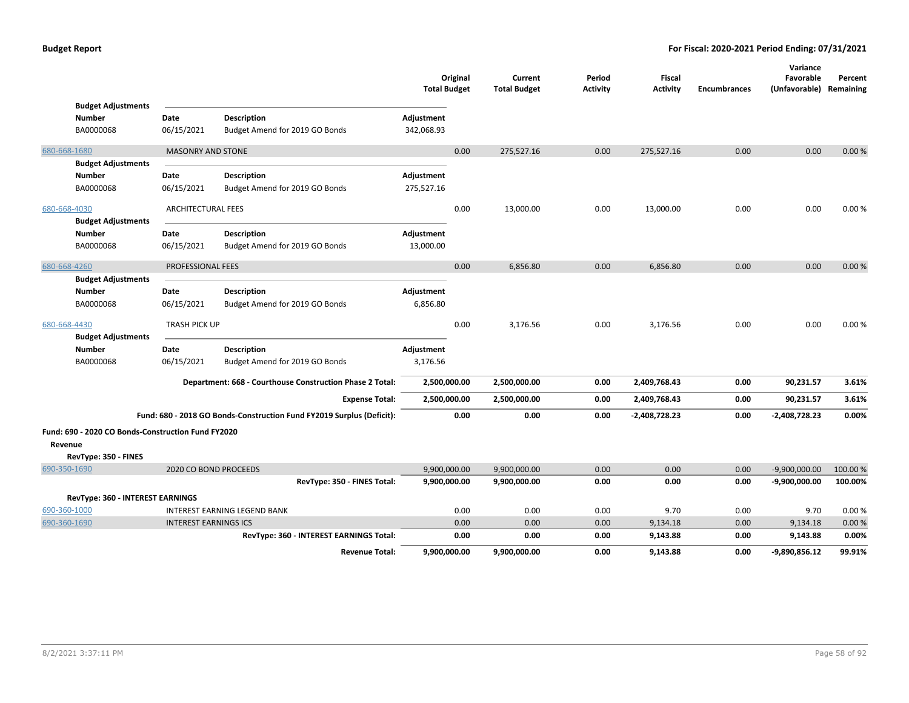|              |                                                    |                              |                                                                       | <b>Total Budget</b>      | Original | Current<br><b>Total Budget</b> | Period<br><b>Activity</b> | <b>Fiscal</b><br><b>Activity</b> | <b>Encumbrances</b> | Variance<br>Favorable<br>(Unfavorable) Remaining | Percent  |
|--------------|----------------------------------------------------|------------------------------|-----------------------------------------------------------------------|--------------------------|----------|--------------------------------|---------------------------|----------------------------------|---------------------|--------------------------------------------------|----------|
|              | <b>Budget Adjustments</b><br>Number                | Date                         | Description                                                           | Adjustment               |          |                                |                           |                                  |                     |                                                  |          |
|              | BA0000068                                          | 06/15/2021                   | Budget Amend for 2019 GO Bonds                                        | 342,068.93               |          |                                |                           |                                  |                     |                                                  |          |
|              |                                                    |                              |                                                                       |                          |          |                                |                           |                                  |                     |                                                  |          |
| 680-668-1680 |                                                    | <b>MASONRY AND STONE</b>     |                                                                       |                          | 0.00     | 275,527.16                     | 0.00                      | 275,527.16                       | 0.00                | 0.00                                             | 0.00%    |
|              | <b>Budget Adjustments</b>                          |                              |                                                                       |                          |          |                                |                           |                                  |                     |                                                  |          |
|              | <b>Number</b><br>BA0000068                         | Date<br>06/15/2021           | <b>Description</b><br>Budget Amend for 2019 GO Bonds                  | Adjustment<br>275,527.16 |          |                                |                           |                                  |                     |                                                  |          |
|              |                                                    |                              |                                                                       |                          |          |                                |                           |                                  |                     |                                                  |          |
| 680-668-4030 |                                                    | <b>ARCHITECTURAL FEES</b>    |                                                                       |                          | 0.00     | 13,000.00                      | 0.00                      | 13,000.00                        | 0.00                | 0.00                                             | 0.00%    |
|              | <b>Budget Adjustments</b>                          |                              |                                                                       |                          |          |                                |                           |                                  |                     |                                                  |          |
|              | <b>Number</b>                                      | Date                         | <b>Description</b>                                                    | Adjustment               |          |                                |                           |                                  |                     |                                                  |          |
|              | BA0000068                                          | 06/15/2021                   | Budget Amend for 2019 GO Bonds                                        | 13,000.00                |          |                                |                           |                                  |                     |                                                  |          |
| 680-668-4260 |                                                    | <b>PROFESSIONAL FEES</b>     |                                                                       |                          | 0.00     | 6,856.80                       | 0.00                      | 6,856.80                         | 0.00                | 0.00                                             | 0.00%    |
|              | <b>Budget Adjustments</b>                          |                              |                                                                       |                          |          |                                |                           |                                  |                     |                                                  |          |
|              | <b>Number</b>                                      | Date                         | <b>Description</b>                                                    | Adjustment               |          |                                |                           |                                  |                     |                                                  |          |
|              | BA0000068                                          | 06/15/2021                   | Budget Amend for 2019 GO Bonds                                        | 6,856.80                 |          |                                |                           |                                  |                     |                                                  |          |
| 680-668-4430 |                                                    | <b>TRASH PICK UP</b>         |                                                                       |                          | 0.00     | 3,176.56                       | 0.00                      | 3,176.56                         | 0.00                | 0.00                                             | 0.00%    |
|              | <b>Budget Adjustments</b>                          |                              |                                                                       |                          |          |                                |                           |                                  |                     |                                                  |          |
|              | <b>Number</b>                                      | Date                         | <b>Description</b>                                                    | Adjustment               |          |                                |                           |                                  |                     |                                                  |          |
|              | BA0000068                                          | 06/15/2021                   | Budget Amend for 2019 GO Bonds                                        | 3,176.56                 |          |                                |                           |                                  |                     |                                                  |          |
|              |                                                    |                              | Department: 668 - Courthouse Construction Phase 2 Total:              | 2,500,000.00             |          | 2,500,000.00                   | 0.00                      | 2,409,768.43                     | 0.00                | 90,231.57                                        | 3.61%    |
|              |                                                    |                              | <b>Expense Total:</b>                                                 | 2,500,000.00             |          | 2,500,000.00                   | 0.00                      | 2,409,768.43                     | 0.00                | 90,231.57                                        | 3.61%    |
|              |                                                    |                              | Fund: 680 - 2018 GO Bonds-Construction Fund FY2019 Surplus (Deficit): |                          | 0.00     | 0.00                           | 0.00                      | $-2,408,728.23$                  | 0.00                | $-2,408,728.23$                                  | 0.00%    |
|              | Fund: 690 - 2020 CO Bonds-Construction Fund FY2020 |                              |                                                                       |                          |          |                                |                           |                                  |                     |                                                  |          |
| Revenue      |                                                    |                              |                                                                       |                          |          |                                |                           |                                  |                     |                                                  |          |
|              | RevType: 350 - FINES                               |                              |                                                                       |                          |          |                                |                           |                                  |                     |                                                  |          |
| 690-350-1690 |                                                    |                              | 2020 CO BOND PROCEEDS                                                 | 9,900,000.00             |          | 9,900,000.00                   | 0.00                      | 0.00                             | 0.00                | $-9,900,000.00$                                  | 100.00 % |
|              |                                                    |                              | RevType: 350 - FINES Total:                                           | 9,900,000.00             |          | 9,900,000.00                   | 0.00                      | 0.00                             | 0.00                | $-9,900,000.00$                                  | 100.00%  |
|              | RevType: 360 - INTEREST EARNINGS                   |                              |                                                                       |                          |          |                                |                           |                                  |                     |                                                  |          |
| 690-360-1000 |                                                    |                              | <b>INTEREST EARNING LEGEND BANK</b>                                   |                          | 0.00     | 0.00                           | 0.00                      | 9.70                             | 0.00                | 9.70                                             | 0.00%    |
| 690-360-1690 |                                                    | <b>INTEREST EARNINGS ICS</b> |                                                                       |                          | 0.00     | 0.00                           | 0.00                      | 9,134.18                         | 0.00                | 9,134.18                                         | 0.00%    |
|              |                                                    |                              | RevType: 360 - INTEREST EARNINGS Total:                               |                          | 0.00     | 0.00                           | 0.00                      | 9,143.88                         | 0.00                | 9,143.88                                         | 0.00%    |
|              |                                                    |                              | <b>Revenue Total:</b>                                                 | 9,900,000.00             |          | 9,900,000.00                   | 0.00                      | 9,143.88                         | 0.00                | -9,890,856.12                                    | 99.91%   |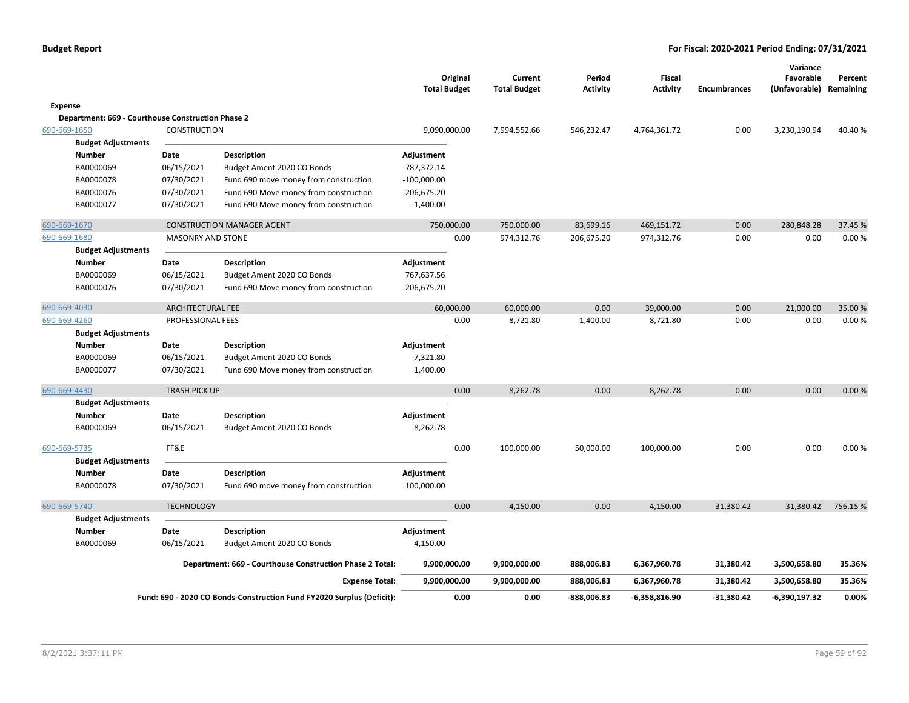|                                                   |                          |                                                                       | Original<br><b>Total Budget</b> |      | Current<br><b>Total Budget</b> | Period<br><b>Activity</b> | Fiscal<br><b>Activity</b> | <b>Encumbrances</b> | Variance<br>Favorable<br>(Unfavorable) | Percent<br>Remaining |
|---------------------------------------------------|--------------------------|-----------------------------------------------------------------------|---------------------------------|------|--------------------------------|---------------------------|---------------------------|---------------------|----------------------------------------|----------------------|
| <b>Expense</b>                                    |                          |                                                                       |                                 |      |                                |                           |                           |                     |                                        |                      |
| Department: 669 - Courthouse Construction Phase 2 |                          |                                                                       |                                 |      |                                |                           |                           |                     |                                        |                      |
| 690-669-1650                                      | <b>CONSTRUCTION</b>      |                                                                       | 9,090,000.00                    |      | 7,994,552.66                   | 546,232.47                | 4,764,361.72              | 0.00                | 3,230,190.94                           | 40.40%               |
| <b>Budget Adjustments</b>                         |                          |                                                                       |                                 |      |                                |                           |                           |                     |                                        |                      |
| <b>Number</b>                                     | Date                     | <b>Description</b>                                                    | Adjustment                      |      |                                |                           |                           |                     |                                        |                      |
| BA0000069                                         | 06/15/2021               | Budget Ament 2020 CO Bonds                                            | $-787,372.14$                   |      |                                |                           |                           |                     |                                        |                      |
| BA0000078                                         | 07/30/2021               | Fund 690 move money from construction                                 | $-100,000.00$                   |      |                                |                           |                           |                     |                                        |                      |
| BA0000076                                         | 07/30/2021               | Fund 690 Move money from construction                                 | $-206,675.20$                   |      |                                |                           |                           |                     |                                        |                      |
| BA0000077                                         | 07/30/2021               | Fund 690 Move money from construction                                 | $-1,400.00$                     |      |                                |                           |                           |                     |                                        |                      |
| 690-669-1670                                      |                          | <b>CONSTRUCTION MANAGER AGENT</b>                                     | 750,000.00                      |      | 750,000.00                     | 83,699.16                 | 469,151.72                | 0.00                | 280,848.28                             | 37.45 %              |
| 690-669-1680                                      | <b>MASONRY AND STONE</b> |                                                                       |                                 | 0.00 | 974,312.76                     | 206,675.20                | 974,312.76                | 0.00                | 0.00                                   | 0.00%                |
| <b>Budget Adjustments</b>                         |                          |                                                                       |                                 |      |                                |                           |                           |                     |                                        |                      |
| <b>Number</b>                                     | Date                     | <b>Description</b>                                                    | Adjustment                      |      |                                |                           |                           |                     |                                        |                      |
| BA0000069                                         | 06/15/2021               | Budget Ament 2020 CO Bonds                                            | 767,637.56                      |      |                                |                           |                           |                     |                                        |                      |
| BA0000076                                         | 07/30/2021               | Fund 690 Move money from construction                                 | 206,675.20                      |      |                                |                           |                           |                     |                                        |                      |
| 690-669-4030                                      | <b>ARCHITECTURAL FEE</b> |                                                                       | 60,000.00                       |      | 60,000.00                      | 0.00                      | 39,000.00                 | 0.00                | 21,000.00                              | 35.00 %              |
| 690-669-4260                                      | PROFESSIONAL FEES        |                                                                       |                                 | 0.00 | 8,721.80                       | 1,400.00                  | 8,721.80                  | 0.00                | 0.00                                   | 0.00%                |
| <b>Budget Adjustments</b>                         |                          |                                                                       |                                 |      |                                |                           |                           |                     |                                        |                      |
| <b>Number</b>                                     | Date                     | <b>Description</b>                                                    | Adjustment                      |      |                                |                           |                           |                     |                                        |                      |
| BA0000069                                         | 06/15/2021               | Budget Ament 2020 CO Bonds                                            | 7,321.80                        |      |                                |                           |                           |                     |                                        |                      |
| BA0000077                                         | 07/30/2021               | Fund 690 Move money from construction                                 | 1,400.00                        |      |                                |                           |                           |                     |                                        |                      |
| 690-669-4430                                      | <b>TRASH PICK UP</b>     |                                                                       |                                 | 0.00 | 8,262.78                       | 0.00                      | 8,262.78                  | 0.00                | 0.00                                   | 0.00%                |
| <b>Budget Adjustments</b>                         |                          |                                                                       |                                 |      |                                |                           |                           |                     |                                        |                      |
| <b>Number</b>                                     | Date                     | <b>Description</b>                                                    | Adjustment                      |      |                                |                           |                           |                     |                                        |                      |
| BA0000069                                         | 06/15/2021               | Budget Ament 2020 CO Bonds                                            | 8,262.78                        |      |                                |                           |                           |                     |                                        |                      |
| 690-669-5735                                      | FF&E                     |                                                                       |                                 | 0.00 | 100,000.00                     | 50,000.00                 | 100,000.00                | 0.00                | 0.00                                   | 0.00%                |
| <b>Budget Adjustments</b><br><b>Number</b>        | Date                     | <b>Description</b>                                                    | Adjustment                      |      |                                |                           |                           |                     |                                        |                      |
| BA0000078                                         | 07/30/2021               | Fund 690 move money from construction                                 | 100,000.00                      |      |                                |                           |                           |                     |                                        |                      |
| 690-669-5740                                      | <b>TECHNOLOGY</b>        |                                                                       |                                 | 0.00 | 4,150.00                       | 0.00                      | 4,150.00                  | 31,380.42           | -31,380.42 -756.15 %                   |                      |
| <b>Budget Adjustments</b>                         |                          |                                                                       |                                 |      |                                |                           |                           |                     |                                        |                      |
| <b>Number</b>                                     | Date                     | <b>Description</b>                                                    | Adjustment                      |      |                                |                           |                           |                     |                                        |                      |
| BA0000069                                         | 06/15/2021               | Budget Ament 2020 CO Bonds                                            | 4,150.00                        |      |                                |                           |                           |                     |                                        |                      |
|                                                   |                          | Department: 669 - Courthouse Construction Phase 2 Total:              | 9,900,000.00                    |      | 9,900,000.00                   | 888,006.83                | 6,367,960.78              | 31,380.42           | 3,500,658.80                           | 35.36%               |
|                                                   |                          | <b>Expense Total:</b>                                                 | 9,900,000.00                    |      | 9,900,000.00                   | 888,006.83                | 6,367,960.78              | 31,380.42           | 3,500,658.80                           | 35.36%               |
|                                                   |                          | Fund: 690 - 2020 CO Bonds-Construction Fund FY2020 Surplus (Deficit): |                                 | 0.00 | 0.00                           | -888,006.83               | -6,358,816.90             | $-31,380.42$        | $-6,390,197.32$                        | 0.00%                |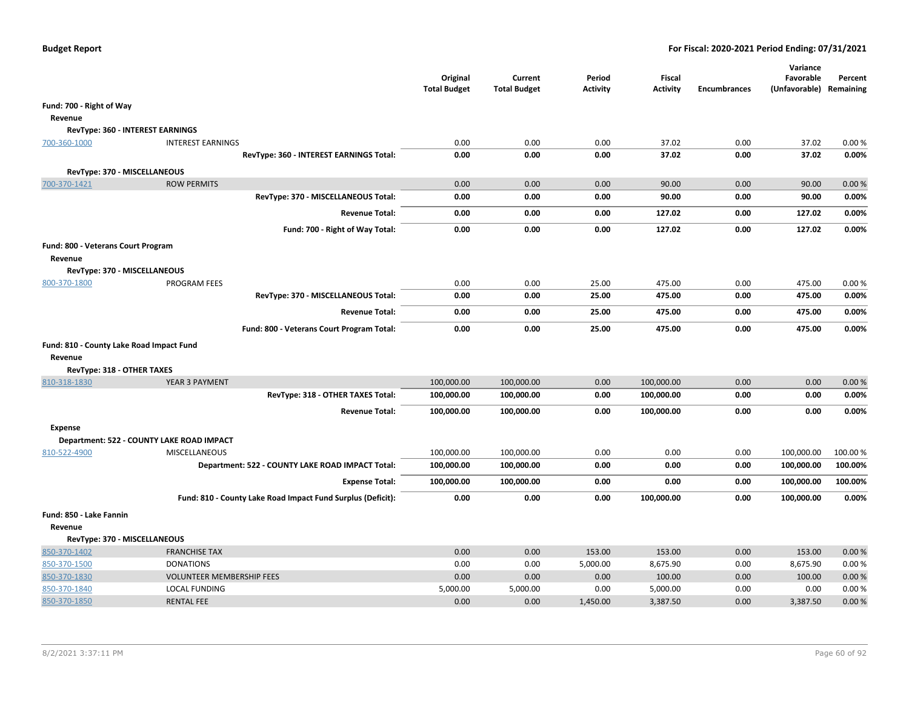|                                          |                                                             | Original<br><b>Total Budget</b> | Current<br><b>Total Budget</b> | Period<br><b>Activity</b> | <b>Fiscal</b><br><b>Activity</b> | <b>Encumbrances</b> | Variance<br>Favorable<br>(Unfavorable) Remaining | Percent |
|------------------------------------------|-------------------------------------------------------------|---------------------------------|--------------------------------|---------------------------|----------------------------------|---------------------|--------------------------------------------------|---------|
| Fund: 700 - Right of Way                 |                                                             |                                 |                                |                           |                                  |                     |                                                  |         |
| Revenue                                  |                                                             |                                 |                                |                           |                                  |                     |                                                  |         |
| RevType: 360 - INTEREST EARNINGS         |                                                             |                                 |                                |                           |                                  |                     |                                                  |         |
| 700-360-1000                             | <b>INTEREST EARNINGS</b>                                    | 0.00                            | 0.00                           | 0.00                      | 37.02                            | 0.00                | 37.02                                            | 0.00%   |
|                                          | RevType: 360 - INTEREST EARNINGS Total:                     | 0.00                            | 0.00                           | 0.00                      | 37.02                            | 0.00                | 37.02                                            | 0.00%   |
|                                          |                                                             |                                 |                                |                           |                                  |                     |                                                  |         |
| RevType: 370 - MISCELLANEOUS             |                                                             |                                 |                                |                           |                                  |                     |                                                  |         |
| 700-370-1421                             | <b>ROW PERMITS</b>                                          | 0.00                            | 0.00                           | 0.00                      | 90.00                            | 0.00                | 90.00                                            | 0.00%   |
|                                          | RevType: 370 - MISCELLANEOUS Total:                         | 0.00                            | 0.00                           | 0.00                      | 90.00                            | 0.00                | 90.00                                            | 0.00%   |
|                                          | <b>Revenue Total:</b>                                       | 0.00                            | 0.00                           | 0.00                      | 127.02                           | 0.00                | 127.02                                           | 0.00%   |
|                                          | Fund: 700 - Right of Way Total:                             | 0.00                            | 0.00                           | 0.00                      | 127.02                           | 0.00                | 127.02                                           | 0.00%   |
| Fund: 800 - Veterans Court Program       |                                                             |                                 |                                |                           |                                  |                     |                                                  |         |
| Revenue                                  |                                                             |                                 |                                |                           |                                  |                     |                                                  |         |
| RevType: 370 - MISCELLANEOUS             |                                                             |                                 |                                |                           |                                  |                     |                                                  |         |
| 800-370-1800                             | <b>PROGRAM FEES</b>                                         | 0.00                            | 0.00                           | 25.00                     | 475.00                           | 0.00                | 475.00                                           | 0.00%   |
|                                          | RevType: 370 - MISCELLANEOUS Total:                         | 0.00                            | 0.00                           | 25.00                     | 475.00                           | 0.00                | 475.00                                           | 0.00%   |
|                                          | <b>Revenue Total:</b>                                       | 0.00                            | 0.00                           | 25.00                     | 475.00                           | 0.00                | 475.00                                           | 0.00%   |
|                                          | Fund: 800 - Veterans Court Program Total:                   | 0.00                            | 0.00                           | 25.00                     | 475.00                           | 0.00                | 475.00                                           | 0.00%   |
| Fund: 810 - County Lake Road Impact Fund |                                                             |                                 |                                |                           |                                  |                     |                                                  |         |
| Revenue                                  |                                                             |                                 |                                |                           |                                  |                     |                                                  |         |
| RevType: 318 - OTHER TAXES               |                                                             |                                 |                                |                           |                                  |                     |                                                  |         |
| 810-318-1830                             | YEAR 3 PAYMENT                                              | 100,000.00                      | 100,000.00                     | 0.00                      | 100,000.00                       | 0.00                | 0.00                                             | 0.00%   |
|                                          | RevType: 318 - OTHER TAXES Total:                           | 100,000.00                      | 100,000.00                     | 0.00                      | 100,000.00                       | 0.00                | 0.00                                             | 0.00%   |
|                                          | <b>Revenue Total:</b>                                       | 100,000.00                      | 100,000.00                     | 0.00                      | 100,000.00                       | 0.00                | 0.00                                             | 0.00%   |
| <b>Expense</b>                           |                                                             |                                 |                                |                           |                                  |                     |                                                  |         |
|                                          | Department: 522 - COUNTY LAKE ROAD IMPACT                   |                                 |                                |                           |                                  |                     |                                                  |         |
| 810-522-4900                             | <b>MISCELLANEOUS</b>                                        | 100,000.00                      | 100,000.00                     | 0.00                      | 0.00                             | 0.00                | 100,000.00                                       | 100.00% |
|                                          | Department: 522 - COUNTY LAKE ROAD IMPACT Total:            | 100,000.00                      | 100,000.00                     | 0.00                      | 0.00                             | 0.00                | 100,000.00                                       | 100.00% |
|                                          | <b>Expense Total:</b>                                       | 100,000.00                      | 100,000.00                     | 0.00                      | 0.00                             | 0.00                | 100,000.00                                       | 100.00% |
|                                          | Fund: 810 - County Lake Road Impact Fund Surplus (Deficit): | 0.00                            | 0.00                           | 0.00                      | 100,000.00                       | 0.00                | 100,000.00                                       | 0.00%   |
|                                          |                                                             |                                 |                                |                           |                                  |                     |                                                  |         |
| Fund: 850 - Lake Fannin                  |                                                             |                                 |                                |                           |                                  |                     |                                                  |         |
| Revenue<br>RevType: 370 - MISCELLANEOUS  |                                                             |                                 |                                |                           |                                  |                     |                                                  |         |
| 850-370-1402                             | <b>FRANCHISE TAX</b>                                        | 0.00                            | 0.00                           | 153.00                    | 153.00                           | 0.00                | 153.00                                           | 0.00%   |
| 850-370-1500                             | <b>DONATIONS</b>                                            | 0.00                            | 0.00                           | 5,000.00                  | 8,675.90                         | 0.00                | 8,675.90                                         | 0.00%   |
| 850-370-1830                             | <b>VOLUNTEER MEMBERSHIP FEES</b>                            | 0.00                            | 0.00                           | 0.00                      | 100.00                           | 0.00                | 100.00                                           | 0.00%   |
| 850-370-1840                             | <b>LOCAL FUNDING</b>                                        | 5,000.00                        | 5,000.00                       | 0.00                      | 5,000.00                         | 0.00                | 0.00                                             | 0.00%   |
| 850-370-1850                             | <b>RENTAL FEE</b>                                           | 0.00                            | 0.00                           | 1,450.00                  | 3,387.50                         | 0.00                | 3,387.50                                         | 0.00%   |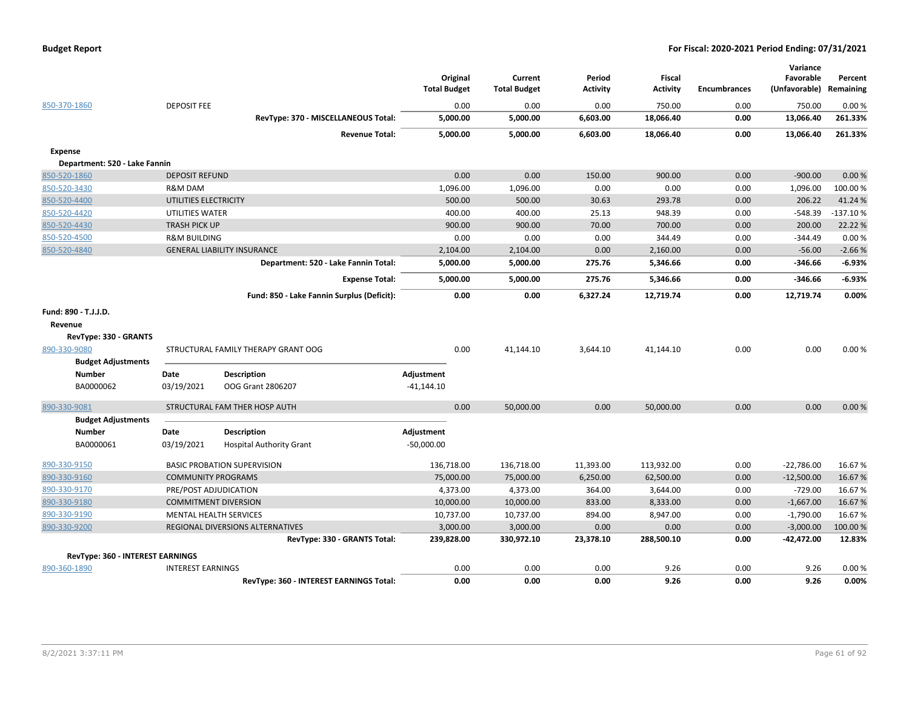| 850-370-1860                            | <b>DEPOSIT FEE</b>        |                                            | Original<br><b>Total Budget</b><br>0.00 | Current<br><b>Total Budget</b><br>0.00 | Period<br><b>Activity</b><br>0.00 | <b>Fiscal</b><br><b>Activity</b><br>750.00 | <b>Encumbrances</b><br>0.00 | Variance<br>Favorable<br>(Unfavorable)<br>750.00 | Percent<br>Remaining<br>0.00% |
|-----------------------------------------|---------------------------|--------------------------------------------|-----------------------------------------|----------------------------------------|-----------------------------------|--------------------------------------------|-----------------------------|--------------------------------------------------|-------------------------------|
|                                         |                           | RevType: 370 - MISCELLANEOUS Total:        | 5,000.00                                | 5,000.00                               | 6,603.00                          | 18,066.40                                  | 0.00                        | 13,066.40                                        | 261.33%                       |
|                                         |                           | <b>Revenue Total:</b>                      | 5,000.00                                | 5,000.00                               | 6.603.00                          | 18.066.40                                  | 0.00                        | 13,066.40                                        | 261.33%                       |
| <b>Expense</b>                          |                           |                                            |                                         |                                        |                                   |                                            |                             |                                                  |                               |
| Department: 520 - Lake Fannin           |                           |                                            |                                         |                                        |                                   |                                            |                             |                                                  |                               |
| 850-520-1860                            | <b>DEPOSIT REFUND</b>     |                                            | 0.00                                    | 0.00                                   | 150.00                            | 900.00                                     | 0.00                        | $-900.00$                                        | 0.00%                         |
| 850-520-3430                            | R&M DAM                   |                                            | 1,096.00                                | 1,096.00                               | 0.00                              | 0.00                                       | 0.00                        | 1,096.00                                         | 100.00%                       |
| 850-520-4400                            | UTILITIES ELECTRICITY     |                                            | 500.00                                  | 500.00                                 | 30.63                             | 293.78                                     | 0.00                        | 206.22                                           | 41.24%                        |
| 850-520-4420                            | UTILITIES WATER           |                                            | 400.00                                  | 400.00                                 | 25.13                             | 948.39                                     | 0.00                        | $-548.39$                                        | $-137.10%$                    |
| 850-520-4430                            | TRASH PICK UP             |                                            | 900.00                                  | 900.00                                 | 70.00                             | 700.00                                     | 0.00                        | 200.00                                           | 22.22 %                       |
| 850-520-4500                            | <b>R&amp;M BUILDING</b>   |                                            | 0.00                                    | 0.00                                   | 0.00                              | 344.49                                     | 0.00                        | $-344.49$                                        | 0.00%                         |
| 850-520-4840                            |                           | <b>GENERAL LIABILITY INSURANCE</b>         | 2,104.00                                | 2,104.00                               | 0.00                              | 2,160.00                                   | 0.00                        | $-56.00$                                         | $-2.66%$                      |
|                                         |                           | Department: 520 - Lake Fannin Total:       | 5,000.00                                | 5,000.00                               | 275.76                            | 5,346.66                                   | 0.00                        | $-346.66$                                        | $-6.93%$                      |
|                                         |                           | <b>Expense Total:</b>                      | 5,000.00                                | 5,000.00                               | 275.76                            | 5,346.66                                   | 0.00                        | $-346.66$                                        | $-6.93%$                      |
|                                         |                           | Fund: 850 - Lake Fannin Surplus (Deficit): | 0.00                                    | 0.00                                   | 6,327.24                          | 12,719.74                                  | 0.00                        | 12,719.74                                        | 0.00%                         |
| Fund: 890 - T.J.J.D.                    |                           |                                            |                                         |                                        |                                   |                                            |                             |                                                  |                               |
| Revenue                                 |                           |                                            |                                         |                                        |                                   |                                            |                             |                                                  |                               |
| RevType: 330 - GRANTS                   |                           |                                            |                                         |                                        |                                   |                                            |                             |                                                  |                               |
| 890-330-9080                            |                           | STRUCTURAL FAMILY THERAPY GRANT OOG        | 0.00                                    | 41,144.10                              | 3,644.10                          | 41,144.10                                  | 0.00                        | 0.00                                             | 0.00%                         |
| <b>Budget Adjustments</b>               |                           |                                            |                                         |                                        |                                   |                                            |                             |                                                  |                               |
| <b>Number</b>                           | Date                      | <b>Description</b>                         | Adjustment                              |                                        |                                   |                                            |                             |                                                  |                               |
| BA0000062                               | 03/19/2021                | OOG Grant 2806207                          | $-41,144.10$                            |                                        |                                   |                                            |                             |                                                  |                               |
| 890-330-9081                            |                           | STRUCTURAL FAM THER HOSP AUTH              | 0.00                                    | 50,000.00                              | 0.00                              | 50,000.00                                  | 0.00                        | 0.00                                             | 0.00%                         |
| <b>Budget Adjustments</b>               |                           |                                            |                                         |                                        |                                   |                                            |                             |                                                  |                               |
| <b>Number</b>                           | Date                      | <b>Description</b>                         | Adjustment                              |                                        |                                   |                                            |                             |                                                  |                               |
| BA0000061                               | 03/19/2021                | <b>Hospital Authority Grant</b>            | $-50,000.00$                            |                                        |                                   |                                            |                             |                                                  |                               |
| 890-330-9150                            |                           | <b>BASIC PROBATION SUPERVISION</b>         | 136,718.00                              | 136,718.00                             | 11,393.00                         | 113,932.00                                 | 0.00                        | $-22,786.00$                                     | 16.67%                        |
| 890-330-9160                            | <b>COMMUNITY PROGRAMS</b> |                                            | 75,000.00                               | 75,000.00                              | 6,250.00                          | 62,500.00                                  | 0.00                        | $-12,500.00$                                     | 16.67%                        |
| 890-330-9170                            | PRE/POST ADJUDICATION     |                                            | 4,373.00                                | 4,373.00                               | 364.00                            | 3,644.00                                   | 0.00                        | $-729.00$                                        | 16.67%                        |
| 890-330-9180                            |                           | <b>COMMITMENT DIVERSION</b>                | 10,000.00                               | 10,000.00                              | 833.00                            | 8,333.00                                   | 0.00                        | $-1,667.00$                                      | 16.67%                        |
| 890-330-9190                            |                           | <b>MENTAL HEALTH SERVICES</b>              | 10,737.00                               | 10,737.00                              | 894.00                            | 8,947.00                                   | 0.00                        | $-1,790.00$                                      | 16.67%                        |
| 890-330-9200                            |                           | REGIONAL DIVERSIONS ALTERNATIVES           | 3,000.00                                | 3,000.00                               | 0.00                              | 0.00                                       | 0.00                        | $-3,000.00$                                      | 100.00%                       |
|                                         |                           | RevType: 330 - GRANTS Total:               | 239,828.00                              | 330,972.10                             | 23,378.10                         | 288,500.10                                 | 0.00                        | -42,472.00                                       | 12.83%                        |
| <b>RevType: 360 - INTEREST EARNINGS</b> |                           |                                            |                                         |                                        |                                   |                                            |                             |                                                  |                               |
| 890-360-1890                            | <b>INTEREST EARNINGS</b>  |                                            | 0.00                                    | 0.00                                   | 0.00                              | 9.26                                       | 0.00                        | 9.26                                             | 0.00%                         |
|                                         |                           | RevType: 360 - INTEREST EARNINGS Total:    | 0.00                                    | 0.00                                   | 0.00                              | 9.26                                       | 0.00                        | 9.26                                             | 0.00%                         |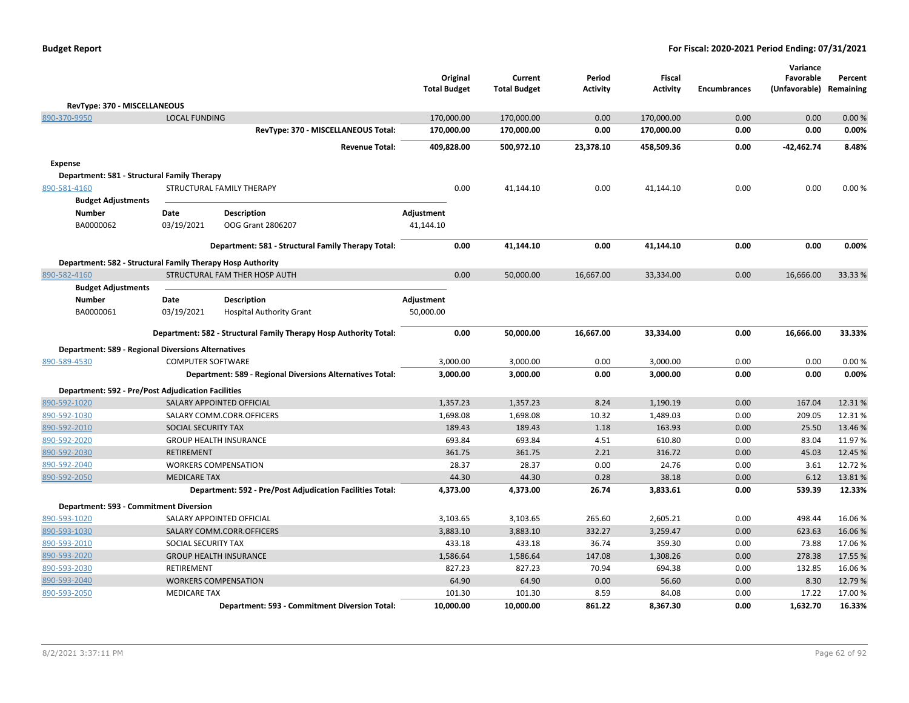|                                                            |                          |                                                                   | Original<br><b>Total Budget</b> | Current<br><b>Total Budget</b> | Period<br><b>Activity</b> | Fiscal<br><b>Activity</b> | <b>Encumbrances</b> | Variance<br>Favorable<br>(Unfavorable) Remaining | Percent |
|------------------------------------------------------------|--------------------------|-------------------------------------------------------------------|---------------------------------|--------------------------------|---------------------------|---------------------------|---------------------|--------------------------------------------------|---------|
| RevType: 370 - MISCELLANEOUS                               |                          |                                                                   |                                 |                                |                           |                           |                     |                                                  |         |
| 890-370-9950                                               | <b>LOCAL FUNDING</b>     |                                                                   | 170,000.00                      | 170,000.00                     | 0.00                      | 170,000.00                | 0.00                | 0.00                                             | 0.00%   |
|                                                            |                          | RevType: 370 - MISCELLANEOUS Total:                               | 170,000.00                      | 170,000.00                     | 0.00                      | 170,000.00                | 0.00                | 0.00                                             | 0.00%   |
|                                                            |                          | <b>Revenue Total:</b>                                             | 409,828.00                      | 500,972.10                     | 23,378.10                 | 458,509.36                | 0.00                | -42,462.74                                       | 8.48%   |
| <b>Expense</b>                                             |                          |                                                                   |                                 |                                |                           |                           |                     |                                                  |         |
| Department: 581 - Structural Family Therapy                |                          |                                                                   |                                 |                                |                           |                           |                     |                                                  |         |
| 890-581-4160                                               |                          | STRUCTURAL FAMILY THERAPY                                         | 0.00                            | 41,144.10                      | 0.00                      | 41,144.10                 | 0.00                | 0.00                                             | 0.00%   |
| <b>Budget Adjustments</b>                                  |                          |                                                                   |                                 |                                |                           |                           |                     |                                                  |         |
| <b>Number</b>                                              | Date                     | <b>Description</b>                                                | Adjustment                      |                                |                           |                           |                     |                                                  |         |
| BA0000062                                                  | 03/19/2021               | OOG Grant 2806207                                                 | 41,144.10                       |                                |                           |                           |                     |                                                  |         |
|                                                            |                          | Department: 581 - Structural Family Therapy Total:                | 0.00                            | 41,144.10                      | 0.00                      | 41,144.10                 | 0.00                | 0.00                                             | 0.00%   |
| Department: 582 - Structural Family Therapy Hosp Authority |                          |                                                                   |                                 |                                |                           |                           |                     |                                                  |         |
| 890-582-4160                                               |                          | STRUCTURAL FAM THER HOSP AUTH                                     | 0.00                            | 50,000.00                      | 16,667.00                 | 33,334.00                 | 0.00                | 16,666.00                                        | 33.33 % |
| <b>Budget Adjustments</b>                                  |                          |                                                                   |                                 |                                |                           |                           |                     |                                                  |         |
| <b>Number</b>                                              | Date                     | <b>Description</b>                                                | Adjustment                      |                                |                           |                           |                     |                                                  |         |
| BA0000061                                                  | 03/19/2021               | <b>Hospital Authority Grant</b>                                   | 50,000.00                       |                                |                           |                           |                     |                                                  |         |
|                                                            |                          | Department: 582 - Structural Family Therapy Hosp Authority Total: | 0.00                            | 50,000.00                      | 16,667.00                 | 33,334.00                 | 0.00                | 16,666.00                                        | 33.33%  |
| <b>Department: 589 - Regional Diversions Alternatives</b>  |                          |                                                                   |                                 |                                |                           |                           |                     |                                                  |         |
| 890-589-4530                                               | <b>COMPUTER SOFTWARE</b> |                                                                   | 3,000.00                        | 3,000.00                       | 0.00                      | 3,000.00                  | 0.00                | 0.00                                             | 0.00%   |
|                                                            |                          | Department: 589 - Regional Diversions Alternatives Total:         | 3,000.00                        | 3,000.00                       | 0.00                      | 3,000.00                  | 0.00                | 0.00                                             | 0.00%   |
| <b>Department: 592 - Pre/Post Adjudication Facilities</b>  |                          |                                                                   |                                 |                                |                           |                           |                     |                                                  |         |
| 890-592-1020                                               |                          | SALARY APPOINTED OFFICIAL                                         | 1,357.23                        | 1,357.23                       | 8.24                      | 1,190.19                  | 0.00                | 167.04                                           | 12.31%  |
| 890-592-1030                                               |                          | SALARY COMM.CORR.OFFICERS                                         | 1,698.08                        | 1,698.08                       | 10.32                     | 1,489.03                  | 0.00                | 209.05                                           | 12.31%  |
| 890-592-2010                                               | SOCIAL SECURITY TAX      |                                                                   | 189.43                          | 189.43                         | 1.18                      | 163.93                    | 0.00                | 25.50                                            | 13.46 % |
| 890-592-2020                                               |                          | <b>GROUP HEALTH INSURANCE</b>                                     | 693.84                          | 693.84                         | 4.51                      | 610.80                    | 0.00                | 83.04                                            | 11.97%  |
| 890-592-2030                                               | <b>RETIREMENT</b>        |                                                                   | 361.75                          | 361.75                         | 2.21                      | 316.72                    | 0.00                | 45.03                                            | 12.45 % |
| 890-592-2040                                               |                          | <b>WORKERS COMPENSATION</b>                                       | 28.37                           | 28.37                          | 0.00                      | 24.76                     | 0.00                | 3.61                                             | 12.72 % |
| 890-592-2050                                               | <b>MEDICARE TAX</b>      |                                                                   | 44.30                           | 44.30                          | 0.28                      | 38.18                     | 0.00                | 6.12                                             | 13.81%  |
|                                                            |                          | Department: 592 - Pre/Post Adjudication Facilities Total:         | 4,373.00                        | 4,373.00                       | 26.74                     | 3,833.61                  | 0.00                | 539.39                                           | 12.33%  |
| Department: 593 - Commitment Diversion                     |                          |                                                                   |                                 |                                |                           |                           |                     |                                                  |         |
| 890-593-1020                                               |                          | SALARY APPOINTED OFFICIAL                                         | 3,103.65                        | 3,103.65                       | 265.60                    | 2,605.21                  | 0.00                | 498.44                                           | 16.06%  |
| 890-593-1030                                               |                          | SALARY COMM.CORR.OFFICERS                                         | 3,883.10                        | 3,883.10                       | 332.27                    | 3,259.47                  | 0.00                | 623.63                                           | 16.06%  |
| 890-593-2010                                               | SOCIAL SECURITY TAX      |                                                                   | 433.18                          | 433.18                         | 36.74                     | 359.30                    | 0.00                | 73.88                                            | 17.06%  |
| 890-593-2020                                               |                          | <b>GROUP HEALTH INSURANCE</b>                                     | 1,586.64                        | 1,586.64                       | 147.08                    | 1,308.26                  | 0.00                | 278.38                                           | 17.55 % |
| 890-593-2030                                               | RETIREMENT               |                                                                   | 827.23                          | 827.23                         | 70.94                     | 694.38                    | 0.00                | 132.85                                           | 16.06%  |
| 890-593-2040                                               |                          | <b>WORKERS COMPENSATION</b>                                       | 64.90                           | 64.90                          | 0.00                      | 56.60                     | 0.00                | 8.30                                             | 12.79 % |
| 890-593-2050                                               | <b>MEDICARE TAX</b>      |                                                                   | 101.30                          | 101.30                         | 8.59                      | 84.08                     | 0.00                | 17.22                                            | 17.00%  |
|                                                            |                          | Department: 593 - Commitment Diversion Total:                     | 10,000.00                       | 10,000.00                      | 861.22                    | 8,367.30                  | 0.00                | 1,632.70                                         | 16.33%  |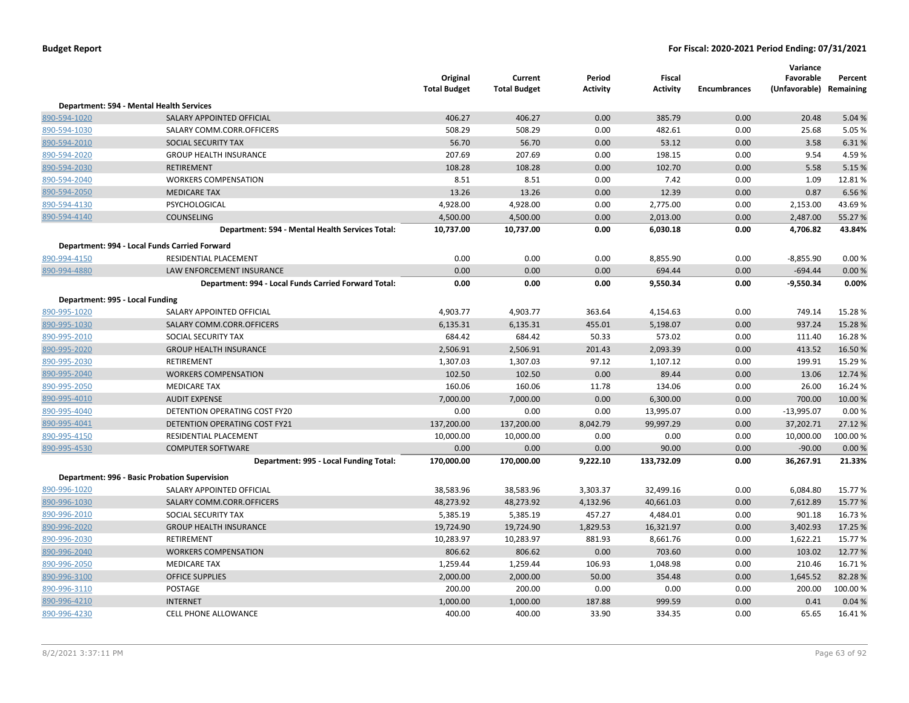|                                 |                                                      | Original<br><b>Total Budget</b> | Current<br><b>Total Budget</b> | Period<br><b>Activity</b> | Fiscal<br><b>Activity</b> | <b>Encumbrances</b> | Variance<br>Favorable<br>(Unfavorable) Remaining | Percent |
|---------------------------------|------------------------------------------------------|---------------------------------|--------------------------------|---------------------------|---------------------------|---------------------|--------------------------------------------------|---------|
|                                 | Department: 594 - Mental Health Services             |                                 |                                |                           |                           |                     |                                                  |         |
| 890-594-1020                    | SALARY APPOINTED OFFICIAL                            | 406.27                          | 406.27                         | 0.00                      | 385.79                    | 0.00                | 20.48                                            | 5.04 %  |
| 890-594-1030                    | SALARY COMM.CORR.OFFICERS                            | 508.29                          | 508.29                         | 0.00                      | 482.61                    | 0.00                | 25.68                                            | 5.05 %  |
| 890-594-2010                    | SOCIAL SECURITY TAX                                  | 56.70                           | 56.70                          | 0.00                      | 53.12                     | 0.00                | 3.58                                             | 6.31%   |
| 890-594-2020                    | <b>GROUP HEALTH INSURANCE</b>                        | 207.69                          | 207.69                         | 0.00                      | 198.15                    | 0.00                | 9.54                                             | 4.59%   |
| 890-594-2030                    | <b>RETIREMENT</b>                                    | 108.28                          | 108.28                         | 0.00                      | 102.70                    | 0.00                | 5.58                                             | 5.15 %  |
| 890-594-2040                    | <b>WORKERS COMPENSATION</b>                          | 8.51                            | 8.51                           | 0.00                      | 7.42                      | 0.00                | 1.09                                             | 12.81%  |
| 890-594-2050                    | <b>MEDICARE TAX</b>                                  | 13.26                           | 13.26                          | 0.00                      | 12.39                     | 0.00                | 0.87                                             | 6.56 %  |
| 890-594-4130                    | PSYCHOLOGICAL                                        | 4,928.00                        | 4,928.00                       | 0.00                      | 2,775.00                  | 0.00                | 2,153.00                                         | 43.69%  |
| 890-594-4140                    | <b>COUNSELING</b>                                    | 4,500.00                        | 4,500.00                       | 0.00                      | 2,013.00                  | 0.00                | 2,487.00                                         | 55.27 % |
|                                 | Department: 594 - Mental Health Services Total:      | 10,737.00                       | 10,737.00                      | 0.00                      | 6,030.18                  | 0.00                | 4,706.82                                         | 43.84%  |
|                                 | Department: 994 - Local Funds Carried Forward        |                                 |                                |                           |                           |                     |                                                  |         |
| 890-994-4150                    | <b>RESIDENTIAL PLACEMENT</b>                         | 0.00                            | 0.00                           | 0.00                      | 8,855.90                  | 0.00                | $-8,855.90$                                      | 0.00%   |
| 890-994-4880                    | LAW ENFORCEMENT INSURANCE                            | 0.00                            | 0.00                           | 0.00                      | 694.44                    | 0.00                | $-694.44$                                        | 0.00 %  |
|                                 | Department: 994 - Local Funds Carried Forward Total: | 0.00                            | 0.00                           | 0.00                      | 9,550.34                  | 0.00                | $-9,550.34$                                      | 0.00%   |
| Department: 995 - Local Funding |                                                      |                                 |                                |                           |                           |                     |                                                  |         |
| 890-995-1020                    | SALARY APPOINTED OFFICIAL                            | 4,903.77                        | 4,903.77                       | 363.64                    | 4,154.63                  | 0.00                | 749.14                                           | 15.28%  |
| 890-995-1030                    | SALARY COMM.CORR.OFFICERS                            | 6,135.31                        | 6,135.31                       | 455.01                    | 5,198.07                  | 0.00                | 937.24                                           | 15.28 % |
| 890-995-2010                    | SOCIAL SECURITY TAX                                  | 684.42                          | 684.42                         | 50.33                     | 573.02                    | 0.00                | 111.40                                           | 16.28%  |
| 890-995-2020                    | <b>GROUP HEALTH INSURANCE</b>                        | 2,506.91                        | 2,506.91                       | 201.43                    | 2,093.39                  | 0.00                | 413.52                                           | 16.50%  |
| 890-995-2030                    | RETIREMENT                                           | 1,307.03                        | 1,307.03                       | 97.12                     | 1,107.12                  | 0.00                | 199.91                                           | 15.29 % |
| 890-995-2040                    | <b>WORKERS COMPENSATION</b>                          | 102.50                          | 102.50                         | 0.00                      | 89.44                     | 0.00                | 13.06                                            | 12.74 % |
| 890-995-2050                    | <b>MEDICARE TAX</b>                                  | 160.06                          | 160.06                         | 11.78                     | 134.06                    | 0.00                | 26.00                                            | 16.24 % |
| 890-995-4010                    | <b>AUDIT EXPENSE</b>                                 | 7,000.00                        | 7,000.00                       | 0.00                      | 6,300.00                  | 0.00                | 700.00                                           | 10.00 % |
| 890-995-4040                    | DETENTION OPERATING COST FY20                        | 0.00                            | 0.00                           | 0.00                      | 13,995.07                 | 0.00                | $-13,995.07$                                     | 0.00%   |
| 890-995-4041                    | DETENTION OPERATING COST FY21                        | 137,200.00                      | 137,200.00                     | 8,042.79                  | 99,997.29                 | 0.00                | 37,202.71                                        | 27.12 % |
| 890-995-4150                    | RESIDENTIAL PLACEMENT                                | 10,000.00                       | 10,000.00                      | 0.00                      | 0.00                      | 0.00                | 10,000.00                                        | 100.00% |
| 890-995-4530                    | <b>COMPUTER SOFTWARE</b>                             | 0.00                            | 0.00                           | 0.00                      | 90.00                     | 0.00                | $-90.00$                                         | 0.00%   |
|                                 | Department: 995 - Local Funding Total:               | 170,000.00                      | 170,000.00                     | 9,222.10                  | 133,732.09                | 0.00                | 36,267.91                                        | 21.33%  |
|                                 | <b>Department: 996 - Basic Probation Supervision</b> |                                 |                                |                           |                           |                     |                                                  |         |
| 890-996-1020                    | SALARY APPOINTED OFFICIAL                            | 38,583.96                       | 38,583.96                      | 3,303.37                  | 32,499.16                 | 0.00                | 6,084.80                                         | 15.77 % |
| 890-996-1030                    | SALARY COMM.CORR.OFFICERS                            | 48,273.92                       | 48,273.92                      | 4,132.96                  | 40,661.03                 | 0.00                | 7,612.89                                         | 15.77 % |
| 890-996-2010                    | SOCIAL SECURITY TAX                                  | 5,385.19                        | 5,385.19                       | 457.27                    | 4,484.01                  | 0.00                | 901.18                                           | 16.73 % |
| 890-996-2020                    | <b>GROUP HEALTH INSURANCE</b>                        | 19,724.90                       | 19,724.90                      | 1,829.53                  | 16,321.97                 | 0.00                | 3,402.93                                         | 17.25 % |
| 890-996-2030                    | RETIREMENT                                           | 10,283.97                       | 10,283.97                      | 881.93                    | 8,661.76                  | 0.00                | 1,622.21                                         | 15.77 % |
| 890-996-2040                    | <b>WORKERS COMPENSATION</b>                          | 806.62                          | 806.62                         | 0.00                      | 703.60                    | 0.00                | 103.02                                           | 12.77 % |
| 890-996-2050                    | <b>MEDICARE TAX</b>                                  | 1,259.44                        | 1,259.44                       | 106.93                    | 1,048.98                  | 0.00                | 210.46                                           | 16.71%  |
| 890-996-3100                    | <b>OFFICE SUPPLIES</b>                               | 2,000.00                        | 2,000.00                       | 50.00                     | 354.48                    | 0.00                | 1,645.52                                         | 82.28%  |
| 890-996-3110                    | POSTAGE                                              | 200.00                          | 200.00                         | 0.00                      | 0.00                      | 0.00                | 200.00                                           | 100.00% |
| 890-996-4210                    | <b>INTERNET</b>                                      | 1,000.00                        | 1,000.00                       | 187.88                    | 999.59                    | 0.00                | 0.41                                             | 0.04%   |
| 890-996-4230                    | CELL PHONE ALLOWANCE                                 | 400.00                          | 400.00                         | 33.90                     | 334.35                    | 0.00                | 65.65                                            | 16.41%  |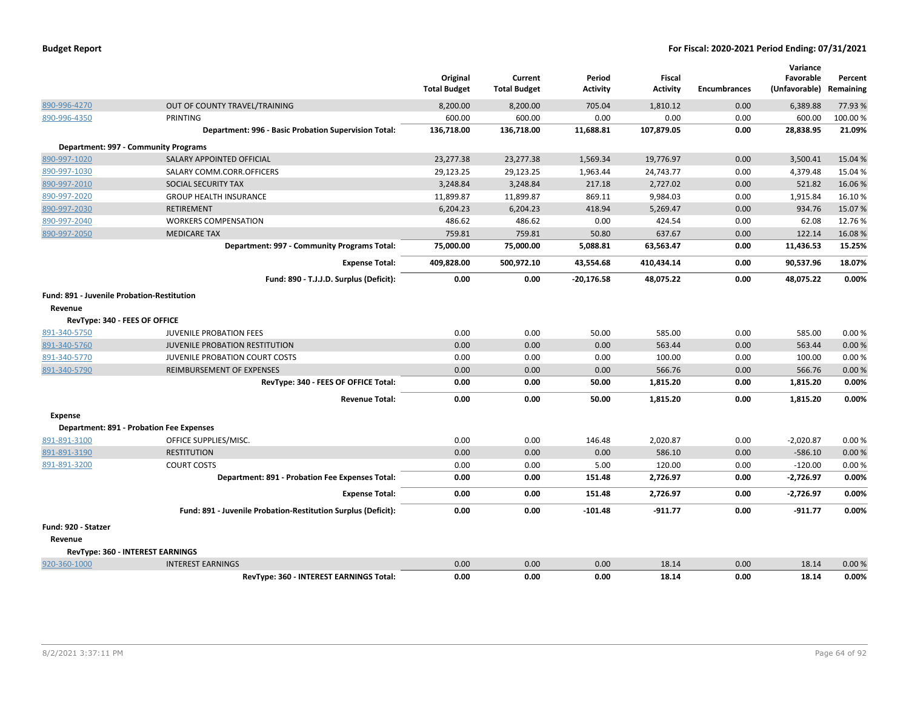|                                            |                                                               | Original<br><b>Total Budget</b> | Current<br><b>Total Budget</b> | Period<br>Activity | Fiscal<br><b>Activity</b> | <b>Encumbrances</b> | Variance<br>Favorable<br>(Unfavorable) | Percent<br>Remaining |
|--------------------------------------------|---------------------------------------------------------------|---------------------------------|--------------------------------|--------------------|---------------------------|---------------------|----------------------------------------|----------------------|
| 890-996-4270                               | OUT OF COUNTY TRAVEL/TRAINING                                 | 8,200.00                        | 8,200.00                       | 705.04             | 1,810.12                  | 0.00                | 6,389.88                               | 77.93 %              |
| 890-996-4350                               | <b>PRINTING</b>                                               | 600.00                          | 600.00                         | 0.00               | 0.00                      | 0.00                | 600.00                                 | 100.00%              |
|                                            | Department: 996 - Basic Probation Supervision Total:          | 136,718.00                      | 136,718.00                     | 11,688.81          | 107,879.05                | 0.00                | 28,838.95                              | 21.09%               |
|                                            | Department: 997 - Community Programs                          |                                 |                                |                    |                           |                     |                                        |                      |
| 890-997-1020                               | SALARY APPOINTED OFFICIAL                                     | 23,277.38                       | 23,277.38                      | 1,569.34           | 19.776.97                 | 0.00                | 3,500.41                               | 15.04 %              |
| 890-997-1030                               | SALARY COMM.CORR.OFFICERS                                     | 29,123.25                       | 29,123.25                      | 1,963.44           | 24,743.77                 | 0.00                | 4,379.48                               | 15.04 %              |
| 890-997-2010                               | <b>SOCIAL SECURITY TAX</b>                                    | 3,248.84                        | 3,248.84                       | 217.18             | 2,727.02                  | 0.00                | 521.82                                 | 16.06%               |
| 890-997-2020                               | <b>GROUP HEALTH INSURANCE</b>                                 | 11,899.87                       | 11,899.87                      | 869.11             | 9,984.03                  | 0.00                | 1,915.84                               | 16.10%               |
| 890-997-2030                               | <b>RETIREMENT</b>                                             | 6,204.23                        | 6,204.23                       | 418.94             | 5,269.47                  | 0.00                | 934.76                                 | 15.07%               |
| 890-997-2040                               | <b>WORKERS COMPENSATION</b>                                   | 486.62                          | 486.62                         | 0.00               | 424.54                    | 0.00                | 62.08                                  | 12.76%               |
| 890-997-2050                               | <b>MEDICARE TAX</b>                                           | 759.81                          | 759.81                         | 50.80              | 637.67                    | 0.00                | 122.14                                 | 16.08%               |
|                                            | Department: 997 - Community Programs Total:                   | 75,000.00                       | 75,000.00                      | 5,088.81           | 63,563.47                 | 0.00                | 11,436.53                              | 15.25%               |
|                                            | <b>Expense Total:</b>                                         | 409,828.00                      | 500,972.10                     | 43,554.68          | 410,434.14                | 0.00                | 90,537.96                              | 18.07%               |
|                                            | Fund: 890 - T.J.J.D. Surplus (Deficit):                       | 0.00                            | 0.00                           | -20,176.58         | 48,075.22                 | 0.00                | 48,075.22                              | 0.00%                |
| Fund: 891 - Juvenile Probation-Restitution |                                                               |                                 |                                |                    |                           |                     |                                        |                      |
| Revenue                                    |                                                               |                                 |                                |                    |                           |                     |                                        |                      |
| RevType: 340 - FEES OF OFFICE              |                                                               |                                 |                                |                    |                           |                     |                                        |                      |
| 891-340-5750                               | <b>JUVENILE PROBATION FEES</b>                                | 0.00                            | 0.00                           | 50.00              | 585.00                    | 0.00                | 585.00                                 | 0.00%                |
| 891-340-5760                               | <b>JUVENILE PROBATION RESTITUTION</b>                         | 0.00                            | 0.00                           | 0.00               | 563.44                    | 0.00                | 563.44                                 | 0.00%                |
| 891-340-5770                               | JUVENILE PROBATION COURT COSTS                                | 0.00                            | 0.00                           | 0.00               | 100.00                    | 0.00                | 100.00                                 | 0.00%                |
| 891-340-5790                               | REIMBURSEMENT OF EXPENSES                                     | 0.00                            | 0.00                           | 0.00               | 566.76                    | 0.00                | 566.76                                 | 0.00%                |
|                                            | RevType: 340 - FEES OF OFFICE Total:                          | 0.00                            | 0.00                           | 50.00              | 1,815.20                  | 0.00                | 1,815.20                               | 0.00%                |
|                                            | <b>Revenue Total:</b>                                         | 0.00                            | 0.00                           | 50.00              | 1,815.20                  | 0.00                | 1,815.20                               | 0.00%                |
| <b>Expense</b>                             |                                                               |                                 |                                |                    |                           |                     |                                        |                      |
|                                            | <b>Department: 891 - Probation Fee Expenses</b>               |                                 |                                |                    |                           |                     |                                        |                      |
| 891-891-3100                               | OFFICE SUPPLIES/MISC.                                         | 0.00                            | 0.00                           | 146.48             | 2,020.87                  | 0.00                | $-2,020.87$                            | 0.00%                |
| 891-891-3190                               | <b>RESTITUTION</b>                                            | 0.00                            | 0.00                           | 0.00               | 586.10                    | 0.00                | $-586.10$                              | 0.00%                |
| 891-891-3200                               | <b>COURT COSTS</b>                                            | 0.00                            | 0.00                           | 5.00               | 120.00                    | 0.00                | $-120.00$                              | 0.00%                |
|                                            | Department: 891 - Probation Fee Expenses Total:               | 0.00                            | 0.00                           | 151.48             | 2,726.97                  | 0.00                | $-2,726.97$                            | 0.00%                |
|                                            | <b>Expense Total:</b>                                         | 0.00                            | 0.00                           | 151.48             | 2,726.97                  | 0.00                | $-2,726.97$                            | 0.00%                |
|                                            | Fund: 891 - Juvenile Probation-Restitution Surplus (Deficit): | 0.00                            | 0.00                           | $-101.48$          | $-911.77$                 | 0.00                | $-911.77$                              | 0.00%                |
| Fund: 920 - Statzer                        |                                                               |                                 |                                |                    |                           |                     |                                        |                      |
| Revenue                                    |                                                               |                                 |                                |                    |                           |                     |                                        |                      |
|                                            | <b>RevType: 360 - INTEREST EARNINGS</b>                       |                                 |                                |                    |                           |                     |                                        |                      |
| 920-360-1000                               | <b>INTEREST EARNINGS</b>                                      | 0.00                            | 0.00                           | 0.00               | 18.14                     | 0.00                | 18.14                                  | 0.00%                |
|                                            | RevTvpe: 360 - INTEREST EARNINGS Total:                       | 0.00                            | 0.00                           | 0.00               | 18.14                     | 0.00                | 18.14                                  | 0.00%                |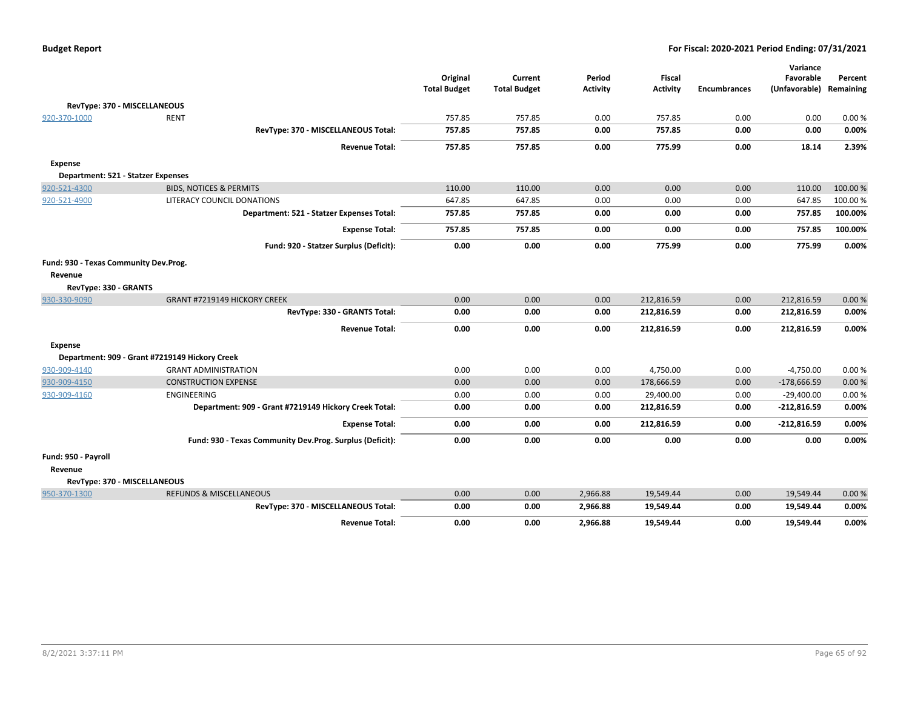| <b>Budget Report</b> |  |
|----------------------|--|
|----------------------|--|

|                                       |                                                          |                     |                     |                 |                 |                     | Variance                |         |
|---------------------------------------|----------------------------------------------------------|---------------------|---------------------|-----------------|-----------------|---------------------|-------------------------|---------|
|                                       |                                                          | Original            | Current             | Period          | <b>Fiscal</b>   |                     | Favorable               | Percent |
|                                       |                                                          | <b>Total Budget</b> | <b>Total Budget</b> | <b>Activity</b> | <b>Activity</b> | <b>Encumbrances</b> | (Unfavorable) Remaining |         |
| RevType: 370 - MISCELLANEOUS          |                                                          |                     |                     |                 |                 |                     |                         |         |
| 920-370-1000                          | <b>RENT</b>                                              | 757.85              | 757.85              | 0.00            | 757.85          | 0.00                | 0.00                    | 0.00%   |
|                                       | RevType: 370 - MISCELLANEOUS Total:                      | 757.85              | 757.85              | 0.00            | 757.85          | 0.00                | 0.00                    | 0.00%   |
|                                       | <b>Revenue Total:</b>                                    | 757.85              | 757.85              | 0.00            | 775.99          | 0.00                | 18.14                   | 2.39%   |
| Expense                               |                                                          |                     |                     |                 |                 |                     |                         |         |
| Department: 521 - Statzer Expenses    |                                                          |                     |                     |                 |                 |                     |                         |         |
| 920-521-4300                          | <b>BIDS, NOTICES &amp; PERMITS</b>                       | 110.00              | 110.00              | 0.00            | 0.00            | 0.00                | 110.00                  | 100.00% |
| 920-521-4900                          | LITERACY COUNCIL DONATIONS                               | 647.85              | 647.85              | 0.00            | 0.00            | 0.00                | 647.85                  | 100.00% |
|                                       | Department: 521 - Statzer Expenses Total:                | 757.85              | 757.85              | 0.00            | 0.00            | 0.00                | 757.85                  | 100.00% |
|                                       | <b>Expense Total:</b>                                    | 757.85              | 757.85              | 0.00            | 0.00            | 0.00                | 757.85                  | 100.00% |
|                                       | Fund: 920 - Statzer Surplus (Deficit):                   | 0.00                | 0.00                | 0.00            | 775.99          | 0.00                | 775.99                  | 0.00%   |
| Fund: 930 - Texas Community Dev.Prog. |                                                          |                     |                     |                 |                 |                     |                         |         |
| Revenue                               |                                                          |                     |                     |                 |                 |                     |                         |         |
| RevType: 330 - GRANTS                 |                                                          |                     |                     |                 |                 |                     |                         |         |
| 930-330-9090                          | GRANT #7219149 HICKORY CREEK                             | 0.00                | 0.00                | 0.00            | 212,816.59      | 0.00                | 212,816.59              | 0.00%   |
|                                       | RevType: 330 - GRANTS Total:                             | 0.00                | 0.00                | 0.00            | 212,816.59      | 0.00                | 212,816.59              | 0.00%   |
|                                       | <b>Revenue Total:</b>                                    | 0.00                | 0.00                | 0.00            | 212,816.59      | 0.00                | 212,816.59              | 0.00%   |
| <b>Expense</b>                        |                                                          |                     |                     |                 |                 |                     |                         |         |
|                                       | Department: 909 - Grant #7219149 Hickory Creek           |                     |                     |                 |                 |                     |                         |         |
| 930-909-4140                          | <b>GRANT ADMINISTRATION</b>                              | 0.00                | 0.00                | 0.00            | 4,750.00        | 0.00                | $-4,750.00$             | 0.00%   |
| 930-909-4150                          | <b>CONSTRUCTION EXPENSE</b>                              | 0.00                | 0.00                | 0.00            | 178,666.59      | 0.00                | $-178,666.59$           | 0.00%   |
| 930-909-4160                          | ENGINEERING                                              | 0.00                | 0.00                | 0.00            | 29,400.00       | 0.00                | $-29,400.00$            | 0.00%   |
|                                       | Department: 909 - Grant #7219149 Hickory Creek Total:    | 0.00                | 0.00                | 0.00            | 212,816.59      | 0.00                | $-212,816.59$           | 0.00%   |
|                                       | <b>Expense Total:</b>                                    | 0.00                | 0.00                | 0.00            | 212,816.59      | 0.00                | $-212,816.59$           | 0.00%   |
|                                       | Fund: 930 - Texas Community Dev.Prog. Surplus (Deficit): | 0.00                | 0.00                | 0.00            | 0.00            | 0.00                | 0.00                    | 0.00%   |
| Fund: 950 - Payroll                   |                                                          |                     |                     |                 |                 |                     |                         |         |
| Revenue                               |                                                          |                     |                     |                 |                 |                     |                         |         |
| RevType: 370 - MISCELLANEOUS          |                                                          |                     |                     |                 |                 |                     |                         |         |
| 950-370-1300                          | <b>REFUNDS &amp; MISCELLANEOUS</b>                       | 0.00                | 0.00                | 2,966.88        | 19,549.44       | 0.00                | 19,549.44               | 0.00%   |
|                                       | RevType: 370 - MISCELLANEOUS Total:                      | 0.00                | 0.00                | 2,966.88        | 19,549.44       | 0.00                | 19,549.44               | 0.00%   |
|                                       | <b>Revenue Total:</b>                                    | 0.00                | 0.00                | 2,966.88        | 19,549.44       | 0.00                | 19,549.44               | 0.00%   |
|                                       |                                                          |                     |                     |                 |                 |                     |                         |         |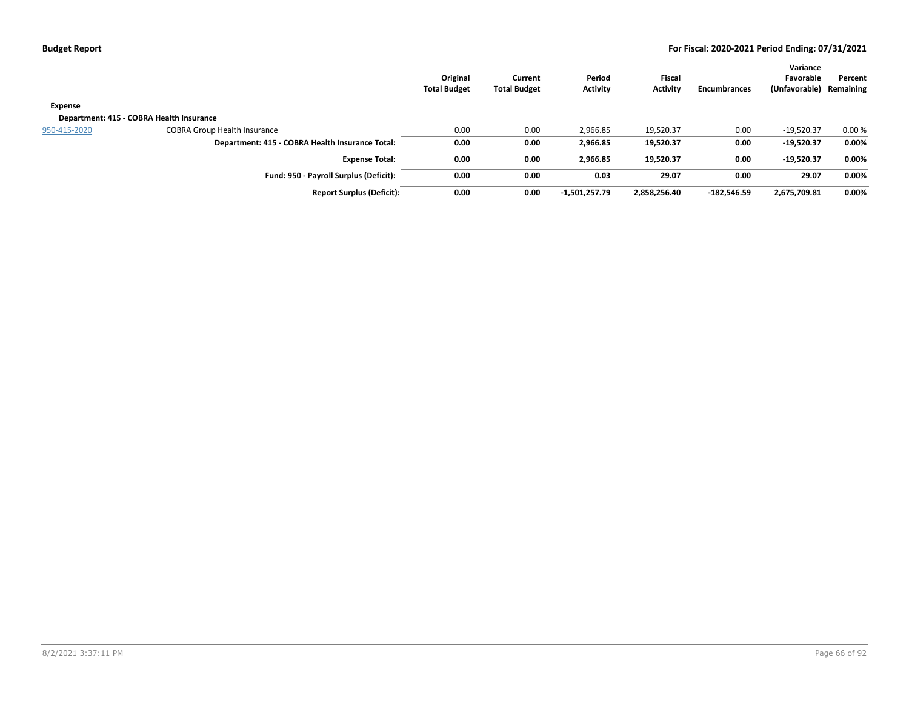|              |                                                 | Original<br><b>Total Budget</b> | Current<br><b>Total Budget</b> | Period<br>Activity | <b>Fiscal</b><br><b>Activity</b> | <b>Encumbrances</b> | Variance<br>Favorable<br>(Unfavorable) | Percent<br>Remaining |
|--------------|-------------------------------------------------|---------------------------------|--------------------------------|--------------------|----------------------------------|---------------------|----------------------------------------|----------------------|
| Expense      |                                                 |                                 |                                |                    |                                  |                     |                                        |                      |
|              | Department: 415 - COBRA Health Insurance        |                                 |                                |                    |                                  |                     |                                        |                      |
| 950-415-2020 | <b>COBRA Group Health Insurance</b>             | 0.00                            | 0.00                           | 2,966.85           | 19,520.37                        | 0.00                | $-19,520.37$                           | 0.00%                |
|              | Department: 415 - COBRA Health Insurance Total: | 0.00                            | 0.00                           | 2,966.85           | 19,520.37                        | 0.00                | $-19,520.37$                           | 0.00%                |
|              | <b>Expense Total:</b>                           | 0.00                            | 0.00                           | 2.966.85           | 19,520.37                        | 0.00                | $-19,520.37$                           | 0.00%                |
|              | Fund: 950 - Payroll Surplus (Deficit):          | 0.00                            | 0.00                           | 0.03               | 29.07                            | 0.00                | 29.07                                  | 0.00%                |
|              | <b>Report Surplus (Deficit):</b>                | 0.00                            | 0.00                           | $-1,501,257.79$    | 2,858,256.40                     | -182,546.59         | 2,675,709.81                           | 0.00%                |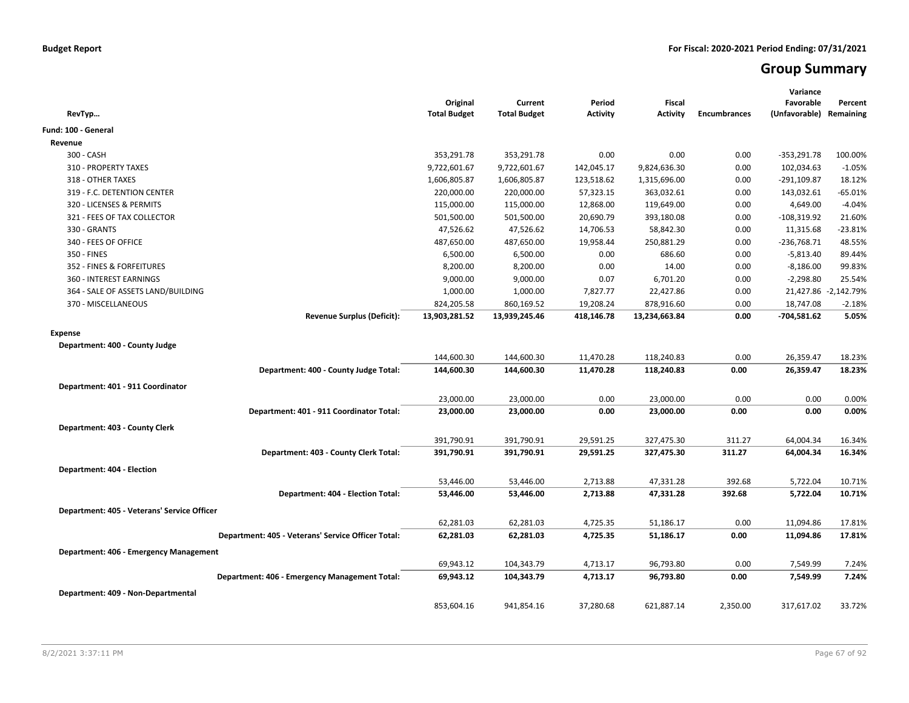# **Group Summary**

| RevTyp                                             | Original<br><b>Total Budget</b> | Current<br><b>Total Budget</b> | Period<br><b>Activity</b> | <b>Fiscal</b><br><b>Activity</b> | <b>Encumbrances</b> | Variance<br>Favorable<br>(Unfavorable) Remaining | Percent              |
|----------------------------------------------------|---------------------------------|--------------------------------|---------------------------|----------------------------------|---------------------|--------------------------------------------------|----------------------|
| Fund: 100 - General                                |                                 |                                |                           |                                  |                     |                                                  |                      |
| Revenue                                            |                                 |                                |                           |                                  |                     |                                                  |                      |
| 300 - CASH                                         | 353,291.78                      | 353,291.78                     | 0.00                      | 0.00                             | 0.00                | $-353,291.78$                                    | 100.00%              |
| 310 - PROPERTY TAXES                               | 9,722,601.67                    | 9,722,601.67                   | 142,045.17                | 9,824,636.30                     | 0.00                | 102,034.63                                       | $-1.05%$             |
| 318 - OTHER TAXES                                  | 1,606,805.87                    | 1,606,805.87                   | 123,518.62                | 1,315,696.00                     | 0.00                | $-291,109.87$                                    | 18.12%               |
| 319 - F.C. DETENTION CENTER                        | 220,000.00                      | 220,000.00                     | 57,323.15                 | 363,032.61                       | 0.00                | 143,032.61                                       | $-65.01%$            |
| 320 - LICENSES & PERMITS                           | 115,000.00                      | 115,000.00                     | 12,868.00                 | 119,649.00                       | 0.00                | 4,649.00                                         | $-4.04%$             |
| 321 - FEES OF TAX COLLECTOR                        | 501,500.00                      | 501,500.00                     | 20,690.79                 | 393,180.08                       | 0.00                | $-108,319.92$                                    | 21.60%               |
| 330 - GRANTS                                       | 47,526.62                       | 47,526.62                      | 14,706.53                 | 58,842.30                        | 0.00                | 11,315.68                                        | $-23.81%$            |
| 340 - FEES OF OFFICE                               | 487,650.00                      | 487,650.00                     | 19,958.44                 | 250,881.29                       | 0.00                | $-236,768.71$                                    | 48.55%               |
| 350 - FINES                                        | 6,500.00                        | 6,500.00                       | 0.00                      | 686.60                           | 0.00                | $-5,813.40$                                      | 89.44%               |
| 352 - FINES & FORFEITURES                          | 8,200.00                        | 8,200.00                       | 0.00                      | 14.00                            | 0.00                | $-8,186.00$                                      | 99.83%               |
| 360 - INTEREST EARNINGS                            | 9,000.00                        | 9,000.00                       | 0.07                      | 6,701.20                         | 0.00                | $-2,298.80$                                      | 25.54%               |
| 364 - SALE OF ASSETS LAND/BUILDING                 | 1,000.00                        | 1,000.00                       | 7,827.77                  | 22,427.86                        | 0.00                |                                                  | 21,427.86 -2,142.79% |
| 370 - MISCELLANEOUS                                | 824,205.58                      | 860,169.52                     | 19,208.24                 | 878,916.60                       | 0.00                | 18,747.08                                        | $-2.18%$             |
| <b>Revenue Surplus (Deficit):</b>                  | 13,903,281.52                   | 13,939,245.46                  | 418,146.78                | 13,234,663.84                    | 0.00                | $-704,581.62$                                    | 5.05%                |
| <b>Expense</b>                                     |                                 |                                |                           |                                  |                     |                                                  |                      |
| Department: 400 - County Judge                     |                                 |                                |                           |                                  |                     |                                                  |                      |
|                                                    | 144,600.30                      | 144,600.30                     | 11,470.28                 | 118,240.83                       | 0.00                | 26,359.47                                        | 18.23%               |
| Department: 400 - County Judge Total:              | 144,600.30                      | 144,600.30                     | 11,470.28                 | 118,240.83                       | 0.00                | 26,359.47                                        | 18.23%               |
| Department: 401 - 911 Coordinator                  |                                 |                                |                           |                                  |                     |                                                  |                      |
|                                                    | 23,000.00                       | 23,000.00                      | 0.00                      | 23,000.00                        | 0.00                | 0.00                                             | 0.00%                |
| Department: 401 - 911 Coordinator Total:           | 23,000.00                       | 23,000.00                      | 0.00                      | 23,000.00                        | 0.00                | 0.00                                             | 0.00%                |
|                                                    |                                 |                                |                           |                                  |                     |                                                  |                      |
| Department: 403 - County Clerk                     |                                 |                                |                           |                                  |                     |                                                  |                      |
|                                                    | 391,790.91                      | 391,790.91                     | 29,591.25                 | 327,475.30                       | 311.27              | 64,004.34                                        | 16.34%               |
| Department: 403 - County Clerk Total:              | 391,790.91                      | 391,790.91                     | 29,591.25                 | 327,475.30                       | 311.27              | 64,004.34                                        | 16.34%               |
| Department: 404 - Election                         |                                 |                                |                           |                                  |                     |                                                  |                      |
|                                                    | 53,446.00                       | 53,446.00                      | 2,713.88                  | 47,331.28                        | 392.68              | 5,722.04                                         | 10.71%               |
| Department: 404 - Election Total:                  | 53,446.00                       | 53,446.00                      | 2,713.88                  | 47,331.28                        | 392.68              | 5,722.04                                         | 10.71%               |
| Department: 405 - Veterans' Service Officer        |                                 |                                |                           |                                  |                     |                                                  |                      |
|                                                    | 62,281.03                       | 62,281.03                      | 4,725.35                  | 51,186.17                        | 0.00                | 11,094.86                                        | 17.81%               |
| Department: 405 - Veterans' Service Officer Total: | 62,281.03                       | 62,281.03                      | 4,725.35                  | 51,186.17                        | 0.00                | 11,094.86                                        | 17.81%               |
|                                                    |                                 |                                |                           |                                  |                     |                                                  |                      |
| Department: 406 - Emergency Management             |                                 |                                |                           |                                  |                     |                                                  |                      |
|                                                    | 69,943.12                       | 104,343.79                     | 4,713.17                  | 96,793.80                        | 0.00                | 7,549.99                                         | 7.24%                |
| Department: 406 - Emergency Management Total:      | 69,943.12                       | 104,343.79                     | 4,713.17                  | 96,793.80                        | 0.00                | 7,549.99                                         | 7.24%                |
| Department: 409 - Non-Departmental                 |                                 |                                |                           |                                  |                     |                                                  |                      |
|                                                    | 853,604.16                      | 941,854.16                     | 37,280.68                 | 621,887.14                       | 2,350.00            | 317,617.02                                       | 33.72%               |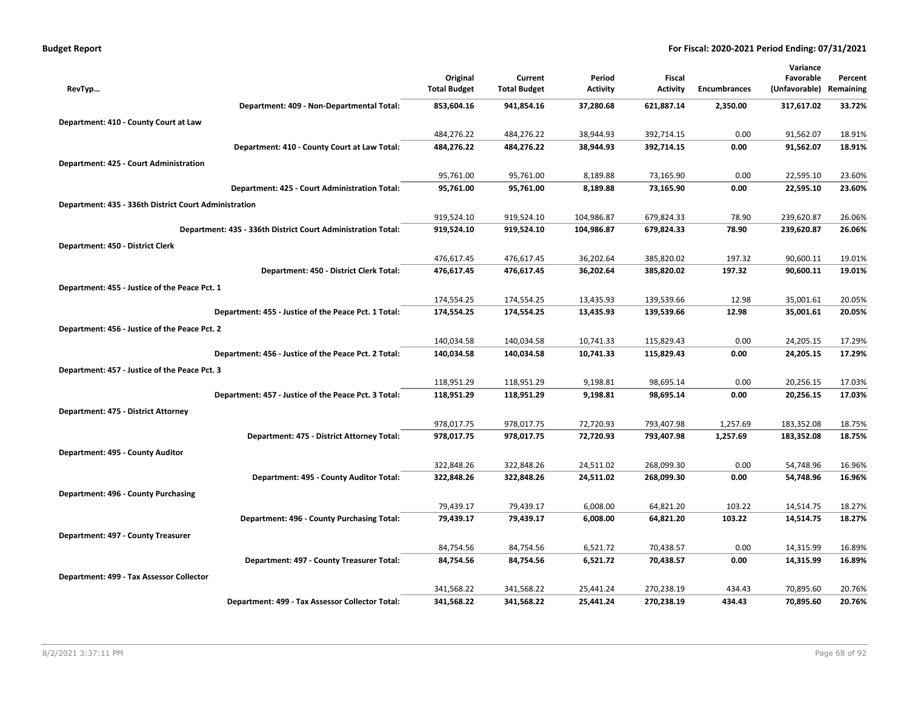| <b>Budget Report</b> |
|----------------------|
|----------------------|

|                                                              |                     |                     |                 |                 |                     | Variance      |           |
|--------------------------------------------------------------|---------------------|---------------------|-----------------|-----------------|---------------------|---------------|-----------|
|                                                              | Original            | Current             | Period          | Fiscal          |                     | Favorable     | Percent   |
| RevTyp                                                       | <b>Total Budget</b> | <b>Total Budget</b> | <b>Activity</b> | <b>Activity</b> | <b>Encumbrances</b> | (Unfavorable) | Remaining |
| Department: 409 - Non-Departmental Total:                    | 853,604.16          | 941,854.16          | 37,280.68       | 621,887.14      | 2,350.00            | 317,617.02    | 33.72%    |
| Department: 410 - County Court at Law                        |                     |                     |                 |                 |                     |               |           |
|                                                              | 484,276.22          | 484,276.22          | 38,944.93       | 392,714.15      | 0.00                | 91,562.07     | 18.91%    |
| Department: 410 - County Court at Law Total:                 | 484,276.22          | 484,276.22          | 38,944.93       | 392,714.15      | 0.00                | 91,562.07     | 18.91%    |
| Department: 425 - Court Administration                       |                     |                     |                 |                 |                     |               |           |
|                                                              | 95,761.00           | 95,761.00           | 8,189.88        | 73,165.90       | 0.00                | 22,595.10     | 23.60%    |
| Department: 425 - Court Administration Total:                | 95,761.00           | 95,761.00           | 8,189.88        | 73,165.90       | 0.00                | 22,595.10     | 23.60%    |
| Department: 435 - 336th District Court Administration        |                     |                     |                 |                 |                     |               |           |
|                                                              | 919,524.10          | 919,524.10          | 104,986.87      | 679,824.33      | 78.90               | 239,620.87    | 26.06%    |
| Department: 435 - 336th District Court Administration Total: | 919,524.10          | 919,524.10          | 104,986.87      | 679,824.33      | 78.90               | 239,620.87    | 26.06%    |
| Department: 450 - District Clerk                             |                     |                     |                 |                 |                     |               |           |
|                                                              | 476,617.45          | 476,617.45          | 36,202.64       | 385,820.02      | 197.32              | 90,600.11     | 19.01%    |
| Department: 450 - District Clerk Total:                      | 476,617.45          | 476,617.45          | 36,202.64       | 385,820.02      | 197.32              | 90,600.11     | 19.01%    |
| Department: 455 - Justice of the Peace Pct. 1                |                     |                     |                 |                 |                     |               |           |
|                                                              | 174,554.25          | 174,554.25          | 13,435.93       | 139,539.66      | 12.98               | 35,001.61     | 20.05%    |
| Department: 455 - Justice of the Peace Pct. 1 Total:         | 174,554.25          | 174,554.25          | 13,435.93       | 139,539.66      | 12.98               | 35,001.61     | 20.05%    |
| Department: 456 - Justice of the Peace Pct. 2                |                     |                     |                 |                 |                     |               |           |
|                                                              | 140,034.58          | 140,034.58          | 10,741.33       | 115,829.43      | 0.00                | 24,205.15     | 17.29%    |
| Department: 456 - Justice of the Peace Pct. 2 Total:         | 140,034.58          | 140,034.58          | 10,741.33       | 115,829.43      | 0.00                | 24,205.15     | 17.29%    |
| Department: 457 - Justice of the Peace Pct. 3                |                     |                     |                 |                 |                     |               |           |
|                                                              | 118,951.29          | 118,951.29          | 9,198.81        | 98,695.14       | 0.00                | 20,256.15     | 17.03%    |
| Department: 457 - Justice of the Peace Pct. 3 Total:         | 118,951.29          | 118,951.29          | 9,198.81        | 98,695.14       | 0.00                | 20,256.15     | 17.03%    |
| Department: 475 - District Attorney                          |                     |                     |                 |                 |                     |               |           |
|                                                              | 978,017.75          | 978,017.75          | 72,720.93       | 793,407.98      | 1,257.69            | 183,352.08    | 18.75%    |
| Department: 475 - District Attorney Total:                   | 978,017.75          | 978,017.75          | 72,720.93       | 793,407.98      | 1,257.69            | 183,352.08    | 18.75%    |
| Department: 495 - County Auditor                             |                     |                     |                 |                 |                     |               |           |
|                                                              | 322,848.26          | 322,848.26          | 24,511.02       | 268,099.30      | 0.00                | 54,748.96     | 16.96%    |
| Department: 495 - County Auditor Total:                      | 322,848.26          | 322,848.26          | 24,511.02       | 268,099.30      | 0.00                | 54,748.96     | 16.96%    |
| Department: 496 - County Purchasing                          |                     |                     |                 |                 |                     |               |           |
|                                                              | 79,439.17           | 79,439.17           | 6,008.00        | 64,821.20       | 103.22              | 14,514.75     | 18.27%    |
| Department: 496 - County Purchasing Total:                   | 79,439.17           | 79,439.17           | 6,008.00        | 64,821.20       | 103.22              | 14,514.75     | 18.27%    |
| Department: 497 - County Treasurer                           |                     |                     |                 |                 |                     |               |           |
|                                                              | 84,754.56           | 84,754.56           | 6,521.72        | 70,438.57       | 0.00                | 14,315.99     | 16.89%    |
| Department: 497 - County Treasurer Total:                    | 84,754.56           | 84,754.56           | 6,521.72        | 70,438.57       | 0.00                | 14,315.99     | 16.89%    |
| Department: 499 - Tax Assessor Collector                     |                     |                     |                 |                 |                     |               |           |
|                                                              | 341,568.22          | 341,568.22          | 25,441.24       | 270,238.19      | 434.43              | 70,895.60     | 20.76%    |
| Department: 499 - Tax Assessor Collector Total:              | 341,568.22          | 341,568.22          | 25,441.24       | 270,238.19      | 434.43              | 70,895.60     | 20.76%    |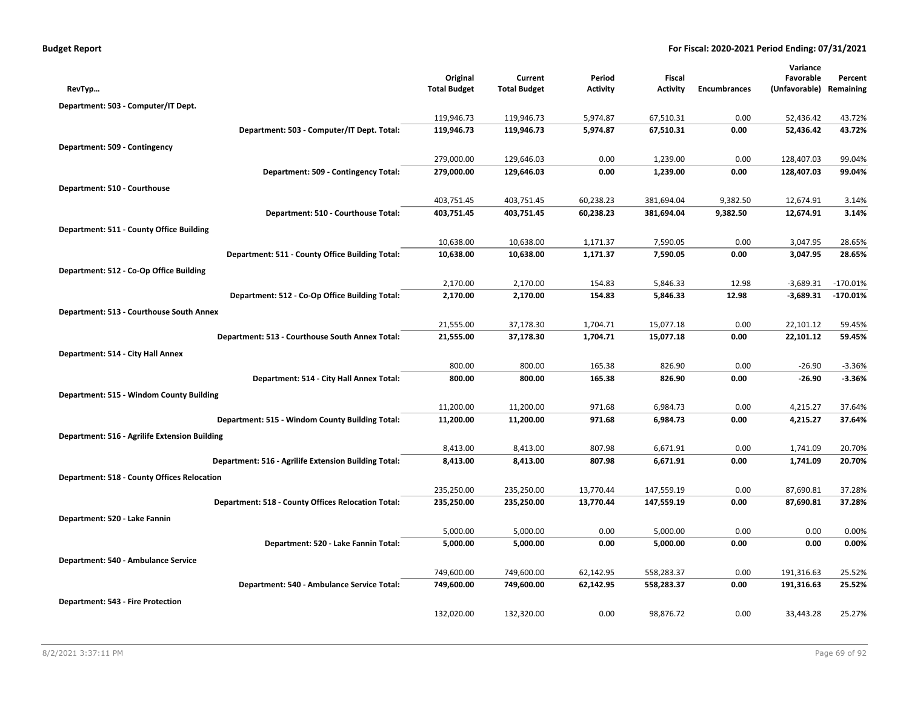|                                                      | Original            | Current             | Period          | Fiscal          |                     | Variance<br>Favorable   | Percent    |
|------------------------------------------------------|---------------------|---------------------|-----------------|-----------------|---------------------|-------------------------|------------|
| RevTyp                                               | <b>Total Budget</b> | <b>Total Budget</b> | <b>Activity</b> | <b>Activity</b> | <b>Encumbrances</b> | (Unfavorable) Remaining |            |
| Department: 503 - Computer/IT Dept.                  |                     |                     |                 |                 |                     |                         |            |
|                                                      | 119,946.73          | 119,946.73          | 5,974.87        | 67,510.31       | 0.00                | 52,436.42               | 43.72%     |
| Department: 503 - Computer/IT Dept. Total:           | 119,946.73          | 119,946.73          | 5,974.87        | 67,510.31       | 0.00                | 52,436.42               | 43.72%     |
| Department: 509 - Contingency                        |                     |                     |                 |                 |                     |                         |            |
|                                                      | 279,000.00          | 129,646.03          | 0.00            | 1,239.00        | 0.00                | 128,407.03              | 99.04%     |
| Department: 509 - Contingency Total:                 | 279,000.00          | 129,646.03          | 0.00            | 1,239.00        | 0.00                | 128,407.03              | 99.04%     |
| Department: 510 - Courthouse                         |                     |                     |                 |                 |                     |                         |            |
|                                                      | 403,751.45          | 403,751.45          | 60,238.23       | 381,694.04      | 9,382.50            | 12,674.91               | 3.14%      |
| Department: 510 - Courthouse Total:                  | 403,751.45          | 403,751.45          | 60,238.23       | 381,694.04      | 9,382.50            | 12,674.91               | 3.14%      |
| Department: 511 - County Office Building             |                     |                     |                 |                 |                     |                         |            |
|                                                      | 10,638.00           | 10,638.00           | 1,171.37        | 7,590.05        | 0.00                | 3,047.95                | 28.65%     |
| Department: 511 - County Office Building Total:      | 10,638.00           | 10,638.00           | 1,171.37        | 7,590.05        | 0.00                | 3,047.95                | 28.65%     |
| Department: 512 - Co-Op Office Building              |                     |                     |                 |                 |                     |                         |            |
|                                                      | 2,170.00            | 2,170.00            | 154.83          | 5,846.33        | 12.98               | $-3,689.31$             | $-170.01%$ |
| Department: 512 - Co-Op Office Building Total:       | 2,170.00            | 2,170.00            | 154.83          | 5,846.33        | 12.98               | $-3,689.31$             | $-170.01%$ |
| Department: 513 - Courthouse South Annex             |                     |                     |                 |                 |                     |                         |            |
|                                                      | 21,555.00           | 37,178.30           | 1,704.71        | 15,077.18       | 0.00                | 22,101.12               | 59.45%     |
| Department: 513 - Courthouse South Annex Total:      | 21,555.00           | 37,178.30           | 1,704.71        | 15,077.18       | 0.00                | 22,101.12               | 59.45%     |
| Department: 514 - City Hall Annex                    |                     |                     |                 |                 |                     |                         |            |
|                                                      | 800.00              | 800.00              | 165.38          | 826.90          | 0.00                | $-26.90$                | $-3.36%$   |
| Department: 514 - City Hall Annex Total:             | 800.00              | 800.00              | 165.38          | 826.90          | 0.00                | $-26.90$                | $-3.36%$   |
| Department: 515 - Windom County Building             |                     |                     |                 |                 |                     |                         |            |
|                                                      | 11,200.00           | 11,200.00           | 971.68          | 6,984.73        | 0.00                | 4,215.27                | 37.64%     |
| Department: 515 - Windom County Building Total:      | 11,200.00           | 11,200.00           | 971.68          | 6,984.73        | 0.00                | 4,215.27                | 37.64%     |
| Department: 516 - Agrilife Extension Building        |                     |                     |                 |                 |                     |                         |            |
|                                                      | 8,413.00            | 8,413.00            | 807.98          | 6,671.91        | 0.00                | 1,741.09                | 20.70%     |
| Department: 516 - Agrilife Extension Building Total: | 8,413.00            | 8,413.00            | 807.98          | 6,671.91        | 0.00                | 1,741.09                | 20.70%     |
| <b>Department: 518 - County Offices Relocation</b>   |                     |                     |                 |                 |                     |                         |            |
|                                                      | 235,250.00          | 235,250.00          | 13,770.44       | 147,559.19      | 0.00                | 87,690.81               | 37.28%     |
| Department: 518 - County Offices Relocation Total:   | 235,250.00          | 235,250.00          | 13,770.44       | 147,559.19      | 0.00                | 87,690.81               | 37.28%     |
| Department: 520 - Lake Fannin                        |                     |                     |                 |                 |                     |                         |            |
|                                                      | 5,000.00            | 5,000.00            | 0.00            | 5,000.00        | 0.00                | 0.00                    | 0.00%      |
| Department: 520 - Lake Fannin Total:                 | 5,000.00            | 5,000.00            | 0.00            | 5,000.00        | 0.00                | 0.00                    | 0.00%      |
| Department: 540 - Ambulance Service                  |                     |                     |                 |                 |                     |                         |            |
|                                                      | 749,600.00          | 749,600.00          | 62,142.95       | 558,283.37      | 0.00                | 191,316.63              | 25.52%     |
| Department: 540 - Ambulance Service Total:           | 749,600.00          | 749,600.00          | 62,142.95       | 558,283.37      | 0.00                | 191,316.63              | 25.52%     |
| <b>Department: 543 - Fire Protection</b>             |                     |                     |                 |                 |                     |                         |            |
|                                                      | 132,020.00          | 132,320.00          | 0.00            | 98,876.72       | 0.00                | 33,443.28               | 25.27%     |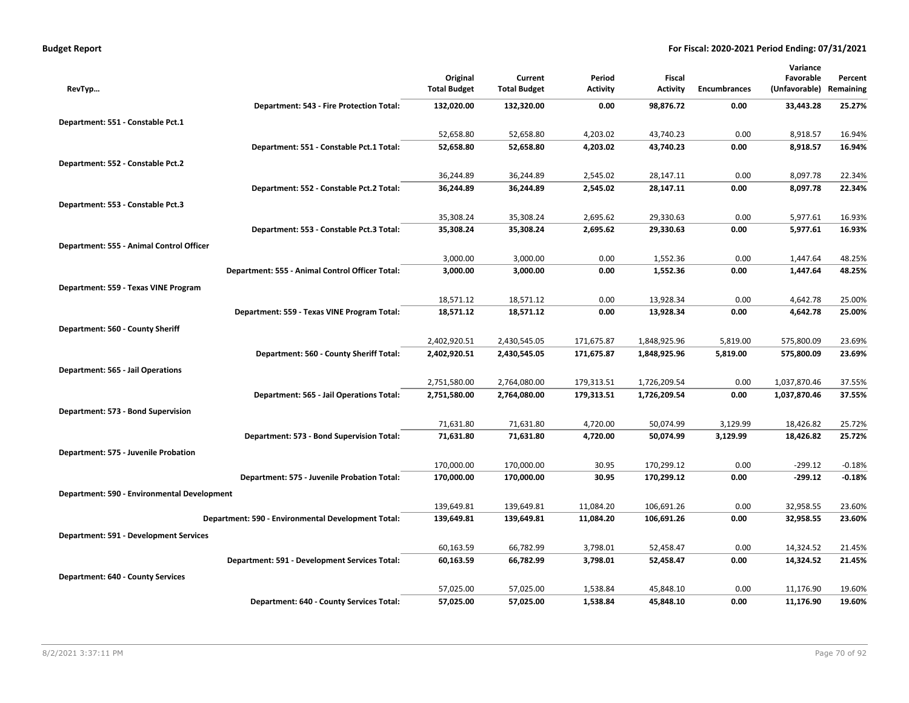| <b>Budget Report</b> |  |
|----------------------|--|
|----------------------|--|

|                                               |                                                    |                                 |                                |                           |                           |                     | Variance                   |                      |
|-----------------------------------------------|----------------------------------------------------|---------------------------------|--------------------------------|---------------------------|---------------------------|---------------------|----------------------------|----------------------|
| RevTyp                                        |                                                    | Original<br><b>Total Budget</b> | Current<br><b>Total Budget</b> | Period<br><b>Activity</b> | Fiscal<br><b>Activity</b> | <b>Encumbrances</b> | Favorable<br>(Unfavorable) | Percent<br>Remaining |
|                                               | Department: 543 - Fire Protection Total:           | 132,020.00                      | 132,320.00                     | 0.00                      | 98,876.72                 | 0.00                | 33,443.28                  | 25.27%               |
| Department: 551 - Constable Pct.1             |                                                    |                                 |                                |                           |                           |                     |                            |                      |
|                                               |                                                    | 52,658.80                       | 52,658.80                      | 4,203.02                  | 43,740.23                 | 0.00                | 8,918.57                   | 16.94%               |
|                                               | Department: 551 - Constable Pct.1 Total:           | 52,658.80                       | 52,658.80                      | 4,203.02                  | 43,740.23                 | 0.00                | 8,918.57                   | 16.94%               |
| Department: 552 - Constable Pct.2             |                                                    |                                 |                                |                           |                           |                     |                            |                      |
|                                               |                                                    | 36,244.89                       | 36,244.89                      | 2,545.02                  | 28,147.11                 | 0.00                | 8,097.78                   | 22.34%               |
|                                               | Department: 552 - Constable Pct.2 Total:           | 36,244.89                       | 36,244.89                      | 2,545.02                  | 28,147.11                 | 0.00                | 8,097.78                   | 22.34%               |
| Department: 553 - Constable Pct.3             |                                                    |                                 |                                |                           |                           |                     |                            |                      |
|                                               |                                                    | 35,308.24                       | 35,308.24                      | 2,695.62                  | 29,330.63                 | 0.00                | 5,977.61                   | 16.93%               |
|                                               | Department: 553 - Constable Pct.3 Total:           | 35,308.24                       | 35,308.24                      | 2,695.62                  | 29,330.63                 | 0.00                | 5,977.61                   | 16.93%               |
| Department: 555 - Animal Control Officer      |                                                    |                                 |                                |                           |                           |                     |                            |                      |
|                                               |                                                    | 3,000.00                        | 3,000.00                       | 0.00                      | 1,552.36                  | 0.00                | 1,447.64                   | 48.25%               |
|                                               | Department: 555 - Animal Control Officer Total:    | 3,000.00                        | 3,000.00                       | 0.00                      | 1,552.36                  | 0.00                | 1,447.64                   | 48.25%               |
| Department: 559 - Texas VINE Program          |                                                    |                                 |                                |                           |                           |                     |                            |                      |
|                                               |                                                    | 18,571.12                       | 18,571.12                      | 0.00                      | 13,928.34                 | 0.00                | 4,642.78                   | 25.00%               |
|                                               | Department: 559 - Texas VINE Program Total:        | 18,571.12                       | 18,571.12                      | 0.00                      | 13,928.34                 | 0.00                | 4,642.78                   | 25.00%               |
| Department: 560 - County Sheriff              |                                                    |                                 |                                |                           |                           |                     |                            |                      |
|                                               |                                                    | 2,402,920.51                    | 2,430,545.05                   | 171,675.87                | 1,848,925.96              | 5,819.00            | 575,800.09                 | 23.69%               |
|                                               | Department: 560 - County Sheriff Total:            | 2,402,920.51                    | 2,430,545.05                   | 171,675.87                | 1,848,925.96              | 5,819.00            | 575,800.09                 | 23.69%               |
| <b>Department: 565 - Jail Operations</b>      |                                                    |                                 |                                |                           |                           |                     |                            |                      |
|                                               |                                                    | 2,751,580.00                    | 2,764,080.00                   | 179,313.51                | 1,726,209.54              | 0.00                | 1,037,870.46               | 37.55%               |
|                                               | Department: 565 - Jail Operations Total:           | 2,751,580.00                    | 2,764,080.00                   | 179,313.51                | 1,726,209.54              | 0.00                | 1,037,870.46               | 37.55%               |
| Department: 573 - Bond Supervision            |                                                    |                                 |                                |                           |                           |                     |                            |                      |
|                                               |                                                    | 71,631.80                       | 71,631.80                      | 4,720.00                  | 50,074.99                 | 3,129.99            | 18,426.82                  | 25.72%               |
|                                               | Department: 573 - Bond Supervision Total:          | 71,631.80                       | 71,631.80                      | 4,720.00                  | 50,074.99                 | 3,129.99            | 18,426.82                  | 25.72%               |
| Department: 575 - Juvenile Probation          |                                                    |                                 |                                |                           |                           |                     |                            |                      |
|                                               |                                                    | 170,000.00                      | 170,000.00                     | 30.95                     | 170,299.12                | 0.00                | $-299.12$                  | $-0.18%$             |
|                                               | Department: 575 - Juvenile Probation Total:        | 170,000.00                      | 170,000.00                     | 30.95                     | 170,299.12                | 0.00                | $-299.12$                  | $-0.18%$             |
| Department: 590 - Environmental Development   |                                                    |                                 |                                |                           |                           |                     |                            |                      |
|                                               |                                                    | 139,649.81                      | 139,649.81                     | 11,084.20                 | 106,691.26                | 0.00                | 32,958.55                  | 23.60%               |
|                                               | Department: 590 - Environmental Development Total: | 139,649.81                      | 139,649.81                     | 11,084.20                 | 106,691.26                | 0.00                | 32,958.55                  | 23.60%               |
| <b>Department: 591 - Development Services</b> |                                                    |                                 |                                |                           |                           |                     |                            |                      |
|                                               |                                                    | 60,163.59                       | 66,782.99                      | 3,798.01                  | 52,458.47                 | 0.00                | 14,324.52                  | 21.45%               |
|                                               | Department: 591 - Development Services Total:      | 60,163.59                       | 66,782.99                      | 3,798.01                  | 52,458.47                 | 0.00                | 14,324.52                  | 21.45%               |
| <b>Department: 640 - County Services</b>      |                                                    |                                 |                                |                           |                           |                     |                            |                      |
|                                               |                                                    | 57,025.00                       | 57,025.00                      | 1,538.84                  | 45,848.10                 | 0.00                | 11,176.90                  | 19.60%               |
|                                               | Department: 640 - County Services Total:           | 57,025.00                       | 57,025.00                      | 1,538.84                  | 45,848.10                 | 0.00                | 11,176.90                  | 19.60%               |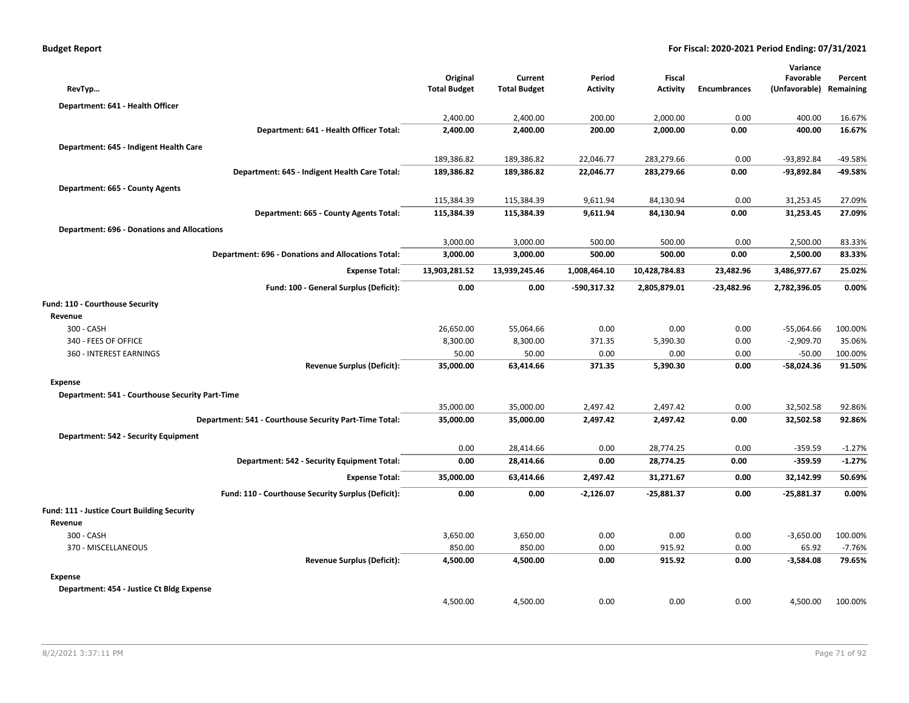|                                                    |                                                           |                                 |                                |                    |                           |                     | Variance                   |                      |
|----------------------------------------------------|-----------------------------------------------------------|---------------------------------|--------------------------------|--------------------|---------------------------|---------------------|----------------------------|----------------------|
| RevTyp                                             |                                                           | Original<br><b>Total Budget</b> | Current<br><b>Total Budget</b> | Period<br>Activity | Fiscal<br><b>Activity</b> | <b>Encumbrances</b> | Favorable<br>(Unfavorable) | Percent<br>Remaining |
|                                                    |                                                           |                                 |                                |                    |                           |                     |                            |                      |
| Department: 641 - Health Officer                   |                                                           |                                 |                                |                    |                           |                     |                            |                      |
|                                                    |                                                           | 2,400.00                        | 2,400.00                       | 200.00             | 2,000.00                  | 0.00                | 400.00                     | 16.67%               |
|                                                    | Department: 641 - Health Officer Total:                   | 2,400.00                        | 2,400.00                       | 200.00             | 2,000.00                  | 0.00                | 400.00                     | 16.67%               |
| Department: 645 - Indigent Health Care             |                                                           |                                 |                                |                    |                           |                     |                            |                      |
|                                                    |                                                           | 189,386.82                      | 189,386.82                     | 22,046.77          | 283,279.66                | 0.00                | $-93,892.84$               | $-49.58%$            |
|                                                    | Department: 645 - Indigent Health Care Total:             | 189,386.82                      | 189,386.82                     | 22,046.77          | 283,279.66                | 0.00                | $-93,892.84$               | -49.58%              |
| Department: 665 - County Agents                    |                                                           |                                 |                                |                    |                           |                     |                            |                      |
|                                                    |                                                           | 115,384.39                      | 115,384.39                     | 9,611.94           | 84,130.94                 | 0.00                | 31,253.45                  | 27.09%               |
|                                                    | Department: 665 - County Agents Total:                    | 115,384.39                      | 115,384.39                     | 9,611.94           | 84,130.94                 | 0.00                | 31,253.45                  | 27.09%               |
| <b>Department: 696 - Donations and Allocations</b> |                                                           |                                 |                                |                    |                           |                     |                            |                      |
|                                                    |                                                           | 3,000.00                        | 3,000.00                       | 500.00             | 500.00                    | 0.00                | 2,500.00                   | 83.33%               |
|                                                    | <b>Department: 696 - Donations and Allocations Total:</b> | 3,000.00                        | 3,000.00                       | 500.00             | 500.00                    | 0.00                | 2,500.00                   | 83.33%               |
|                                                    | <b>Expense Total:</b>                                     | 13,903,281.52                   | 13,939,245.46                  | 1,008,464.10       | 10,428,784.83             | 23,482.96           | 3,486,977.67               | 25.02%               |
|                                                    | Fund: 100 - General Surplus (Deficit):                    | 0.00                            | 0.00                           | -590,317.32        | 2,805,879.01              | $-23,482.96$        | 2,782,396.05               | 0.00%                |
| Fund: 110 - Courthouse Security                    |                                                           |                                 |                                |                    |                           |                     |                            |                      |
| Revenue                                            |                                                           |                                 |                                |                    |                           |                     |                            |                      |
| 300 - CASH                                         |                                                           | 26,650.00                       | 55,064.66                      | 0.00               | 0.00                      | 0.00                | $-55,064.66$               | 100.00%              |
| 340 - FEES OF OFFICE                               |                                                           | 8,300.00                        | 8,300.00                       | 371.35             | 5,390.30                  | 0.00                | $-2,909.70$                | 35.06%               |
| 360 - INTEREST EARNINGS                            |                                                           | 50.00                           | 50.00                          | 0.00               | 0.00                      | 0.00                | $-50.00$                   | 100.00%              |
|                                                    | <b>Revenue Surplus (Deficit):</b>                         | 35,000.00                       | 63,414.66                      | 371.35             | 5,390.30                  | 0.00                | $-58,024.36$               | 91.50%               |
| <b>Expense</b>                                     |                                                           |                                 |                                |                    |                           |                     |                            |                      |
| Department: 541 - Courthouse Security Part-Time    |                                                           |                                 |                                |                    |                           |                     |                            |                      |
|                                                    |                                                           | 35,000.00                       | 35,000.00                      | 2,497.42           | 2,497.42                  | 0.00                | 32,502.58                  | 92.86%               |
|                                                    | Department: 541 - Courthouse Security Part-Time Total:    | 35,000.00                       | 35,000.00                      | 2,497.42           | 2,497.42                  | 0.00                | 32,502.58                  | 92.86%               |
| Department: 542 - Security Equipment               |                                                           |                                 |                                |                    |                           |                     |                            |                      |
|                                                    |                                                           | 0.00                            | 28,414.66                      | 0.00               | 28,774.25                 | 0.00                | $-359.59$                  | $-1.27%$             |
|                                                    | Department: 542 - Security Equipment Total:               | 0.00                            | 28,414.66                      | 0.00               | 28,774.25                 | 0.00                | $-359.59$                  | $-1.27%$             |
|                                                    | <b>Expense Total:</b>                                     | 35,000.00                       | 63,414.66                      | 2,497.42           | 31,271.67                 | 0.00                | 32,142.99                  | 50.69%               |
|                                                    | Fund: 110 - Courthouse Security Surplus (Deficit):        | 0.00                            | 0.00                           | $-2,126.07$        | $-25,881.37$              | 0.00                | $-25,881.37$               | 0.00%                |
| Fund: 111 - Justice Court Building Security        |                                                           |                                 |                                |                    |                           |                     |                            |                      |
| Revenue                                            |                                                           |                                 |                                |                    |                           |                     |                            |                      |
| 300 - CASH                                         |                                                           | 3,650.00                        | 3,650.00                       | 0.00               | 0.00                      | 0.00                | $-3,650.00$                | 100.00%              |
| 370 - MISCELLANEOUS                                |                                                           | 850.00                          | 850.00                         | 0.00               | 915.92                    | 0.00                | 65.92                      | $-7.76%$             |
|                                                    | <b>Revenue Surplus (Deficit):</b>                         | 4,500.00                        | 4,500.00                       | 0.00               | 915.92                    | 0.00                | $-3,584.08$                | 79.65%               |
| Expense                                            |                                                           |                                 |                                |                    |                           |                     |                            |                      |
| Department: 454 - Justice Ct Bldg Expense          |                                                           |                                 |                                |                    |                           |                     |                            |                      |
|                                                    |                                                           | 4,500.00                        | 4,500.00                       | 0.00               | 0.00                      | 0.00                | 4,500.00                   | 100.00%              |
|                                                    |                                                           |                                 |                                |                    |                           |                     |                            |                      |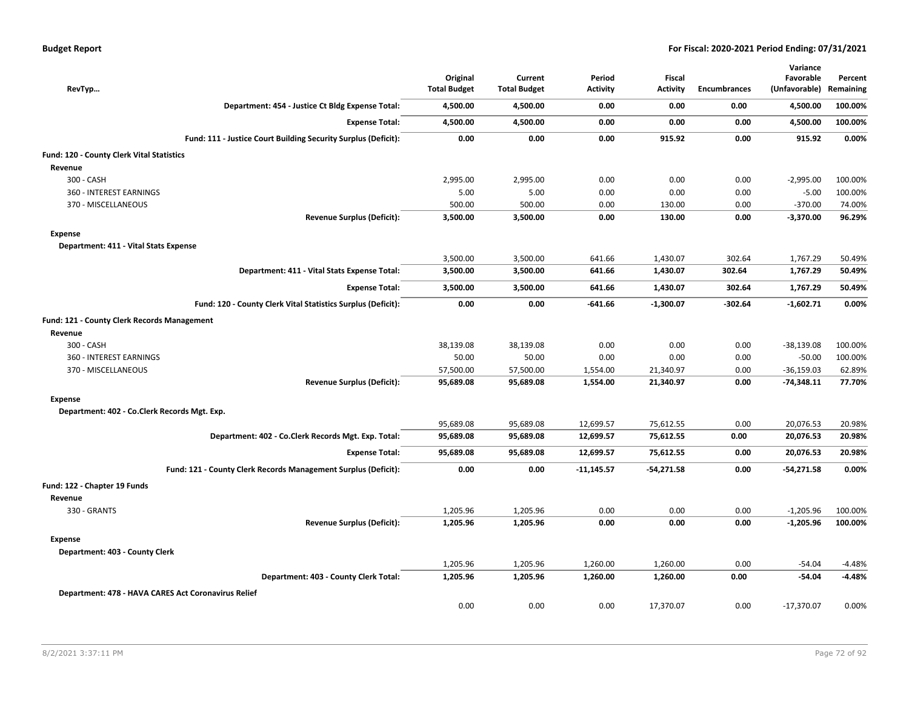| RevTyp                                              |                                                                | Original<br><b>Total Budget</b> | Current<br><b>Total Budget</b> | Period<br><b>Activity</b> | <b>Fiscal</b><br><b>Activity</b> | <b>Encumbrances</b> | Variance<br>Favorable<br>(Unfavorable) Remaining | Percent  |
|-----------------------------------------------------|----------------------------------------------------------------|---------------------------------|--------------------------------|---------------------------|----------------------------------|---------------------|--------------------------------------------------|----------|
|                                                     | Department: 454 - Justice Ct Bldg Expense Total:               | 4,500.00                        | 4,500.00                       | 0.00                      | 0.00                             | 0.00                | 4,500.00                                         | 100.00%  |
|                                                     | <b>Expense Total:</b>                                          | 4,500.00                        | 4,500.00                       | 0.00                      | 0.00                             | 0.00                | 4,500.00                                         | 100.00%  |
|                                                     | Fund: 111 - Justice Court Building Security Surplus (Deficit): | 0.00                            | 0.00                           | 0.00                      | 915.92                           | 0.00                | 915.92                                           | 0.00%    |
| Fund: 120 - County Clerk Vital Statistics           |                                                                |                                 |                                |                           |                                  |                     |                                                  |          |
| Revenue                                             |                                                                |                                 |                                |                           |                                  |                     |                                                  |          |
| 300 - CASH                                          |                                                                | 2,995.00                        | 2,995.00                       | 0.00                      | 0.00                             | 0.00                | $-2,995.00$                                      | 100.00%  |
| 360 - INTEREST EARNINGS                             |                                                                | 5.00                            | 5.00                           | 0.00                      | 0.00                             | 0.00                | $-5.00$                                          | 100.00%  |
| 370 - MISCELLANEOUS                                 |                                                                | 500.00                          | 500.00                         | 0.00                      | 130.00                           | 0.00                | $-370.00$                                        | 74.00%   |
|                                                     | <b>Revenue Surplus (Deficit):</b>                              | 3,500.00                        | 3,500.00                       | 0.00                      | 130.00                           | 0.00                | $-3,370.00$                                      | 96.29%   |
| <b>Expense</b>                                      |                                                                |                                 |                                |                           |                                  |                     |                                                  |          |
| Department: 411 - Vital Stats Expense               |                                                                |                                 |                                |                           |                                  |                     |                                                  |          |
|                                                     |                                                                | 3,500.00                        | 3,500.00                       | 641.66                    | 1,430.07                         | 302.64              | 1,767.29                                         | 50.49%   |
|                                                     | Department: 411 - Vital Stats Expense Total:                   | 3,500.00                        | 3,500.00                       | 641.66                    | 1,430.07                         | 302.64              | 1,767.29                                         | 50.49%   |
|                                                     | <b>Expense Total:</b>                                          | 3,500.00                        | 3,500.00                       | 641.66                    | 1,430.07                         | 302.64              | 1,767.29                                         | 50.49%   |
|                                                     | Fund: 120 - County Clerk Vital Statistics Surplus (Deficit):   | 0.00                            | 0.00                           | -641.66                   | $-1,300.07$                      | $-302.64$           | $-1,602.71$                                      | 0.00%    |
| Fund: 121 - County Clerk Records Management         |                                                                |                                 |                                |                           |                                  |                     |                                                  |          |
| Revenue                                             |                                                                |                                 |                                |                           |                                  |                     |                                                  |          |
| 300 - CASH                                          |                                                                | 38,139.08                       | 38,139.08                      | 0.00                      | 0.00                             | 0.00                | $-38,139.08$                                     | 100.00%  |
| 360 - INTEREST EARNINGS                             |                                                                | 50.00                           | 50.00                          | 0.00                      | 0.00                             | 0.00                | $-50.00$                                         | 100.00%  |
| 370 - MISCELLANEOUS                                 |                                                                | 57,500.00                       | 57,500.00                      | 1,554.00                  | 21,340.97                        | 0.00                | $-36,159.03$                                     | 62.89%   |
|                                                     | <b>Revenue Surplus (Deficit):</b>                              | 95,689.08                       | 95,689.08                      | 1,554.00                  | 21,340.97                        | 0.00                | $-74,348.11$                                     | 77.70%   |
| <b>Expense</b>                                      |                                                                |                                 |                                |                           |                                  |                     |                                                  |          |
| Department: 402 - Co.Clerk Records Mgt. Exp.        |                                                                |                                 |                                |                           |                                  |                     |                                                  |          |
|                                                     |                                                                | 95,689.08                       | 95,689.08                      | 12,699.57                 | 75,612.55                        | 0.00                | 20,076.53                                        | 20.98%   |
|                                                     | Department: 402 - Co.Clerk Records Mgt. Exp. Total:            | 95,689.08                       | 95,689.08                      | 12,699.57                 | 75,612.55                        | 0.00                | 20,076.53                                        | 20.98%   |
|                                                     | <b>Expense Total:</b>                                          | 95,689.08                       | 95,689.08                      | 12,699.57                 | 75,612.55                        | 0.00                | 20,076.53                                        | 20.98%   |
|                                                     | Fund: 121 - County Clerk Records Management Surplus (Deficit): | 0.00                            | 0.00                           | $-11,145.57$              | $-54,271.58$                     | 0.00                | $-54,271.58$                                     | 0.00%    |
| Fund: 122 - Chapter 19 Funds                        |                                                                |                                 |                                |                           |                                  |                     |                                                  |          |
| Revenue                                             |                                                                |                                 |                                |                           |                                  |                     |                                                  |          |
| 330 - GRANTS                                        |                                                                | 1,205.96                        | 1,205.96                       | 0.00                      | 0.00                             | 0.00                | $-1,205.96$                                      | 100.00%  |
|                                                     | <b>Revenue Surplus (Deficit):</b>                              | 1,205.96                        | 1,205.96                       | 0.00                      | 0.00                             | 0.00                | $-1,205.96$                                      | 100.00%  |
| <b>Expense</b>                                      |                                                                |                                 |                                |                           |                                  |                     |                                                  |          |
| Department: 403 - County Clerk                      |                                                                |                                 |                                |                           |                                  |                     |                                                  |          |
|                                                     |                                                                | 1,205.96                        | 1,205.96                       | 1,260.00                  | 1,260.00                         | 0.00                | $-54.04$                                         | $-4.48%$ |
|                                                     | Department: 403 - County Clerk Total:                          | 1,205.96                        | 1,205.96                       | 1,260.00                  | 1,260.00                         | 0.00                | $-54.04$                                         | $-4.48%$ |
| Department: 478 - HAVA CARES Act Coronavirus Relief |                                                                |                                 |                                |                           |                                  |                     |                                                  |          |
|                                                     |                                                                | 0.00                            | 0.00                           | 0.00                      | 17,370.07                        | 0.00                | $-17,370.07$                                     | 0.00%    |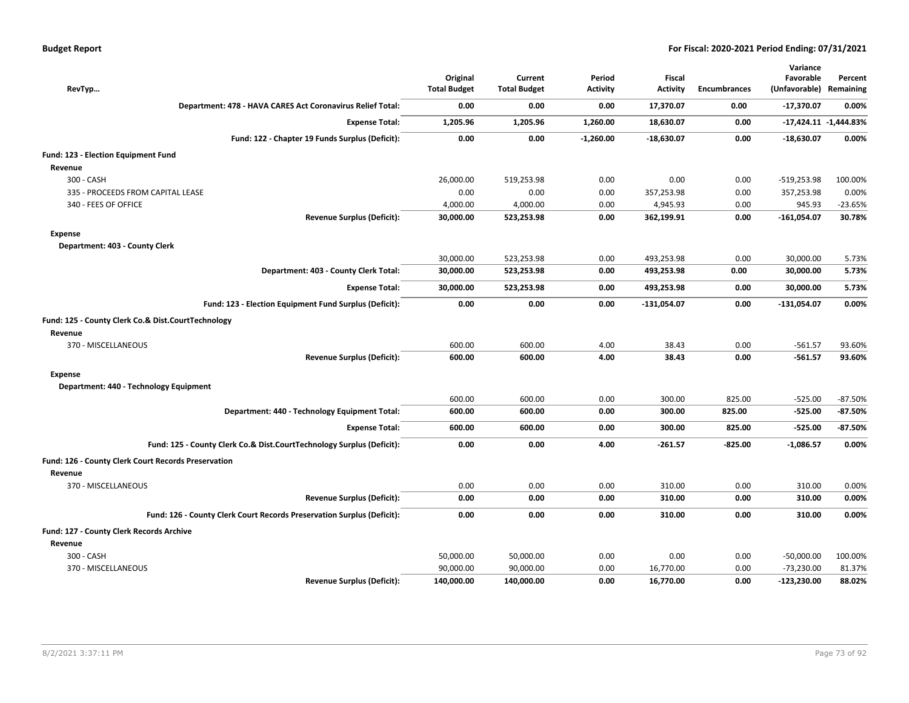| <b>Budget Report</b> |  |
|----------------------|--|
|----------------------|--|

| RevTyp                                                                 | Original<br><b>Total Budget</b> | Current<br><b>Total Budget</b> | Period<br><b>Activity</b> | <b>Fiscal</b><br><b>Activity</b> | Encumbrances | Variance<br>Favorable<br>(Unfavorable) Remaining | Percent                   |
|------------------------------------------------------------------------|---------------------------------|--------------------------------|---------------------------|----------------------------------|--------------|--------------------------------------------------|---------------------------|
| Department: 478 - HAVA CARES Act Coronavirus Relief Total:             | 0.00                            | 0.00                           | 0.00                      | 17,370.07                        | 0.00         | $-17,370.07$                                     | 0.00%                     |
| <b>Expense Total:</b>                                                  | 1,205.96                        | 1,205.96                       | 1,260.00                  | 18,630.07                        | 0.00         |                                                  | $-17,424.11$ $-1,444.83%$ |
| Fund: 122 - Chapter 19 Funds Surplus (Deficit):                        | 0.00                            | 0.00                           | $-1,260.00$               | $-18,630.07$                     | 0.00         | $-18,630.07$                                     | 0.00%                     |
| Fund: 123 - Election Equipment Fund<br>Revenue                         |                                 |                                |                           |                                  |              |                                                  |                           |
| 300 - CASH                                                             | 26,000.00                       | 519,253.98                     | 0.00                      | 0.00                             | 0.00         | $-519,253.98$                                    | 100.00%                   |
| 335 - PROCEEDS FROM CAPITAL LEASE                                      | 0.00                            | 0.00                           | 0.00                      | 357,253.98                       | 0.00         | 357,253.98                                       | 0.00%                     |
| 340 - FEES OF OFFICE                                                   | 4,000.00                        | 4,000.00                       | 0.00                      | 4,945.93                         | 0.00         | 945.93                                           | $-23.65%$                 |
| <b>Revenue Surplus (Deficit):</b>                                      | 30,000.00                       | 523,253.98                     | 0.00                      | 362,199.91                       | 0.00         | $-161,054.07$                                    | 30.78%                    |
| <b>Expense</b><br>Department: 403 - County Clerk                       |                                 |                                |                           |                                  |              |                                                  |                           |
|                                                                        | 30,000.00                       | 523,253.98                     | 0.00                      | 493,253.98                       | 0.00         | 30,000.00                                        | 5.73%                     |
| Department: 403 - County Clerk Total:                                  | 30,000.00                       | 523,253.98                     | 0.00                      | 493,253.98                       | 0.00         | 30,000.00                                        | 5.73%                     |
| <b>Expense Total:</b>                                                  | 30,000.00                       | 523,253.98                     | 0.00                      | 493,253.98                       | 0.00         | 30,000.00                                        | 5.73%                     |
| Fund: 123 - Election Equipment Fund Surplus (Deficit):                 | 0.00                            | 0.00                           | 0.00                      | $-131,054.07$                    | 0.00         | $-131,054.07$                                    | 0.00%                     |
| Fund: 125 - County Clerk Co.& Dist.CourtTechnology<br>Revenue          |                                 |                                |                           |                                  |              |                                                  |                           |
| 370 - MISCELLANEOUS                                                    | 600.00                          | 600.00                         | 4.00                      | 38.43                            | 0.00         | $-561.57$                                        | 93.60%                    |
| <b>Revenue Surplus (Deficit):</b>                                      | 600.00                          | 600.00                         | 4.00                      | 38.43                            | 0.00         | $-561.57$                                        | 93.60%                    |
| <b>Expense</b>                                                         |                                 |                                |                           |                                  |              |                                                  |                           |
| Department: 440 - Technology Equipment                                 |                                 |                                |                           |                                  |              |                                                  |                           |
|                                                                        | 600.00                          | 600.00                         | 0.00                      | 300.00                           | 825.00       | $-525.00$                                        | $-87.50%$                 |
| Department: 440 - Technology Equipment Total:                          | 600.00                          | 600.00                         | 0.00                      | 300.00                           | 825.00       | $-525.00$                                        | -87.50%                   |
| <b>Expense Total:</b>                                                  | 600.00                          | 600.00                         | 0.00                      | 300.00                           | 825.00       | $-525.00$                                        | $-87.50%$                 |
| Fund: 125 - County Clerk Co.& Dist.CourtTechnology Surplus (Deficit):  | 0.00                            | 0.00                           | 4.00                      | $-261.57$                        | $-825.00$    | $-1,086.57$                                      | 0.00%                     |
| Fund: 126 - County Clerk Court Records Preservation<br>Revenue         |                                 |                                |                           |                                  |              |                                                  |                           |
| 370 - MISCELLANEOUS                                                    | 0.00                            | 0.00                           | 0.00                      | 310.00                           | 0.00         | 310.00                                           | 0.00%                     |
| <b>Revenue Surplus (Deficit):</b>                                      | 0.00                            | 0.00                           | 0.00                      | 310.00                           | 0.00         | 310.00                                           | 0.00%                     |
| Fund: 126 - County Clerk Court Records Preservation Surplus (Deficit): | 0.00                            | 0.00                           | 0.00                      | 310.00                           | 0.00         | 310.00                                           | 0.00%                     |
| Fund: 127 - County Clerk Records Archive                               |                                 |                                |                           |                                  |              |                                                  |                           |
| Revenue                                                                |                                 |                                |                           |                                  |              |                                                  |                           |
| 300 - CASH                                                             | 50,000.00                       | 50,000.00                      | 0.00                      | 0.00                             | 0.00         | $-50,000.00$                                     | 100.00%                   |
| 370 - MISCELLANEOUS                                                    | 90,000.00                       | 90,000.00                      | 0.00                      | 16,770.00                        | 0.00         | $-73,230.00$                                     | 81.37%                    |
| <b>Revenue Surplus (Deficit):</b>                                      | 140,000.00                      | 140,000.00                     | 0.00                      | 16,770.00                        | 0.00         | $-123,230.00$                                    | 88.02%                    |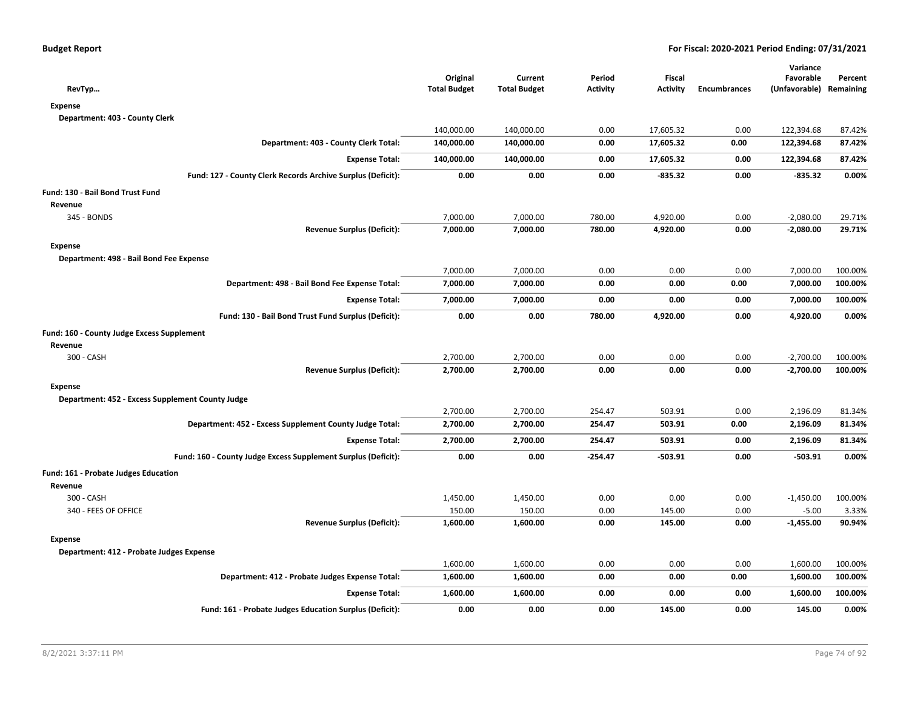| RevTyp                                                        | Original<br><b>Total Budget</b> | Current<br><b>Total Budget</b> | Period<br><b>Activity</b> | Fiscal<br><b>Activity</b> | <b>Encumbrances</b> | Variance<br>Favorable<br>(Unfavorable) | Percent<br>Remaining |
|---------------------------------------------------------------|---------------------------------|--------------------------------|---------------------------|---------------------------|---------------------|----------------------------------------|----------------------|
| <b>Expense</b>                                                |                                 |                                |                           |                           |                     |                                        |                      |
| Department: 403 - County Clerk                                |                                 |                                |                           |                           |                     |                                        |                      |
|                                                               | 140,000.00                      | 140,000.00                     | 0.00                      | 17,605.32                 | 0.00                | 122,394.68                             | 87.42%               |
| Department: 403 - County Clerk Total:                         | 140,000.00                      | 140,000.00                     | 0.00                      | 17,605.32                 | 0.00                | 122,394.68                             | 87.42%               |
| <b>Expense Total:</b>                                         | 140,000.00                      | 140,000.00                     | 0.00                      | 17,605.32                 | 0.00                | 122,394.68                             | 87.42%               |
| Fund: 127 - County Clerk Records Archive Surplus (Deficit):   | 0.00                            | 0.00                           | 0.00                      | $-835.32$                 | 0.00                | $-835.32$                              | 0.00%                |
| Fund: 130 - Bail Bond Trust Fund                              |                                 |                                |                           |                           |                     |                                        |                      |
| Revenue                                                       |                                 |                                |                           |                           |                     |                                        |                      |
| 345 - BONDS                                                   | 7,000.00                        | 7,000.00                       | 780.00                    | 4,920.00                  | 0.00                | $-2,080.00$                            | 29.71%               |
| <b>Revenue Surplus (Deficit):</b>                             | 7,000.00                        | 7,000.00                       | 780.00                    | 4,920.00                  | 0.00                | $-2,080.00$                            | 29.71%               |
| <b>Expense</b>                                                |                                 |                                |                           |                           |                     |                                        |                      |
| Department: 498 - Bail Bond Fee Expense                       |                                 |                                |                           |                           |                     |                                        |                      |
|                                                               | 7,000.00                        | 7,000.00                       | 0.00                      | 0.00                      | 0.00                | 7,000.00                               | 100.00%              |
| Department: 498 - Bail Bond Fee Expense Total:                | 7,000.00                        | 7,000.00                       | 0.00                      | 0.00                      | 0.00                | 7,000.00                               | 100.00%              |
| <b>Expense Total:</b>                                         | 7,000.00                        | 7,000.00                       | 0.00                      | 0.00                      | 0.00                | 7,000.00                               | 100.00%              |
| Fund: 130 - Bail Bond Trust Fund Surplus (Deficit):           | 0.00                            | 0.00                           | 780.00                    | 4,920.00                  | 0.00                | 4,920.00                               | 0.00%                |
| Fund: 160 - County Judge Excess Supplement                    |                                 |                                |                           |                           |                     |                                        |                      |
| Revenue                                                       |                                 |                                |                           |                           |                     |                                        |                      |
| 300 - CASH                                                    | 2,700.00                        | 2,700.00                       | 0.00                      | 0.00                      | 0.00                | $-2,700.00$                            | 100.00%              |
| <b>Revenue Surplus (Deficit):</b>                             | 2,700.00                        | 2,700.00                       | 0.00                      | 0.00                      | 0.00                | $-2,700.00$                            | 100.00%              |
| <b>Expense</b>                                                |                                 |                                |                           |                           |                     |                                        |                      |
| Department: 452 - Excess Supplement County Judge              |                                 |                                |                           |                           |                     |                                        |                      |
| Department: 452 - Excess Supplement County Judge Total:       | 2,700.00<br>2,700.00            | 2,700.00<br>2,700.00           | 254.47<br>254.47          | 503.91<br>503.91          | 0.00<br>0.00        | 2,196.09<br>2,196.09                   | 81.34%<br>81.34%     |
|                                                               |                                 |                                |                           |                           |                     |                                        |                      |
| <b>Expense Total:</b>                                         | 2,700.00                        | 2,700.00                       | 254.47                    | 503.91                    | 0.00                | 2,196.09                               | 81.34%               |
| Fund: 160 - County Judge Excess Supplement Surplus (Deficit): | 0.00                            | 0.00                           | $-254.47$                 | $-503.91$                 | 0.00                | $-503.91$                              | 0.00%                |
| Fund: 161 - Probate Judges Education                          |                                 |                                |                           |                           |                     |                                        |                      |
| Revenue                                                       |                                 |                                |                           |                           |                     |                                        |                      |
| 300 - CASH<br>340 - FEES OF OFFICE                            | 1,450.00<br>150.00              | 1,450.00<br>150.00             | 0.00<br>0.00              | 0.00                      | 0.00<br>0.00        | $-1,450.00$<br>$-5.00$                 | 100.00%<br>3.33%     |
| <b>Revenue Surplus (Deficit):</b>                             | 1,600.00                        | 1,600.00                       | 0.00                      | 145.00<br>145.00          | 0.00                | $-1,455.00$                            | 90.94%               |
|                                                               |                                 |                                |                           |                           |                     |                                        |                      |
| <b>Expense</b><br>Department: 412 - Probate Judges Expense    |                                 |                                |                           |                           |                     |                                        |                      |
|                                                               | 1,600.00                        | 1,600.00                       | 0.00                      | 0.00                      | 0.00                | 1,600.00                               | 100.00%              |
| Department: 412 - Probate Judges Expense Total:               | 1,600.00                        | 1,600.00                       | 0.00                      | 0.00                      | 0.00                | 1,600.00                               | 100.00%              |
| <b>Expense Total:</b>                                         | 1,600.00                        | 1,600.00                       | 0.00                      | 0.00                      | 0.00                | 1,600.00                               | 100.00%              |
| Fund: 161 - Probate Judges Education Surplus (Deficit):       | 0.00                            | 0.00                           | 0.00                      | 145.00                    | 0.00                | 145.00                                 | 0.00%                |
|                                                               |                                 |                                |                           |                           |                     |                                        |                      |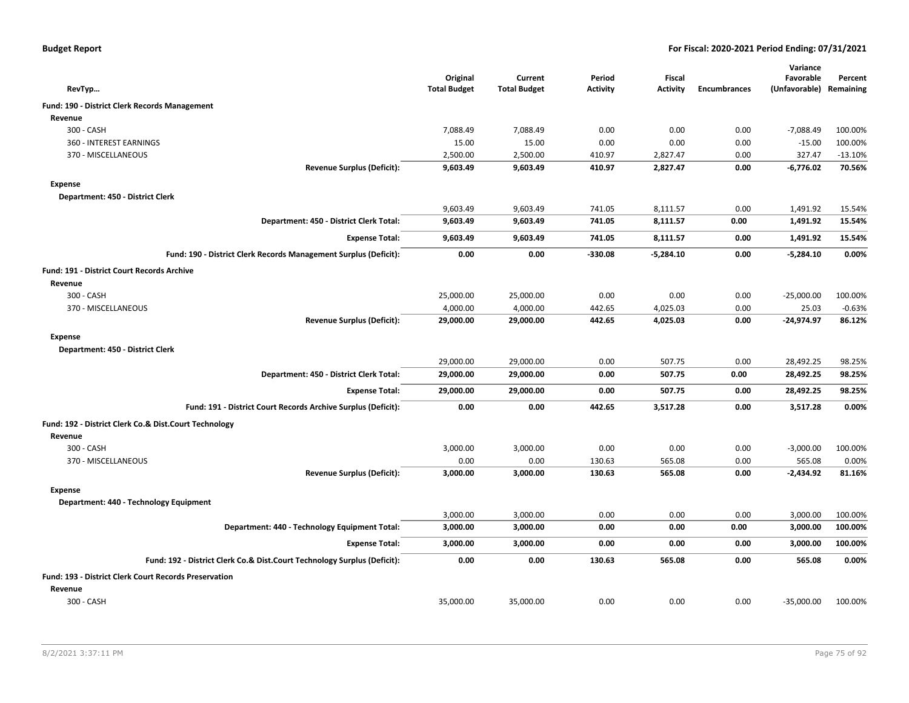| <b>Budget Report</b> |  |
|----------------------|--|
|----------------------|--|

|                                                                          |                                 |                                |                           |                           |                     | Variance                   |                      |
|--------------------------------------------------------------------------|---------------------------------|--------------------------------|---------------------------|---------------------------|---------------------|----------------------------|----------------------|
| RevTyp                                                                   | Original<br><b>Total Budget</b> | Current<br><b>Total Budget</b> | Period<br><b>Activity</b> | Fiscal<br><b>Activity</b> | <b>Encumbrances</b> | Favorable<br>(Unfavorable) | Percent<br>Remaining |
|                                                                          |                                 |                                |                           |                           |                     |                            |                      |
| Fund: 190 - District Clerk Records Management                            |                                 |                                |                           |                           |                     |                            |                      |
| Revenue                                                                  |                                 |                                |                           |                           |                     |                            |                      |
| 300 - CASH                                                               | 7,088.49                        | 7,088.49                       | 0.00                      | 0.00                      | 0.00                | $-7,088.49$                | 100.00%              |
| 360 - INTEREST EARNINGS                                                  | 15.00                           | 15.00                          | 0.00                      | 0.00                      | 0.00                | $-15.00$                   | 100.00%              |
| 370 - MISCELLANEOUS<br><b>Revenue Surplus (Deficit):</b>                 | 2,500.00<br>9,603.49            | 2,500.00<br>9,603.49           | 410.97<br>410.97          | 2,827.47<br>2,827.47      | 0.00<br>0.00        | 327.47<br>$-6,776.02$      | $-13.10%$<br>70.56%  |
|                                                                          |                                 |                                |                           |                           |                     |                            |                      |
| <b>Expense</b>                                                           |                                 |                                |                           |                           |                     |                            |                      |
| Department: 450 - District Clerk                                         | 9,603.49                        | 9,603.49                       | 741.05                    | 8,111.57                  | 0.00                | 1,491.92                   | 15.54%               |
| Department: 450 - District Clerk Total:                                  | 9,603.49                        | 9,603.49                       | 741.05                    | 8,111.57                  | 0.00                | 1,491.92                   | 15.54%               |
|                                                                          |                                 |                                |                           |                           |                     |                            |                      |
| <b>Expense Total:</b>                                                    | 9,603.49                        | 9,603.49                       | 741.05                    | 8,111.57                  | 0.00                | 1,491.92                   | 15.54%               |
| Fund: 190 - District Clerk Records Management Surplus (Deficit):         | 0.00                            | 0.00                           | $-330.08$                 | $-5,284.10$               | 0.00                | $-5,284.10$                | 0.00%                |
| Fund: 191 - District Court Records Archive                               |                                 |                                |                           |                           |                     |                            |                      |
| Revenue                                                                  |                                 |                                |                           |                           |                     |                            |                      |
| 300 - CASH                                                               | 25,000.00                       | 25,000.00                      | 0.00                      | 0.00                      | 0.00                | $-25,000.00$               | 100.00%              |
| 370 - MISCELLANEOUS                                                      | 4,000.00                        | 4,000.00                       | 442.65                    | 4,025.03                  | 0.00                | 25.03                      | $-0.63%$             |
| <b>Revenue Surplus (Deficit):</b>                                        | 29,000.00                       | 29,000.00                      | 442.65                    | 4,025.03                  | 0.00                | $-24,974.97$               | 86.12%               |
| <b>Expense</b>                                                           |                                 |                                |                           |                           |                     |                            |                      |
| Department: 450 - District Clerk                                         |                                 |                                |                           |                           |                     |                            |                      |
|                                                                          | 29,000.00                       | 29,000.00                      | 0.00                      | 507.75                    | 0.00                | 28,492.25                  | 98.25%               |
| Department: 450 - District Clerk Total:                                  | 29,000.00                       | 29,000.00                      | 0.00                      | 507.75                    | 0.00                | 28,492.25                  | 98.25%               |
| <b>Expense Total:</b>                                                    | 29,000.00                       | 29,000.00                      | 0.00                      | 507.75                    | 0.00                | 28,492.25                  | 98.25%               |
| Fund: 191 - District Court Records Archive Surplus (Deficit):            | 0.00                            | 0.00                           | 442.65                    | 3,517.28                  | 0.00                | 3,517.28                   | 0.00%                |
| Fund: 192 - District Clerk Co.& Dist.Court Technology                    |                                 |                                |                           |                           |                     |                            |                      |
| Revenue                                                                  |                                 |                                |                           |                           |                     |                            |                      |
| 300 - CASH                                                               | 3,000.00                        | 3,000.00                       | 0.00                      | 0.00                      | 0.00                | $-3,000.00$                | 100.00%              |
| 370 - MISCELLANEOUS                                                      | 0.00                            | 0.00                           | 130.63                    | 565.08                    | 0.00                | 565.08                     | 0.00%                |
| <b>Revenue Surplus (Deficit):</b>                                        | 3,000.00                        | 3,000.00                       | 130.63                    | 565.08                    | 0.00                | $-2,434.92$                | 81.16%               |
| <b>Expense</b>                                                           |                                 |                                |                           |                           |                     |                            |                      |
| Department: 440 - Technology Equipment                                   |                                 |                                |                           |                           |                     |                            |                      |
|                                                                          | 3,000.00                        | 3,000.00                       | 0.00                      | 0.00                      | 0.00                | 3,000.00                   | 100.00%              |
| Department: 440 - Technology Equipment Total:                            | 3,000.00                        | 3,000.00                       | 0.00                      | 0.00                      | 0.00                | 3,000.00                   | 100.00%              |
| <b>Expense Total:</b>                                                    | 3,000.00                        | 3,000.00                       | 0.00                      | 0.00                      | 0.00                | 3,000.00                   | 100.00%              |
| Fund: 192 - District Clerk Co.& Dist.Court Technology Surplus (Deficit): | 0.00                            | 0.00                           | 130.63                    | 565.08                    | 0.00                | 565.08                     | 0.00%                |
| Fund: 193 - District Clerk Court Records Preservation                    |                                 |                                |                           |                           |                     |                            |                      |
| Revenue                                                                  |                                 |                                |                           |                           |                     |                            |                      |
| 300 - CASH                                                               | 35,000.00                       | 35,000.00                      | 0.00                      | 0.00                      | 0.00                | $-35,000.00$               | 100.00%              |
|                                                                          |                                 |                                |                           |                           |                     |                            |                      |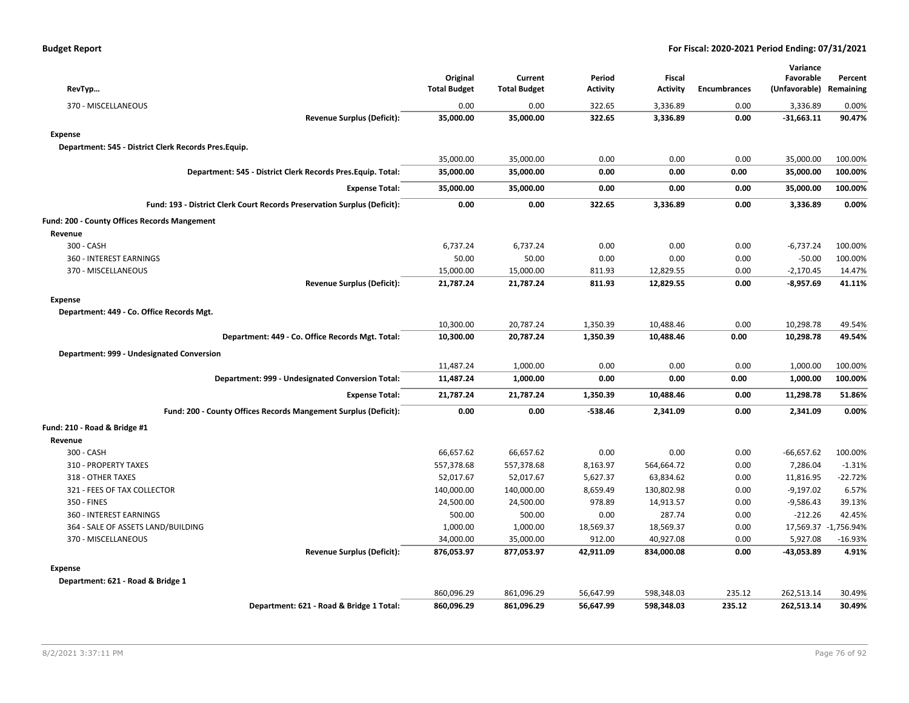| RevTyp                                                                   | Original<br><b>Total Budget</b> | Current<br><b>Total Budget</b> | Period<br><b>Activity</b> | <b>Fiscal</b><br><b>Activity</b> | <b>Encumbrances</b> | Variance<br>Favorable<br>(Unfavorable) Remaining | Percent              |
|--------------------------------------------------------------------------|---------------------------------|--------------------------------|---------------------------|----------------------------------|---------------------|--------------------------------------------------|----------------------|
| 370 - MISCELLANEOUS                                                      | 0.00                            | 0.00                           | 322.65                    | 3,336.89                         | 0.00                | 3,336.89                                         | 0.00%                |
| <b>Revenue Surplus (Deficit):</b>                                        | 35,000.00                       | 35,000.00                      | 322.65                    | 3,336.89                         | 0.00                | $-31,663.11$                                     | 90.47%               |
| <b>Expense</b>                                                           |                                 |                                |                           |                                  |                     |                                                  |                      |
| Department: 545 - District Clerk Records Pres.Equip.                     |                                 |                                |                           |                                  |                     |                                                  |                      |
|                                                                          | 35,000.00                       | 35,000.00                      | 0.00                      | 0.00                             | 0.00                | 35,000.00                                        | 100.00%              |
| Department: 545 - District Clerk Records Pres. Equip. Total:             | 35,000.00                       | 35,000.00                      | 0.00                      | 0.00                             | 0.00                | 35,000.00                                        | 100.00%              |
| <b>Expense Total:</b>                                                    | 35,000.00                       | 35,000.00                      | 0.00                      | 0.00                             | 0.00                | 35,000.00                                        | 100.00%              |
| Fund: 193 - District Clerk Court Records Preservation Surplus (Deficit): | 0.00                            | 0.00                           | 322.65                    | 3,336.89                         | 0.00                | 3,336.89                                         | 0.00%                |
| Fund: 200 - County Offices Records Mangement                             |                                 |                                |                           |                                  |                     |                                                  |                      |
| Revenue                                                                  |                                 |                                |                           |                                  |                     |                                                  |                      |
| 300 - CASH                                                               | 6,737.24                        | 6,737.24                       | 0.00                      | 0.00                             | 0.00                | $-6,737.24$                                      | 100.00%              |
| 360 - INTEREST EARNINGS                                                  | 50.00                           | 50.00                          | 0.00                      | 0.00                             | 0.00                | $-50.00$                                         | 100.00%              |
| 370 - MISCELLANEOUS                                                      | 15,000.00                       | 15,000.00                      | 811.93                    | 12,829.55                        | 0.00                | $-2,170.45$                                      | 14.47%               |
| <b>Revenue Surplus (Deficit):</b>                                        | 21,787.24                       | 21,787.24                      | 811.93                    | 12,829.55                        | 0.00                | -8,957.69                                        | 41.11%               |
| <b>Expense</b>                                                           |                                 |                                |                           |                                  |                     |                                                  |                      |
| Department: 449 - Co. Office Records Mgt.                                |                                 |                                |                           |                                  |                     |                                                  |                      |
|                                                                          | 10,300.00                       | 20,787.24                      | 1,350.39                  | 10,488.46                        | 0.00                | 10,298.78                                        | 49.54%               |
| Department: 449 - Co. Office Records Mgt. Total:                         | 10,300.00                       | 20,787.24                      | 1,350.39                  | 10,488.46                        | 0.00                | 10,298.78                                        | 49.54%               |
| Department: 999 - Undesignated Conversion                                |                                 |                                |                           |                                  |                     |                                                  |                      |
|                                                                          | 11,487.24                       | 1,000.00                       | 0.00                      | 0.00                             | 0.00                | 1,000.00                                         | 100.00%              |
| Department: 999 - Undesignated Conversion Total:                         | 11,487.24                       | 1,000.00                       | 0.00                      | 0.00                             | 0.00                | 1,000.00                                         | 100.00%              |
| <b>Expense Total:</b>                                                    | 21,787.24                       | 21,787.24                      | 1,350.39                  | 10,488.46                        | 0.00                | 11,298.78                                        | 51.86%               |
| Fund: 200 - County Offices Records Mangement Surplus (Deficit):          | 0.00                            | 0.00                           | $-538.46$                 | 2,341.09                         | 0.00                | 2,341.09                                         | 0.00%                |
| Fund: 210 - Road & Bridge #1                                             |                                 |                                |                           |                                  |                     |                                                  |                      |
| Revenue                                                                  |                                 |                                |                           |                                  |                     |                                                  |                      |
| 300 - CASH                                                               | 66,657.62                       | 66,657.62                      | 0.00                      | 0.00                             | 0.00                | $-66,657.62$                                     | 100.00%              |
| 310 - PROPERTY TAXES                                                     | 557,378.68                      | 557,378.68                     | 8,163.97                  | 564,664.72                       | 0.00                | 7,286.04                                         | $-1.31%$             |
| 318 - OTHER TAXES                                                        | 52,017.67                       | 52,017.67                      | 5,627.37                  | 63,834.62                        | 0.00                | 11,816.95                                        | $-22.72%$            |
| 321 - FEES OF TAX COLLECTOR                                              | 140,000.00                      | 140,000.00                     | 8,659.49                  | 130,802.98                       | 0.00                | $-9,197.02$                                      | 6.57%                |
| 350 - FINES                                                              | 24,500.00                       | 24,500.00                      | 978.89                    | 14,913.57                        | 0.00                | $-9,586.43$                                      | 39.13%               |
| 360 - INTEREST EARNINGS                                                  | 500.00                          | 500.00                         | 0.00                      | 287.74                           | 0.00                | $-212.26$                                        | 42.45%               |
| 364 - SALE OF ASSETS LAND/BUILDING                                       | 1,000.00                        | 1,000.00                       | 18,569.37                 | 18,569.37                        | 0.00                |                                                  | 17,569.37 -1,756.94% |
| 370 - MISCELLANEOUS                                                      | 34,000.00                       | 35,000.00                      | 912.00                    | 40,927.08                        | 0.00                | 5,927.08                                         | $-16.93%$            |
| <b>Revenue Surplus (Deficit):</b>                                        | 876,053.97                      | 877,053.97                     | 42,911.09                 | 834,000.08                       | 0.00                | -43,053.89                                       | 4.91%                |
| <b>Expense</b>                                                           |                                 |                                |                           |                                  |                     |                                                  |                      |
| Department: 621 - Road & Bridge 1                                        |                                 |                                |                           |                                  |                     |                                                  |                      |
|                                                                          | 860,096.29                      | 861,096.29                     | 56,647.99                 | 598,348.03                       | 235.12              | 262,513.14                                       | 30.49%               |
| Department: 621 - Road & Bridge 1 Total:                                 | 860,096.29                      | 861,096.29                     | 56,647.99                 | 598,348.03                       | 235.12              | 262,513.14                                       | 30.49%               |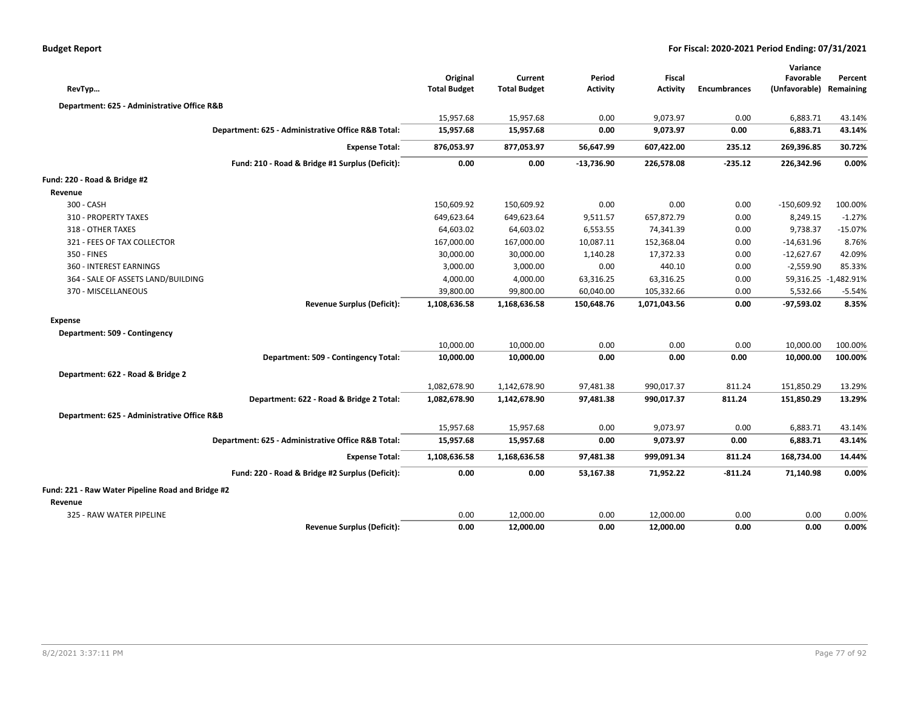| RevTyp                                            |                                                    | Original<br><b>Total Budget</b> | Current<br><b>Total Budget</b> | Period<br><b>Activity</b> | <b>Fiscal</b><br><b>Activity</b> | <b>Encumbrances</b> | Variance<br>Favorable<br>(Unfavorable) Remaining | Percent              |
|---------------------------------------------------|----------------------------------------------------|---------------------------------|--------------------------------|---------------------------|----------------------------------|---------------------|--------------------------------------------------|----------------------|
| Department: 625 - Administrative Office R&B       |                                                    |                                 |                                |                           |                                  |                     |                                                  |                      |
|                                                   |                                                    | 15,957.68                       | 15,957.68                      | 0.00                      | 9,073.97                         | 0.00                | 6,883.71                                         | 43.14%               |
|                                                   | Department: 625 - Administrative Office R&B Total: | 15,957.68                       | 15,957.68                      | 0.00                      | 9,073.97                         | 0.00                | 6,883.71                                         | 43.14%               |
|                                                   | <b>Expense Total:</b>                              | 876,053.97                      | 877,053.97                     | 56,647.99                 | 607,422.00                       | 235.12              | 269,396.85                                       | 30.72%               |
|                                                   | Fund: 210 - Road & Bridge #1 Surplus (Deficit):    | 0.00                            | 0.00                           | $-13,736.90$              | 226,578.08                       | $-235.12$           | 226,342.96                                       | 0.00%                |
|                                                   |                                                    |                                 |                                |                           |                                  |                     |                                                  |                      |
| Fund: 220 - Road & Bridge #2                      |                                                    |                                 |                                |                           |                                  |                     |                                                  |                      |
| Revenue                                           |                                                    |                                 |                                |                           |                                  |                     |                                                  |                      |
| 300 - CASH                                        |                                                    | 150,609.92                      | 150,609.92                     | 0.00                      | 0.00                             | 0.00                | $-150,609.92$                                    | 100.00%              |
| 310 - PROPERTY TAXES                              |                                                    | 649,623.64                      | 649,623.64                     | 9,511.57                  | 657,872.79                       | 0.00                | 8,249.15                                         | $-1.27%$             |
| 318 - OTHER TAXES                                 |                                                    | 64,603.02                       | 64,603.02                      | 6,553.55                  | 74,341.39                        | 0.00                | 9,738.37                                         | $-15.07%$            |
| 321 - FEES OF TAX COLLECTOR                       |                                                    | 167,000.00                      | 167,000.00                     | 10,087.11                 | 152,368.04                       | 0.00                | $-14,631.96$                                     | 8.76%                |
| 350 - FINES                                       |                                                    | 30,000.00                       | 30,000.00                      | 1,140.28                  | 17,372.33                        | 0.00                | $-12,627.67$                                     | 42.09%               |
| 360 - INTEREST EARNINGS                           |                                                    | 3,000.00                        | 3,000.00                       | 0.00                      | 440.10                           | 0.00                | $-2,559.90$                                      | 85.33%               |
| 364 - SALE OF ASSETS LAND/BUILDING                |                                                    | 4,000.00                        | 4,000.00                       | 63,316.25                 | 63,316.25                        | 0.00                |                                                  | 59,316.25 -1,482.91% |
| 370 - MISCELLANEOUS                               |                                                    | 39,800.00                       | 99,800.00                      | 60,040.00                 | 105,332.66                       | 0.00                | 5,532.66                                         | $-5.54%$             |
|                                                   | <b>Revenue Surplus (Deficit):</b>                  | 1,108,636.58                    | 1,168,636.58                   | 150,648.76                | 1,071,043.56                     | 0.00                | $-97,593.02$                                     | 8.35%                |
| <b>Expense</b>                                    |                                                    |                                 |                                |                           |                                  |                     |                                                  |                      |
| Department: 509 - Contingency                     |                                                    |                                 |                                |                           |                                  |                     |                                                  |                      |
|                                                   |                                                    | 10,000.00                       | 10,000.00                      | 0.00                      | 0.00                             | 0.00                | 10,000.00                                        | 100.00%              |
|                                                   | Department: 509 - Contingency Total:               | 10,000.00                       | 10,000.00                      | 0.00                      | 0.00                             | 0.00                | 10,000.00                                        | 100.00%              |
| Department: 622 - Road & Bridge 2                 |                                                    |                                 |                                |                           |                                  |                     |                                                  |                      |
|                                                   |                                                    | 1,082,678.90                    | 1,142,678.90                   | 97,481.38                 | 990,017.37                       | 811.24              | 151,850.29                                       | 13.29%               |
|                                                   | Department: 622 - Road & Bridge 2 Total:           | 1,082,678.90                    | 1,142,678.90                   | 97,481.38                 | 990,017.37                       | 811.24              | 151,850.29                                       | 13.29%               |
| Department: 625 - Administrative Office R&B       |                                                    |                                 |                                |                           |                                  |                     |                                                  |                      |
|                                                   |                                                    | 15,957.68                       | 15,957.68                      | 0.00                      | 9,073.97                         | 0.00                | 6,883.71                                         | 43.14%               |
|                                                   | Department: 625 - Administrative Office R&B Total: | 15,957.68                       | 15,957.68                      | 0.00                      | 9,073.97                         | 0.00                | 6,883.71                                         | 43.14%               |
|                                                   | <b>Expense Total:</b>                              | 1,108,636.58                    | 1,168,636.58                   | 97,481.38                 | 999,091.34                       | 811.24              | 168,734.00                                       | 14.44%               |
|                                                   | Fund: 220 - Road & Bridge #2 Surplus (Deficit):    | 0.00                            | 0.00                           | 53,167.38                 | 71,952.22                        | $-811.24$           | 71,140.98                                        | 0.00%                |
| Fund: 221 - Raw Water Pipeline Road and Bridge #2 |                                                    |                                 |                                |                           |                                  |                     |                                                  |                      |
| Revenue                                           |                                                    |                                 |                                |                           |                                  |                     |                                                  |                      |
| 325 - RAW WATER PIPELINE                          |                                                    | 0.00                            | 12,000.00                      | 0.00                      | 12,000.00                        | 0.00                | 0.00                                             | 0.00%                |
|                                                   | <b>Revenue Surplus (Deficit):</b>                  | 0.00                            | 12,000.00                      | 0.00                      | 12,000.00                        | 0.00                | 0.00                                             | 0.00%                |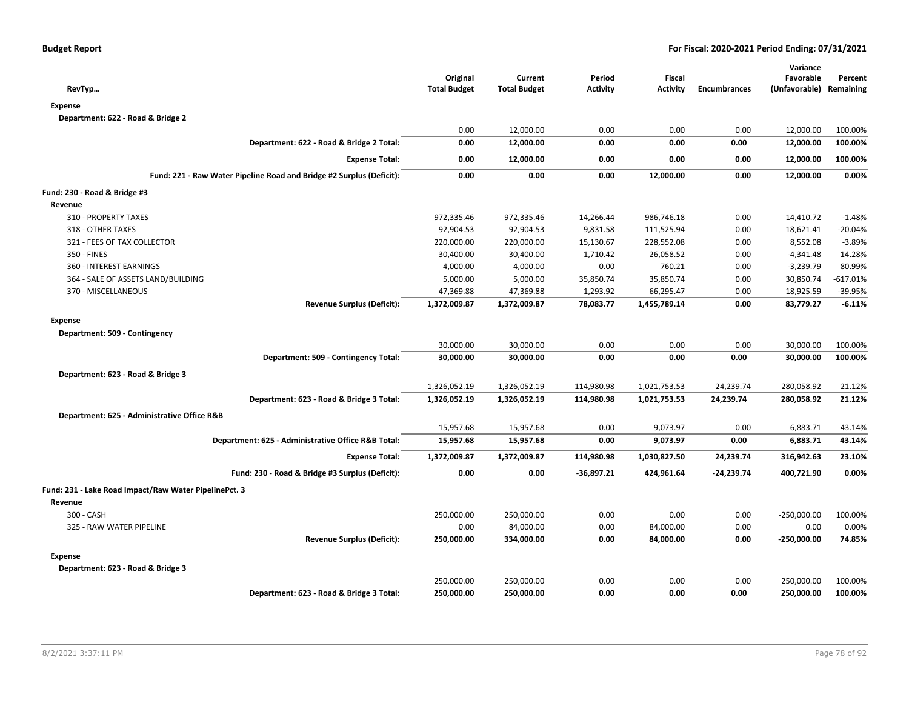| RevTyp                                                               | Original<br><b>Total Budget</b> | Current<br><b>Total Budget</b> | Period<br><b>Activity</b> | Fiscal<br><b>Activity</b> | <b>Encumbrances</b> | Variance<br>Favorable<br>(Unfavorable) Remaining | Percent    |
|----------------------------------------------------------------------|---------------------------------|--------------------------------|---------------------------|---------------------------|---------------------|--------------------------------------------------|------------|
| <b>Expense</b>                                                       |                                 |                                |                           |                           |                     |                                                  |            |
| Department: 622 - Road & Bridge 2                                    |                                 |                                |                           |                           |                     |                                                  |            |
|                                                                      | 0.00                            | 12,000.00                      | 0.00                      | 0.00                      | 0.00                | 12,000.00                                        | 100.00%    |
| Department: 622 - Road & Bridge 2 Total:                             | 0.00                            | 12,000.00                      | 0.00                      | 0.00                      | 0.00                | 12,000.00                                        | 100.00%    |
| <b>Expense Total:</b>                                                | 0.00                            | 12,000.00                      | 0.00                      | 0.00                      | 0.00                | 12,000.00                                        | 100.00%    |
| Fund: 221 - Raw Water Pipeline Road and Bridge #2 Surplus (Deficit): | 0.00                            | 0.00                           | 0.00                      | 12,000.00                 | 0.00                | 12,000.00                                        | 0.00%      |
| Fund: 230 - Road & Bridge #3                                         |                                 |                                |                           |                           |                     |                                                  |            |
| Revenue                                                              |                                 |                                |                           |                           |                     |                                                  |            |
| 310 - PROPERTY TAXES                                                 | 972,335.46                      | 972,335.46                     | 14,266.44                 | 986,746.18                | 0.00                | 14,410.72                                        | $-1.48%$   |
| 318 - OTHER TAXES                                                    | 92,904.53                       | 92,904.53                      | 9,831.58                  | 111,525.94                | 0.00                | 18,621.41                                        | $-20.04%$  |
| 321 - FEES OF TAX COLLECTOR                                          | 220,000.00                      | 220,000.00                     | 15,130.67                 | 228,552.08                | 0.00                | 8,552.08                                         | $-3.89%$   |
| 350 - FINES                                                          | 30,400.00                       | 30,400.00                      | 1,710.42                  | 26,058.52                 | 0.00                | $-4,341.48$                                      | 14.28%     |
| 360 - INTEREST EARNINGS                                              | 4,000.00                        | 4,000.00                       | 0.00                      | 760.21                    | 0.00                | $-3,239.79$                                      | 80.99%     |
| 364 - SALE OF ASSETS LAND/BUILDING                                   | 5,000.00                        | 5,000.00                       | 35,850.74                 | 35,850.74                 | 0.00                | 30,850.74                                        | $-617.01%$ |
| 370 - MISCELLANEOUS                                                  | 47,369.88                       | 47,369.88                      | 1,293.92                  | 66,295.47                 | 0.00                | 18,925.59                                        | -39.95%    |
| <b>Revenue Surplus (Deficit):</b>                                    | 1,372,009.87                    | 1,372,009.87                   | 78,083.77                 | 1,455,789.14              | 0.00                | 83,779.27                                        | $-6.11%$   |
| <b>Expense</b>                                                       |                                 |                                |                           |                           |                     |                                                  |            |
| Department: 509 - Contingency                                        |                                 |                                |                           |                           |                     |                                                  |            |
|                                                                      | 30,000.00                       | 30,000.00                      | 0.00                      | 0.00                      | 0.00                | 30,000.00                                        | 100.00%    |
| Department: 509 - Contingency Total:                                 | 30,000.00                       | 30,000.00                      | 0.00                      | 0.00                      | 0.00                | 30,000.00                                        | 100.00%    |
| Department: 623 - Road & Bridge 3                                    |                                 |                                |                           |                           |                     |                                                  |            |
|                                                                      | 1,326,052.19                    | 1,326,052.19                   | 114,980.98                | 1,021,753.53              | 24,239.74           | 280,058.92                                       | 21.12%     |
| Department: 623 - Road & Bridge 3 Total:                             | 1,326,052.19                    | 1,326,052.19                   | 114,980.98                | 1,021,753.53              | 24,239.74           | 280,058.92                                       | 21.12%     |
| Department: 625 - Administrative Office R&B                          |                                 |                                |                           |                           |                     |                                                  |            |
|                                                                      | 15,957.68                       | 15,957.68                      | 0.00                      | 9,073.97                  | 0.00                | 6,883.71                                         | 43.14%     |
| Department: 625 - Administrative Office R&B Total:                   | 15,957.68                       | 15,957.68                      | 0.00                      | 9,073.97                  | 0.00                | 6,883.71                                         | 43.14%     |
| <b>Expense Total:</b>                                                | 1,372,009.87                    | 1,372,009.87                   | 114,980.98                | 1,030,827.50              | 24,239.74           | 316,942.63                                       | 23.10%     |
| Fund: 230 - Road & Bridge #3 Surplus (Deficit):                      | 0.00                            | 0.00                           | $-36,897.21$              | 424,961.64                | $-24,239.74$        | 400,721.90                                       | 0.00%      |
| Fund: 231 - Lake Road Impact/Raw Water PipelinePct. 3                |                                 |                                |                           |                           |                     |                                                  |            |
| Revenue                                                              |                                 |                                |                           |                           |                     |                                                  |            |
| 300 - CASH                                                           | 250,000.00                      | 250,000.00                     | 0.00                      | 0.00                      | 0.00                | $-250,000.00$                                    | 100.00%    |
| 325 - RAW WATER PIPELINE                                             | 0.00                            | 84,000.00                      | 0.00                      | 84,000.00                 | 0.00                | 0.00                                             | 0.00%      |
| <b>Revenue Surplus (Deficit):</b>                                    | 250,000.00                      | 334,000.00                     | 0.00                      | 84,000.00                 | 0.00                | $-250,000.00$                                    | 74.85%     |
| <b>Expense</b>                                                       |                                 |                                |                           |                           |                     |                                                  |            |
| Department: 623 - Road & Bridge 3                                    |                                 |                                |                           |                           |                     |                                                  |            |
|                                                                      | 250,000.00                      | 250,000.00                     | 0.00                      | 0.00                      | 0.00                | 250,000.00                                       | 100.00%    |
| Department: 623 - Road & Bridge 3 Total:                             | 250,000.00                      | 250,000.00                     | 0.00                      | 0.00                      | 0.00                | 250,000.00                                       | 100.00%    |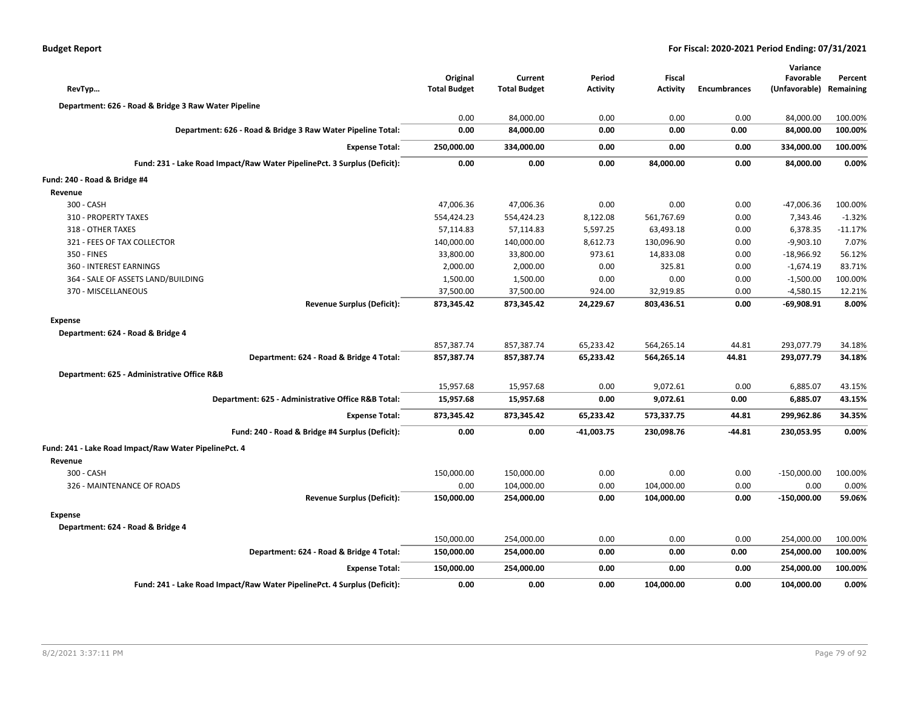| <b>Budget Report</b> |  |
|----------------------|--|
|----------------------|--|

| RevTyp                                                                   | Original<br><b>Total Budget</b> | Current<br><b>Total Budget</b> | Period<br><b>Activity</b> | <b>Fiscal</b><br><b>Activity</b> | <b>Encumbrances</b> | Variance<br>Favorable<br>(Unfavorable) | Percent<br>Remaining |
|--------------------------------------------------------------------------|---------------------------------|--------------------------------|---------------------------|----------------------------------|---------------------|----------------------------------------|----------------------|
| Department: 626 - Road & Bridge 3 Raw Water Pipeline                     |                                 |                                |                           |                                  |                     |                                        |                      |
|                                                                          | 0.00                            | 84,000.00                      | 0.00                      | 0.00                             | 0.00                | 84,000.00                              | 100.00%              |
| Department: 626 - Road & Bridge 3 Raw Water Pipeline Total:              | 0.00                            | 84,000.00                      | 0.00                      | 0.00                             | 0.00                | 84,000.00                              | 100.00%              |
| <b>Expense Total:</b>                                                    | 250,000.00                      | 334,000.00                     | 0.00                      | 0.00                             | 0.00                | 334,000.00                             | 100.00%              |
| Fund: 231 - Lake Road Impact/Raw Water PipelinePct. 3 Surplus (Deficit): | 0.00                            | 0.00                           | 0.00                      | 84,000.00                        | 0.00                | 84,000.00                              | 0.00%                |
| Fund: 240 - Road & Bridge #4                                             |                                 |                                |                           |                                  |                     |                                        |                      |
| Revenue                                                                  |                                 |                                |                           |                                  |                     |                                        |                      |
| 300 - CASH                                                               | 47,006.36                       | 47,006.36                      | 0.00                      | 0.00                             | 0.00                | -47,006.36                             | 100.00%              |
| 310 - PROPERTY TAXES                                                     | 554,424.23                      | 554,424.23                     | 8,122.08                  | 561,767.69                       | 0.00                | 7,343.46                               | $-1.32%$             |
| 318 - OTHER TAXES                                                        | 57,114.83                       | 57,114.83                      | 5,597.25                  | 63,493.18                        | 0.00                | 6,378.35                               | $-11.17%$            |
| 321 - FEES OF TAX COLLECTOR                                              | 140,000.00                      | 140,000.00                     | 8,612.73                  | 130,096.90                       | 0.00                | $-9,903.10$                            | 7.07%                |
| 350 - FINES                                                              | 33,800.00                       | 33,800.00                      | 973.61                    | 14,833.08                        | 0.00                | $-18,966.92$                           | 56.12%               |
| 360 - INTEREST EARNINGS                                                  | 2,000.00                        | 2,000.00                       | 0.00                      | 325.81                           | 0.00                | $-1,674.19$                            | 83.71%               |
| 364 - SALE OF ASSETS LAND/BUILDING                                       | 1,500.00                        | 1,500.00                       | 0.00                      | 0.00                             | 0.00                | $-1,500.00$                            | 100.00%              |
| 370 - MISCELLANEOUS                                                      | 37,500.00                       | 37,500.00                      | 924.00                    | 32,919.85                        | 0.00                | $-4,580.15$                            | 12.21%               |
| <b>Revenue Surplus (Deficit):</b>                                        | 873,345.42                      | 873,345.42                     | 24,229.67                 | 803,436.51                       | 0.00                | -69,908.91                             | 8.00%                |
| <b>Expense</b>                                                           |                                 |                                |                           |                                  |                     |                                        |                      |
| Department: 624 - Road & Bridge 4                                        |                                 |                                |                           |                                  |                     |                                        |                      |
|                                                                          | 857,387.74                      | 857,387.74                     | 65,233.42                 | 564,265.14                       | 44.81               | 293,077.79                             | 34.18%               |
| Department: 624 - Road & Bridge 4 Total:                                 | 857,387.74                      | 857,387.74                     | 65,233.42                 | 564,265.14                       | 44.81               | 293,077.79                             | 34.18%               |
| Department: 625 - Administrative Office R&B                              |                                 |                                |                           |                                  |                     |                                        |                      |
|                                                                          | 15,957.68                       | 15,957.68                      | 0.00                      | 9,072.61                         | 0.00                | 6,885.07                               | 43.15%               |
| Department: 625 - Administrative Office R&B Total:                       | 15,957.68                       | 15,957.68                      | 0.00                      | 9,072.61                         | 0.00                | 6,885.07                               | 43.15%               |
| <b>Expense Total:</b>                                                    | 873,345.42                      | 873,345.42                     | 65,233.42                 | 573,337.75                       | 44.81               | 299,962.86                             | 34.35%               |
| Fund: 240 - Road & Bridge #4 Surplus (Deficit):                          | 0.00                            | 0.00                           | -41,003.75                | 230,098.76                       | $-44.81$            | 230,053.95                             | 0.00%                |
| Fund: 241 - Lake Road Impact/Raw Water PipelinePct. 4                    |                                 |                                |                           |                                  |                     |                                        |                      |
| Revenue                                                                  |                                 |                                |                           |                                  |                     |                                        |                      |
| 300 - CASH                                                               | 150,000.00                      | 150,000.00                     | 0.00                      | 0.00                             | 0.00                | $-150,000.00$                          | 100.00%              |
| 326 - MAINTENANCE OF ROADS                                               | 0.00                            | 104,000.00                     | 0.00                      | 104,000.00                       | 0.00                | 0.00                                   | 0.00%                |
| <b>Revenue Surplus (Deficit):</b>                                        | 150,000.00                      | 254,000.00                     | 0.00                      | 104,000.00                       | 0.00                | $-150,000.00$                          | 59.06%               |
| <b>Expense</b>                                                           |                                 |                                |                           |                                  |                     |                                        |                      |
| Department: 624 - Road & Bridge 4                                        |                                 |                                |                           |                                  |                     |                                        |                      |
|                                                                          | 150,000.00                      | 254,000.00                     | 0.00                      | 0.00                             | 0.00                | 254,000.00                             | 100.00%              |
| Department: 624 - Road & Bridge 4 Total:                                 | 150,000.00                      | 254,000.00                     | 0.00                      | 0.00                             | 0.00                | 254,000.00                             | 100.00%              |
| <b>Expense Total:</b>                                                    | 150,000.00                      | 254,000.00                     | 0.00                      | 0.00                             | 0.00                | 254,000.00                             | 100.00%              |
| Fund: 241 - Lake Road Impact/Raw Water PipelinePct. 4 Surplus (Deficit): | 0.00                            | 0.00                           | 0.00                      | 104,000.00                       | 0.00                | 104,000.00                             | 0.00%                |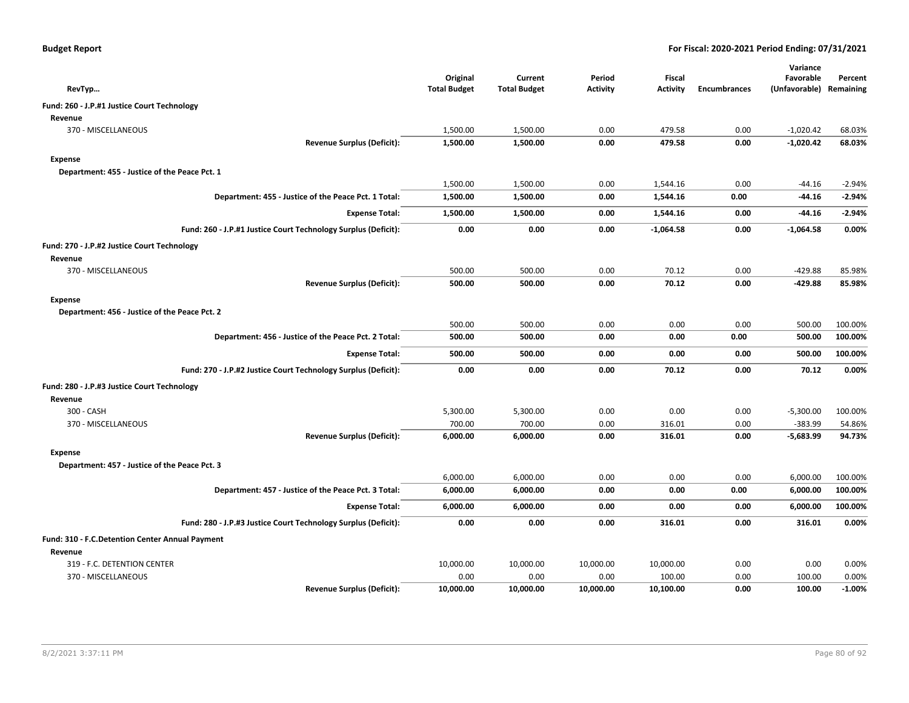| RevTyp                                          |                                                                | Original<br><b>Total Budget</b> | Current<br><b>Total Budget</b> | Period<br><b>Activity</b> | <b>Fiscal</b><br><b>Activity</b> | <b>Encumbrances</b> | Variance<br>Favorable<br>(Unfavorable) Remaining | Percent  |
|-------------------------------------------------|----------------------------------------------------------------|---------------------------------|--------------------------------|---------------------------|----------------------------------|---------------------|--------------------------------------------------|----------|
| Fund: 260 - J.P.#1 Justice Court Technology     |                                                                |                                 |                                |                           |                                  |                     |                                                  |          |
| Revenue                                         |                                                                |                                 |                                |                           |                                  |                     |                                                  |          |
| 370 - MISCELLANEOUS                             |                                                                | 1,500.00                        | 1,500.00                       | 0.00                      | 479.58                           | 0.00                | $-1,020.42$                                      | 68.03%   |
|                                                 | <b>Revenue Surplus (Deficit):</b>                              | 1,500.00                        | 1,500.00                       | 0.00                      | 479.58                           | 0.00                | -1,020.42                                        | 68.03%   |
| Expense                                         |                                                                |                                 |                                |                           |                                  |                     |                                                  |          |
| Department: 455 - Justice of the Peace Pct. 1   |                                                                |                                 |                                |                           |                                  |                     |                                                  |          |
|                                                 |                                                                | 1,500.00                        | 1,500.00                       | 0.00                      | 1,544.16                         | 0.00                | $-44.16$                                         | $-2.94%$ |
|                                                 | Department: 455 - Justice of the Peace Pct. 1 Total:           | 1,500.00                        | 1,500.00                       | 0.00                      | 1,544.16                         | 0.00                | -44.16                                           | $-2.94%$ |
|                                                 | <b>Expense Total:</b>                                          | 1,500.00                        | 1,500.00                       | 0.00                      | 1,544.16                         | 0.00                | -44.16                                           | $-2.94%$ |
|                                                 | Fund: 260 - J.P.#1 Justice Court Technology Surplus (Deficit): | 0.00                            | 0.00                           | 0.00                      | $-1,064.58$                      | 0.00                | $-1,064.58$                                      | 0.00%    |
| Fund: 270 - J.P.#2 Justice Court Technology     |                                                                |                                 |                                |                           |                                  |                     |                                                  |          |
| Revenue                                         |                                                                |                                 |                                |                           |                                  |                     |                                                  |          |
| 370 - MISCELLANEOUS                             |                                                                | 500.00                          | 500.00                         | 0.00                      | 70.12                            | 0.00                | $-429.88$                                        | 85.98%   |
|                                                 | <b>Revenue Surplus (Deficit):</b>                              | 500.00                          | 500.00                         | 0.00                      | 70.12                            | 0.00                | $-429.88$                                        | 85.98%   |
| Expense                                         |                                                                |                                 |                                |                           |                                  |                     |                                                  |          |
| Department: 456 - Justice of the Peace Pct. 2   |                                                                |                                 |                                |                           |                                  |                     |                                                  |          |
|                                                 |                                                                | 500.00                          | 500.00                         | 0.00                      | 0.00                             | 0.00                | 500.00                                           | 100.00%  |
|                                                 | Department: 456 - Justice of the Peace Pct. 2 Total:           | 500.00                          | 500.00                         | 0.00                      | 0.00                             | 0.00                | 500.00                                           | 100.00%  |
|                                                 | <b>Expense Total:</b>                                          | 500.00                          | 500.00                         | 0.00                      | 0.00                             | 0.00                | 500.00                                           | 100.00%  |
|                                                 | Fund: 270 - J.P.#2 Justice Court Technology Surplus (Deficit): | 0.00                            | 0.00                           | 0.00                      | 70.12                            | 0.00                | 70.12                                            | 0.00%    |
| Fund: 280 - J.P.#3 Justice Court Technology     |                                                                |                                 |                                |                           |                                  |                     |                                                  |          |
| Revenue                                         |                                                                |                                 |                                |                           |                                  |                     |                                                  |          |
| 300 - CASH                                      |                                                                | 5,300.00                        | 5,300.00                       | 0.00                      | 0.00                             | 0.00                | $-5,300.00$                                      | 100.00%  |
| 370 - MISCELLANEOUS                             |                                                                | 700.00                          | 700.00                         | 0.00                      | 316.01                           | 0.00                | $-383.99$                                        | 54.86%   |
|                                                 | <b>Revenue Surplus (Deficit):</b>                              | 6,000.00                        | 6,000.00                       | 0.00                      | 316.01                           | 0.00                | $-5,683.99$                                      | 94.73%   |
| Expense                                         |                                                                |                                 |                                |                           |                                  |                     |                                                  |          |
| Department: 457 - Justice of the Peace Pct. 3   |                                                                |                                 |                                |                           |                                  |                     |                                                  |          |
|                                                 |                                                                | 6,000.00                        | 6,000.00                       | 0.00                      | 0.00                             | 0.00                | 6,000.00                                         | 100.00%  |
|                                                 | Department: 457 - Justice of the Peace Pct. 3 Total:           | 6,000.00                        | 6,000.00                       | 0.00                      | 0.00                             | 0.00                | 6,000.00                                         | 100.00%  |
|                                                 | <b>Expense Total:</b>                                          | 6,000.00                        | 6,000.00                       | 0.00                      | 0.00                             | 0.00                | 6,000.00                                         | 100.00%  |
|                                                 | Fund: 280 - J.P.#3 Justice Court Technology Surplus (Deficit): | 0.00                            | 0.00                           | 0.00                      | 316.01                           | 0.00                | 316.01                                           | 0.00%    |
| Fund: 310 - F.C.Detention Center Annual Payment |                                                                |                                 |                                |                           |                                  |                     |                                                  |          |
| Revenue                                         |                                                                |                                 |                                |                           |                                  |                     |                                                  |          |
| 319 - F.C. DETENTION CENTER                     |                                                                | 10,000.00                       | 10,000.00                      | 10,000.00                 | 10,000.00                        | 0.00                | 0.00                                             | 0.00%    |
| 370 - MISCELLANEOUS                             |                                                                | 0.00                            | 0.00                           | 0.00                      | 100.00                           | 0.00                | 100.00                                           | 0.00%    |
|                                                 | <b>Revenue Surplus (Deficit):</b>                              | 10,000.00                       | 10,000.00                      | 10,000.00                 | 10,100.00                        | 0.00                | 100.00                                           | $-1.00%$ |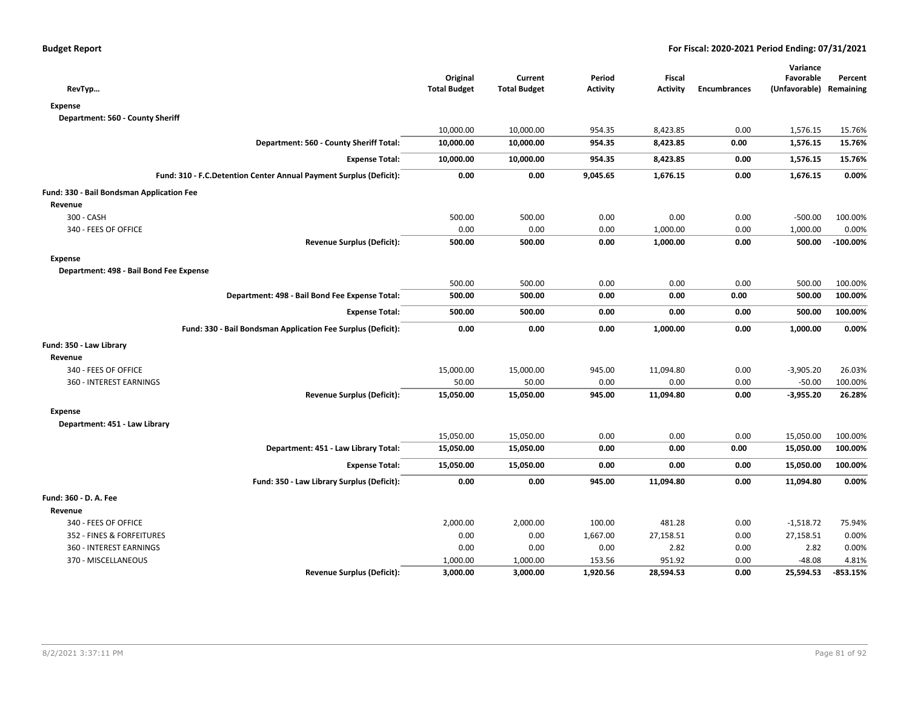| RevTyp                                                             | Original<br><b>Total Budget</b> | Current<br><b>Total Budget</b> | Period<br>Activity | Fiscal<br>Activity | <b>Encumbrances</b> | Variance<br>Favorable<br>(Unfavorable) Remaining | Percent     |
|--------------------------------------------------------------------|---------------------------------|--------------------------------|--------------------|--------------------|---------------------|--------------------------------------------------|-------------|
| <b>Expense</b>                                                     |                                 |                                |                    |                    |                     |                                                  |             |
| Department: 560 - County Sheriff                                   |                                 |                                |                    |                    |                     |                                                  |             |
|                                                                    | 10,000.00                       | 10,000.00                      | 954.35             | 8,423.85           | 0.00                | 1,576.15                                         | 15.76%      |
| Department: 560 - County Sheriff Total:                            | 10,000.00                       | 10,000.00                      | 954.35             | 8,423.85           | 0.00                | 1,576.15                                         | 15.76%      |
| <b>Expense Total:</b>                                              | 10,000.00                       | 10,000.00                      | 954.35             | 8,423.85           | 0.00                | 1,576.15                                         | 15.76%      |
| Fund: 310 - F.C.Detention Center Annual Payment Surplus (Deficit): | 0.00                            | 0.00                           | 9,045.65           | 1,676.15           | 0.00                | 1,676.15                                         | 0.00%       |
| Fund: 330 - Bail Bondsman Application Fee                          |                                 |                                |                    |                    |                     |                                                  |             |
| Revenue                                                            |                                 |                                |                    |                    |                     |                                                  |             |
| 300 - CASH                                                         | 500.00                          | 500.00                         | 0.00               | 0.00               | 0.00                | $-500.00$                                        | 100.00%     |
| 340 - FEES OF OFFICE                                               | 0.00                            | 0.00                           | 0.00               | 1,000.00           | 0.00                | 1,000.00                                         | 0.00%       |
| <b>Revenue Surplus (Deficit):</b>                                  | 500.00                          | 500.00                         | 0.00               | 1,000.00           | 0.00                | 500.00                                           | $-100.00\%$ |
| <b>Expense</b>                                                     |                                 |                                |                    |                    |                     |                                                  |             |
| Department: 498 - Bail Bond Fee Expense                            |                                 |                                |                    |                    |                     |                                                  |             |
|                                                                    | 500.00                          | 500.00                         | 0.00               | 0.00               | 0.00                | 500.00                                           | 100.00%     |
| Department: 498 - Bail Bond Fee Expense Total:                     | 500.00                          | 500.00                         | 0.00               | 0.00               | 0.00                | 500.00                                           | 100.00%     |
| <b>Expense Total:</b>                                              | 500.00                          | 500.00                         | 0.00               | 0.00               | 0.00                | 500.00                                           | 100.00%     |
| Fund: 330 - Bail Bondsman Application Fee Surplus (Deficit):       | 0.00                            | 0.00                           | 0.00               | 1,000.00           | 0.00                | 1,000.00                                         | 0.00%       |
| Fund: 350 - Law Library                                            |                                 |                                |                    |                    |                     |                                                  |             |
| Revenue                                                            |                                 |                                |                    |                    |                     |                                                  |             |
| 340 - FEES OF OFFICE                                               | 15,000.00                       | 15,000.00                      | 945.00             | 11,094.80          | 0.00                | $-3,905.20$                                      | 26.03%      |
| 360 - INTEREST EARNINGS                                            | 50.00                           | 50.00                          | 0.00               | 0.00               | 0.00                | $-50.00$                                         | 100.00%     |
| <b>Revenue Surplus (Deficit):</b>                                  | 15,050.00                       | 15,050.00                      | 945.00             | 11,094.80          | 0.00                | $-3,955.20$                                      | 26.28%      |
| <b>Expense</b>                                                     |                                 |                                |                    |                    |                     |                                                  |             |
| Department: 451 - Law Library                                      |                                 |                                |                    |                    |                     |                                                  |             |
|                                                                    | 15,050.00                       | 15,050.00                      | 0.00               | 0.00               | 0.00                | 15,050.00                                        | 100.00%     |
| Department: 451 - Law Library Total:                               | 15,050.00                       | 15,050.00                      | 0.00               | 0.00               | 0.00                | 15,050.00                                        | 100.00%     |
| <b>Expense Total:</b>                                              | 15,050.00                       | 15,050.00                      | 0.00               | 0.00               | 0.00                | 15,050.00                                        | 100.00%     |
| Fund: 350 - Law Library Surplus (Deficit):                         | 0.00                            | 0.00                           | 945.00             | 11,094.80          | 0.00                | 11,094.80                                        | 0.00%       |
| Fund: 360 - D. A. Fee                                              |                                 |                                |                    |                    |                     |                                                  |             |
| Revenue                                                            |                                 |                                |                    |                    |                     |                                                  |             |
| 340 - FEES OF OFFICE                                               | 2,000.00                        | 2,000.00                       | 100.00             | 481.28             | 0.00                | $-1,518.72$                                      | 75.94%      |
| 352 - FINES & FORFEITURES                                          | 0.00                            | 0.00                           | 1,667.00           | 27,158.51          | 0.00                | 27,158.51                                        | 0.00%       |
| 360 - INTEREST EARNINGS                                            | 0.00                            | 0.00                           | 0.00               | 2.82               | 0.00                | 2.82                                             | 0.00%       |
| 370 - MISCELLANEOUS                                                | 1,000.00                        | 1,000.00                       | 153.56             | 951.92             | 0.00                | $-48.08$                                         | 4.81%       |
| <b>Revenue Surplus (Deficit):</b>                                  | 3,000.00                        | 3,000.00                       | 1,920.56           | 28,594.53          | 0.00                | 25,594.53                                        | $-853.15%$  |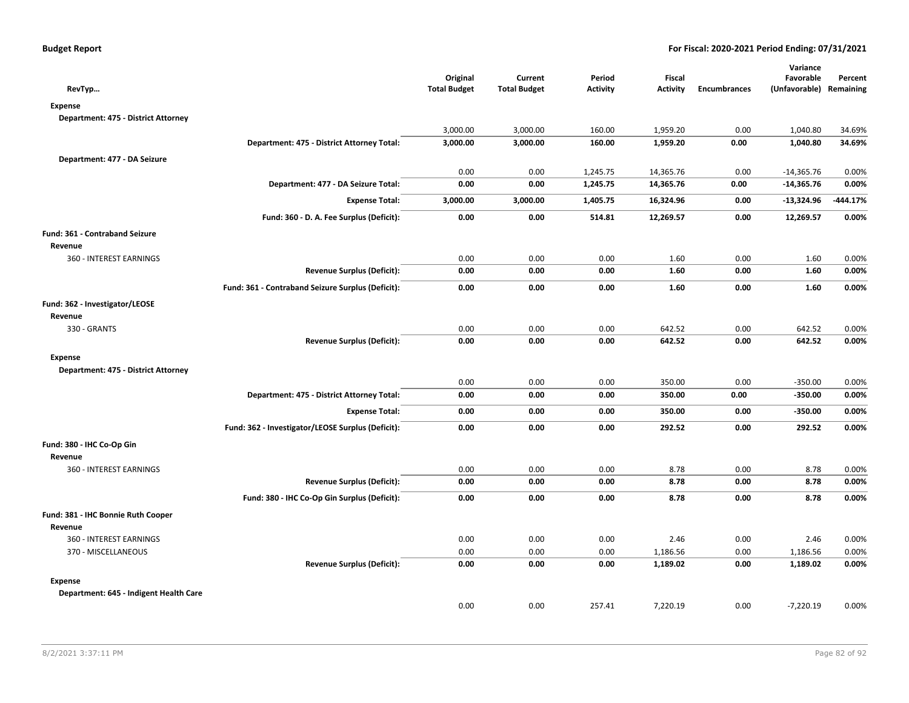| RevTyp                                 |                                                   | Original<br><b>Total Budget</b> | Current<br><b>Total Budget</b> | Period<br><b>Activity</b> | Fiscal<br><b>Activity</b> | <b>Encumbrances</b> | Variance<br>Favorable<br>(Unfavorable) Remaining | Percent  |
|----------------------------------------|---------------------------------------------------|---------------------------------|--------------------------------|---------------------------|---------------------------|---------------------|--------------------------------------------------|----------|
| Expense                                |                                                   |                                 |                                |                           |                           |                     |                                                  |          |
| Department: 475 - District Attorney    |                                                   |                                 |                                |                           |                           |                     |                                                  |          |
|                                        |                                                   | 3,000.00                        | 3,000.00                       | 160.00                    | 1,959.20                  | 0.00                | 1,040.80                                         | 34.69%   |
|                                        | Department: 475 - District Attorney Total:        | 3,000.00                        | 3,000.00                       | 160.00                    | 1,959.20                  | 0.00                | 1,040.80                                         | 34.69%   |
| Department: 477 - DA Seizure           |                                                   |                                 |                                |                           |                           |                     |                                                  |          |
|                                        |                                                   | 0.00                            | 0.00                           | 1,245.75                  | 14,365.76                 | 0.00                | $-14,365.76$                                     | 0.00%    |
|                                        | Department: 477 - DA Seizure Total:               | 0.00                            | 0.00                           | 1,245.75                  | 14,365.76                 | 0.00                | $-14,365.76$                                     | 0.00%    |
|                                        | <b>Expense Total:</b>                             | 3,000.00                        | 3,000.00                       | 1,405.75                  | 16,324.96                 | 0.00                | $-13,324.96$                                     | -444.17% |
|                                        | Fund: 360 - D. A. Fee Surplus (Deficit):          | 0.00                            | 0.00                           | 514.81                    | 12,269.57                 | 0.00                | 12,269.57                                        | 0.00%    |
| Fund: 361 - Contraband Seizure         |                                                   |                                 |                                |                           |                           |                     |                                                  |          |
| Revenue                                |                                                   |                                 |                                |                           |                           |                     |                                                  |          |
| 360 - INTEREST EARNINGS                |                                                   | 0.00                            | 0.00                           | 0.00                      | 1.60                      | 0.00                | 1.60                                             | 0.00%    |
|                                        | <b>Revenue Surplus (Deficit):</b>                 | 0.00                            | 0.00                           | 0.00                      | 1.60                      | 0.00                | 1.60                                             | 0.00%    |
|                                        | Fund: 361 - Contraband Seizure Surplus (Deficit): | 0.00                            | 0.00                           | 0.00                      | 1.60                      | 0.00                | 1.60                                             | 0.00%    |
| Fund: 362 - Investigator/LEOSE         |                                                   |                                 |                                |                           |                           |                     |                                                  |          |
| Revenue                                |                                                   |                                 |                                |                           |                           |                     |                                                  |          |
| 330 - GRANTS                           |                                                   | 0.00                            | 0.00                           | 0.00                      | 642.52                    | 0.00                | 642.52                                           | 0.00%    |
|                                        | <b>Revenue Surplus (Deficit):</b>                 | 0.00                            | 0.00                           | 0.00                      | 642.52                    | 0.00                | 642.52                                           | 0.00%    |
| <b>Expense</b>                         |                                                   |                                 |                                |                           |                           |                     |                                                  |          |
| Department: 475 - District Attorney    |                                                   |                                 |                                |                           |                           |                     |                                                  |          |
|                                        |                                                   | 0.00                            | 0.00                           | 0.00                      | 350.00                    | 0.00                | $-350.00$                                        | 0.00%    |
|                                        | Department: 475 - District Attorney Total:        | 0.00                            | 0.00                           | 0.00                      | 350.00                    | 0.00                | $-350.00$                                        | 0.00%    |
|                                        | <b>Expense Total:</b>                             | 0.00                            | 0.00                           | 0.00                      | 350.00                    | 0.00                | $-350.00$                                        | 0.00%    |
|                                        | Fund: 362 - Investigator/LEOSE Surplus (Deficit): | 0.00                            | 0.00                           | 0.00                      | 292.52                    | 0.00                | 292.52                                           | 0.00%    |
| Fund: 380 - IHC Co-Op Gin              |                                                   |                                 |                                |                           |                           |                     |                                                  |          |
| Revenue                                |                                                   |                                 |                                |                           |                           |                     |                                                  |          |
| 360 - INTEREST EARNINGS                |                                                   | 0.00                            | 0.00                           | 0.00                      | 8.78                      | 0.00                | 8.78                                             | 0.00%    |
|                                        | <b>Revenue Surplus (Deficit):</b>                 | 0.00                            | 0.00                           | 0.00                      | 8.78                      | 0.00                | 8.78                                             | 0.00%    |
|                                        | Fund: 380 - IHC Co-Op Gin Surplus (Deficit):      | 0.00                            | 0.00                           | 0.00                      | 8.78                      | 0.00                | 8.78                                             | 0.00%    |
| Fund: 381 - IHC Bonnie Ruth Cooper     |                                                   |                                 |                                |                           |                           |                     |                                                  |          |
| Revenue                                |                                                   |                                 |                                |                           |                           |                     |                                                  |          |
| 360 - INTEREST EARNINGS                |                                                   | 0.00                            | 0.00                           | 0.00                      | 2.46                      | 0.00                | 2.46                                             | 0.00%    |
| 370 - MISCELLANEOUS                    |                                                   | 0.00                            | 0.00                           | 0.00                      | 1,186.56                  | 0.00                | 1,186.56                                         | 0.00%    |
|                                        | <b>Revenue Surplus (Deficit):</b>                 | 0.00                            | 0.00                           | 0.00                      | 1,189.02                  | 0.00                | 1,189.02                                         | 0.00%    |
| <b>Expense</b>                         |                                                   |                                 |                                |                           |                           |                     |                                                  |          |
| Department: 645 - Indigent Health Care |                                                   |                                 |                                |                           |                           |                     |                                                  |          |
|                                        |                                                   | 0.00                            | 0.00                           | 257.41                    | 7,220.19                  | 0.00                | $-7,220.19$                                      | 0.00%    |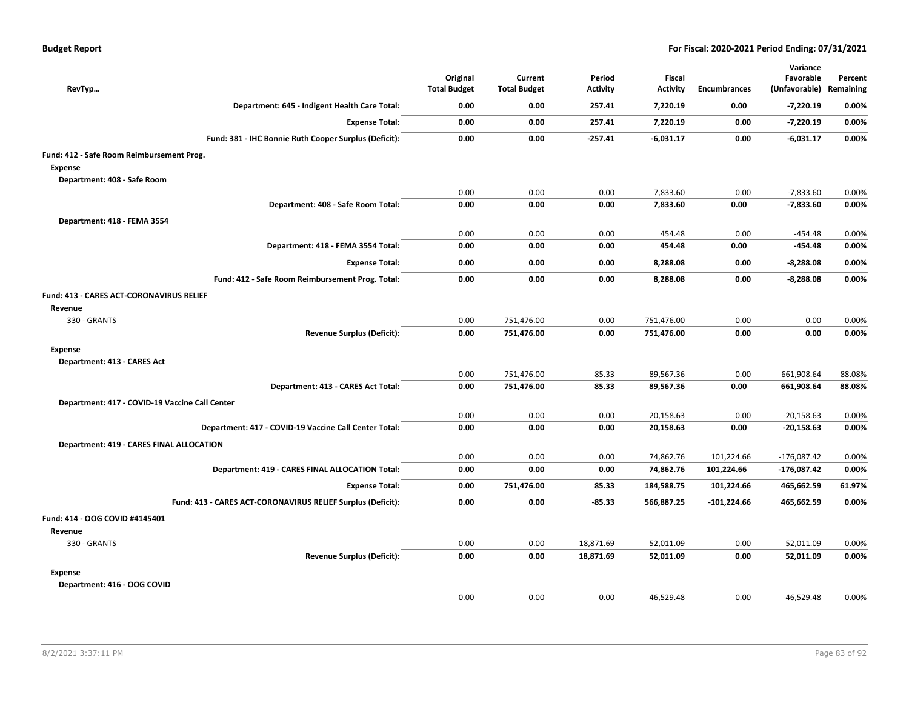| RevTyp                                                      | Original<br><b>Total Budget</b> | Current<br><b>Total Budget</b> | Period<br><b>Activity</b> | Fiscal<br><b>Activity</b> | Encumbrances  | Variance<br>Favorable<br>(Unfavorable) Remaining | Percent        |
|-------------------------------------------------------------|---------------------------------|--------------------------------|---------------------------|---------------------------|---------------|--------------------------------------------------|----------------|
| Department: 645 - Indigent Health Care Total:               | 0.00                            | 0.00                           | 257.41                    | 7,220.19                  | 0.00          | $-7,220.19$                                      | 0.00%          |
| <b>Expense Total:</b>                                       | 0.00                            | 0.00                           | 257.41                    | 7,220.19                  | 0.00          | $-7,220.19$                                      | 0.00%          |
| Fund: 381 - IHC Bonnie Ruth Cooper Surplus (Deficit):       | 0.00                            | 0.00                           | $-257.41$                 | $-6,031.17$               | 0.00          | -6,031.17                                        | 0.00%          |
| Fund: 412 - Safe Room Reimbursement Prog.                   |                                 |                                |                           |                           |               |                                                  |                |
| <b>Expense</b>                                              |                                 |                                |                           |                           |               |                                                  |                |
| Department: 408 - Safe Room                                 |                                 |                                |                           |                           |               |                                                  |                |
| Department: 408 - Safe Room Total:                          | 0.00<br>0.00                    | 0.00<br>0.00                   | 0.00<br>0.00              | 7,833.60<br>7,833.60      | 0.00<br>0.00  | $-7,833.60$<br>$-7,833.60$                       | 0.00%<br>0.00% |
|                                                             |                                 |                                |                           |                           |               |                                                  |                |
| Department: 418 - FEMA 3554                                 | 0.00                            | 0.00                           | 0.00                      | 454.48                    | 0.00          | -454.48                                          | 0.00%          |
| Department: 418 - FEMA 3554 Total:                          | 0.00                            | 0.00                           | 0.00                      | 454.48                    | 0.00          | -454.48                                          | 0.00%          |
| <b>Expense Total:</b>                                       | 0.00                            | 0.00                           | 0.00                      | 8,288.08                  | 0.00          | -8,288.08                                        | 0.00%          |
| Fund: 412 - Safe Room Reimbursement Prog. Total:            | 0.00                            | 0.00                           | 0.00                      | 8,288.08                  | 0.00          | $-8,288.08$                                      | 0.00%          |
| Fund: 413 - CARES ACT-CORONAVIRUS RELIEF                    |                                 |                                |                           |                           |               |                                                  |                |
| Revenue                                                     |                                 |                                |                           |                           |               |                                                  |                |
| 330 - GRANTS                                                | 0.00                            | 751,476.00                     | 0.00                      | 751,476.00                | 0.00          | 0.00                                             | 0.00%          |
| <b>Revenue Surplus (Deficit):</b>                           | 0.00                            | 751,476.00                     | 0.00                      | 751,476.00                | 0.00          | 0.00                                             | 0.00%          |
| Expense                                                     |                                 |                                |                           |                           |               |                                                  |                |
| Department: 413 - CARES Act                                 |                                 |                                |                           |                           |               |                                                  |                |
|                                                             | 0.00                            | 751,476.00                     | 85.33                     | 89,567.36                 | 0.00          | 661,908.64                                       | 88.08%         |
| Department: 413 - CARES Act Total:                          | 0.00                            | 751,476.00                     | 85.33                     | 89,567.36                 | 0.00          | 661,908.64                                       | 88.08%         |
| Department: 417 - COVID-19 Vaccine Call Center              |                                 |                                |                           |                           |               |                                                  |                |
|                                                             | 0.00                            | 0.00                           | 0.00                      | 20,158.63                 | 0.00          | $-20,158.63$                                     | 0.00%          |
| Department: 417 - COVID-19 Vaccine Call Center Total:       | 0.00                            | 0.00                           | 0.00                      | 20,158.63                 | 0.00          | $-20,158.63$                                     | 0.00%          |
| <b>Department: 419 - CARES FINAL ALLOCATION</b>             |                                 |                                |                           |                           |               |                                                  |                |
|                                                             | 0.00                            | 0.00                           | 0.00                      | 74,862.76                 | 101,224.66    | $-176,087.42$                                    | 0.00%          |
| Department: 419 - CARES FINAL ALLOCATION Total:             | 0.00                            | 0.00                           | 0.00                      | 74,862.76                 | 101,224.66    | $-176,087.42$                                    | 0.00%          |
| <b>Expense Total:</b>                                       | 0.00                            | 751,476.00                     | 85.33                     | 184,588.75                | 101,224.66    | 465,662.59                                       | 61.97%         |
| Fund: 413 - CARES ACT-CORONAVIRUS RELIEF Surplus (Deficit): | 0.00                            | 0.00                           | $-85.33$                  | 566,887.25                | $-101,224.66$ | 465,662.59                                       | 0.00%          |
| Fund: 414 - OOG COVID #4145401                              |                                 |                                |                           |                           |               |                                                  |                |
| Revenue                                                     |                                 |                                |                           |                           |               |                                                  |                |
| 330 - GRANTS                                                | 0.00                            | 0.00                           | 18,871.69                 | 52,011.09                 | 0.00          | 52,011.09                                        | 0.00%          |
| <b>Revenue Surplus (Deficit):</b>                           | 0.00                            | 0.00                           | 18,871.69                 | 52,011.09                 | 0.00          | 52,011.09                                        | 0.00%          |
| <b>Expense</b>                                              |                                 |                                |                           |                           |               |                                                  |                |
| Department: 416 - OOG COVID                                 | 0.00                            |                                |                           |                           |               |                                                  |                |
|                                                             |                                 | 0.00                           | 0.00                      | 46,529.48                 | 0.00          | $-46,529.48$                                     | 0.00%          |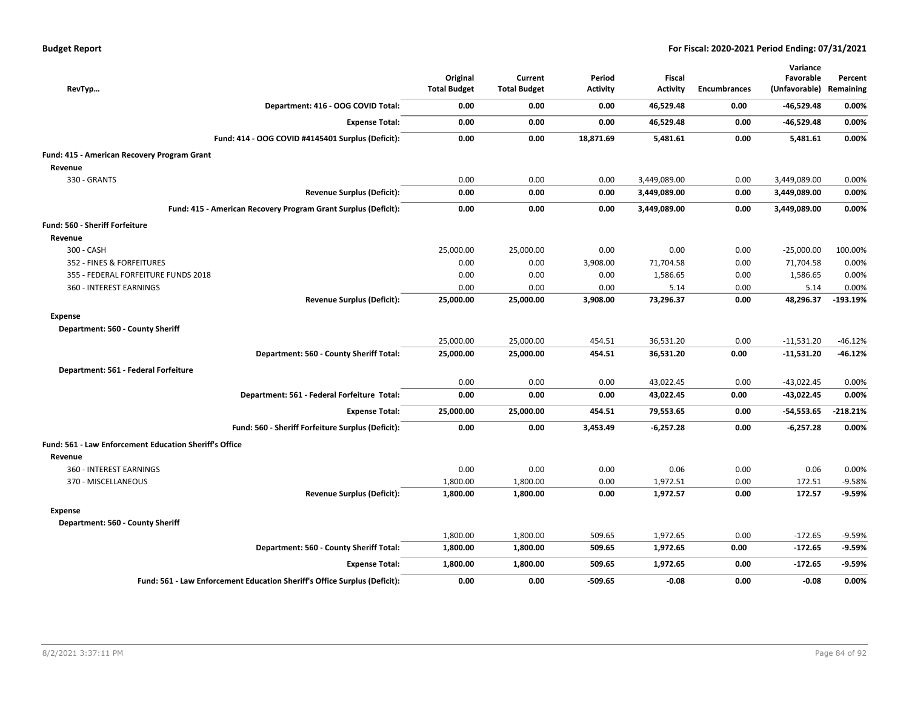| RevTyp                                                 |                                                                           | Original<br><b>Total Budget</b> | Current<br><b>Total Budget</b> | Period<br>Activity | <b>Fiscal</b><br><b>Activity</b> | <b>Encumbrances</b> | Variance<br>Favorable<br>(Unfavorable) Remaining | Percent    |
|--------------------------------------------------------|---------------------------------------------------------------------------|---------------------------------|--------------------------------|--------------------|----------------------------------|---------------------|--------------------------------------------------|------------|
|                                                        | Department: 416 - OOG COVID Total:                                        | 0.00                            | 0.00                           | 0.00               | 46,529.48                        | 0.00                | $-46,529.48$                                     | 0.00%      |
|                                                        | <b>Expense Total:</b>                                                     | 0.00                            | 0.00                           | 0.00               | 46,529.48                        | 0.00                | $-46,529.48$                                     | 0.00%      |
|                                                        | Fund: 414 - OOG COVID #4145401 Surplus (Deficit):                         | 0.00                            | 0.00                           | 18,871.69          | 5,481.61                         | 0.00                | 5,481.61                                         | 0.00%      |
| Fund: 415 - American Recovery Program Grant            |                                                                           |                                 |                                |                    |                                  |                     |                                                  |            |
| Revenue                                                |                                                                           |                                 |                                |                    |                                  |                     |                                                  |            |
| 330 - GRANTS                                           |                                                                           | 0.00                            | 0.00                           | 0.00               | 3,449,089.00                     | 0.00                | 3,449,089.00                                     | 0.00%      |
|                                                        | <b>Revenue Surplus (Deficit):</b>                                         | 0.00                            | 0.00                           | 0.00               | 3,449,089.00                     | 0.00                | 3,449,089.00                                     | 0.00%      |
|                                                        | Fund: 415 - American Recovery Program Grant Surplus (Deficit):            | 0.00                            | 0.00                           | 0.00               | 3,449,089.00                     | 0.00                | 3,449,089.00                                     | 0.00%      |
| Fund: 560 - Sheriff Forfeiture                         |                                                                           |                                 |                                |                    |                                  |                     |                                                  |            |
| Revenue                                                |                                                                           |                                 |                                |                    |                                  |                     |                                                  |            |
| 300 - CASH                                             |                                                                           | 25,000.00                       | 25,000.00                      | 0.00               | 0.00                             | 0.00                | $-25,000.00$                                     | 100.00%    |
| 352 - FINES & FORFEITURES                              |                                                                           | 0.00                            | 0.00                           | 3,908.00           | 71,704.58                        | 0.00                | 71,704.58                                        | 0.00%      |
| 355 - FEDERAL FORFEITURE FUNDS 2018                    |                                                                           | 0.00                            | 0.00                           | 0.00               | 1,586.65                         | 0.00                | 1,586.65                                         | 0.00%      |
| 360 - INTEREST EARNINGS                                |                                                                           | 0.00                            | 0.00                           | 0.00               | 5.14                             | 0.00                | 5.14                                             | 0.00%      |
|                                                        | <b>Revenue Surplus (Deficit):</b>                                         | 25,000.00                       | 25,000.00                      | 3,908.00           | 73,296.37                        | 0.00                | 48,296.37                                        | $-193.19%$ |
| Expense<br>Department: 560 - County Sheriff            |                                                                           |                                 |                                |                    |                                  |                     |                                                  |            |
|                                                        |                                                                           | 25,000.00                       | 25,000.00                      | 454.51             | 36,531.20                        | 0.00                | $-11,531.20$                                     | $-46.12%$  |
|                                                        | Department: 560 - County Sheriff Total:                                   | 25,000.00                       | 25,000.00                      | 454.51             | 36,531.20                        | 0.00                | $-11,531.20$                                     | $-46.12%$  |
| Department: 561 - Federal Forfeiture                   |                                                                           |                                 |                                |                    |                                  |                     |                                                  |            |
|                                                        |                                                                           | 0.00                            | 0.00                           | 0.00               | 43,022.45                        | 0.00                | $-43,022.45$                                     | 0.00%      |
|                                                        | Department: 561 - Federal Forfeiture Total:                               | 0.00                            | 0.00                           | 0.00               | 43,022.45                        | 0.00                | $-43,022.45$                                     | 0.00%      |
|                                                        | <b>Expense Total:</b>                                                     | 25,000.00                       | 25,000.00                      | 454.51             | 79,553.65                        | 0.00                | $-54,553.65$                                     | $-218.21%$ |
|                                                        | Fund: 560 - Sheriff Forfeiture Surplus (Deficit):                         | 0.00                            | 0.00                           | 3,453.49           | $-6,257.28$                      | 0.00                | $-6,257.28$                                      | 0.00%      |
| Fund: 561 - Law Enforcement Education Sheriff's Office |                                                                           |                                 |                                |                    |                                  |                     |                                                  |            |
| Revenue                                                |                                                                           |                                 |                                |                    |                                  |                     |                                                  |            |
| 360 - INTEREST EARNINGS                                |                                                                           | 0.00                            | 0.00                           | 0.00               | 0.06                             | 0.00                | 0.06                                             | 0.00%      |
| 370 - MISCELLANEOUS                                    |                                                                           | 1,800.00                        | 1,800.00                       | 0.00               | 1,972.51                         | 0.00                | 172.51                                           | $-9.58%$   |
|                                                        | <b>Revenue Surplus (Deficit):</b>                                         | 1,800.00                        | 1,800.00                       | 0.00               | 1,972.57                         | 0.00                | 172.57                                           | -9.59%     |
| <b>Expense</b>                                         |                                                                           |                                 |                                |                    |                                  |                     |                                                  |            |
| Department: 560 - County Sheriff                       |                                                                           |                                 |                                |                    |                                  |                     |                                                  |            |
|                                                        |                                                                           | 1,800.00                        | 1,800.00                       | 509.65             | 1,972.65                         | 0.00                | $-172.65$                                        | $-9.59%$   |
|                                                        | Department: 560 - County Sheriff Total:                                   | 1,800.00                        | 1,800.00                       | 509.65             | 1,972.65                         | 0.00                | $-172.65$                                        | $-9.59%$   |
|                                                        | <b>Expense Total:</b>                                                     | 1,800.00                        | 1,800.00                       | 509.65             | 1,972.65                         | 0.00                | $-172.65$                                        | $-9.59%$   |
|                                                        | Fund: 561 - Law Enforcement Education Sheriff's Office Surplus (Deficit): | 0.00                            | 0.00                           | $-509.65$          | $-0.08$                          | 0.00                | $-0.08$                                          | 0.00%      |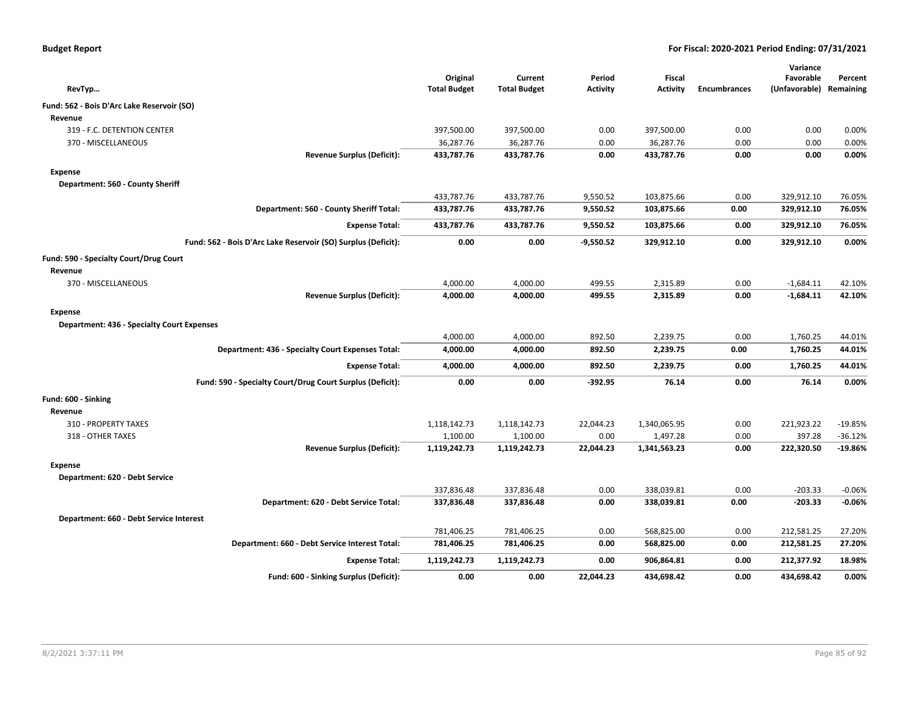| <b>Budget Report</b> |  |
|----------------------|--|
|----------------------|--|

|                                                               |                                 |                                |                           |                           |                     | Variance                   |                      |
|---------------------------------------------------------------|---------------------------------|--------------------------------|---------------------------|---------------------------|---------------------|----------------------------|----------------------|
| RevTyp                                                        | Original<br><b>Total Budget</b> | Current<br><b>Total Budget</b> | Period<br><b>Activity</b> | Fiscal<br><b>Activity</b> | <b>Encumbrances</b> | Favorable<br>(Unfavorable) | Percent<br>Remaining |
| Fund: 562 - Bois D'Arc Lake Reservoir (SO)                    |                                 |                                |                           |                           |                     |                            |                      |
| Revenue                                                       |                                 |                                |                           |                           |                     |                            |                      |
| 319 - F.C. DETENTION CENTER                                   | 397,500.00                      | 397,500.00                     | 0.00                      | 397,500.00                | 0.00                | 0.00                       | 0.00%                |
| 370 - MISCELLANEOUS                                           | 36,287.76                       | 36,287.76                      | 0.00                      | 36,287.76                 | 0.00                | 0.00                       | 0.00%                |
| <b>Revenue Surplus (Deficit):</b>                             | 433,787.76                      | 433,787.76                     | 0.00                      | 433,787.76                | 0.00                | 0.00                       | 0.00%                |
| <b>Expense</b>                                                |                                 |                                |                           |                           |                     |                            |                      |
| Department: 560 - County Sheriff                              |                                 |                                |                           |                           |                     |                            |                      |
|                                                               | 433,787.76                      | 433,787.76                     | 9,550.52                  | 103,875.66                | 0.00                | 329,912.10                 | 76.05%               |
| Department: 560 - County Sheriff Total:                       | 433,787.76                      | 433,787.76                     | 9,550.52                  | 103,875.66                | 0.00                | 329,912.10                 | 76.05%               |
| <b>Expense Total:</b>                                         | 433,787.76                      | 433,787.76                     | 9,550.52                  | 103,875.66                | 0.00                | 329,912.10                 | 76.05%               |
| Fund: 562 - Bois D'Arc Lake Reservoir (SO) Surplus (Deficit): | 0.00                            | 0.00                           | $-9,550.52$               | 329,912.10                | 0.00                | 329,912.10                 | 0.00%                |
| Fund: 590 - Specialty Court/Drug Court                        |                                 |                                |                           |                           |                     |                            |                      |
| Revenue                                                       |                                 |                                |                           |                           |                     |                            |                      |
| 370 - MISCELLANEOUS                                           | 4,000.00                        | 4,000.00                       | 499.55                    | 2,315.89                  | 0.00                | $-1,684.11$                | 42.10%               |
| <b>Revenue Surplus (Deficit):</b>                             | 4,000.00                        | 4,000.00                       | 499.55                    | 2,315.89                  | 0.00                | $-1,684.11$                | 42.10%               |
| Expense                                                       |                                 |                                |                           |                           |                     |                            |                      |
| <b>Department: 436 - Specialty Court Expenses</b>             |                                 |                                |                           |                           |                     |                            |                      |
|                                                               | 4,000.00                        | 4,000.00                       | 892.50                    | 2,239.75                  | 0.00                | 1,760.25                   | 44.01%               |
| Department: 436 - Specialty Court Expenses Total:             | 4,000.00                        | 4,000.00                       | 892.50                    | 2,239.75                  | 0.00                | 1,760.25                   | 44.01%               |
| <b>Expense Total:</b>                                         | 4,000.00                        | 4,000.00                       | 892.50                    | 2,239.75                  | 0.00                | 1,760.25                   | 44.01%               |
| Fund: 590 - Specialty Court/Drug Court Surplus (Deficit):     | 0.00                            | 0.00                           | $-392.95$                 | 76.14                     | 0.00                | 76.14                      | 0.00%                |
| Fund: 600 - Sinking                                           |                                 |                                |                           |                           |                     |                            |                      |
| Revenue                                                       |                                 |                                |                           |                           |                     |                            |                      |
| 310 - PROPERTY TAXES                                          | 1,118,142.73                    | 1,118,142.73                   | 22,044.23                 | 1,340,065.95              | 0.00                | 221,923.22                 | $-19.85%$            |
| 318 - OTHER TAXES                                             | 1,100.00                        | 1,100.00                       | 0.00                      | 1,497.28                  | 0.00                | 397.28                     | $-36.12%$            |
| <b>Revenue Surplus (Deficit):</b>                             | 1,119,242.73                    | 1,119,242.73                   | 22,044.23                 | 1,341,563.23              | 0.00                | 222,320.50                 | $-19.86%$            |
| Expense                                                       |                                 |                                |                           |                           |                     |                            |                      |
| Department: 620 - Debt Service                                |                                 |                                |                           |                           |                     |                            |                      |
|                                                               | 337,836.48                      | 337,836.48                     | 0.00                      | 338,039.81                | 0.00                | $-203.33$                  | $-0.06%$             |
| Department: 620 - Debt Service Total:                         | 337,836.48                      | 337,836.48                     | 0.00                      | 338,039.81                | 0.00                | $-203.33$                  | $-0.06%$             |
| Department: 660 - Debt Service Interest                       |                                 |                                |                           |                           |                     |                            |                      |
|                                                               | 781,406.25                      | 781,406.25                     | 0.00                      | 568,825.00                | 0.00                | 212,581.25                 | 27.20%               |
| Department: 660 - Debt Service Interest Total:                | 781,406.25                      | 781,406.25                     | 0.00                      | 568,825.00                | 0.00                | 212,581.25                 | 27.20%               |
| <b>Expense Total:</b>                                         | 1,119,242.73                    | 1,119,242.73                   | 0.00                      | 906,864.81                | 0.00                | 212,377.92                 | 18.98%               |
| Fund: 600 - Sinking Surplus (Deficit):                        | 0.00                            | 0.00                           | 22,044.23                 | 434,698.42                | 0.00                | 434,698.42                 | 0.00%                |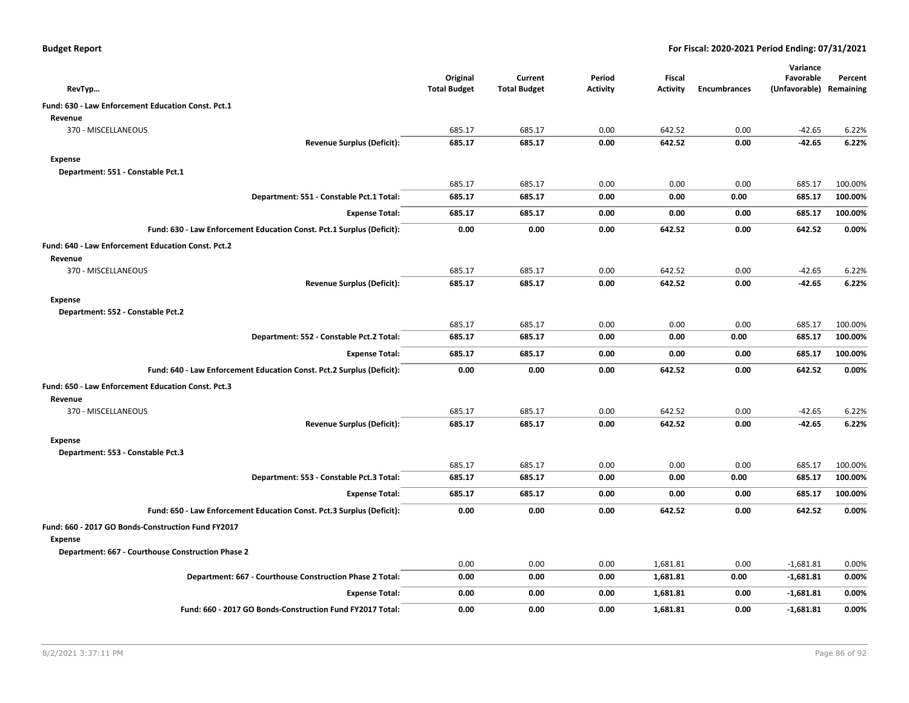|  |  |  | <b>Budget Report</b> |
|--|--|--|----------------------|
|--|--|--|----------------------|

| RevTyp                                                                | Original<br><b>Total Budget</b> | Current<br><b>Total Budget</b> | Period<br><b>Activity</b> | <b>Fiscal</b><br><b>Activity</b> | <b>Encumbrances</b> | Variance<br>Favorable<br>(Unfavorable) Remaining | Percent |
|-----------------------------------------------------------------------|---------------------------------|--------------------------------|---------------------------|----------------------------------|---------------------|--------------------------------------------------|---------|
|                                                                       |                                 |                                |                           |                                  |                     |                                                  |         |
| Fund: 630 - Law Enforcement Education Const. Pct.1<br>Revenue         |                                 |                                |                           |                                  |                     |                                                  |         |
| 370 - MISCELLANEOUS                                                   | 685.17                          | 685.17                         | 0.00                      | 642.52                           | 0.00                | $-42.65$                                         | 6.22%   |
| <b>Revenue Surplus (Deficit):</b>                                     | 685.17                          | 685.17                         | 0.00                      | 642.52                           | 0.00                | $-42.65$                                         | 6.22%   |
| <b>Expense</b>                                                        |                                 |                                |                           |                                  |                     |                                                  |         |
| Department: 551 - Constable Pct.1                                     |                                 |                                |                           |                                  |                     |                                                  |         |
|                                                                       | 685.17                          | 685.17                         | 0.00                      | 0.00                             | 0.00                | 685.17                                           | 100.00% |
| Department: 551 - Constable Pct.1 Total:                              | 685.17                          | 685.17                         | 0.00                      | 0.00                             | 0.00                | 685.17                                           | 100.00% |
| <b>Expense Total:</b>                                                 | 685.17                          | 685.17                         | 0.00                      | 0.00                             | 0.00                | 685.17                                           | 100.00% |
| Fund: 630 - Law Enforcement Education Const. Pct.1 Surplus (Deficit): | 0.00                            | 0.00                           | 0.00                      | 642.52                           | 0.00                | 642.52                                           | 0.00%   |
|                                                                       |                                 |                                |                           |                                  |                     |                                                  |         |
| Fund: 640 - Law Enforcement Education Const. Pct.2<br>Revenue         |                                 |                                |                           |                                  |                     |                                                  |         |
| 370 - MISCELLANEOUS                                                   | 685.17                          | 685.17                         | 0.00                      | 642.52                           | 0.00                | $-42.65$                                         | 6.22%   |
| <b>Revenue Surplus (Deficit):</b>                                     | 685.17                          | 685.17                         | 0.00                      | 642.52                           | 0.00                | $-42.65$                                         | 6.22%   |
| <b>Expense</b>                                                        |                                 |                                |                           |                                  |                     |                                                  |         |
| Department: 552 - Constable Pct.2                                     |                                 |                                |                           |                                  |                     |                                                  |         |
|                                                                       | 685.17                          | 685.17                         | 0.00                      | 0.00                             | 0.00                | 685.17                                           | 100.00% |
| Department: 552 - Constable Pct.2 Total:                              | 685.17                          | 685.17                         | 0.00                      | 0.00                             | 0.00                | 685.17                                           | 100.00% |
| <b>Expense Total:</b>                                                 | 685.17                          | 685.17                         | 0.00                      | 0.00                             | 0.00                | 685.17                                           | 100.00% |
| Fund: 640 - Law Enforcement Education Const. Pct.2 Surplus (Deficit): | 0.00                            | 0.00                           | 0.00                      | 642.52                           | 0.00                | 642.52                                           | 0.00%   |
| Fund: 650 - Law Enforcement Education Const. Pct.3                    |                                 |                                |                           |                                  |                     |                                                  |         |
| Revenue                                                               |                                 |                                |                           |                                  |                     |                                                  |         |
| 370 - MISCELLANEOUS                                                   | 685.17                          | 685.17                         | 0.00                      | 642.52                           | 0.00                | $-42.65$                                         | 6.22%   |
| <b>Revenue Surplus (Deficit):</b>                                     | 685.17                          | 685.17                         | 0.00                      | 642.52                           | 0.00                | $-42.65$                                         | 6.22%   |
| <b>Expense</b>                                                        |                                 |                                |                           |                                  |                     |                                                  |         |
| Department: 553 - Constable Pct.3                                     |                                 |                                |                           |                                  |                     |                                                  |         |
|                                                                       | 685.17                          | 685.17                         | 0.00                      | 0.00                             | 0.00                | 685.17                                           | 100.00% |
| Department: 553 - Constable Pct.3 Total:                              | 685.17                          | 685.17                         | 0.00                      | 0.00                             | 0.00                | 685.17                                           | 100.00% |
| <b>Expense Total:</b>                                                 | 685.17                          | 685.17                         | 0.00                      | 0.00                             | 0.00                | 685.17                                           | 100.00% |
| Fund: 650 - Law Enforcement Education Const. Pct.3 Surplus (Deficit): | 0.00                            | 0.00                           | 0.00                      | 642.52                           | 0.00                | 642.52                                           | 0.00%   |
| Fund: 660 - 2017 GO Bonds-Construction Fund FY2017                    |                                 |                                |                           |                                  |                     |                                                  |         |
| <b>Expense</b>                                                        |                                 |                                |                           |                                  |                     |                                                  |         |
| Department: 667 - Courthouse Construction Phase 2                     |                                 |                                |                           |                                  |                     |                                                  |         |
|                                                                       | 0.00                            | 0.00                           | 0.00                      | 1,681.81                         | 0.00                | $-1,681.81$                                      | 0.00%   |
| Department: 667 - Courthouse Construction Phase 2 Total:              | 0.00                            | 0.00                           | 0.00                      | 1,681.81                         | 0.00                | $-1,681.81$                                      | 0.00%   |
| <b>Expense Total:</b>                                                 | 0.00                            | 0.00                           | 0.00                      | 1,681.81                         | 0.00                | $-1,681.81$                                      | 0.00%   |
| Fund: 660 - 2017 GO Bonds-Construction Fund FY2017 Total:             | 0.00                            | 0.00                           | 0.00                      | 1,681.81                         | 0.00                | $-1,681.81$                                      | 0.00%   |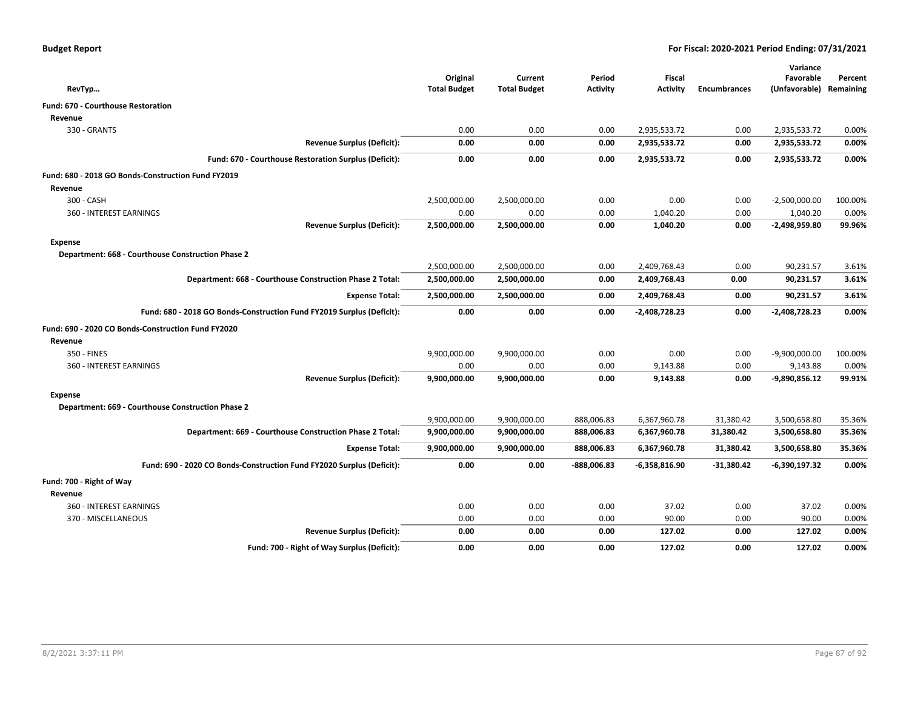| <b>Budget Report</b> |  |
|----------------------|--|
|----------------------|--|

|                                                                       |                                 |                                |                 |                                  |                     | Variance                   |                      |
|-----------------------------------------------------------------------|---------------------------------|--------------------------------|-----------------|----------------------------------|---------------------|----------------------------|----------------------|
|                                                                       | Original<br><b>Total Budget</b> | Current<br><b>Total Budget</b> | Period          | <b>Fiscal</b><br><b>Activity</b> | <b>Encumbrances</b> | Favorable<br>(Unfavorable) | Percent<br>Remaining |
| RevTyp                                                                |                                 |                                | <b>Activity</b> |                                  |                     |                            |                      |
| <b>Fund: 670 - Courthouse Restoration</b>                             |                                 |                                |                 |                                  |                     |                            |                      |
| Revenue                                                               |                                 |                                |                 |                                  |                     |                            |                      |
| 330 - GRANTS                                                          | 0.00                            | 0.00                           | 0.00            | 2,935,533.72                     | 0.00                | 2,935,533.72               | 0.00%                |
| <b>Revenue Surplus (Deficit):</b>                                     | 0.00                            | 0.00                           | 0.00            | 2,935,533.72                     | 0.00                | 2,935,533.72               | 0.00%                |
| Fund: 670 - Courthouse Restoration Surplus (Deficit):                 | 0.00                            | 0.00                           | 0.00            | 2,935,533.72                     | 0.00                | 2,935,533.72               | 0.00%                |
| Fund: 680 - 2018 GO Bonds-Construction Fund FY2019                    |                                 |                                |                 |                                  |                     |                            |                      |
| Revenue                                                               |                                 |                                |                 |                                  |                     |                            |                      |
| 300 - CASH                                                            | 2,500,000.00                    | 2,500,000.00                   | 0.00            | 0.00                             | 0.00                | $-2,500,000.00$            | 100.00%              |
| 360 - INTEREST EARNINGS                                               | 0.00                            | 0.00                           | 0.00            | 1,040.20                         | 0.00                | 1,040.20                   | 0.00%                |
| <b>Revenue Surplus (Deficit):</b>                                     | 2,500,000.00                    | 2,500,000.00                   | 0.00            | 1,040.20                         | 0.00                | $-2,498,959.80$            | 99.96%               |
| <b>Expense</b>                                                        |                                 |                                |                 |                                  |                     |                            |                      |
| Department: 668 - Courthouse Construction Phase 2                     |                                 |                                |                 |                                  |                     |                            |                      |
|                                                                       | 2,500,000.00                    | 2,500,000.00                   | 0.00            | 2,409,768.43                     | 0.00                | 90,231.57                  | 3.61%                |
| Department: 668 - Courthouse Construction Phase 2 Total:              | 2,500,000.00                    | 2,500,000.00                   | 0.00            | 2,409,768.43                     | 0.00                | 90,231.57                  | 3.61%                |
| <b>Expense Total:</b>                                                 | 2,500,000.00                    | 2,500,000.00                   | 0.00            | 2,409,768.43                     | 0.00                | 90,231.57                  | 3.61%                |
| Fund: 680 - 2018 GO Bonds-Construction Fund FY2019 Surplus (Deficit): | 0.00                            | 0.00                           | 0.00            | $-2,408,728.23$                  | 0.00                | $-2,408,728.23$            | 0.00%                |
| Fund: 690 - 2020 CO Bonds-Construction Fund FY2020                    |                                 |                                |                 |                                  |                     |                            |                      |
| Revenue                                                               |                                 |                                |                 |                                  |                     |                            |                      |
| 350 - FINES                                                           | 9,900,000.00                    | 9,900,000.00                   | 0.00            | 0.00                             | 0.00                | $-9,900,000.00$            | 100.00%              |
| 360 - INTEREST EARNINGS                                               | 0.00                            | 0.00                           | 0.00            | 9,143.88                         | 0.00                | 9,143.88                   | 0.00%                |
| <b>Revenue Surplus (Deficit):</b>                                     | 9,900,000.00                    | 9,900,000.00                   | 0.00            | 9,143.88                         | 0.00                | $-9,890,856.12$            | 99.91%               |
| <b>Expense</b>                                                        |                                 |                                |                 |                                  |                     |                            |                      |
| Department: 669 - Courthouse Construction Phase 2                     |                                 |                                |                 |                                  |                     |                            |                      |
|                                                                       | 9,900,000.00                    | 9,900,000.00                   | 888,006.83      | 6,367,960.78                     | 31,380.42           | 3,500,658.80               | 35.36%               |
| Department: 669 - Courthouse Construction Phase 2 Total:              | 9,900,000.00                    | 9,900,000.00                   | 888,006.83      | 6,367,960.78                     | 31,380.42           | 3,500,658.80               | 35.36%               |
| <b>Expense Total:</b>                                                 | 9,900,000.00                    | 9,900,000.00                   | 888,006.83      | 6,367,960.78                     | 31,380.42           | 3,500,658.80               | 35.36%               |
| Fund: 690 - 2020 CO Bonds-Construction Fund FY2020 Surplus (Deficit): | 0.00                            | 0.00                           | $-888,006.83$   | $-6,358,816.90$                  | $-31,380.42$        | $-6,390,197.32$            | 0.00%                |
| Fund: 700 - Right of Way                                              |                                 |                                |                 |                                  |                     |                            |                      |
| Revenue                                                               |                                 |                                |                 |                                  |                     |                            |                      |
| 360 - INTEREST EARNINGS                                               | 0.00                            | 0.00                           | 0.00            | 37.02                            | 0.00                | 37.02                      | 0.00%                |
| 370 - MISCELLANEOUS                                                   | 0.00                            | 0.00                           | 0.00            | 90.00                            | 0.00                | 90.00                      | 0.00%                |
| <b>Revenue Surplus (Deficit):</b>                                     | 0.00                            | 0.00                           | 0.00            | 127.02                           | 0.00                | 127.02                     | 0.00%                |
| Fund: 700 - Right of Way Surplus (Deficit):                           | 0.00                            | 0.00                           | 0.00            | 127.02                           | 0.00                | 127.02                     | 0.00%                |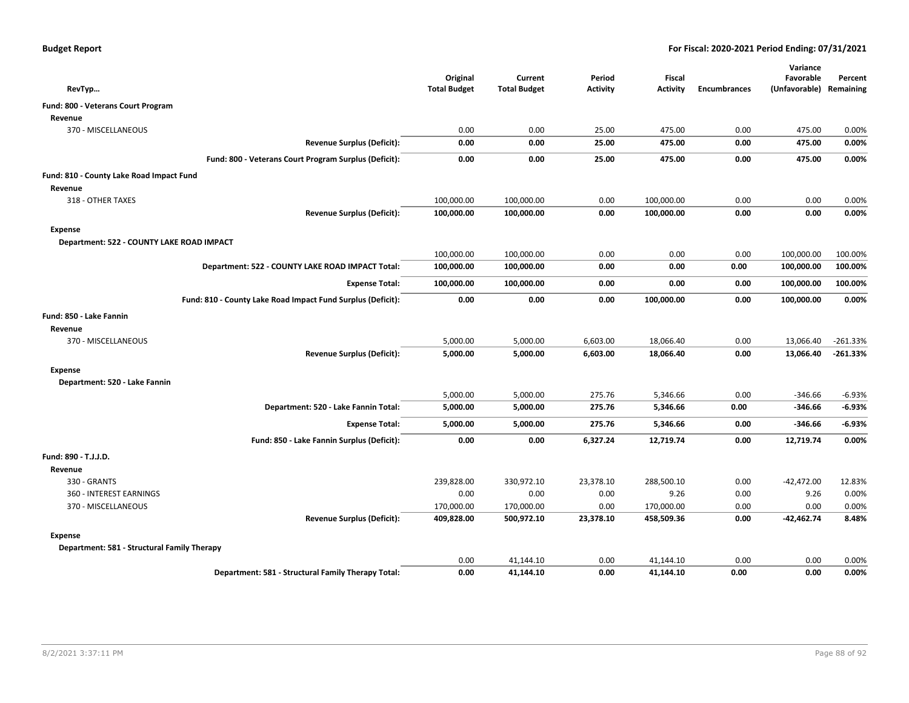| RevTyp                                                      | Original<br><b>Total Budget</b> | Current<br><b>Total Budget</b> | Period<br><b>Activity</b> | <b>Fiscal</b><br><b>Activity</b> | <b>Encumbrances</b> | Variance<br>Favorable<br>(Unfavorable) | Percent<br>Remaining |
|-------------------------------------------------------------|---------------------------------|--------------------------------|---------------------------|----------------------------------|---------------------|----------------------------------------|----------------------|
| Fund: 800 - Veterans Court Program                          |                                 |                                |                           |                                  |                     |                                        |                      |
| Revenue                                                     |                                 |                                |                           |                                  |                     |                                        |                      |
| 370 - MISCELLANEOUS                                         | 0.00                            | 0.00                           | 25.00                     | 475.00                           | 0.00                | 475.00                                 | 0.00%                |
| <b>Revenue Surplus (Deficit):</b>                           | 0.00                            | 0.00                           | 25.00                     | 475.00                           | 0.00                | 475.00                                 | 0.00%                |
| Fund: 800 - Veterans Court Program Surplus (Deficit):       | 0.00                            | 0.00                           | 25.00                     | 475.00                           | 0.00                | 475.00                                 | 0.00%                |
| Fund: 810 - County Lake Road Impact Fund                    |                                 |                                |                           |                                  |                     |                                        |                      |
| Revenue                                                     |                                 |                                |                           |                                  |                     |                                        |                      |
| 318 - OTHER TAXES                                           | 100,000.00                      | 100,000.00                     | 0.00                      | 100,000.00                       | 0.00                | 0.00                                   | 0.00%                |
| <b>Revenue Surplus (Deficit):</b>                           | 100,000.00                      | 100,000.00                     | 0.00                      | 100,000.00                       | 0.00                | 0.00                                   | 0.00%                |
| Expense                                                     |                                 |                                |                           |                                  |                     |                                        |                      |
| Department: 522 - COUNTY LAKE ROAD IMPACT                   |                                 |                                |                           |                                  |                     |                                        |                      |
|                                                             | 100,000.00                      | 100,000.00                     | 0.00                      | 0.00                             | 0.00                | 100,000.00                             | 100.00%              |
| Department: 522 - COUNTY LAKE ROAD IMPACT Total:            | 100,000.00                      | 100,000.00                     | 0.00                      | 0.00                             | 0.00                | 100,000.00                             | 100.00%              |
| <b>Expense Total:</b>                                       | 100,000.00                      | 100,000.00                     | 0.00                      | 0.00                             | 0.00                | 100,000.00                             | 100.00%              |
| Fund: 810 - County Lake Road Impact Fund Surplus (Deficit): | 0.00                            | 0.00                           | 0.00                      | 100,000.00                       | 0.00                | 100,000.00                             | 0.00%                |
| Fund: 850 - Lake Fannin                                     |                                 |                                |                           |                                  |                     |                                        |                      |
| Revenue                                                     |                                 |                                |                           |                                  |                     |                                        |                      |
| 370 - MISCELLANEOUS                                         | 5,000.00                        | 5,000.00                       | 6,603.00                  | 18,066.40                        | 0.00                | 13,066.40                              | $-261.33%$           |
| <b>Revenue Surplus (Deficit):</b>                           | 5,000.00                        | 5,000.00                       | 6,603.00                  | 18,066.40                        | 0.00                | 13,066.40                              | $-261.33%$           |
| Expense                                                     |                                 |                                |                           |                                  |                     |                                        |                      |
| Department: 520 - Lake Fannin                               |                                 |                                |                           |                                  |                     |                                        |                      |
|                                                             | 5,000.00                        | 5,000.00                       | 275.76                    | 5,346.66                         | 0.00                | -346.66                                | $-6.93%$             |
| Department: 520 - Lake Fannin Total:                        | 5,000.00                        | 5,000.00                       | 275.76                    | 5,346.66                         | 0.00                | -346.66                                | $-6.93%$             |
| <b>Expense Total:</b>                                       | 5,000.00                        | 5,000.00                       | 275.76                    | 5,346.66                         | 0.00                | -346.66                                | $-6.93%$             |
| Fund: 850 - Lake Fannin Surplus (Deficit):                  | 0.00                            | 0.00                           | 6,327.24                  | 12,719.74                        | 0.00                | 12,719.74                              | 0.00%                |
| Fund: 890 - T.J.J.D.                                        |                                 |                                |                           |                                  |                     |                                        |                      |
| Revenue                                                     |                                 |                                |                           |                                  |                     |                                        |                      |
| 330 - GRANTS                                                | 239,828.00                      | 330,972.10                     | 23,378.10                 | 288,500.10                       | 0.00                | $-42,472.00$                           | 12.83%               |
| 360 - INTEREST EARNINGS                                     | 0.00                            | 0.00                           | 0.00                      | 9.26                             | 0.00                | 9.26                                   | 0.00%                |
| 370 - MISCELLANEOUS                                         | 170,000.00                      | 170,000.00                     | 0.00                      | 170,000.00                       | 0.00                | 0.00                                   | 0.00%                |
| <b>Revenue Surplus (Deficit):</b>                           | 409,828.00                      | 500,972.10                     | 23,378.10                 | 458,509.36                       | 0.00                | -42,462.74                             | 8.48%                |
| Expense                                                     |                                 |                                |                           |                                  |                     |                                        |                      |
| Department: 581 - Structural Family Therapy                 |                                 |                                |                           |                                  |                     |                                        |                      |
|                                                             | 0.00                            | 41,144.10                      | 0.00                      | 41,144.10                        | 0.00                | 0.00                                   | 0.00%                |
| Department: 581 - Structural Family Therapy Total:          | 0.00                            | 41,144.10                      | 0.00                      | 41,144.10                        | 0.00                | 0.00                                   | 0.00%                |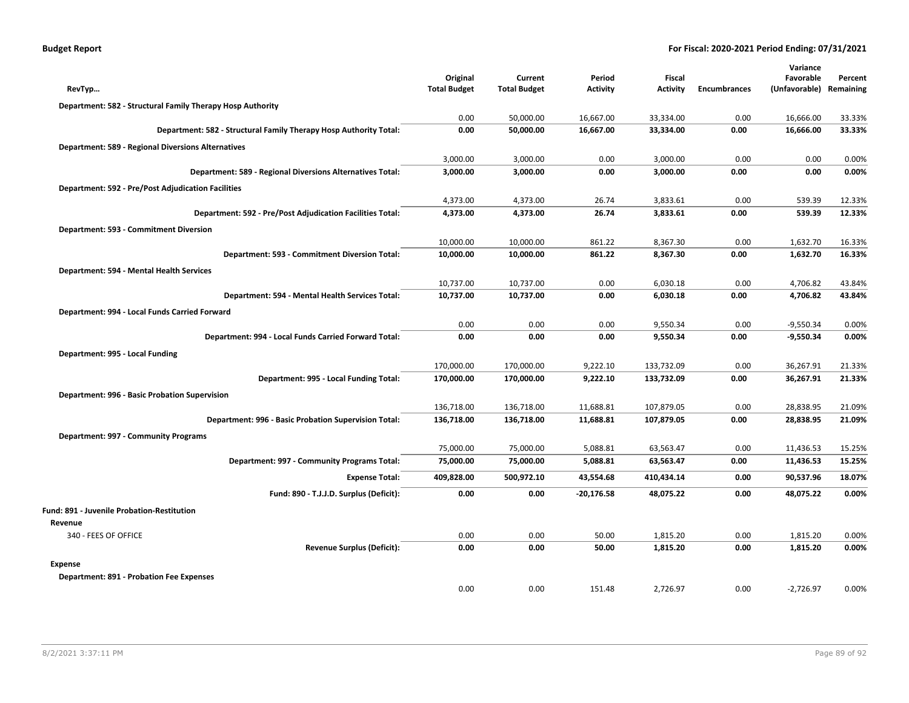| <b>Budget Report</b> |  |
|----------------------|--|
|----------------------|--|

|                                                                   |                                 |                                |                           |                                  |                     | Variance                   |                      |
|-------------------------------------------------------------------|---------------------------------|--------------------------------|---------------------------|----------------------------------|---------------------|----------------------------|----------------------|
|                                                                   | Original<br><b>Total Budget</b> | Current<br><b>Total Budget</b> | Period<br><b>Activity</b> | <b>Fiscal</b><br><b>Activity</b> | <b>Encumbrances</b> | Favorable<br>(Unfavorable) | Percent<br>Remaining |
| RevTyp                                                            |                                 |                                |                           |                                  |                     |                            |                      |
| Department: 582 - Structural Family Therapy Hosp Authority        |                                 |                                |                           |                                  |                     |                            |                      |
|                                                                   | 0.00<br>0.00                    | 50,000.00<br>50,000.00         | 16,667.00<br>16,667.00    | 33,334.00<br>33,334.00           | 0.00<br>0.00        | 16,666.00<br>16,666.00     | 33.33%<br>33.33%     |
| Department: 582 - Structural Family Therapy Hosp Authority Total: |                                 |                                |                           |                                  |                     |                            |                      |
| <b>Department: 589 - Regional Diversions Alternatives</b>         |                                 |                                |                           |                                  |                     |                            |                      |
|                                                                   | 3,000.00                        | 3,000.00                       | 0.00<br>0.00              | 3,000.00                         | 0.00                | 0.00<br>0.00               | 0.00%<br>0.00%       |
| Department: 589 - Regional Diversions Alternatives Total:         | 3,000.00                        | 3,000.00                       |                           | 3,000.00                         | 0.00                |                            |                      |
| <b>Department: 592 - Pre/Post Adjudication Facilities</b>         |                                 |                                |                           |                                  |                     |                            |                      |
|                                                                   | 4,373.00                        | 4,373.00                       | 26.74                     | 3,833.61                         | 0.00                | 539.39                     | 12.33%               |
| Department: 592 - Pre/Post Adjudication Facilities Total:         | 4,373.00                        | 4,373.00                       | 26.74                     | 3,833.61                         | 0.00                | 539.39                     | 12.33%               |
| Department: 593 - Commitment Diversion                            |                                 |                                |                           |                                  |                     |                            |                      |
|                                                                   | 10,000.00                       | 10,000.00                      | 861.22                    | 8,367.30                         | 0.00                | 1,632.70                   | 16.33%               |
| Department: 593 - Commitment Diversion Total:                     | 10,000.00                       | 10,000.00                      | 861.22                    | 8,367.30                         | 0.00                | 1,632.70                   | 16.33%               |
| Department: 594 - Mental Health Services                          |                                 |                                |                           |                                  |                     |                            |                      |
|                                                                   | 10,737.00                       | 10,737.00                      | 0.00                      | 6,030.18                         | 0.00                | 4,706.82                   | 43.84%               |
| Department: 594 - Mental Health Services Total:                   | 10,737.00                       | 10,737.00                      | 0.00                      | 6,030.18                         | 0.00                | 4,706.82                   | 43.84%               |
| Department: 994 - Local Funds Carried Forward                     |                                 |                                |                           |                                  |                     |                            |                      |
|                                                                   | 0.00                            | 0.00                           | 0.00                      | 9,550.34                         | 0.00                | $-9,550.34$                | 0.00%                |
| Department: 994 - Local Funds Carried Forward Total:              | 0.00                            | 0.00                           | 0.00                      | 9,550.34                         | 0.00                | $-9,550.34$                | 0.00%                |
| Department: 995 - Local Funding                                   |                                 |                                |                           |                                  |                     |                            |                      |
|                                                                   | 170,000.00                      | 170,000.00                     | 9,222.10                  | 133,732.09                       | 0.00                | 36,267.91                  | 21.33%               |
| Department: 995 - Local Funding Total:                            | 170,000.00                      | 170,000.00                     | 9,222.10                  | 133,732.09                       | 0.00                | 36,267.91                  | 21.33%               |
| Department: 996 - Basic Probation Supervision                     |                                 |                                |                           |                                  |                     |                            |                      |
|                                                                   | 136,718.00                      | 136,718.00                     | 11,688.81                 | 107,879.05                       | 0.00                | 28,838.95                  | 21.09%               |
| Department: 996 - Basic Probation Supervision Total:              | 136,718.00                      | 136,718.00                     | 11,688.81                 | 107,879.05                       | 0.00                | 28,838.95                  | 21.09%               |
| Department: 997 - Community Programs                              |                                 |                                |                           |                                  |                     |                            |                      |
|                                                                   | 75,000.00                       | 75,000.00                      | 5,088.81                  | 63,563.47                        | 0.00                | 11,436.53                  | 15.25%               |
| Department: 997 - Community Programs Total:                       | 75,000.00                       | 75,000.00                      | 5,088.81                  | 63,563.47                        | 0.00                | 11,436.53                  | 15.25%               |
| <b>Expense Total:</b>                                             | 409,828.00                      | 500,972.10                     | 43,554.68                 | 410,434.14                       | 0.00                | 90,537.96                  | 18.07%               |
| Fund: 890 - T.J.J.D. Surplus (Deficit):                           | 0.00                            | 0.00                           | $-20,176.58$              | 48,075.22                        | 0.00                | 48,075.22                  | 0.00%                |
| Fund: 891 - Juvenile Probation-Restitution                        |                                 |                                |                           |                                  |                     |                            |                      |
| Revenue                                                           |                                 |                                |                           |                                  |                     |                            |                      |
| 340 - FEES OF OFFICE                                              | 0.00                            | 0.00                           | 50.00                     | 1,815.20                         | 0.00                | 1,815.20                   | 0.00%                |
| <b>Revenue Surplus (Deficit):</b>                                 | 0.00                            | 0.00                           | 50.00                     | 1,815.20                         | 0.00                | 1,815.20                   | 0.00%                |
| <b>Expense</b>                                                    |                                 |                                |                           |                                  |                     |                            |                      |
| <b>Department: 891 - Probation Fee Expenses</b>                   |                                 |                                |                           |                                  |                     |                            |                      |
|                                                                   | 0.00                            | 0.00                           | 151.48                    | 2,726.97                         | 0.00                | $-2,726.97$                | 0.00%                |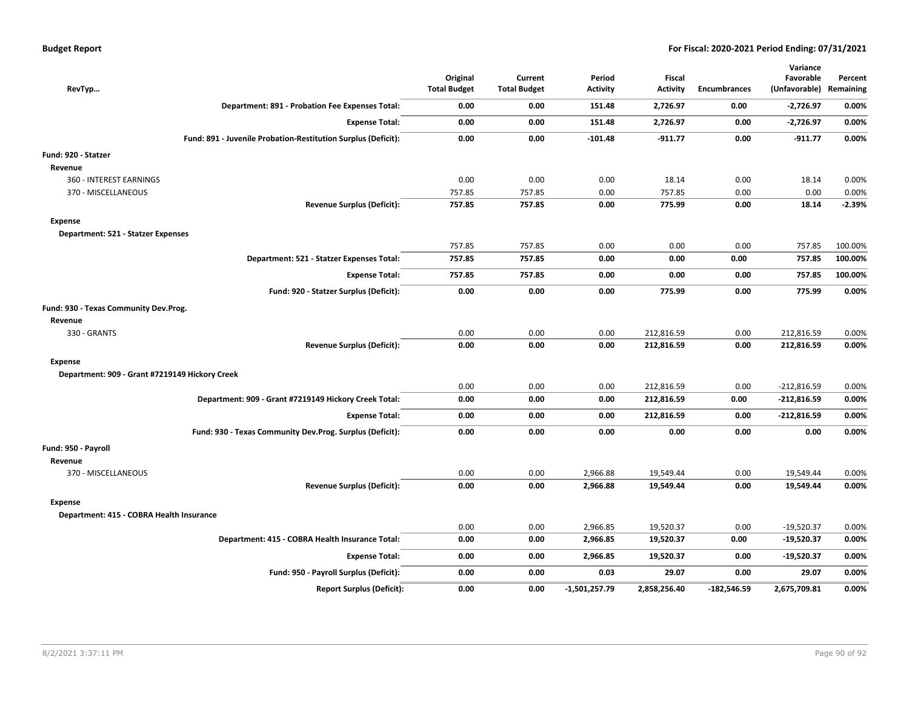| RevTyp                                         |                                                               | Original<br><b>Total Budget</b> | Current<br><b>Total Budget</b> | Period<br><b>Activity</b> | Fiscal<br><b>Activity</b> | <b>Encumbrances</b> | Variance<br>Favorable<br>(Unfavorable) Remaining | Percent  |
|------------------------------------------------|---------------------------------------------------------------|---------------------------------|--------------------------------|---------------------------|---------------------------|---------------------|--------------------------------------------------|----------|
|                                                | Department: 891 - Probation Fee Expenses Total:               | 0.00                            | 0.00                           | 151.48                    | 2,726.97                  | 0.00                | $-2,726.97$                                      | 0.00%    |
|                                                | <b>Expense Total:</b>                                         | 0.00                            | 0.00                           | 151.48                    | 2,726.97                  | 0.00                | $-2,726.97$                                      | 0.00%    |
|                                                | Fund: 891 - Juvenile Probation-Restitution Surplus (Deficit): | 0.00                            | 0.00                           | $-101.48$                 | $-911.77$                 | 0.00                | $-911.77$                                        | 0.00%    |
| Fund: 920 - Statzer                            |                                                               |                                 |                                |                           |                           |                     |                                                  |          |
| Revenue                                        |                                                               |                                 |                                |                           |                           |                     |                                                  |          |
| 360 - INTEREST EARNINGS                        |                                                               | 0.00                            | 0.00                           | 0.00                      | 18.14                     | 0.00                | 18.14                                            | 0.00%    |
| 370 - MISCELLANEOUS                            |                                                               | 757.85                          | 757.85                         | 0.00                      | 757.85                    | 0.00                | 0.00                                             | 0.00%    |
|                                                | <b>Revenue Surplus (Deficit):</b>                             | 757.85                          | 757.85                         | 0.00                      | 775.99                    | 0.00                | 18.14                                            | $-2.39%$ |
| Expense                                        |                                                               |                                 |                                |                           |                           |                     |                                                  |          |
| Department: 521 - Statzer Expenses             |                                                               |                                 |                                |                           |                           |                     |                                                  |          |
|                                                |                                                               | 757.85                          | 757.85                         | 0.00                      | 0.00                      | 0.00                | 757.85                                           | 100.00%  |
|                                                | Department: 521 - Statzer Expenses Total:                     | 757.85                          | 757.85                         | 0.00                      | 0.00                      | 0.00                | 757.85                                           | 100.00%  |
|                                                | <b>Expense Total:</b>                                         | 757.85                          | 757.85                         | 0.00                      | 0.00                      | 0.00                | 757.85                                           | 100.00%  |
|                                                | Fund: 920 - Statzer Surplus (Deficit):                        | 0.00                            | 0.00                           | 0.00                      | 775.99                    | 0.00                | 775.99                                           | 0.00%    |
| Fund: 930 - Texas Community Dev.Prog.          |                                                               |                                 |                                |                           |                           |                     |                                                  |          |
| Revenue                                        |                                                               |                                 |                                |                           |                           |                     |                                                  |          |
| 330 - GRANTS                                   |                                                               | 0.00                            | 0.00                           | 0.00                      | 212,816.59                | 0.00                | 212,816.59                                       | 0.00%    |
|                                                | <b>Revenue Surplus (Deficit):</b>                             | 0.00                            | 0.00                           | 0.00                      | 212,816.59                | 0.00                | 212,816.59                                       | 0.00%    |
| <b>Expense</b>                                 |                                                               |                                 |                                |                           |                           |                     |                                                  |          |
| Department: 909 - Grant #7219149 Hickory Creek |                                                               |                                 |                                |                           |                           |                     |                                                  |          |
|                                                |                                                               | 0.00                            | 0.00                           | 0.00                      | 212,816.59                | 0.00                | $-212,816.59$                                    | 0.00%    |
|                                                | Department: 909 - Grant #7219149 Hickory Creek Total:         | 0.00                            | 0.00                           | 0.00                      | 212,816.59                | 0.00                | $-212,816.59$                                    | 0.00%    |
|                                                | <b>Expense Total:</b>                                         | 0.00                            | 0.00                           | 0.00                      | 212,816.59                | 0.00                | $-212,816.59$                                    | 0.00%    |
|                                                | Fund: 930 - Texas Community Dev.Prog. Surplus (Deficit):      | 0.00                            | 0.00                           | 0.00                      | 0.00                      | 0.00                | 0.00                                             | 0.00%    |
| Fund: 950 - Payroll                            |                                                               |                                 |                                |                           |                           |                     |                                                  |          |
| Revenue                                        |                                                               |                                 |                                |                           |                           |                     |                                                  |          |
| 370 - MISCELLANEOUS                            |                                                               | 0.00                            | 0.00                           | 2,966.88                  | 19,549.44                 | 0.00                | 19,549.44                                        | 0.00%    |
|                                                | <b>Revenue Surplus (Deficit):</b>                             | 0.00                            | 0.00                           | 2,966.88                  | 19,549.44                 | 0.00                | 19,549.44                                        | 0.00%    |
| <b>Expense</b>                                 |                                                               |                                 |                                |                           |                           |                     |                                                  |          |
| Department: 415 - COBRA Health Insurance       |                                                               |                                 |                                |                           |                           |                     |                                                  |          |
|                                                |                                                               | 0.00                            | 0.00                           | 2,966.85                  | 19,520.37                 | 0.00                | $-19,520.37$                                     | 0.00%    |
|                                                | Department: 415 - COBRA Health Insurance Total:               | 0.00                            | 0.00                           | 2,966.85                  | 19,520.37                 | 0.00                | $-19,520.37$                                     | 0.00%    |
|                                                | <b>Expense Total:</b>                                         | 0.00                            | 0.00                           | 2,966.85                  | 19,520.37                 | 0.00                | $-19,520.37$                                     | 0.00%    |
|                                                | Fund: 950 - Payroll Surplus (Deficit):                        | 0.00                            | 0.00                           | 0.03                      | 29.07                     | 0.00                | 29.07                                            | 0.00%    |
|                                                | <b>Report Surplus (Deficit):</b>                              | 0.00                            | 0.00                           | -1,501,257.79             | 2,858,256.40              | -182,546.59         | 2,675,709.81                                     | 0.00%    |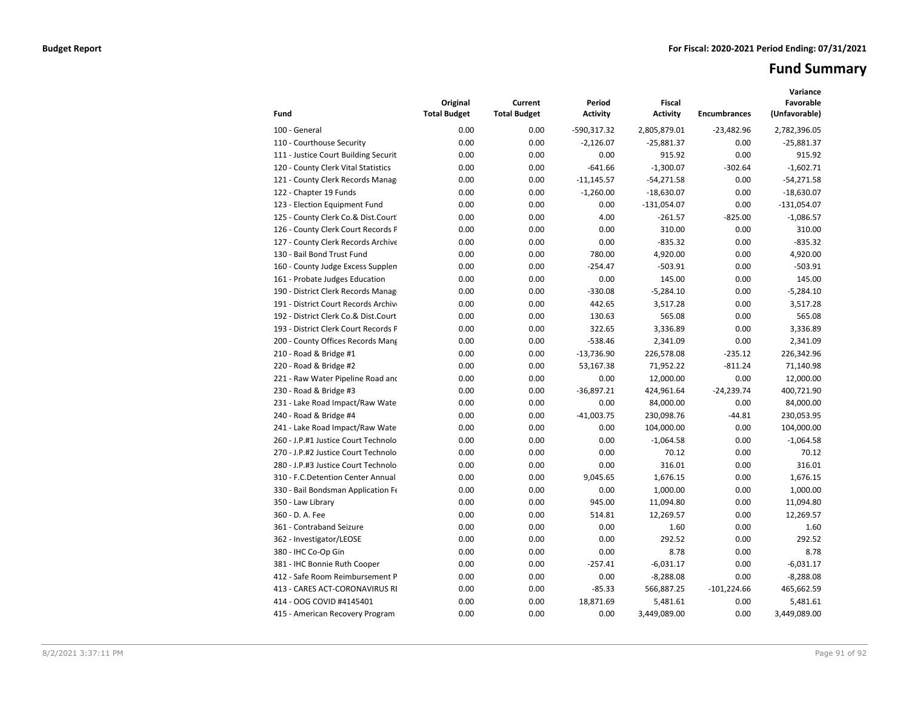# **Fund Summary**

| Fund                                 | Original<br><b>Total Budget</b> | Current<br><b>Total Budget</b> | Period<br><b>Activity</b> | <b>Fiscal</b><br><b>Activity</b> | <b>Encumbrances</b> | Variance<br>Favorable<br>(Unfavorable) |
|--------------------------------------|---------------------------------|--------------------------------|---------------------------|----------------------------------|---------------------|----------------------------------------|
| 100 - General                        | 0.00                            | 0.00                           | -590,317.32               | 2,805,879.01                     | $-23,482.96$        | 2,782,396.05                           |
| 110 - Courthouse Security            | 0.00                            | 0.00                           | $-2,126.07$               | $-25,881.37$                     | 0.00                | $-25,881.37$                           |
| 111 - Justice Court Building Securit | 0.00                            | 0.00                           | 0.00                      | 915.92                           | 0.00                | 915.92                                 |
| 120 - County Clerk Vital Statistics  | 0.00                            | 0.00                           | $-641.66$                 | $-1,300.07$                      | $-302.64$           | $-1,602.71$                            |
| 121 - County Clerk Records Manag     | 0.00                            | 0.00                           | $-11,145.57$              | $-54,271.58$                     | 0.00                | $-54,271.58$                           |
| 122 - Chapter 19 Funds               | 0.00                            | 0.00                           | $-1,260.00$               | $-18,630.07$                     | 0.00                | $-18,630.07$                           |
| 123 - Election Equipment Fund        | 0.00                            | 0.00                           | 0.00                      | $-131,054.07$                    | 0.00                | $-131,054.07$                          |
| 125 - County Clerk Co.& Dist.Court   | 0.00                            | 0.00                           | 4.00                      | $-261.57$                        | $-825.00$           | $-1,086.57$                            |
| 126 - County Clerk Court Records P   | 0.00                            | 0.00                           | 0.00                      | 310.00                           | 0.00                | 310.00                                 |
| 127 - County Clerk Records Archive   | 0.00                            | 0.00                           | 0.00                      | $-835.32$                        | 0.00                | $-835.32$                              |
| 130 - Bail Bond Trust Fund           | 0.00                            | 0.00                           | 780.00                    | 4,920.00                         | 0.00                | 4,920.00                               |
| 160 - County Judge Excess Supplen    | 0.00                            | 0.00                           | $-254.47$                 | $-503.91$                        | 0.00                | $-503.91$                              |
| 161 - Probate Judges Education       | 0.00                            | 0.00                           | 0.00                      | 145.00                           | 0.00                | 145.00                                 |
| 190 - District Clerk Records Manag   | 0.00                            | 0.00                           | $-330.08$                 | $-5,284.10$                      | 0.00                | $-5,284.10$                            |
| 191 - District Court Records Archive | 0.00                            | 0.00                           | 442.65                    | 3,517.28                         | 0.00                | 3,517.28                               |
| 192 - District Clerk Co.& Dist.Court | 0.00                            | 0.00                           | 130.63                    | 565.08                           | 0.00                | 565.08                                 |
| 193 - District Clerk Court Records P | 0.00                            | 0.00                           | 322.65                    | 3,336.89                         | 0.00                | 3,336.89                               |
| 200 - County Offices Records Mang    | 0.00                            | 0.00                           | $-538.46$                 | 2,341.09                         | 0.00                | 2,341.09                               |
| 210 - Road & Bridge #1               | 0.00                            | 0.00                           | $-13,736.90$              | 226,578.08                       | $-235.12$           | 226,342.96                             |
| 220 - Road & Bridge #2               | 0.00                            | 0.00                           | 53,167.38                 | 71,952.22                        | $-811.24$           | 71,140.98                              |
| 221 - Raw Water Pipeline Road and    | 0.00                            | 0.00                           | 0.00                      | 12,000.00                        | 0.00                | 12,000.00                              |
| 230 - Road & Bridge #3               | 0.00                            | 0.00                           | $-36,897.21$              | 424,961.64                       | $-24,239.74$        | 400,721.90                             |
| 231 - Lake Road Impact/Raw Wate      | 0.00                            | 0.00                           | 0.00                      | 84,000.00                        | 0.00                | 84,000.00                              |
| 240 - Road & Bridge #4               | 0.00                            | 0.00                           | $-41,003.75$              | 230,098.76                       | $-44.81$            | 230,053.95                             |
| 241 - Lake Road Impact/Raw Wate      | 0.00                            | 0.00                           | 0.00                      | 104,000.00                       | 0.00                | 104,000.00                             |
| 260 - J.P.#1 Justice Court Technolo  | 0.00                            | 0.00                           | 0.00                      | $-1,064.58$                      | 0.00                | $-1,064.58$                            |
| 270 - J.P.#2 Justice Court Technolo  | 0.00                            | 0.00                           | 0.00                      | 70.12                            | 0.00                | 70.12                                  |
| 280 - J.P.#3 Justice Court Technolo  | 0.00                            | 0.00                           | 0.00                      | 316.01                           | 0.00                | 316.01                                 |
| 310 - F.C.Detention Center Annual    | 0.00                            | 0.00                           | 9,045.65                  | 1,676.15                         | 0.00                | 1,676.15                               |
| 330 - Bail Bondsman Application Fe   | 0.00                            | 0.00                           | 0.00                      | 1,000.00                         | 0.00                | 1,000.00                               |
| 350 - Law Library                    | 0.00                            | 0.00                           | 945.00                    | 11,094.80                        | 0.00                | 11,094.80                              |
| 360 - D. A. Fee                      | 0.00                            | 0.00                           | 514.81                    | 12,269.57                        | 0.00                | 12,269.57                              |
| 361 - Contraband Seizure             | 0.00                            | 0.00                           | 0.00                      | 1.60                             | 0.00                | 1.60                                   |
| 362 - Investigator/LEOSE             | 0.00                            | 0.00                           | 0.00                      | 292.52                           | 0.00                | 292.52                                 |
| 380 - IHC Co-Op Gin                  | 0.00                            | 0.00                           | 0.00                      | 8.78                             | 0.00                | 8.78                                   |
| 381 - IHC Bonnie Ruth Cooper         | 0.00                            | 0.00                           | $-257.41$                 | $-6,031.17$                      | 0.00                | $-6,031.17$                            |
| 412 - Safe Room Reimbursement P      | 0.00                            | 0.00                           | 0.00                      | $-8,288.08$                      | 0.00                | $-8,288.08$                            |
| 413 - CARES ACT-CORONAVIRUS RI       | 0.00                            | 0.00                           | $-85.33$                  | 566,887.25                       | $-101,224.66$       | 465,662.59                             |
| 414 - OOG COVID #4145401             | 0.00                            | 0.00                           | 18,871.69                 | 5,481.61                         | 0.00                | 5,481.61                               |
| 415 - American Recovery Program      | 0.00                            | 0.00                           | 0.00                      | 3,449,089.00                     | 0.00                | 3,449,089.00                           |